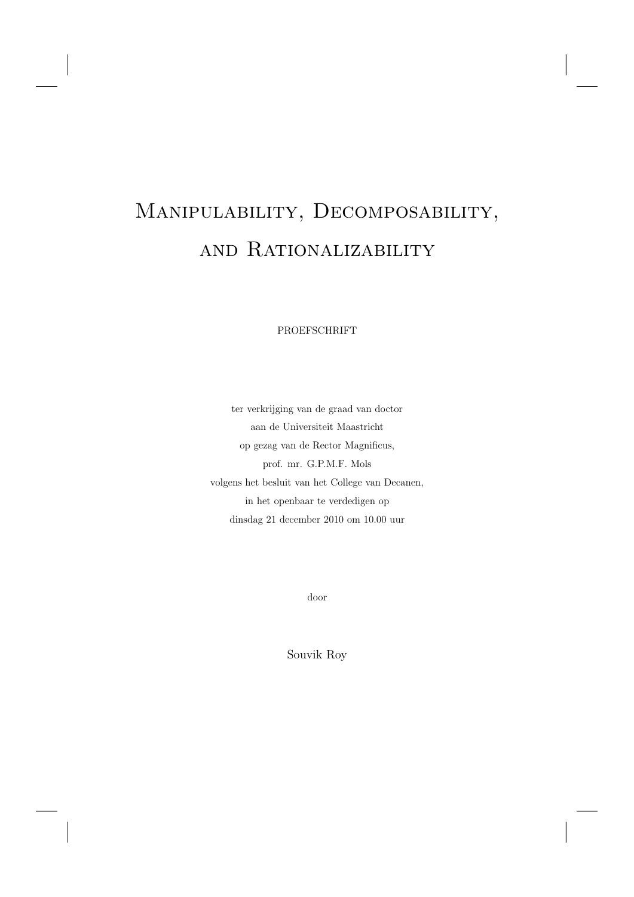# Manipulability, Decomposability, and Rationalizability

PROEFSCHRIFT

ter verkrijging van de graad van doctor aan de Universiteit Maastricht op gezag van de Rector Magnificus, prof. mr. G.P.M.F. Mols volgens het besluit van het College van Decanen, in het openbaar te verdedigen op dinsdag 21 december 2010 om 10.00 uur

door

Souvik Roy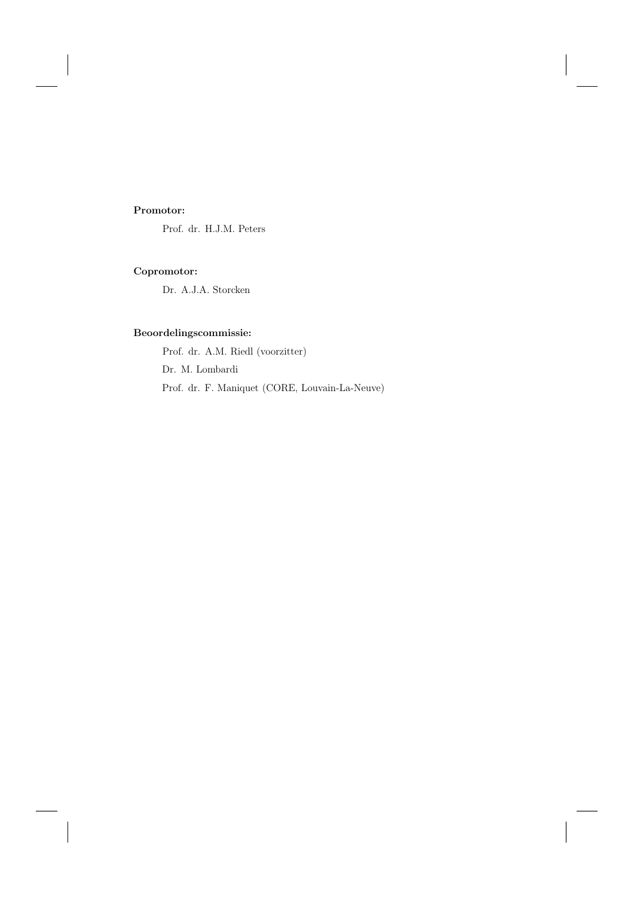# **Promotor:**

Prof. dr. H.J.M. Peters

# **Copromotor:**

Dr. A.J.A. Storcken

# **Beoordelingscommissie:**

Prof. dr. A.M. Riedl (voorzitter) Prof. dr. F. Maniquet (CORE, Louvain-La-Neuve) Dr. M. Lombardi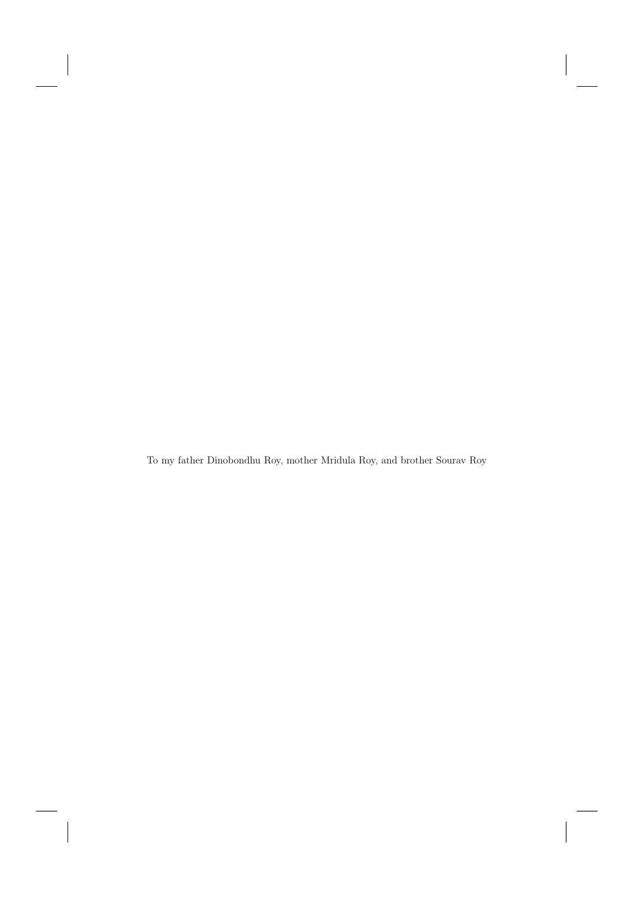To my father Dinobondhu Roy, mother Mridula Roy, and brother Sourav Roy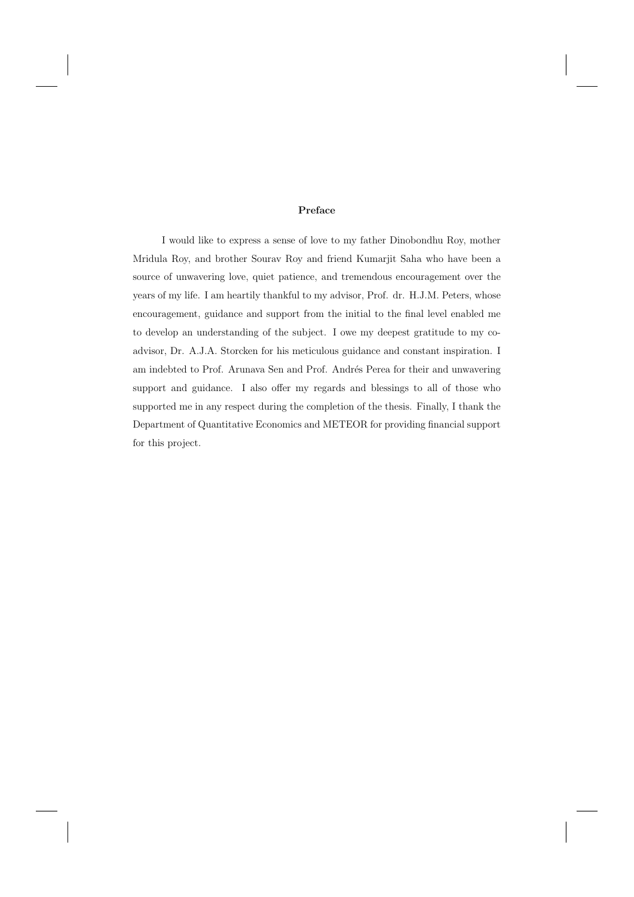#### **Preface**

I would like to express a sense of love to my father Dinobondhu Roy, mother Mridula Roy, and brother Sourav Roy and friend Kumarjit Saha who have been a source of unwavering love, quiet patience, and tremendous encouragement over the years of my life. I am heartily thankful to my advisor, Prof. dr. H.J.M. Peters, whose encouragement, guidance and support from the initial to the final level enabled me to develop an understanding of the subject. I owe my deepest gratitude to my coadvisor, Dr. A.J.A. Storcken for his meticulous guidance and constant inspiration. I am indebted to Prof. Arunava Sen and Prof. Andrés Perea for their and unwavering support and guidance. I also offer my regards and blessings to all of those who supported me in any respect during the completion of the thesis. Finally, I thank the Department of Quantitative Economics and METEOR for providing financial support for this project.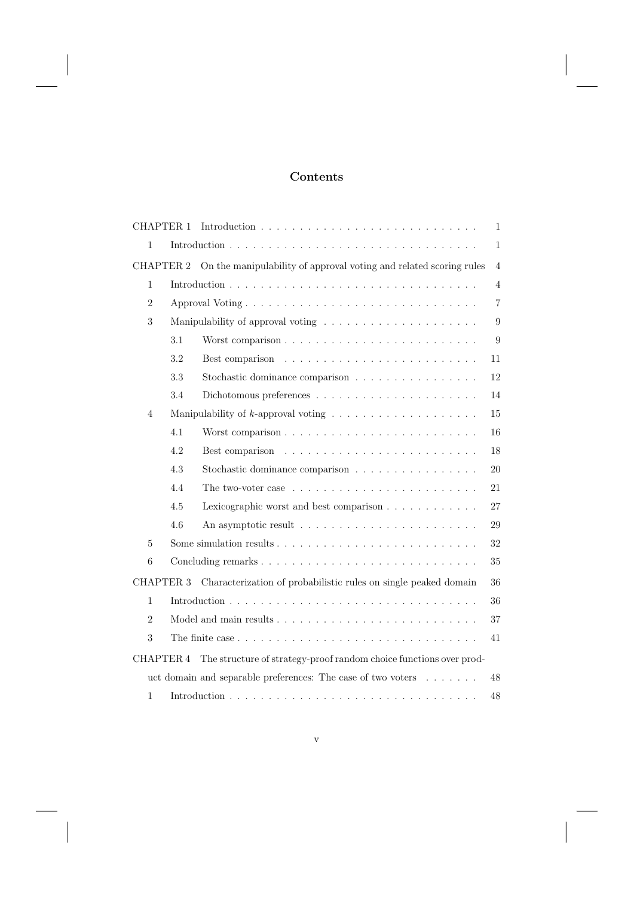# **Contents**

| <b>CHAPTER 1</b>                                                   |              |                                                                                                | $\mathbf{1}$   |  |
|--------------------------------------------------------------------|--------------|------------------------------------------------------------------------------------------------|----------------|--|
| 1                                                                  | $\mathbf{1}$ |                                                                                                |                |  |
| <b>CHAPTER 2</b>                                                   |              | On the manipulability of approval voting and related scoring rules                             | $\overline{4}$ |  |
| 1                                                                  |              |                                                                                                | $\overline{4}$ |  |
| $\sqrt{2}$                                                         |              | $\overline{7}$                                                                                 |                |  |
| 3                                                                  |              | 9                                                                                              |                |  |
|                                                                    | 3.1          | Worst comparison                                                                               | 9              |  |
|                                                                    | 3.2          |                                                                                                | 11             |  |
|                                                                    | 3.3          | Stochastic dominance comparison                                                                | 12             |  |
|                                                                    | 3.4          |                                                                                                | 14             |  |
| $\overline{4}$                                                     |              | Manipulability of $k$ -approval voting $\ldots \ldots \ldots \ldots \ldots \ldots$             | 15             |  |
|                                                                    | 4.1          | Worst comparison                                                                               | 16             |  |
|                                                                    | 4.2          |                                                                                                | 18             |  |
|                                                                    | 4.3          | Stochastic dominance comparison                                                                | 20             |  |
|                                                                    | 4.4          | The two-voter case $\dots \dots \dots \dots \dots \dots \dots \dots \dots$                     | 21             |  |
|                                                                    | 4.5          | Lexicographic worst and best comparison                                                        | 27             |  |
|                                                                    | 4.6          |                                                                                                | 29             |  |
| 5                                                                  |              |                                                                                                | 32             |  |
| 6                                                                  |              |                                                                                                | 35             |  |
| <b>CHAPTER 3</b>                                                   |              | Characterization of probabilistic rules on single peaked domain                                | 36             |  |
| $\mathbf{1}$                                                       |              |                                                                                                | 36             |  |
| $\overline{2}$                                                     |              |                                                                                                | 37             |  |
| 3                                                                  |              | The finite case $\ldots \ldots \ldots \ldots \ldots \ldots \ldots \ldots \ldots \ldots \ldots$ | 41             |  |
| <b>CHAPTER 4</b>                                                   |              | The structure of strategy-proof random choice functions over prod-                             |                |  |
| uct domain and separable preferences: The case of two voters<br>48 |              |                                                                                                |                |  |
| 1                                                                  |              |                                                                                                | 48             |  |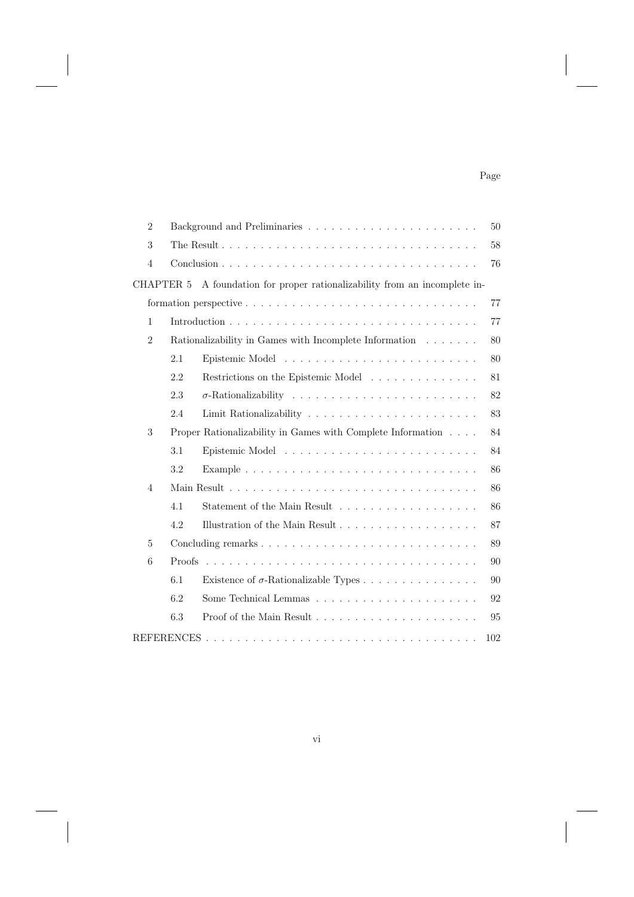# Page

| $\overline{2}$ | 50                                                                     |                                                                       |     |  |  |
|----------------|------------------------------------------------------------------------|-----------------------------------------------------------------------|-----|--|--|
| 3              | 58                                                                     |                                                                       |     |  |  |
| $\overline{4}$ | 76                                                                     |                                                                       |     |  |  |
| CHAPTER 5      |                                                                        | A foundation for proper rationalizability from an incomplete in-      |     |  |  |
|                |                                                                        |                                                                       |     |  |  |
| $\mathbf{1}$   |                                                                        |                                                                       | 77  |  |  |
| $\overline{2}$ | Rationalizability in Games with Incomplete Information $\ldots \ldots$ |                                                                       |     |  |  |
|                | 2.1                                                                    |                                                                       | 80  |  |  |
|                | 2.2                                                                    | Restrictions on the Epistemic Model                                   | 81  |  |  |
|                | 2.3                                                                    |                                                                       | 82  |  |  |
|                | 2.4                                                                    |                                                                       | 83  |  |  |
| 3              |                                                                        | Proper Rationalizability in Games with Complete Information $\dots$ . | 84  |  |  |
|                | 3.1                                                                    |                                                                       | 84  |  |  |
|                | 3.2                                                                    |                                                                       | 86  |  |  |
| $\overline{4}$ |                                                                        |                                                                       |     |  |  |
|                | 4.1                                                                    |                                                                       | 86  |  |  |
|                | 4.2                                                                    |                                                                       | 87  |  |  |
| 5              |                                                                        | 89                                                                    |     |  |  |
| 6              |                                                                        |                                                                       |     |  |  |
|                | 6.1                                                                    | Existence of $\sigma$ -Rationalizable Types                           | 90  |  |  |
|                | 6.2                                                                    |                                                                       | 92  |  |  |
|                | 6.3                                                                    |                                                                       | 95  |  |  |
|                |                                                                        |                                                                       | 102 |  |  |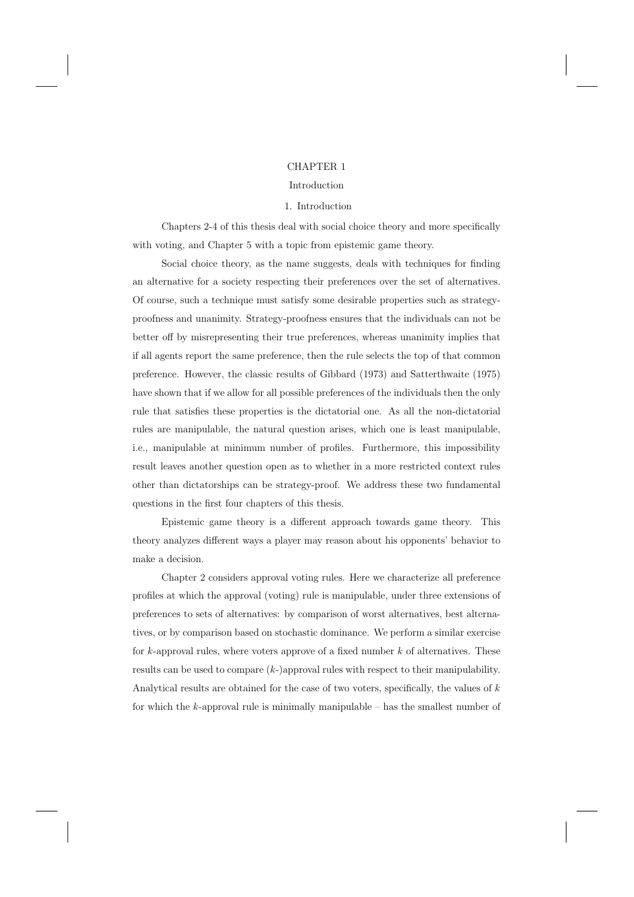## CHAPTER 1

#### Introduction

#### 1. Introduction

Chapters 2-4 of this thesis deal with social choice theory and more specifically with voting, and Chapter 5 with a topic from epistemic game theory.

Social choice theory, as the name suggests, deals with techniques for finding an alternative for a society respecting their preferences over the set of alternatives. Of course, such a technique must satisfy some desirable properties such as strategyproofness and unanimity. Strategy-proofness ensures that the individuals can not be better off by misrepresenting their true preferences, whereas unanimity implies that if all agents report the same preference, then the rule selects the top of that common preference. However, the classic results of Gibbard (1973) and Satterthwaite (1975) have shown that if we allow for all possible preferences of the individuals then the only rule that satisfies these properties is the dictatorial one. As all the non-dictatorial rules are manipulable, the natural question arises, which one is least manipulable, i.e., manipulable at minimum number of profiles. Furthermore, this impossibility result leaves another question open as to whether in a more restricted context rules other than dictatorships can be strategy-proof. We address these two fundamental questions in the first four chapters of this thesis.

Epistemic game theory is a different approach towards game theory. This theory analyzes different ways a player may reason about his opponents' behavior to make a decision.

Chapter 2 considers approval voting rules. Here we characterize all preference profiles at which the approval (voting) rule is manipulable, under three extensions of preferences to sets of alternatives: by comparison of worst alternatives, best alternatives, or by comparison based on stochastic dominance. We perform a similar exercise for k-approval rules, where voters approve of a fixed number  $k$  of alternatives. These results can be used to compare  $(k-)$ approval rules with respect to their manipulability. Analytical results are obtained for the case of two voters, specifically, the values of k for which the  $k$ -approval rule is minimally manipulable – has the smallest number of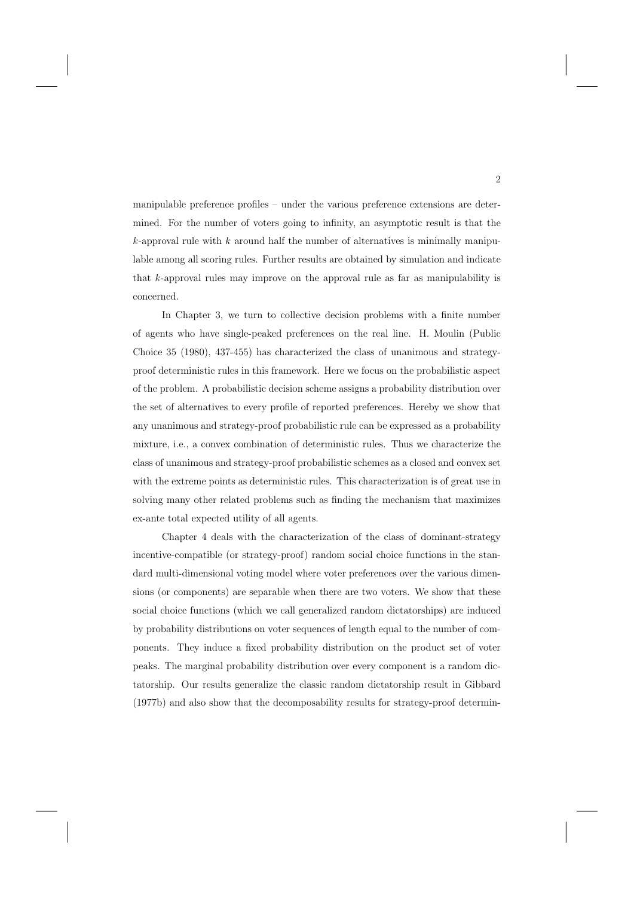manipulable preference profiles – under the various preference extensions are determined. For the number of voters going to infinity, an asymptotic result is that the  $k$ -approval rule with  $k$  around half the number of alternatives is minimally manipulable among all scoring rules. Further results are obtained by simulation and indicate that  $k$ -approval rules may improve on the approval rule as far as manipulability is concerned.

In Chapter 3, we turn to collective decision problems with a finite number of agents who have single-peaked preferences on the real line. H. Moulin (Public Choice 35 (1980), 437-455) has characterized the class of unanimous and strategyproof deterministic rules in this framework. Here we focus on the probabilistic aspect of the problem. A probabilistic decision scheme assigns a probability distribution over the set of alternatives to every profile of reported preferences. Hereby we show that any unanimous and strategy-proof probabilistic rule can be expressed as a probability mixture, i.e., a convex combination of deterministic rules. Thus we characterize the class of unanimous and strategy-proof probabilistic schemes as a closed and convex set with the extreme points as deterministic rules. This characterization is of great use in solving many other related problems such as finding the mechanism that maximizes ex-ante total expected utility of all agents.

Chapter 4 deals with the characterization of the class of dominant-strategy incentive-compatible (or strategy-proof) random social choice functions in the standard multi-dimensional voting model where voter preferences over the various dimensions (or components) are separable when there are two voters. We show that these social choice functions (which we call generalized random dictatorships) are induced by probability distributions on voter sequences of length equal to the number of components. They induce a fixed probability distribution on the product set of voter peaks. The marginal probability distribution over every component is a random dictatorship. Our results generalize the classic random dictatorship result in Gibbard (1977b) and also show that the decomposability results for strategy-proof determin-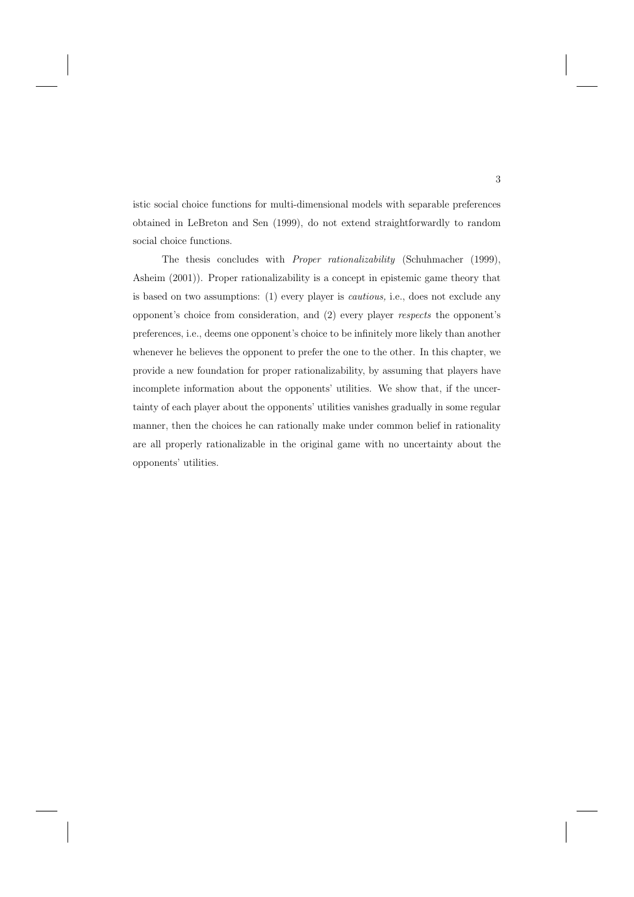istic social choice functions for multi-dimensional models with separable preferences obtained in LeBreton and Sen (1999), do not extend straightforwardly to random social choice functions.

The thesis concludes with Proper rationalizability (Schuhmacher (1999), Asheim (2001)). Proper rationalizability is a concept in epistemic game theory that is based on two assumptions: (1) every player is cautious, i.e., does not exclude any opponent's choice from consideration, and (2) every player respects the opponent's preferences, i.e., deems one opponent's choice to be infinitely more likely than another whenever he believes the opponent to prefer the one to the other. In this chapter, we provide a new foundation for proper rationalizability, by assuming that players have incomplete information about the opponents' utilities. We show that, if the uncertainty of each player about the opponents' utilities vanishes gradually in some regular manner, then the choices he can rationally make under common belief in rationality are all properly rationalizable in the original game with no uncertainty about the opponents' utilities.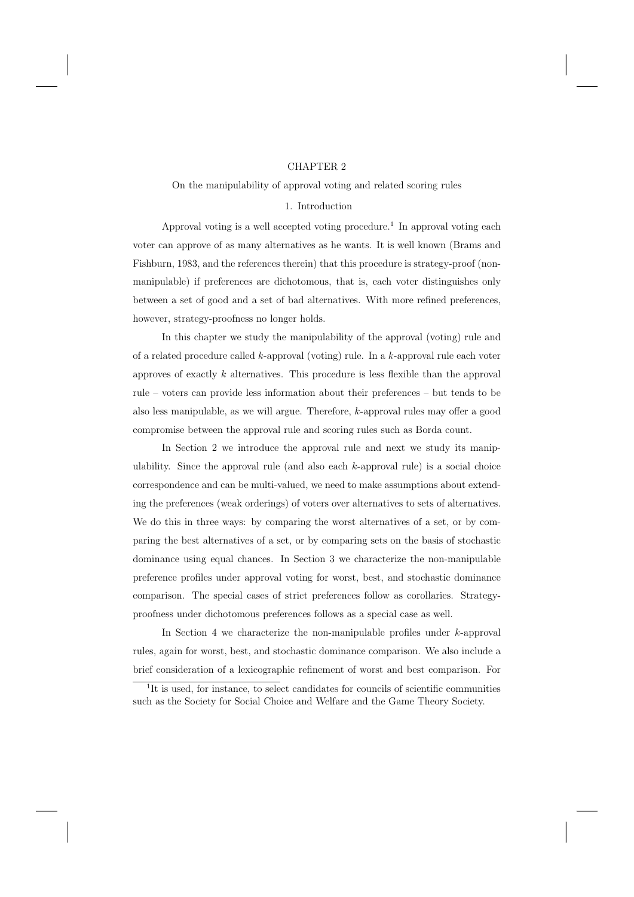#### CHAPTER 2

#### On the manipulability of approval voting and related scoring rules

#### 1. Introduction

Approval voting is a well accepted voting procedure.<sup>1</sup> In approval voting each voter can approve of as many alternatives as he wants. It is well known (Brams and Fishburn, 1983, and the references therein) that this procedure is strategy-proof (nonmanipulable) if preferences are dichotomous, that is, each voter distinguishes only between a set of good and a set of bad alternatives. With more refined preferences, however, strategy-proofness no longer holds.

In this chapter we study the manipulability of the approval (voting) rule and of a related procedure called  $k$ -approval (voting) rule. In a  $k$ -approval rule each voter approves of exactly  $k$  alternatives. This procedure is less flexible than the approval rule – voters can provide less information about their preferences – but tends to be also less manipulable, as we will argue. Therefore, k-approval rules may offer a good compromise between the approval rule and scoring rules such as Borda count.

In Section 2 we introduce the approval rule and next we study its manipulability. Since the approval rule (and also each  $k$ -approval rule) is a social choice correspondence and can be multi-valued, we need to make assumptions about extending the preferences (weak orderings) of voters over alternatives to sets of alternatives. We do this in three ways: by comparing the worst alternatives of a set, or by comparing the best alternatives of a set, or by comparing sets on the basis of stochastic dominance using equal chances. In Section 3 we characterize the non-manipulable preference profiles under approval voting for worst, best, and stochastic dominance comparison. The special cases of strict preferences follow as corollaries. Strategyproofness under dichotomous preferences follows as a special case as well.

In Section 4 we characterize the non-manipulable profiles under  $k$ -approval rules, again for worst, best, and stochastic dominance comparison. We also include a brief consideration of a lexicographic refinement of worst and best comparison. For

<sup>&</sup>lt;sup>1</sup>It is used, for instance, to select candidates for councils of scientific communities such as the Society for Social Choice and Welfare and the Game Theory Society.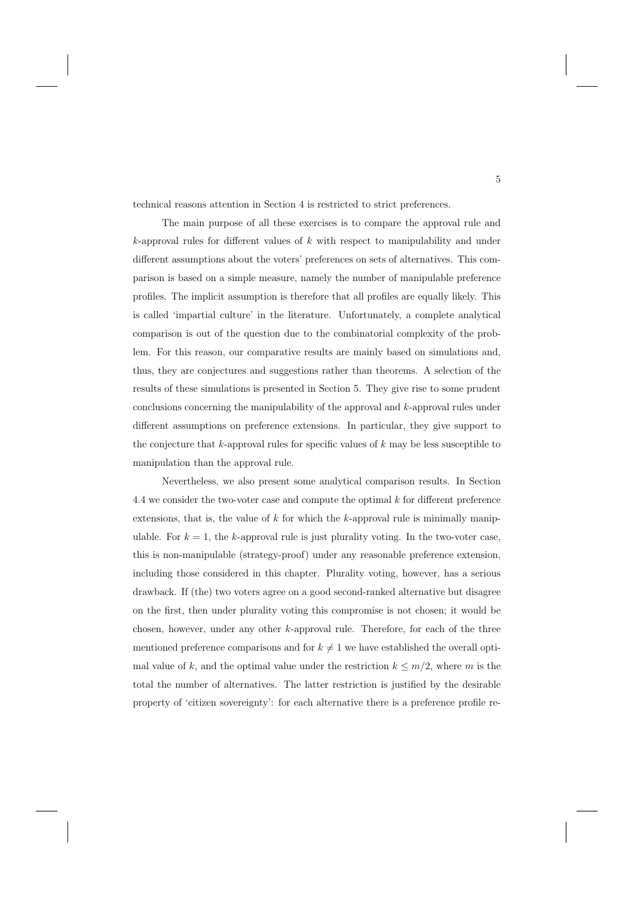technical reasons attention in Section 4 is restricted to strict preferences.

The main purpose of all these exercises is to compare the approval rule and  $k$ -approval rules for different values of  $k$  with respect to manipulability and under different assumptions about the voters' preferences on sets of alternatives. This comparison is based on a simple measure, namely the number of manipulable preference profiles. The implicit assumption is therefore that all profiles are equally likely. This is called 'impartial culture' in the literature. Unfortunately, a complete analytical comparison is out of the question due to the combinatorial complexity of the problem. For this reason, our comparative results are mainly based on simulations and, thus, they are conjectures and suggestions rather than theorems. A selection of the results of these simulations is presented in Section 5. They give rise to some prudent conclusions concerning the manipulability of the approval and k-approval rules under different assumptions on preference extensions. In particular, they give support to the conjecture that k-approval rules for specific values of  $k$  may be less susceptible to manipulation than the approval rule.

Nevertheless, we also present some analytical comparison results. In Section 4.4 we consider the two-voter case and compute the optimal  $k$  for different preference extensions, that is, the value of  $k$  for which the  $k$ -approval rule is minimally manipulable. For  $k = 1$ , the k-approval rule is just plurality voting. In the two-voter case, this is non-manipulable (strategy-proof) under any reasonable preference extension, including those considered in this chapter. Plurality voting, however, has a serious drawback. If (the) two voters agree on a good second-ranked alternative but disagree on the first, then under plurality voting this compromise is not chosen; it would be chosen, however, under any other k-approval rule. Therefore, for each of the three mentioned preference comparisons and for  $k \neq 1$  we have established the overall optimal value of k, and the optimal value under the restriction  $k \leq m/2$ , where m is the total the number of alternatives. The latter restriction is justified by the desirable property of 'citizen sovereignty': for each alternative there is a preference profile re-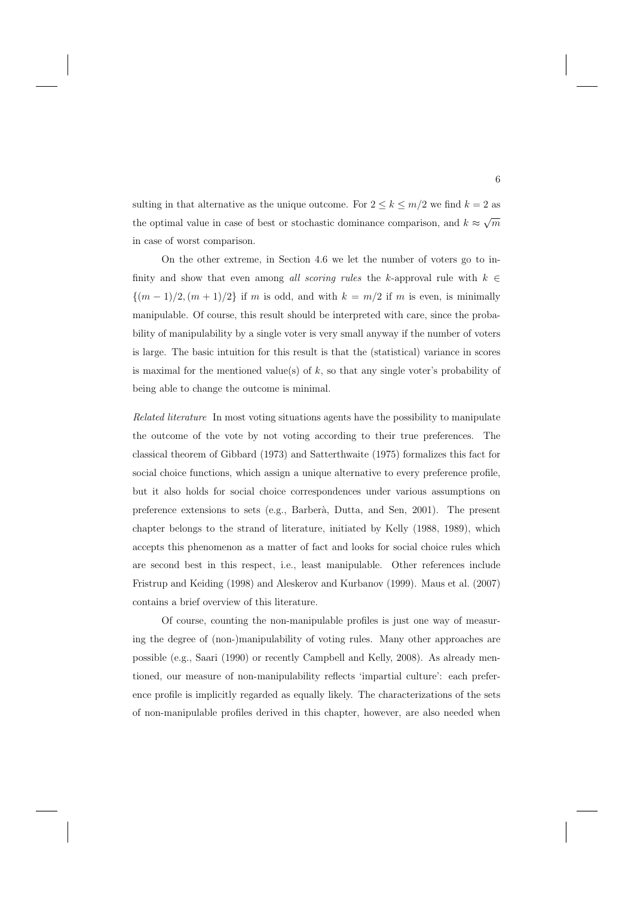sulting in that alternative as the unique outcome. For  $2 \leq k \leq m/2$  we find  $k = 2$  as the optimal value in case of best or stochastic dominance comparison, and  $k \approx \sqrt{m}$ in case of worst comparison.

On the other extreme, in Section 4.6 we let the number of voters go to infinity and show that even among all scoring rules the k-approval rule with  $k \in$  $\{(m-1)/2,(m+1)/2\}$  if m is odd, and with  $k = m/2$  if m is even, is minimally manipulable. Of course, this result should be interpreted with care, since the probability of manipulability by a single voter is very small anyway if the number of voters is large. The basic intuition for this result is that the (statistical) variance in scores is maximal for the mentioned value(s) of k, so that any single voter's probability of being able to change the outcome is minimal.

Related literature In most voting situations agents have the possibility to manipulate the outcome of the vote by not voting according to their true preferences. The classical theorem of Gibbard (1973) and Satterthwaite (1975) formalizes this fact for social choice functions, which assign a unique alternative to every preference profile, but it also holds for social choice correspondences under various assumptions on preference extensions to sets (e.g., Barber`a, Dutta, and Sen, 2001). The present chapter belongs to the strand of literature, initiated by Kelly (1988, 1989), which accepts this phenomenon as a matter of fact and looks for social choice rules which are second best in this respect, i.e., least manipulable. Other references include Fristrup and Keiding (1998) and Aleskerov and Kurbanov (1999). Maus et al. (2007) contains a brief overview of this literature.

Of course, counting the non-manipulable profiles is just one way of measuring the degree of (non-)manipulability of voting rules. Many other approaches are possible (e.g., Saari (1990) or recently Campbell and Kelly, 2008). As already mentioned, our measure of non-manipulability reflects 'impartial culture': each preference profile is implicitly regarded as equally likely. The characterizations of the sets of non-manipulable profiles derived in this chapter, however, are also needed when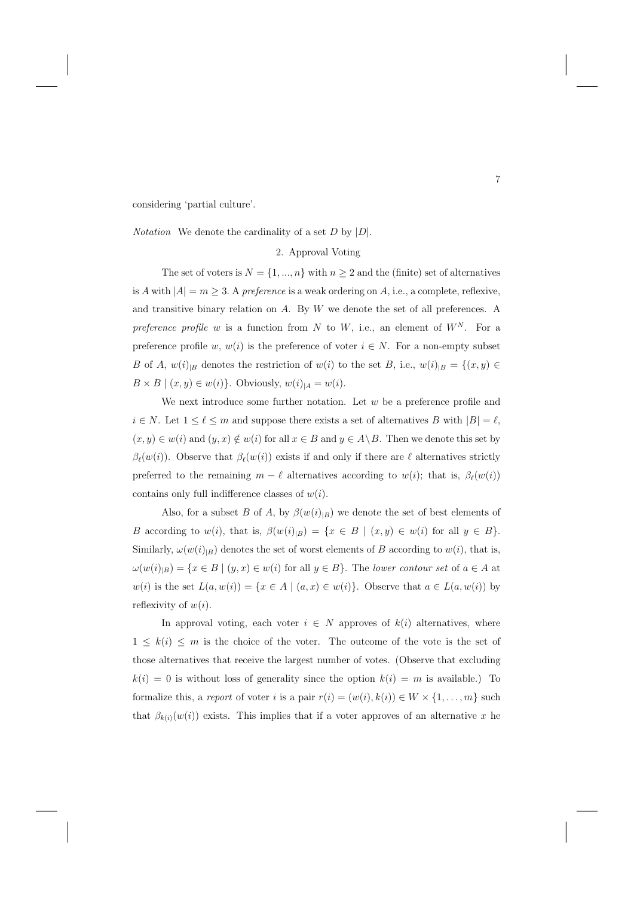considering 'partial culture'.

*Notation* We denote the cardinality of a set  $D$  by  $|D|$ .

# 2. Approval Voting

The set of voters is  $N = \{1, ..., n\}$  with  $n \geq 2$  and the (finite) set of alternatives is A with  $|A| = m \geq 3$ . A preference is a weak ordering on A, i.e., a complete, reflexive, and transitive binary relation on  $A$ . By  $W$  we denote the set of all preferences. A preference profile w is a function from N to W, i.e., an element of  $W^N$ . For a preference profile w,  $w(i)$  is the preference of voter  $i \in N$ . For a non-empty subset B of A,  $w(i)_{|B}$  denotes the restriction of  $w(i)$  to the set B, i.e.,  $w(i)_{|B} = \{(x, y) \in$  $B \times B \mid (x, y) \in w(i)$ . Obviously,  $w(i)_{|A} = w(i)$ .

We next introduce some further notation. Let  $w$  be a preference profile and  $i \in N$ . Let  $1 \leq \ell \leq m$  and suppose there exists a set of alternatives B with  $|B| = \ell$ ,  $(x, y) \in w(i)$  and  $(y, x) \notin w(i)$  for all  $x \in B$  and  $y \in A \backslash B$ . Then we denote this set by  $\beta_{\ell}(w(i))$ . Observe that  $\beta_{\ell}(w(i))$  exists if and only if there are  $\ell$  alternatives strictly preferred to the remaining  $m - \ell$  alternatives according to  $w(i)$ ; that is,  $\beta_{\ell}(w(i))$ contains only full indifference classes of  $w(i)$ .

Also, for a subset B of A, by  $\beta(w(i)_{|B})$  we denote the set of best elements of B according to  $w(i)$ , that is,  $\beta(w(i)_{|B}) = \{x \in B \mid (x, y) \in w(i) \text{ for all } y \in B\}.$ Similarly,  $\omega(w(i)|_B)$  denotes the set of worst elements of B according to  $w(i)$ , that is,  $\omega(w(i)|_B) = \{x \in B \mid (y, x) \in w(i) \text{ for all } y \in B\}.$  The lower contour set of  $a \in A$  at w(i) is the set  $L(a, w(i)) = \{x \in A \mid (a, x) \in w(i)\}\)$ . Observe that  $a \in L(a, w(i))$  by reflexivity of  $w(i)$ .

In approval voting, each voter  $i \in N$  approves of  $k(i)$  alternatives, where  $1 \leq k(i) \leq m$  is the choice of the voter. The outcome of the vote is the set of those alternatives that receive the largest number of votes. (Observe that excluding  $k(i) = 0$  is without loss of generality since the option  $k(i) = m$  is available.) To formalize this, a report of voter i is a pair  $r(i)=(w(i), k(i)) \in W \times \{1, \ldots, m\}$  such that  $\beta_{k(i)}(w(i))$  exists. This implies that if a voter approves of an alternative x he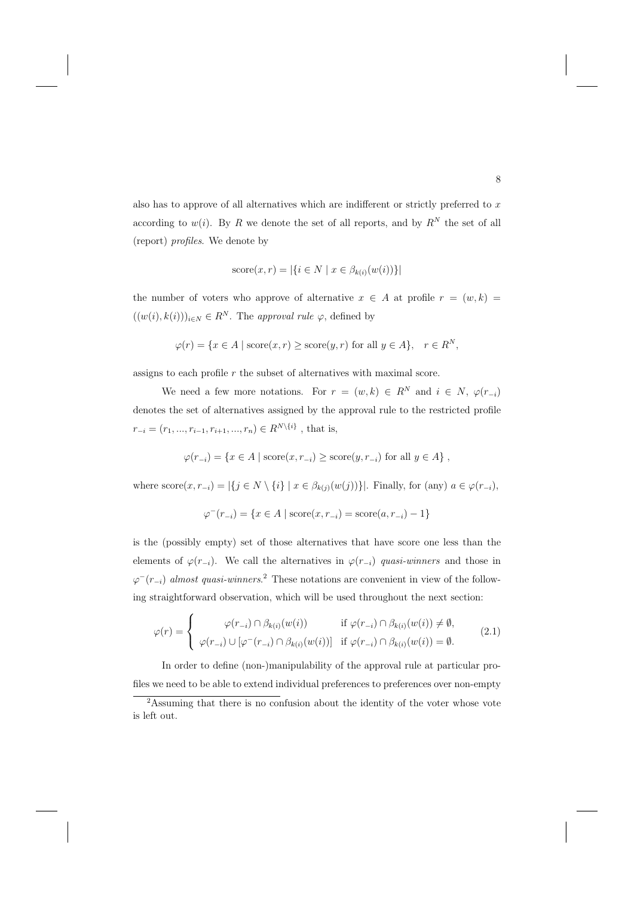also has to approve of all alternatives which are indifferent or strictly preferred to  $x$ according to  $w(i)$ . By R we denote the set of all reports, and by  $R^N$  the set of all (report) profiles. We denote by

$$
score(x, r) = |\{i \in N \mid x \in \beta_{k(i)}(w(i))\}|
$$

the number of voters who approve of alternative  $x \in A$  at profile  $r = (w, k)$  $((w(i), k(i)))_{i \in N} \in R^N$ . The approval rule  $\varphi$ , defined by

$$
\varphi(r) = \{ x \in A \mid \text{score}(x, r) \ge \text{score}(y, r) \text{ for all } y \in A \}, \quad r \in R^N,
$$

assigns to each profile  $r$  the subset of alternatives with maximal score.

We need a few more notations. For  $r = (w, k) \in R^N$  and  $i \in N$ ,  $\varphi(r_{-i})$ denotes the set of alternatives assigned by the approval rule to the restricted profile  $r_{-i} = (r_1, ..., r_{i-1}, r_{i+1}, ..., r_n) \in R^{N \setminus \{i\}}$ , that is,

$$
\varphi(r_{-i}) = \{ x \in A \mid \text{score}(x, r_{-i}) \ge \text{score}(y, r_{-i}) \text{ for all } y \in A \},
$$

where  $score(x, r_{-i}) = |\{j \in N \setminus \{i\} \mid x \in \beta_{k(j)}(w(j))\}|$ . Finally, for (any)  $a \in \varphi(r_{-i}),$ 

$$
\varphi^{-}(r_{-i}) = \{ x \in A \mid \text{score}(x, r_{-i}) = \text{score}(a, r_{-i}) - 1 \}
$$

is the (possibly empty) set of those alternatives that have score one less than the elements of  $\varphi(r_{-i})$ . We call the alternatives in  $\varphi(r_{-i})$  quasi-winners and those in  $\varphi^{-}(r_{-i})$  almost quasi-winners.<sup>2</sup> These notations are convenient in view of the following straightforward observation, which will be used throughout the next section:

$$
\varphi(r) = \begin{cases}\n\varphi(r_{-i}) \cap \beta_{k(i)}(w(i)) & \text{if } \varphi(r_{-i}) \cap \beta_{k(i)}(w(i)) \neq \emptyset, \\
\varphi(r_{-i}) \cup [\varphi^-(r_{-i}) \cap \beta_{k(i)}(w(i))] & \text{if } \varphi(r_{-i}) \cap \beta_{k(i)}(w(i)) = \emptyset.\n\end{cases}
$$
\n(2.1)

In order to define (non-)manipulability of the approval rule at particular profiles we need to be able to extend individual preferences to preferences over non-empty

<sup>&</sup>lt;sup>2</sup>Assuming that there is no confusion about the identity of the voter whose vote is left out.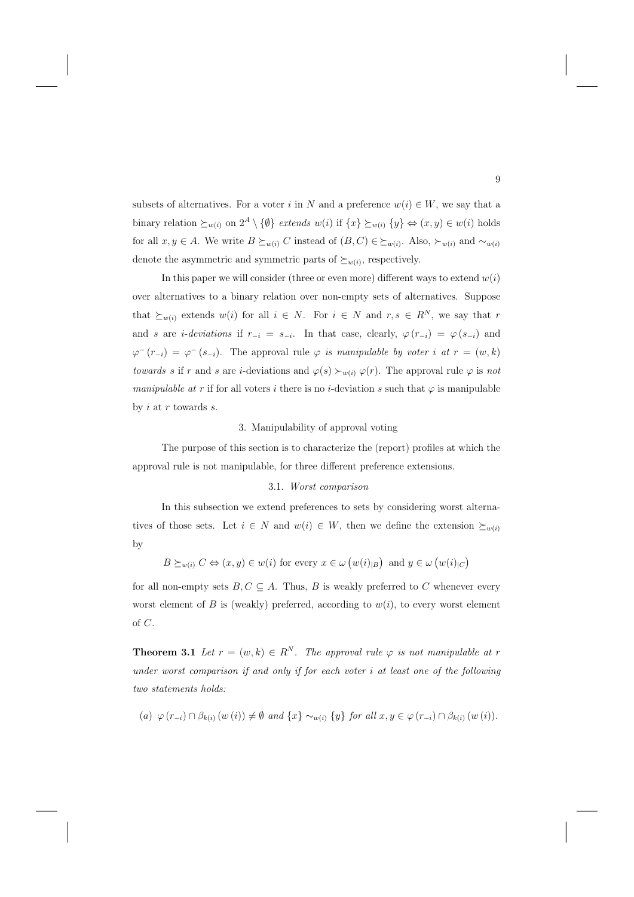subsets of alternatives. For a voter i in N and a preference  $w(i) \in W$ , we say that a binary relation  $\succeq_{w(i)}$  on  $2^A \setminus \{\emptyset\}$  extends  $w(i)$  if  $\{x\} \succeq_{w(i)} \{y\} \Leftrightarrow (x, y) \in w(i)$  holds for all  $x, y \in A$ . We write  $B \succeq_{w(i)} C$  instead of  $(B, C) \in \succeq_{w(i)}$ . Also,  $\succ_{w(i)}$  and  $\sim_{w(i)} C$ denote the asymmetric and symmetric parts of  $\succeq_{w(i)}$ , respectively.

In this paper we will consider (three or even more) different ways to extend  $w(i)$ over alternatives to a binary relation over non-empty sets of alternatives. Suppose that  $\succeq_{w(i)}$  extends  $w(i)$  for all  $i \in N$ . For  $i \in N$  and  $r, s \in R^N$ , we say that r and s are *i-deviations* if  $r_{-i} = s_{-i}$ . In that case, clearly,  $\varphi(r_{-i}) = \varphi(s_{-i})$  and  $\varphi^{-}(r_{-i}) = \varphi^{-}(s_{-i})$ . The approval rule  $\varphi$  is manipulable by voter i at  $r = (w, k)$ towards s if r and s are *i*-deviations and  $\varphi(s) \succ_{w(i)} \varphi(r)$ . The approval rule  $\varphi$  is not manipulable at r if for all voters i there is no i-deviation s such that  $\varphi$  is manipulable by  $i$  at  $r$  towards  $s$ .

#### 3. Manipulability of approval voting

The purpose of this section is to characterize the (report) profiles at which the approval rule is not manipulable, for three different preference extensions.

#### 3.1. Worst comparison

In this subsection we extend preferences to sets by considering worst alternatives of those sets. Let  $i \in N$  and  $w(i) \in W$ , then we define the extension  $\succeq_{w(i)}$ by

$$
B \succeq_{w(i)} C \Leftrightarrow (x, y) \in w(i)
$$
 for every  $x \in \omega (w(i)_{|B})$  and  $y \in \omega (w(i)_{|C})$ 

for all non-empty sets  $B, C \subseteq A$ . Thus, B is weakly preferred to C whenever every worst element of B is (weakly) preferred, according to  $w(i)$ , to every worst element of C.

**Theorem 3.1** Let  $r = (w, k) \in R^N$ . The approval rule  $\varphi$  is not manipulable at r under worst comparison if and only if for each voter  $i$  at least one of the following two statements holds:

(a) 
$$
\varphi(r_{-i}) \cap \beta_{k(i)}(w(i)) \neq \emptyset
$$
 and  $\{x\} \sim_{w(i)} \{y\}$  for all  $x, y \in \varphi(r_{-i}) \cap \beta_{k(i)}(w(i))$ .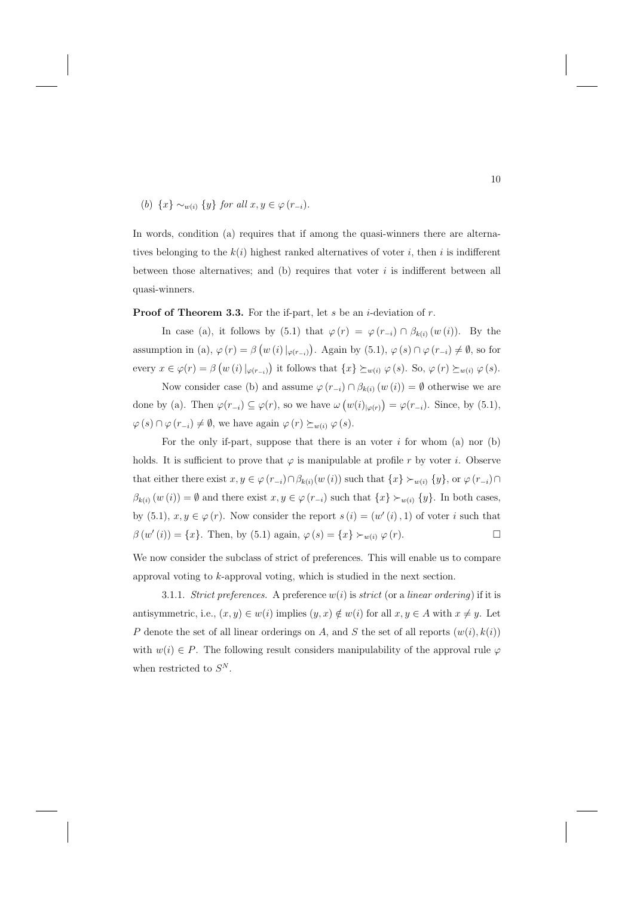# (b)  $\{x\} \sim_{w(i)} \{y\}$  for all  $x, y \in \varphi(r_{-i})$ .

In words, condition (a) requires that if among the quasi-winners there are alternatives belonging to the  $k(i)$  highest ranked alternatives of voter i, then i is indifferent between those alternatives; and (b) requires that voter  $i$  is indifferent between all quasi-winners.

#### **Proof of Theorem 3.3.** For the if-part, let s be an *i*-deviation of r.

In case (a), it follows by (5.1) that  $\varphi(r) = \varphi(r_{-i}) \cap \beta_{k(i)}(w(i))$ . By the assumption in (a),  $\varphi(r) = \beta(w(i)|_{\varphi(r_{-i})})$ . Again by (5.1),  $\varphi(s) \cap \varphi(r_{-i}) \neq \emptyset$ , so for every  $x \in \varphi(r) = \beta \left( w(i) \vert_{\varphi(r_{-i})} \right)$  it follows that  $\{x\} \succeq_{w(i)} \varphi(s)$ . So,  $\varphi(r) \succeq_{w(i)} \varphi(s)$ .

Now consider case (b) and assume  $\varphi(r_{-i}) \cap \beta_{k(i)}(w(i)) = \emptyset$  otherwise we are done by (a). Then  $\varphi(r_{-i}) \subseteq \varphi(r)$ , so we have  $\omega(w(i)_{|\varphi(r)}) = \varphi(r_{-i})$ . Since, by (5.1),  $\varphi(s) \cap \varphi(r_{-i}) \neq \emptyset$ , we have again  $\varphi(r) \succeq_{w(i)} \varphi(s)$ .

For the only if-part, suppose that there is an voter  $i$  for whom (a) nor (b) holds. It is sufficient to prove that  $\varphi$  is manipulable at profile r by voter i. Observe that either there exist  $x, y \in \varphi(r_{-i}) \cap \beta_{k(i)}(w(i))$  such that  $\{x\} \succ_{w(i)} \{y\}$ , or  $\varphi(r_{-i}) \cap \beta_{k(i)}(w(i))$  $\beta_{k(i)}(w(i)) = \emptyset$  and there exist  $x, y \in \varphi(r_{-i})$  such that  $\{x\} \succ_{w(i)} \{y\}$ . In both cases, by (5.1),  $x, y \in \varphi(r)$ . Now consider the report  $s(i)=(w'(i), 1)$  of voter i such that  $\beta(w'(i)) = \{x\}.$  Then, by (5.1) again,  $\varphi(s) = \{x\} \succ_{w(i)} \varphi(r).$ 

We now consider the subclass of strict of preferences. This will enable us to compare approval voting to k-approval voting, which is studied in the next section.

3.1.1. Strict preferences. A preference  $w(i)$  is strict (or a linear ordering) if it is antisymmetric, i.e.,  $(x, y) \in w(i)$  implies  $(y, x) \notin w(i)$  for all  $x, y \in A$  with  $x \neq y$ . Let P denote the set of all linear orderings on A, and S the set of all reports  $(w(i), k(i))$ with  $w(i) \in P$ . The following result considers manipulability of the approval rule  $\varphi$ when restricted to  $S^N$ .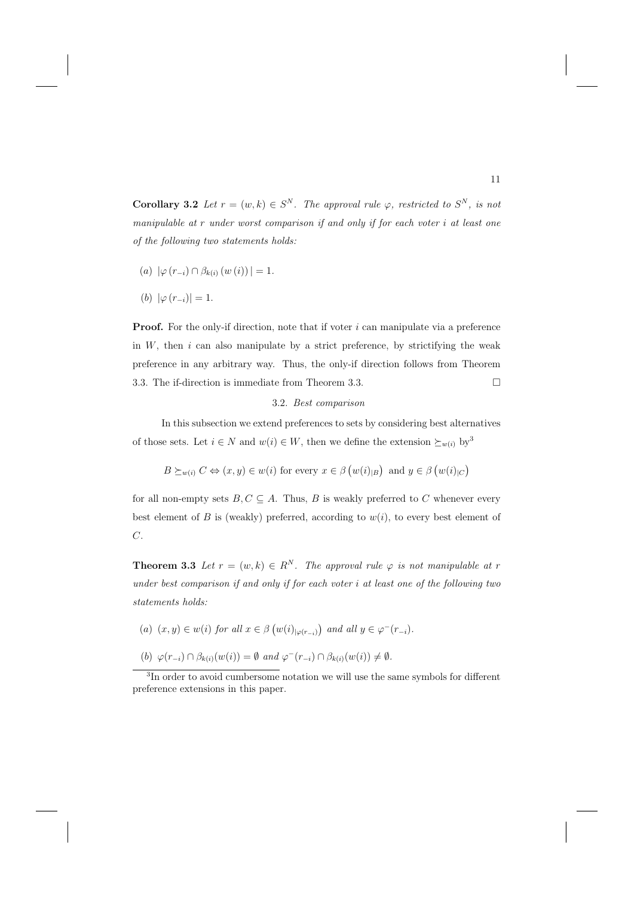**Corollary 3.2** Let  $r = (w, k) \in S^N$ . The approval rule  $\varphi$ , restricted to  $S^N$ , is not manipulable at r under worst comparison if and only if for each voter i at least one of the following two statements holds:

- (a)  $|\varphi(r_{-i}) \cap \beta_{k(i)} (w(i))| = 1.$
- (b)  $|\varphi(r_{-i})|=1$ .

**Proof.** For the only-if direction, note that if voter  $i$  can manipulate via a preference in  $W$ , then  $i$  can also manipulate by a strict preference, by strictifying the weak preference in any arbitrary way. Thus, the only-if direction follows from Theorem 3.3. The if-direction is immediate from Theorem 3.3.  $\Box$ 

#### 3.2. Best comparison

In this subsection we extend preferences to sets by considering best alternatives of those sets. Let  $i \in N$  and  $w(i) \in W$ , then we define the extension  $\succeq_{w(i)}$  by<sup>3</sup>

$$
B \succeq_{w(i)} C \Leftrightarrow (x, y) \in w(i) \text{ for every } x \in \beta (w(i)_{|B}) \text{ and } y \in \beta (w(i)_{|C})
$$

for all non-empty sets  $B, C \subseteq A$ . Thus, B is weakly preferred to C whenever every best element of B is (weakly) preferred, according to  $w(i)$ , to every best element of C.

**Theorem 3.3** Let  $r = (w, k) \in R^N$ . The approval rule  $\varphi$  is not manipulable at r under best comparison if and only if for each voter i at least one of the following two statements holds:

- (a)  $(x, y) \in w(i)$  for all  $x \in \beta (w(i)_{|\varphi(r_{-i})})$  and all  $y \in \varphi^{-}(r_{-i})$ .
- (b)  $\varphi(r_{-i}) \cap \beta_{k(i)}(w(i)) = \emptyset$  and  $\varphi^-(r_{-i}) \cap \beta_{k(i)}(w(i)) \neq \emptyset$ .

<sup>&</sup>lt;sup>3</sup>In order to avoid cumbersome notation we will use the same symbols for different preference extensions in this paper.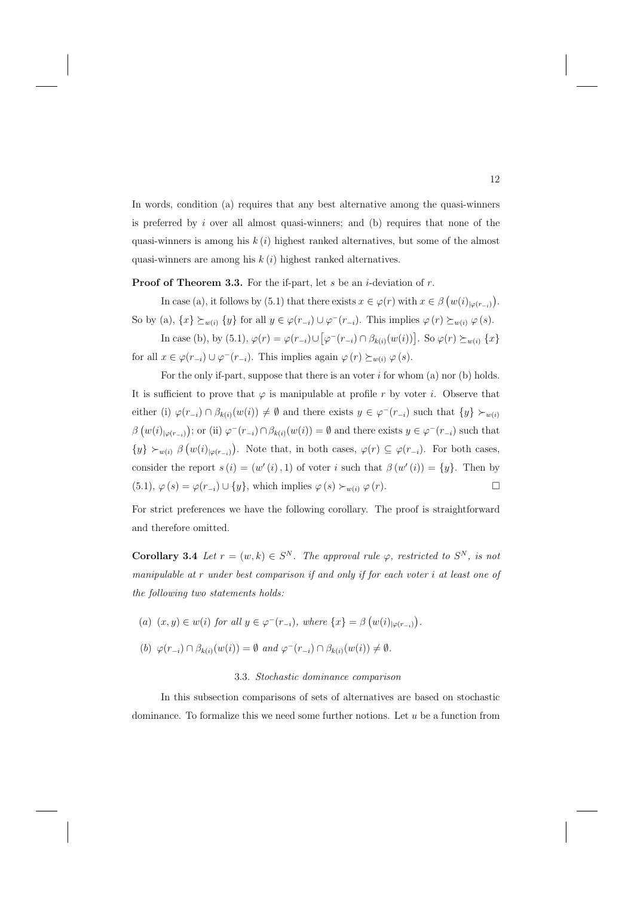In words, condition (a) requires that any best alternative among the quasi-winners is preferred by  $i$  over all almost quasi-winners; and (b) requires that none of the quasi-winners is among his  $k(i)$  highest ranked alternatives, but some of the almost quasi-winners are among his  $k(i)$  highest ranked alternatives.

**Proof of Theorem 3.3.** For the if-part, let s be an *i*-deviation of r.

In case (a), it follows by (5.1) that there exists  $x \in \varphi(r)$  with  $x \in \beta(w(i)|_{\varphi(r_{-i})})$ . So by (a),  $\{x\} \succeq_{w(i)} \{y\}$  for all  $y \in \varphi(r_{-i}) \cup \varphi^-(r_{-i})$ . This implies  $\varphi(r) \succeq_{w(i)} \varphi(s)$ .

In case (b), by (5.1),  $\varphi(r) = \varphi(r_{-i}) \cup [\varphi^-(r_{-i}) \cap \beta_{k(i)}(w(i))]$ . So  $\varphi(r) \succeq_{w(i)} \{x\}$ for all  $x \in \varphi(r_{-i}) \cup \varphi^-(r_{-i})$ . This implies again  $\varphi(r) \succeq_{w(i)} \varphi(s)$ .

For the only if-part, suppose that there is an voter  $i$  for whom  $(a)$  nor  $(b)$  holds. It is sufficient to prove that  $\varphi$  is manipulable at profile r by voter i. Observe that either (i)  $\varphi(r_{-i}) \cap \beta_{k(i)}(w(i)) \neq \emptyset$  and there exists  $y \in \varphi^-(r_{-i})$  such that  $\{y\} \succ_{w(i)}$  $\beta\left(w(i)_{|\varphi(r_{-i})}\right)$ ; or (ii)  $\varphi^{-}(r_{-i}) \cap \beta_{k(i)}(w(i)) = \emptyset$  and there exists  $y \in \varphi^{-}(r_{-i})$  such that  $\{y\} \succ_{w(i)} \beta (w(i)_{|\varphi(r_{-i})})$ . Note that, in both cases,  $\varphi(r) \subseteq \varphi(r_{-i})$ . For both cases, consider the report  $s(i)=(w'(i), 1)$  of voter i such that  $\beta(w'(i)) = \{y\}$ . Then by  $(5.1), \varphi(s) = \varphi(r_{-i}) \cup \{y\},\$  which implies  $\varphi(s) \succ_{w(i)} \varphi(r)$ .

For strict preferences we have the following corollary. The proof is straightforward and therefore omitted.

**Corollary 3.4** Let  $r = (w, k) \in S^N$ . The approval rule  $\varphi$ , restricted to  $S^N$ , is not manipulable at r under best comparison if and only if for each voter i at least one of the following two statements holds:

- (a)  $(x, y) \in w(i)$  for all  $y \in \varphi^-(r_{-i})$ , where  $\{x\} = \beta \left(w(i)_{|\varphi(r_{-i})}\right)$ .
- (b)  $\varphi(r_{-i}) \cap \beta_{k(i)}(w(i)) = \emptyset$  and  $\varphi^-(r_{-i}) \cap \beta_{k(i)}(w(i)) \neq \emptyset$ .

#### 3.3. Stochastic dominance comparison

In this subsection comparisons of sets of alternatives are based on stochastic dominance. To formalize this we need some further notions. Let u be a function from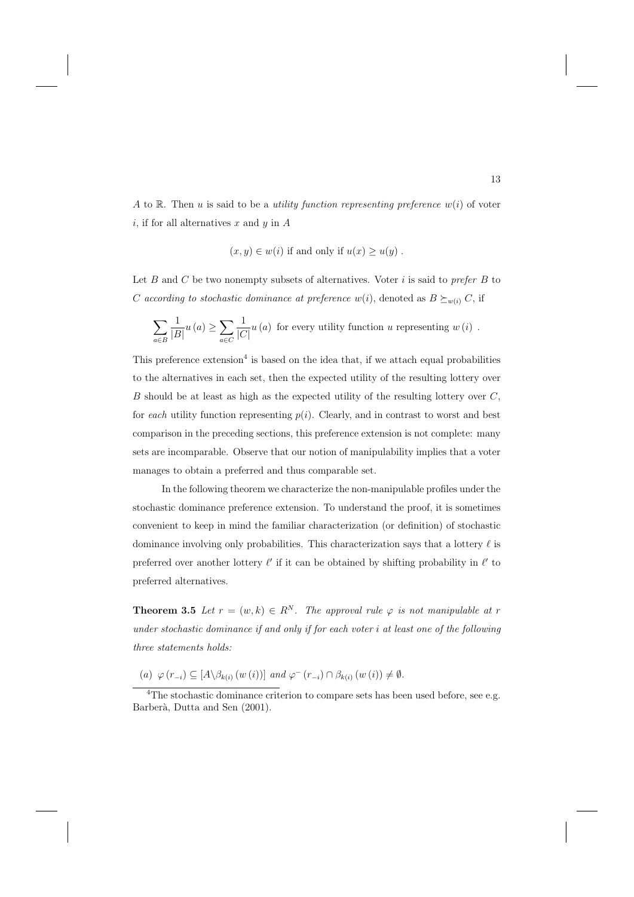A to R. Then u is said to be a utility function representing preference  $w(i)$  of voter i, if for all alternatives x and y in  $A$ 

$$
(x, y) \in w(i)
$$
 if and only if  $u(x) \geq u(y)$ .

Let B and C be two nonempty subsets of alternatives. Voter  $i$  is said to prefer B to C according to stochastic dominance at preference  $w(i)$ , denoted as  $B \succeq_{w(i)} C$ , if

$$
\sum_{a \in B} \frac{1}{|B|} u(a) \ge \sum_{a \in C} \frac{1}{|C|} u(a)
$$
 for every utility function  $u$  representing  $w(i)$ .

This preference extension<sup>4</sup> is based on the idea that, if we attach equal probabilities to the alternatives in each set, then the expected utility of the resulting lottery over B should be at least as high as the expected utility of the resulting lottery over  $C$ , for each utility function representing  $p(i)$ . Clearly, and in contrast to worst and best comparison in the preceding sections, this preference extension is not complete: many sets are incomparable. Observe that our notion of manipulability implies that a voter manages to obtain a preferred and thus comparable set.

In the following theorem we characterize the non-manipulable profiles under the stochastic dominance preference extension. To understand the proof, it is sometimes convenient to keep in mind the familiar characterization (or definition) of stochastic dominance involving only probabilities. This characterization says that a lottery  $\ell$  is preferred over another lottery  $\ell'$  if it can be obtained by shifting probability in  $\ell'$  to preferred alternatives.

**Theorem 3.5** Let  $r = (w, k) \in R^N$ . The approval rule  $\varphi$  is not manipulable at r under stochastic dominance if and only if for each voter i at least one of the following three statements holds:

(a)  $\varphi(r_{-i}) \subseteq [A \setminus \beta_{k(i)} (w(i))]$  and  $\varphi^{-}(r_{-i}) \cap \beta_{k(i)} (w(i)) \neq \emptyset$ .

<sup>&</sup>lt;sup>4</sup>The stochastic dominance criterion to compare sets has been used before, see e.g. Barberà, Dutta and Sen (2001).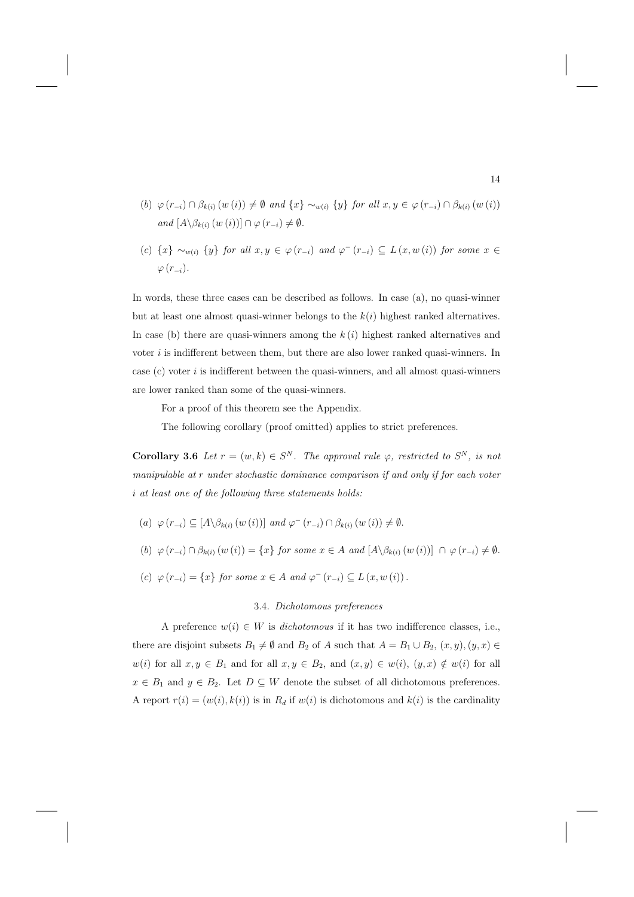- (b)  $\varphi(r_{-i}) \cap \beta_{k(i)}(w(i)) \neq \emptyset$  and  $\{x\} \sim_{w(i)} \{y\}$  for all  $x, y \in \varphi(r_{-i}) \cap \beta_{k(i)}(w(i))$ and  $[A \setminus \beta_{k(i)} (w(i))] \cap \varphi (r_{-i}) \neq \emptyset$ .
- (c)  $\{x\} \sim_{w(i)} \{y\}$  for all  $x, y \in \varphi(r_{-i})$  and  $\varphi^{-}(r_{-i}) \subseteq L(x, w(i))$  for some  $x \in$  $\varphi(r_{-i}).$

In words, these three cases can be described as follows. In case (a), no quasi-winner but at least one almost quasi-winner belongs to the  $k(i)$  highest ranked alternatives. In case (b) there are quasi-winners among the  $k(i)$  highest ranked alternatives and voter i is indifferent between them, but there are also lower ranked quasi-winners. In case  $(c)$  voter i is indifferent between the quasi-winners, and all almost quasi-winners are lower ranked than some of the quasi-winners.

For a proof of this theorem see the Appendix.

The following corollary (proof omitted) applies to strict preferences.

**Corollary 3.6** Let  $r = (w, k) \in S^N$ . The approval rule  $\varphi$ , restricted to  $S^N$ , is not manipulable at r under stochastic dominance comparison if and only if for each voter i at least one of the following three statements holds:

- (a)  $\varphi(r_{-i}) \subseteq [A \setminus \beta_{k(i)} (w(i))]$  and  $\varphi^{-}(r_{-i}) \cap \beta_{k(i)} (w(i)) \neq \emptyset$ .
- (b)  $\varphi(r_{-i}) \cap \beta_{k(i)}(w(i)) = \{x\}$  for some  $x \in A$  and  $[A \setminus \beta_{k(i)}(w(i))] \cap \varphi(r_{-i}) \neq \emptyset$ .
- (c)  $\varphi(r_{-i}) = \{x\}$  for some  $x \in A$  and  $\varphi^{-}(r_{-i}) \subseteq L(x, w(i))$ .

## 3.4. Dichotomous preferences

A preference  $w(i) \in W$  is dichotomous if it has two indifference classes, i.e., there are disjoint subsets  $B_1 \neq \emptyset$  and  $B_2$  of A such that  $A = B_1 \cup B_2$ ,  $(x, y)$ ,  $(y, x) \in$  $w(i)$  for all  $x, y \in B_1$  and for all  $x, y \in B_2$ , and  $(x, y) \in w(i)$ ,  $(y, x) \notin w(i)$  for all  $x \in B_1$  and  $y \in B_2$ . Let  $D \subseteq W$  denote the subset of all dichotomous preferences. A report  $r(i)=(w(i), k(i))$  is in  $R_d$  if  $w(i)$  is dichotomous and  $k(i)$  is the cardinality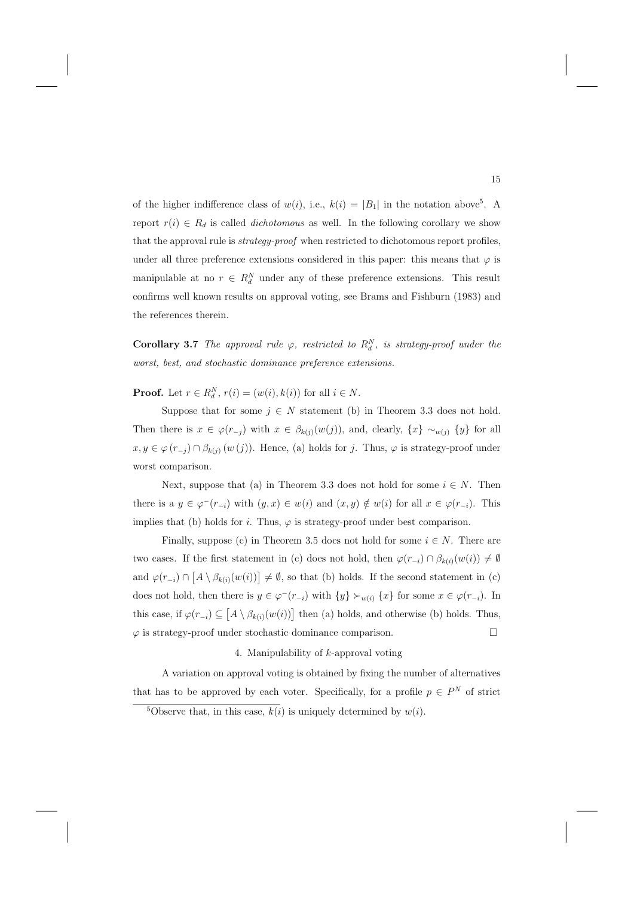of the higher indifference class of  $w(i)$ , i.e.,  $k(i) = |B_1|$  in the notation above<sup>5</sup>. A report  $r(i) \in R_d$  is called *dichotomous* as well. In the following corollary we show that the approval rule is *strategy-proof* when restricted to dichotomous report profiles, under all three preference extensions considered in this paper: this means that  $\varphi$  is manipulable at no  $r \in R_d^N$  under any of these preference extensions. This result confirms well known results on approval voting, see Brams and Fishburn (1983) and the references therein.

**Corollary 3.7** The approval rule  $\varphi$ , restricted to  $R_d^N$ , is strategy-proof under the worst, best, and stochastic dominance preference extensions.

**Proof.** Let  $r \in R_d^N$ ,  $r(i) = (w(i), k(i))$  for all  $i \in N$ .

Suppose that for some  $j \in N$  statement (b) in Theorem 3.3 does not hold. Then there is  $x \in \varphi(r_{-j})$  with  $x \in \beta_{k(j)}(w(j))$ , and, clearly,  $\{x\} \sim_{w(j)} \{y\}$  for all  $x, y \in \varphi(r_{-i}) \cap \beta_{k(i)} (w(j))$ . Hence, (a) holds for j. Thus,  $\varphi$  is strategy-proof under worst comparison.

Next, suppose that (a) in Theorem 3.3 does not hold for some  $i \in N$ . Then there is a  $y \in \varphi^-(r_{-i})$  with  $(y, x) \in w(i)$  and  $(x, y) \notin w(i)$  for all  $x \in \varphi(r_{-i})$ . This implies that (b) holds for i. Thus,  $\varphi$  is strategy-proof under best comparison.

Finally, suppose (c) in Theorem 3.5 does not hold for some  $i \in N$ . There are two cases. If the first statement in (c) does not hold, then  $\varphi(r_{-i}) \cap \beta_{k(i)}(w(i)) \neq \emptyset$ and  $\varphi(r_{-i}) \cap [A \setminus \beta_{k(i)}(w(i))] \neq \emptyset$ , so that (b) holds. If the second statement in (c) does not hold, then there is  $y \in \varphi^-(r_{-i})$  with  $\{y\} \succ_{w(i)} \{x\}$  for some  $x \in \varphi(r_{-i})$ . In this case, if  $\varphi(r_{-i}) \subseteq [A \setminus \beta_{k(i)}(w(i))]$  then (a) holds, and otherwise (b) holds. Thus,  $\varphi$  is strategy-proof under stochastic dominance comparison.  $\Box$ 

#### 4. Manipulability of k-approval voting

A variation on approval voting is obtained by fixing the number of alternatives that has to be approved by each voter. Specifically, for a profile  $p \in P^N$  of strict

<sup>&</sup>lt;sup>5</sup>Observe that, in this case,  $k(i)$  is uniquely determined by  $w(i)$ .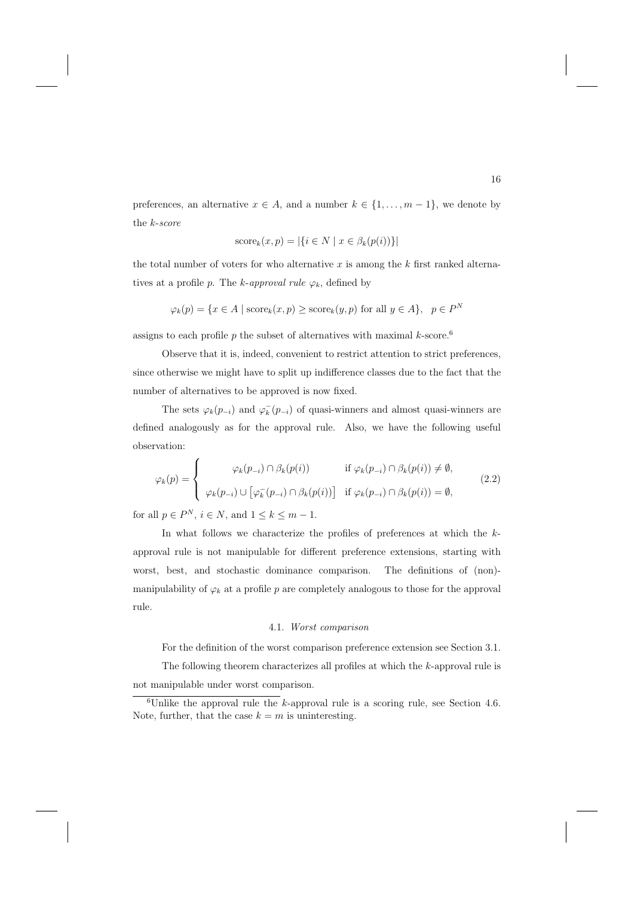preferences, an alternative  $x \in A$ , and a number  $k \in \{1, \ldots, m-1\}$ , we denote by the k-score

$$
score_k(x, p) = |\{i \in N \mid x \in \beta_k(p(i))\}|
$$

the total number of voters for who alternative  $x$  is among the  $k$  first ranked alternatives at a profile p. The k-approval rule  $\varphi_k$ , defined by

$$
\varphi_k(p) = \{ x \in A \mid \text{score}_k(x, p) \ge \text{score}_k(y, p) \text{ for all } y \in A \}, \quad p \in P^N
$$

assigns to each profile p the subset of alternatives with maximal  $k$ -score.<sup>6</sup>

Observe that it is, indeed, convenient to restrict attention to strict preferences, since otherwise we might have to split up indifference classes due to the fact that the number of alternatives to be approved is now fixed.

The sets  $\varphi_k(p_{-i})$  and  $\varphi_k^-(p_{-i})$  of quasi-winners and almost quasi-winners are defined analogously as for the approval rule. Also, we have the following useful observation:

$$
\varphi_k(p) = \begin{cases}\n\varphi_k(p_{-i}) \cap \beta_k(p(i)) & \text{if } \varphi_k(p_{-i}) \cap \beta_k(p(i)) \neq \emptyset, \\
\varphi_k(p_{-i}) \cup [\varphi_k^-(p_{-i}) \cap \beta_k(p(i))] & \text{if } \varphi_k(p_{-i}) \cap \beta_k(p(i)) = \emptyset,\n\end{cases}
$$
\n(2.2)

for all  $p \in P^N$ ,  $i \in N$ , and  $1 \leq k \leq m-1$ .

In what follows we characterize the profiles of preferences at which the kapproval rule is not manipulable for different preference extensions, starting with worst, best, and stochastic dominance comparison. The definitions of (non) manipulability of  $\varphi_k$  at a profile p are completely analogous to those for the approval rule.

#### 4.1. Worst comparison

For the definition of the worst comparison preference extension see Section 3.1.

The following theorem characterizes all profiles at which the k-approval rule is not manipulable under worst comparison.

 $6$ Unlike the approval rule the *k*-approval rule is a scoring rule, see Section 4.6. Note, further, that the case  $k = m$  is uninteresting.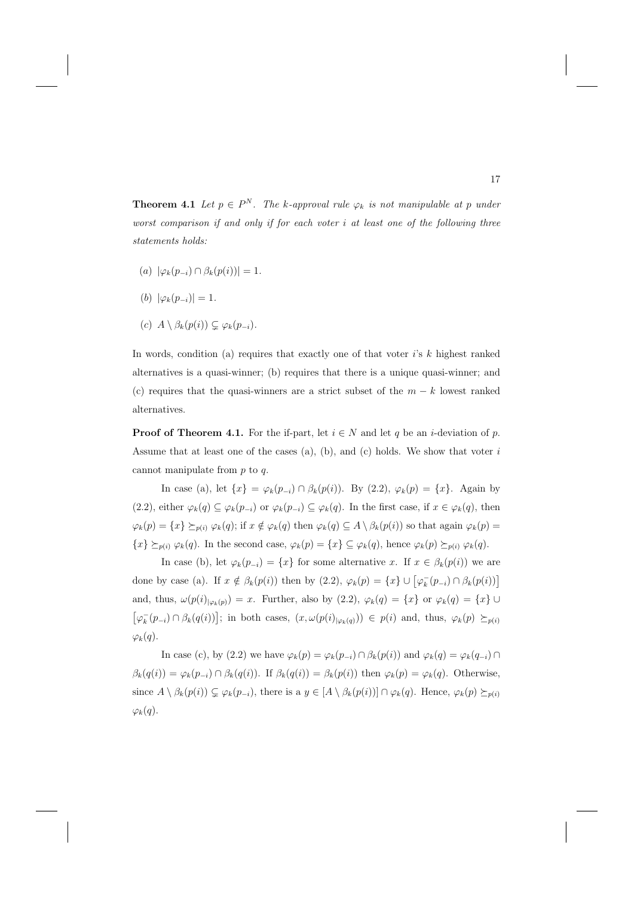**Theorem 4.1** Let  $p \in P^N$ . The k-approval rule  $\varphi_k$  is not manipulable at p under worst comparison if and only if for each voter i at least one of the following three statements holds:

- $(a) \ |\varphi_k(p_{-i}) \cap \beta_k(p(i))| = 1.$
- (b)  $|\varphi_k(p_{-i})| = 1$ .
- (c)  $A \setminus \beta_k(p(i)) \subsetneq \varphi_k(p_{-i}).$

In words, condition (a) requires that exactly one of that voter  $i$ 's  $k$  highest ranked alternatives is a quasi-winner; (b) requires that there is a unique quasi-winner; and (c) requires that the quasi-winners are a strict subset of the  $m - k$  lowest ranked alternatives.

**Proof of Theorem 4.1.** For the if-part, let  $i \in N$  and let q be an *i*-deviation of p. Assume that at least one of the cases (a), (b), and (c) holds. We show that voter  $i$ cannot manipulate from  $p$  to  $q$ .

In case (a), let  $\{x\} = \varphi_k(p_{-i}) \cap \beta_k(p(i))$ . By (2.2),  $\varphi_k(p) = \{x\}$ . Again by (2.2), either  $\varphi_k(q) \subseteq \varphi_k(p_{-i})$  or  $\varphi_k(p_{-i}) \subseteq \varphi_k(q)$ . In the first case, if  $x \in \varphi_k(q)$ , then  $\varphi_k(p) = \{x\} \succeq_{p(i)} \varphi_k(q)$ ; if  $x \notin \varphi_k(q)$  then  $\varphi_k(q) \subseteq A \setminus \beta_k(p(i))$  so that again  $\varphi_k(p) =$  ${x} \succeq_{p(i)} \varphi_k(q)$ . In the second case,  $\varphi_k(p) = {x} \subseteq \varphi_k(q)$ , hence  $\varphi_k(p) \succeq_{p(i)} \varphi_k(q)$ .

In case (b), let  $\varphi_k(p_{-i}) = \{x\}$  for some alternative x. If  $x \in \beta_k(p(i))$  we are done by case (a). If  $x \notin \beta_k(p(i))$  then by  $(2.2)$ ,  $\varphi_k(p) = \{x\} \cup [\varphi_k^-(p_{-i}) \cap \beta_k(p(i))]$ and, thus,  $\omega(p(i)|_{\varphi_k(p)}) = x$ . Further, also by  $(2.2)$ ,  $\varphi_k(q) = \{x\}$  or  $\varphi_k(q) = \{x\} \cup$  $[\varphi_k^-(p_{-i}) \cap \beta_k(q(i))]$ ; in both cases,  $(x, \omega(p(i)|\varphi_k(q))) \in p(i)$  and, thus,  $\varphi_k(p) \succeq_{p(i)}$  $\varphi_k(q)$ .

In case (c), by (2.2) we have  $\varphi_k(p) = \varphi_k(p_{-i}) \cap \beta_k(p(i))$  and  $\varphi_k(q) = \varphi_k(q_{-i}) \cap \beta_k(q_{-i})$  $\beta_k(q(i)) = \varphi_k(p_{-i}) \cap \beta_k(q(i))$ . If  $\beta_k(q(i)) = \beta_k(p(i))$  then  $\varphi_k(p) = \varphi_k(q)$ . Otherwise, since  $A \setminus \beta_k(p(i)) \subsetneq \varphi_k(p_{-i})$ , there is a  $y \in [A \setminus \beta_k(p(i))] \cap \varphi_k(q)$ . Hence,  $\varphi_k(p) \succeq_{p(i)}$  $\varphi_k(q)$ .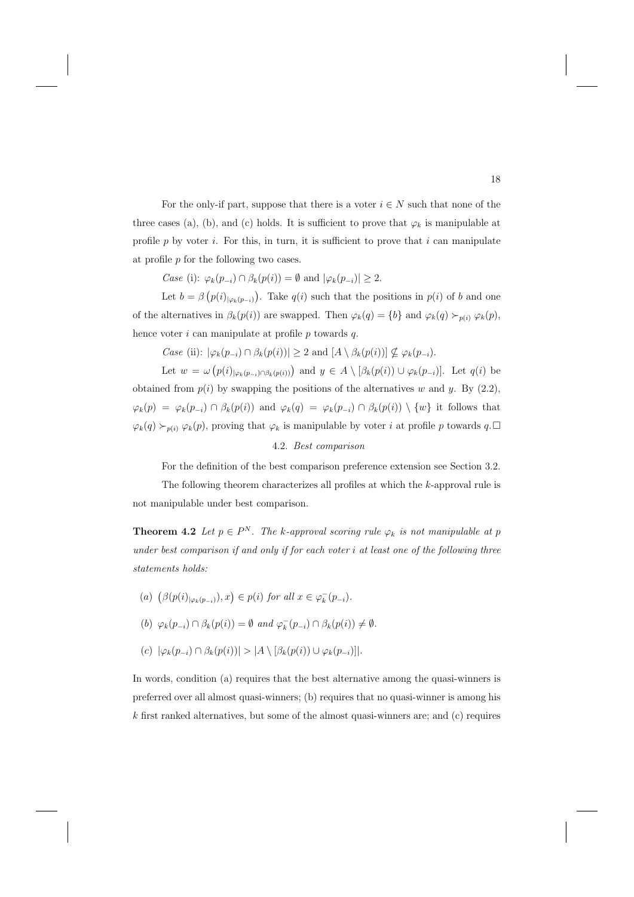For the only-if part, suppose that there is a voter  $i \in N$  such that none of the three cases (a), (b), and (c) holds. It is sufficient to prove that  $\varphi_k$  is manipulable at profile p by voter i. For this, in turn, it is sufficient to prove that i can manipulate at profile  $p$  for the following two cases.

Case (i):  $\varphi_k(p_{-i}) \cap \beta_k(p(i)) = \emptyset$  and  $|\varphi_k(p_{-i})| \geq 2$ .

Let  $b = \beta(p(i)_{|\varphi_k(p_{-i})})$ . Take  $q(i)$  such that the positions in  $p(i)$  of b and one of the alternatives in  $\beta_k(p(i))$  are swapped. Then  $\varphi_k(q) = \{b\}$  and  $\varphi_k(q) \succ_{p(i)} \varphi_k(p)$ , hence voter  $i$  can manipulate at profile  $p$  towards  $q$ .

Case (ii):  $|\varphi_k(p_{-i}) \cap \beta_k(p(i))| \geq 2$  and  $[A \setminus \beta_k(p(i))] \nsubseteq \varphi_k(p_{-i}).$ 

Let  $w = \omega(p(i)_{|\varphi_k(p_{-i}) \cap \beta_k(p(i))})$  and  $y \in A \setminus [\beta_k(p(i)) \cup \varphi_k(p_{-i})]$ . Let  $q(i)$  be obtained from  $p(i)$  by swapping the positions of the alternatives w and y. By  $(2.2)$ ,  $\varphi_k(p) = \varphi_k(p_{-i}) \cap \beta_k(p(i))$  and  $\varphi_k(q) = \varphi_k(p_{-i}) \cap \beta_k(p(i)) \setminus \{w\}$  it follows that  $\varphi_k(q) \succ_{p(i)} \varphi_k(p)$ , proving that  $\varphi_k$  is manipulable by voter *i* at profile *p* towards  $q.\Box$ 

#### 4.2. Best comparison

For the definition of the best comparison preference extension see Section 3.2.

The following theorem characterizes all profiles at which the k-approval rule is not manipulable under best comparison.

**Theorem 4.2** Let  $p \in P^N$ . The k-approval scoring rule  $\varphi_k$  is not manipulable at p under best comparison if and only if for each voter  $i$  at least one of the following three statements holds:

- (a)  $(\beta(p(i)_{|\varphi_k(p_{-i})}), x) \in p(i)$  for all  $x \in \varphi_k^-(p_{-i})$ .
- (b)  $\varphi_k(p_{-i}) \cap \beta_k(p(i)) = \emptyset$  and  $\varphi_k^-(p_{-i}) \cap \beta_k(p(i)) \neq \emptyset$ .
- $(c)$   $|\varphi_k(p_{-i}) \cap \beta_k(p(i))| > |A \setminus [\beta_k(p(i)) \cup \varphi_k(p_{-i})]|.$

In words, condition (a) requires that the best alternative among the quasi-winners is preferred over all almost quasi-winners; (b) requires that no quasi-winner is among his k first ranked alternatives, but some of the almost quasi-winners are; and (c) requires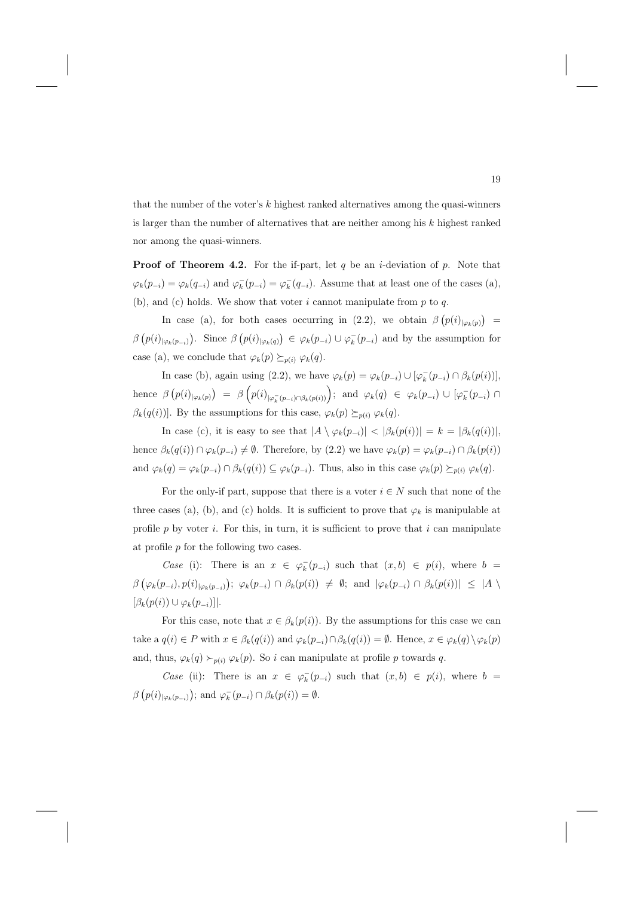that the number of the voter's  $k$  highest ranked alternatives among the quasi-winners is larger than the number of alternatives that are neither among his  $k$  highest ranked nor among the quasi-winners.

**Proof of Theorem 4.2.** For the if-part, let  $q$  be an *i*-deviation of  $p$ . Note that  $\varphi_k(p_{-i}) = \varphi_k(q_{-i})$  and  $\varphi_k^-(p_{-i}) = \varphi_k^-(q_{-i})$ . Assume that at least one of the cases (a), (b), and (c) holds. We show that voter  $i$  cannot manipulate from  $p$  to  $q$ .

In case (a), for both cases occurring in (2.2), we obtain  $\beta (p(i)_{|\varphi_k(p)}) =$  $\beta(p(i)_{|\varphi_k(p_{-i})})$ . Since  $\beta(p(i)_{|\varphi_k(q)}) \in \varphi_k(p_{-i}) \cup \varphi_k(p_{-i})$  and by the assumption for case (a), we conclude that  $\varphi_k(p) \succeq_{p(i)} \varphi_k(q)$ .

In case (b), again using (2.2), we have  $\varphi_k(p) = \varphi_k(p_{-i}) \cup [\varphi_k^-(p_{-i}) \cap \beta_k(p(i))]$ , hence  $\beta(p(i)|\varphi_k(p)) = \beta(p(i)|\varphi_k(p(i))|\varphi_k(p(i))$ ; and  $\varphi_k(q) \in \varphi_k(p_{-i}) \cup [\varphi_k(p_{-i}) \cap \varphi_k(p_{-i})]$  $\beta_k(q(i))$ . By the assumptions for this case,  $\varphi_k(p) \succeq_{p(i)} \varphi_k(q)$ .

In case (c), it is easy to see that  $|A \setminus \varphi_k(p_{-i})| < |\beta_k(p(i))| = k = |\beta_k(q(i))|$ , hence  $\beta_k(q(i)) \cap \varphi_k(p_{-i}) \neq \emptyset$ . Therefore, by (2.2) we have  $\varphi_k(p) = \varphi_k(p_{-i}) \cap \beta_k(p(i))$ and  $\varphi_k(q) = \varphi_k(p_{-i}) \cap \beta_k(q(i)) \subseteq \varphi_k(p_{-i})$ . Thus, also in this case  $\varphi_k(p) \succeq_{p(i)} \varphi_k(q)$ .

For the only-if part, suppose that there is a voter  $i \in N$  such that none of the three cases (a), (b), and (c) holds. It is sufficient to prove that  $\varphi_k$  is manipulable at profile  $p$  by voter  $i$ . For this, in turn, it is sufficient to prove that  $i$  can manipulate at profile  $p$  for the following two cases.

Case (i): There is an  $x \in \varphi_k^-(p_{-i})$  such that  $(x, b) \in p(i)$ , where  $b =$  $\beta\left(\varphi_k(p_{-i}), p(i)_{|\varphi_k(p_{-i})}\right); \ \varphi_k(p_{-i}) \cap \beta_k(p(i)) \ \neq \ \emptyset; \text{ and } |\varphi_k(p_{-i}) \cap \beta_k(p(i))| \leq |A \setminus \emptyset|$  $[\beta_k(p(i)) \cup \varphi_k(p_{-i})]$ .

For this case, note that  $x \in \beta_k(p(i))$ . By the assumptions for this case we can take a  $q(i) \in P$  with  $x \in \beta_k(q(i))$  and  $\varphi_k(p_{-i}) \cap \beta_k(q(i)) = \emptyset$ . Hence,  $x \in \varphi_k(q) \setminus \varphi_k(p)$ and, thus,  $\varphi_k(q) \succ_{p(i)} \varphi_k(p)$ . So i can manipulate at profile p towards q.

Case (ii): There is an  $x \in \varphi_k^-(p_{-i})$  such that  $(x, b) \in p(i)$ , where  $b =$  $\beta(p(i)_{|\varphi_k(p_{-i})})$ ; and  $\varphi_k^-(p_{-i}) \cap \beta_k(p(i)) = \emptyset$ .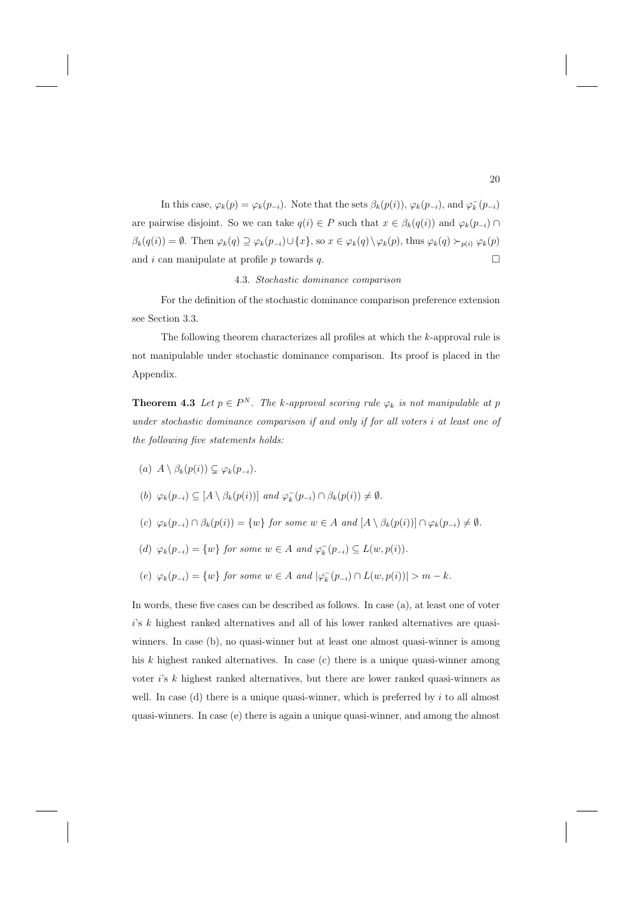In this case,  $\varphi_k(p) = \varphi_k(p_{-i})$ . Note that the sets  $\beta_k(p(i))$ ,  $\varphi_k(p_{-i})$ , and  $\varphi_k^-(p_{-i})$ are pairwise disjoint. So we can take  $q(i) \in P$  such that  $x \in \beta_k(q(i))$  and  $\varphi_k(p_{-i}) \cap$  $\beta_k(q(i)) = \emptyset$ . Then  $\varphi_k(q) \supseteq \varphi_k(p_{-i}) \cup \{x\}$ , so  $x \in \varphi_k(q) \setminus \varphi_k(p)$ , thus  $\varphi_k(q) \succ_{p(i)} \varphi_k(p)$ and  $i$  can manipulate at profile  $p$  towards  $q$ .  $\Box$ 

4.3. Stochastic dominance comparison

For the definition of the stochastic dominance comparison preference extension see Section 3.3.

The following theorem characterizes all profiles at which the k-approval rule is not manipulable under stochastic dominance comparison. Its proof is placed in the Appendix.

**Theorem 4.3** Let  $p \in P^N$ . The k-approval scoring rule  $\varphi_k$  is not manipulable at p under stochastic dominance comparison if and only if for all voters i at least one of the following five statements holds:

(a)  $A \setminus \beta_k(p(i)) \subsetneq \varphi_k(p_{-i}).$ 

(b) 
$$
\varphi_k(p_{-i}) \subseteq [A \setminus \beta_k(p(i))] \text{ and } \varphi_k^-(p_{-i}) \cap \beta_k(p(i)) \neq \emptyset.
$$

- (c)  $\varphi_k(p_{-i}) \cap \beta_k(p(i)) = \{w\}$  for some  $w \in A$  and  $[A \setminus \beta_k(p(i))] \cap \varphi_k(p_{-i}) \neq \emptyset$ .
- (d)  $\varphi_k(p_{-i}) = \{w\}$  for some  $w \in A$  and  $\varphi_k^-(p_{-i}) \subseteq L(w, p(i))$ .
- (e)  $\varphi_k(p_{-i}) = \{w\}$  for some  $w \in A$  and  $|\varphi_k^-(p_{-i}) \cap L(w, p(i))| > m k$ .

In words, these five cases can be described as follows. In case (a), at least one of voter i's k highest ranked alternatives and all of his lower ranked alternatives are quasiwinners. In case (b), no quasi-winner but at least one almost quasi-winner is among his k highest ranked alternatives. In case (c) there is a unique quasi-winner among voter  $i$ 's  $k$  highest ranked alternatives, but there are lower ranked quasi-winners as well. In case (d) there is a unique quasi-winner, which is preferred by  $i$  to all almost quasi-winners. In case (e) there is again a unique quasi-winner, and among the almost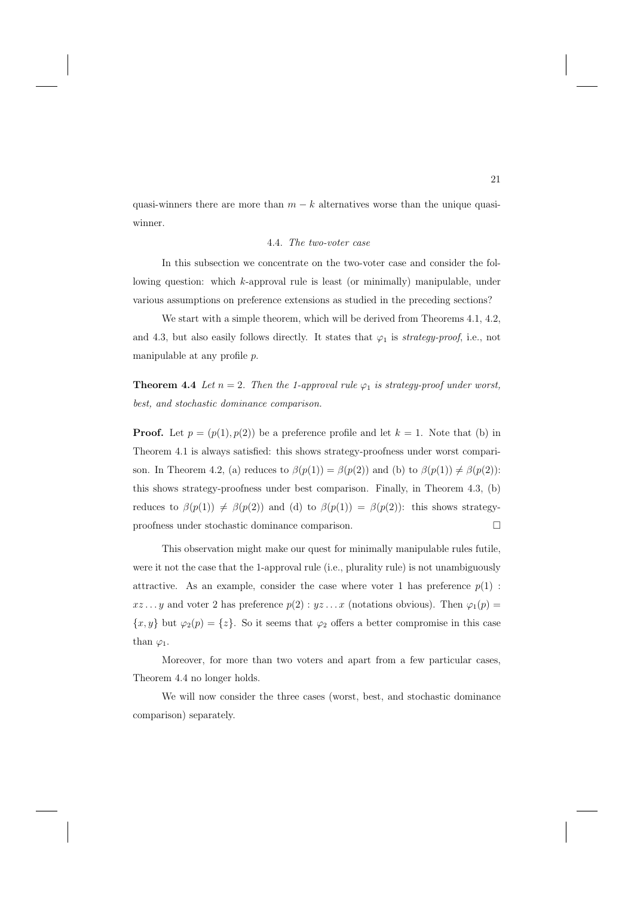quasi-winners there are more than  $m - k$  alternatives worse than the unique quasiwinner.

#### 4.4. The two-voter case

In this subsection we concentrate on the two-voter case and consider the following question: which k-approval rule is least (or minimally) manipulable, under various assumptions on preference extensions as studied in the preceding sections?

We start with a simple theorem, which will be derived from Theorems 4.1, 4.2, and 4.3, but also easily follows directly. It states that  $\varphi_1$  is strategy-proof, i.e., not manipulable at any profile  $p$ .

**Theorem 4.4** Let  $n = 2$ . Then the 1-approval rule  $\varphi_1$  is strategy-proof under worst, best, and stochastic dominance comparison.

**Proof.** Let  $p = (p(1), p(2))$  be a preference profile and let  $k = 1$ . Note that (b) in Theorem 4.1 is always satisfied: this shows strategy-proofness under worst comparison. In Theorem 4.2, (a) reduces to  $\beta(p(1)) = \beta(p(2))$  and (b) to  $\beta(p(1)) \neq \beta(p(2))$ : this shows strategy-proofness under best comparison. Finally, in Theorem 4.3, (b) reduces to  $\beta(p(1)) \neq \beta(p(2))$  and (d) to  $\beta(p(1)) = \beta(p(2))$ : this shows strategyproofness under stochastic dominance comparison. - $\Box$ 

This observation might make our quest for minimally manipulable rules futile, were it not the case that the 1-approval rule (i.e., plurality rule) is not unambiguously attractive. As an example, consider the case where voter 1 has preference  $p(1)$ :  $xz...y$  and voter 2 has preference  $p(2): yz...x$  (notations obvious). Then  $\varphi_1(p)$  =  ${x, y}$  but  $\varphi_2(p) = \{z\}$ . So it seems that  $\varphi_2$  offers a better compromise in this case than  $\varphi_1$ .

Moreover, for more than two voters and apart from a few particular cases, Theorem 4.4 no longer holds.

We will now consider the three cases (worst, best, and stochastic dominance comparison) separately.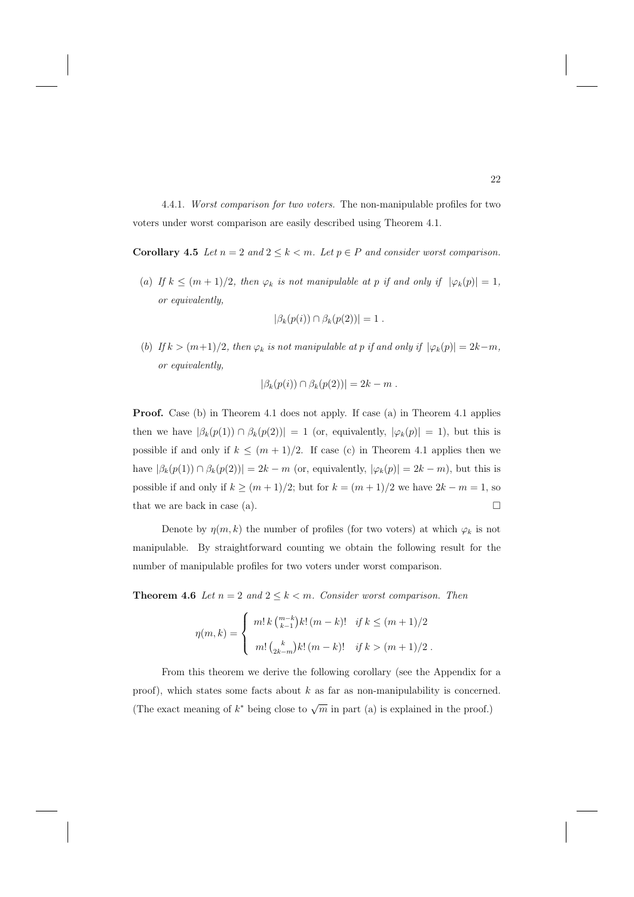4.4.1. Worst comparison for two voters. The non-manipulable profiles for two voters under worst comparison are easily described using Theorem 4.1.

**Corollary 4.5** Let  $n = 2$  and  $2 \leq k < m$ . Let  $p \in P$  and consider worst comparison.

(a) If  $k \leq (m+1)/2$ , then  $\varphi_k$  is not manipulable at p if and only if  $|\varphi_k(p)| = 1$ , or equivalently,

$$
|\beta_k(p(i)) \cap \beta_k(p(2))| = 1.
$$

(b) If  $k > (m+1)/2$ , then  $\varphi_k$  is not manipulable at p if and only if  $|\varphi_k(p)| = 2k-m$ , or equivalently,

$$
|\beta_k(p(i)) \cap \beta_k(p(2))| = 2k - m.
$$

**Proof.** Case (b) in Theorem 4.1 does not apply. If case (a) in Theorem 4.1 applies then we have  $|\beta_k(p(1)) \cap \beta_k(p(2))| = 1$  (or, equivalently,  $|\varphi_k(p)| = 1$ ), but this is possible if and only if  $k \leq (m+1)/2$ . If case (c) in Theorem 4.1 applies then we have  $|\beta_k(p(1)) \cap \beta_k(p(2))| = 2k - m$  (or, equivalently,  $|\varphi_k(p)| = 2k - m$ ), but this is possible if and only if  $k \ge (m+1)/2$ ; but for  $k = (m+1)/2$  we have  $2k - m = 1$ , so that we are back in case (a).  $\Box$ 

Denote by  $\eta(m, k)$  the number of profiles (for two voters) at which  $\varphi_k$  is not manipulable. By straightforward counting we obtain the following result for the number of manipulable profiles for two voters under worst comparison.

**Theorem 4.6** Let  $n = 2$  and  $2 \leq k < m$ . Consider worst comparison. Then

$$
\eta(m,k) = \begin{cases} m! \, k \, {m-k \choose k-1} k! \, (m-k)! & \text{if } k \le (m+1)/2 \\ m! \, {k \choose 2k-m} k! \, (m-k)! & \text{if } k > (m+1)/2 \end{cases}.
$$

From this theorem we derive the following corollary (see the Appendix for a proof), which states some facts about  $k$  as far as non-manipulability is concerned. (The exact meaning of  $k^*$  being close to  $\sqrt{m}$  in part (a) is explained in the proof.)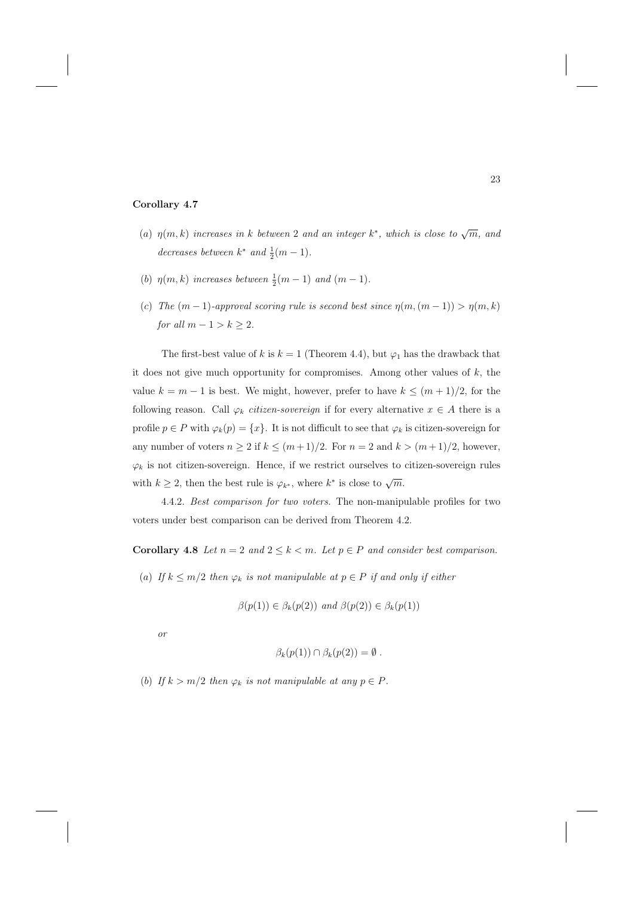## **Corollary 4.7**

- (a)  $\eta(m, k)$  increases in k between 2 and an integer k<sup>\*</sup>, which is close to  $\sqrt{m}$ , and decreases between  $k^*$  and  $\frac{1}{2}(m-1)$ .
- (b)  $\eta(m,k)$  increases between  $\frac{1}{2}(m-1)$  and  $(m-1)$ .
- (c) The  $(m-1)$ -approval scoring rule is second best since  $\eta(m,(m-1)) > \eta(m,k)$ for all  $m - 1 > k \geq 2$ .

The first-best value of k is  $k = 1$  (Theorem 4.4), but  $\varphi_1$  has the drawback that it does not give much opportunity for compromises. Among other values of  $k$ , the value  $k = m - 1$  is best. We might, however, prefer to have  $k \leq (m + 1)/2$ , for the following reason. Call  $\varphi_k$  *citizen-sovereign* if for every alternative  $x \in A$  there is a profile  $p \in P$  with  $\varphi_k(p) = \{x\}$ . It is not difficult to see that  $\varphi_k$  is citizen-sovereign for any number of voters  $n \geq 2$  if  $k \leq (m+1)/2$ . For  $n = 2$  and  $k > (m+1)/2$ , however,  $\varphi_k$  is not citizen-sovereign. Hence, if we restrict ourselves to citizen-sovereign rules with  $k \geq 2$ , then the best rule is  $\varphi_{k^*}$ , where  $k^*$  is close to  $\sqrt{m}$ .

4.4.2. Best comparison for two voters. The non-manipulable profiles for two voters under best comparison can be derived from Theorem 4.2.

**Corollary 4.8** Let  $n = 2$  and  $2 \leq k < m$ . Let  $p \in P$  and consider best comparison.

(a) If  $k \leq m/2$  then  $\varphi_k$  is not manipulable at  $p \in P$  if and only if either

$$
\beta(p(1)) \in \beta_k(p(2)) \text{ and } \beta(p(2)) \in \beta_k(p(1))
$$

or

$$
\beta_k(p(1)) \cap \beta_k(p(2)) = \emptyset.
$$

(b) If  $k > m/2$  then  $\varphi_k$  is not manipulable at any  $p \in P$ .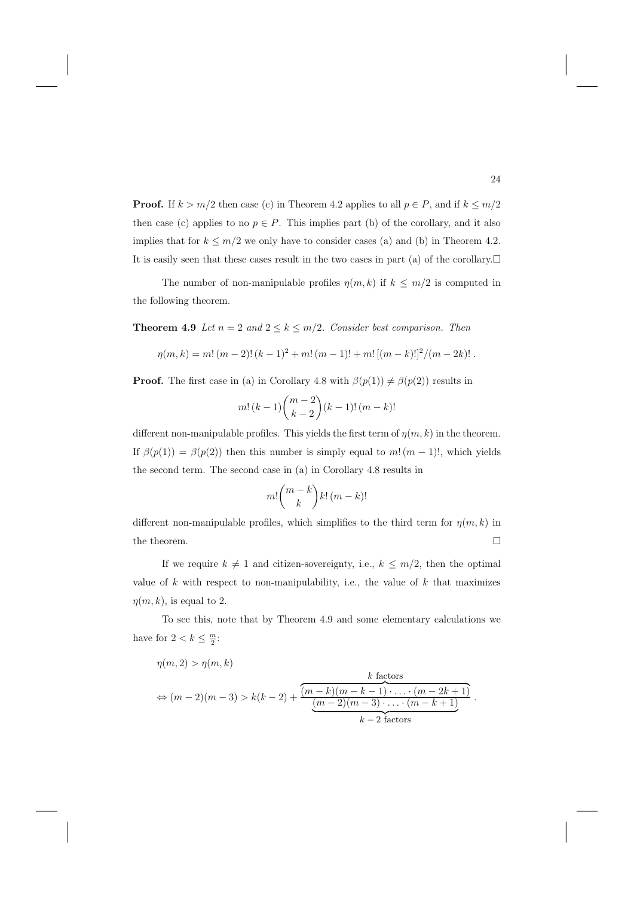**Proof.** If  $k > m/2$  then case (c) in Theorem 4.2 applies to all  $p \in P$ , and if  $k \leq m/2$ then case (c) applies to no  $p \in P$ . This implies part (b) of the corollary, and it also implies that for  $k \leq m/2$  we only have to consider cases (a) and (b) in Theorem 4.2. It is easily seen that these cases result in the two cases in part (a) of the corollary. $\Box$ 

The number of non-manipulable profiles  $\eta(m, k)$  if  $k \leq m/2$  is computed in the following theorem.

**Theorem 4.9** Let  $n = 2$  and  $2 \le k \le m/2$ . Consider best comparison. Then

$$
\eta(m,k) = m! (m-2)! (k-1)^{2} + m! (m-1)! + m! [(m-k)!]^{2}/(m-2k)! .
$$

**Proof.** The first case in (a) in Corollary 4.8 with  $\beta(p(1)) \neq \beta(p(2))$  results in

$$
m! (k-1) \binom{m-2}{k-2} (k-1)! (m-k)!
$$

different non-manipulable profiles. This yields the first term of  $\eta(m, k)$  in the theorem. If  $\beta(p(1)) = \beta(p(2))$  then this number is simply equal to m!  $(m-1)!$ , which yields the second term. The second case in (a) in Corollary 4.8 results in

$$
m! \binom{m-k}{k} k! \, (m-k)!
$$

different non-manipulable profiles, which simplifies to the third term for  $\eta(m, k)$  in the theorem.  $\Box$ 

If we require  $k \neq 1$  and citizen-sovereignty, i.e.,  $k \leq m/2$ , then the optimal value of  $k$  with respect to non-manipulability, i.e., the value of  $k$  that maximizes  $\eta(m, k)$ , is equal to 2.

To see this, note that by Theorem 4.9 and some elementary calculations we have for  $2 < k \leq \frac{m}{2}$ :

$$
\eta(m,2) > \eta(m,k)
$$
  
\n
$$
\Leftrightarrow (m-2)(m-3) > k(k-2) + \frac{\overbrace{(m-k)(m-k-1)\cdot\ldots\cdot(m-2k+1)}^{k \text{ factors}}}{\underbrace{(m-2)(m-3)\cdot\ldots\cdot(m-k+1)}_{k-2 \text{ factors}}}.
$$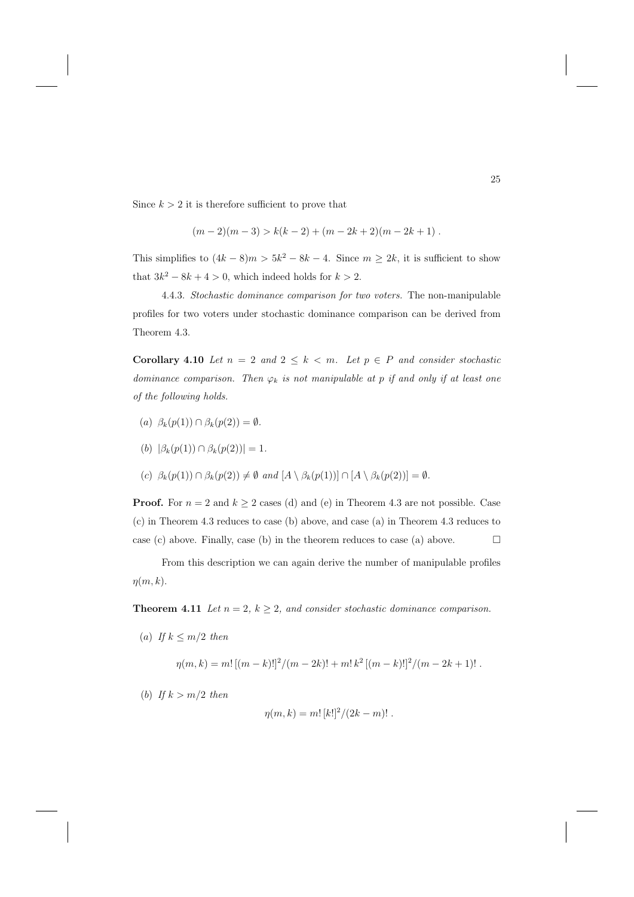Since  $k > 2$  it is therefore sufficient to prove that

$$
(m-2)(m-3) > k(k-2) + (m-2k+2)(m-2k+1) .
$$

This simplifies to  $(4k - 8)m > 5k^2 - 8k - 4$ . Since  $m \ge 2k$ , it is sufficient to show that  $3k^2 - 8k + 4 > 0$ , which indeed holds for  $k > 2$ .

4.4.3. Stochastic dominance comparison for two voters. The non-manipulable profiles for two voters under stochastic dominance comparison can be derived from Theorem 4.3.

**Corollary 4.10** Let  $n = 2$  and  $2 \leq k < m$ . Let  $p \in P$  and consider stochastic dominance comparison. Then  $\varphi_k$  is not manipulable at p if and only if at least one of the following holds.

- (a)  $\beta_k(p(1)) \cap \beta_k(p(2)) = \emptyset$ .
- (b)  $|\beta_k(p(1)) \cap \beta_k(p(2))| = 1.$
- (c)  $\beta_k(p(1)) \cap \beta_k(p(2)) \neq \emptyset$  and  $[A \setminus \beta_k(p(1))] \cap [A \setminus \beta_k(p(2))] = \emptyset$ .

**Proof.** For  $n = 2$  and  $k \ge 2$  cases (d) and (e) in Theorem 4.3 are not possible. Case (c) in Theorem 4.3 reduces to case (b) above, and case (a) in Theorem 4.3 reduces to case (c) above. Finally, case (b) in the theorem reduces to case (a) above.  $\Box$ 

From this description we can again derive the number of manipulable profiles  $\eta(m,k)$ .

**Theorem 4.11** Let  $n = 2$ ,  $k \geq 2$ , and consider stochastic dominance comparison.

(a) If  $k \leq m/2$  then

$$
\eta(m,k) = m! \left[ (m-k)! \right]^2 / (m-2k)! + m! \, k^2 \left[ (m-k)! \right]^2 / (m-2k+1)! \, .
$$

(b) If  $k > m/2$  then

$$
\eta(m,k) = m! [k!]^2 / (2k - m)! .
$$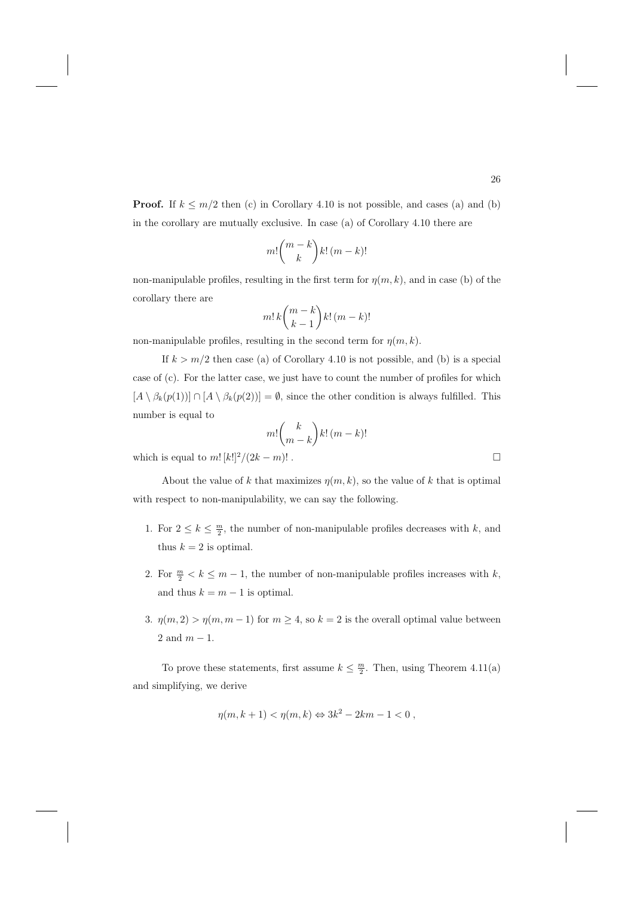**Proof.** If  $k \leq m/2$  then (c) in Corollary 4.10 is not possible, and cases (a) and (b) in the corollary are mutually exclusive. In case (a) of Corollary 4.10 there are

$$
m! \binom{m-k}{k} k! \left( m-k \right)!
$$

non-manipulable profiles, resulting in the first term for  $\eta(m, k)$ , and in case (b) of the corollary there are

$$
m!\,k\binom{m-k}{k-1}k!\,(m-k)!
$$

non-manipulable profiles, resulting in the second term for  $\eta(m, k)$ .

If  $k > m/2$  then case (a) of Corollary 4.10 is not possible, and (b) is a special case of (c). For the latter case, we just have to count the number of profiles for which  $[A \setminus \beta_k(p(1))] \cap [A \setminus \beta_k(p(2))] = \emptyset$ , since the other condition is always fulfilled. This number is equal to

$$
m! \binom{k}{m-k} k! \left(m-k\right)!
$$

which is equal to  $m! [k!]^2/(2k-m)!$ .

About the value of k that maximizes  $\eta(m, k)$ , so the value of k that is optimal with respect to non-manipulability, we can say the following.

- 1. For  $2 \leq k \leq \frac{m}{2}$ , the number of non-manipulable profiles decreases with k, and thus  $k = 2$  is optimal.
- 2. For  $\frac{m}{2} < k \leq m 1$ , the number of non-manipulable profiles increases with  $k$ , and thus  $k = m - 1$  is optimal.
- 3.  $\eta(m, 2) > \eta(m, m 1)$  for  $m \geq 4$ , so  $k = 2$  is the overall optimal value between 2 and  $m-1$ .

To prove these statements, first assume  $k \leq \frac{m}{2}$ . Then, using Theorem 4.11(a) and simplifying, we derive

$$
\eta(m, k+1) < \eta(m, k) \Leftrightarrow 3k^2 - 2km - 1 < 0 \;,
$$

```
\Box
```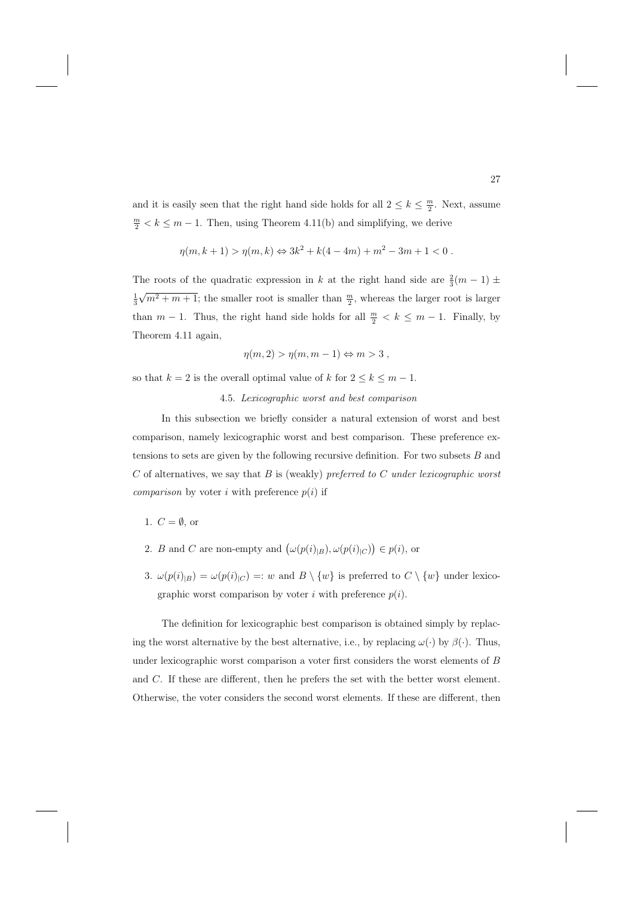and it is easily seen that the right hand side holds for all  $2 \leq k \leq \frac{m}{2}$ . Next, assume  $\frac{m}{2} < k \leq m - 1$ . Then, using Theorem 4.11(b) and simplifying, we derive

$$
\eta(m, k+1) > \eta(m, k) \Leftrightarrow 3k^2 + k(4 - 4m) + m^2 - 3m + 1 < 0.
$$

The roots of the quadratic expression in k at the right hand side are  $\frac{2}{3}(m-1)$  ±  $\frac{1}{3}\sqrt{m^2+m+1}$ ; the smaller root is smaller than  $\frac{m}{2}$ , whereas the larger root is larger than  $m-1$ . Thus, the right hand side holds for all  $\frac{m}{2} < k \leq m-1$ . Finally, by Theorem 4.11 again,

$$
\eta(m,2) > \eta(m,m-1) \Leftrightarrow m > 3,
$$

so that  $k = 2$  is the overall optimal value of  $k$  for  $2 \leq k \leq m - 1$ .

#### 4.5. Lexicographic worst and best comparison

In this subsection we briefly consider a natural extension of worst and best comparison, namely lexicographic worst and best comparison. These preference extensions to sets are given by the following recursive definition. For two subsets  $B$  and  $C$  of alternatives, we say that  $B$  is (weakly) preferred to  $C$  under lexicographic worst *comparison* by voter i with preference  $p(i)$  if

1.  $C = \emptyset$ , or

- 2. B and C are non-empty and  $(\omega(p(i)|_B), \omega(p(i)|_C)) \in p(i)$ , or
- 3.  $\omega(p(i)|_B) = \omega(p(i)|_C) =: w$  and  $B \setminus \{w\}$  is preferred to  $C \setminus \{w\}$  under lexicographic worst comparison by voter i with preference  $p(i)$ .

The definition for lexicographic best comparison is obtained simply by replacing the worst alternative by the best alternative, i.e., by replacing  $\omega(\cdot)$  by  $\beta(\cdot)$ . Thus, under lexicographic worst comparison a voter first considers the worst elements of B and C. If these are different, then he prefers the set with the better worst element. Otherwise, the voter considers the second worst elements. If these are different, then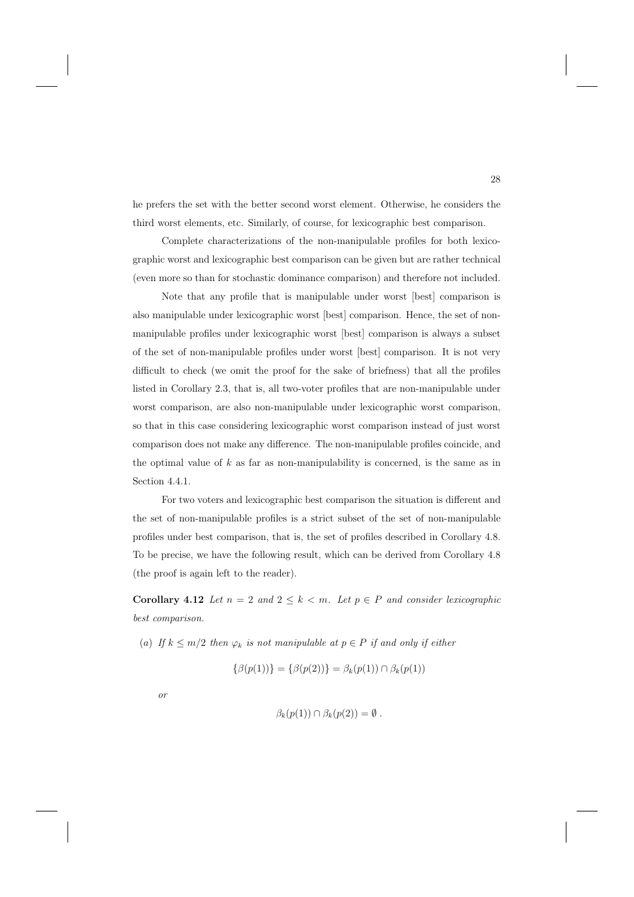he prefers the set with the better second worst element. Otherwise, he considers the third worst elements, etc. Similarly, of course, for lexicographic best comparison.

Complete characterizations of the non-manipulable profiles for both lexicographic worst and lexicographic best comparison can be given but are rather technical (even more so than for stochastic dominance comparison) and therefore not included.

Note that any profile that is manipulable under worst [best] comparison is also manipulable under lexicographic worst [best] comparison. Hence, the set of nonmanipulable profiles under lexicographic worst [best] comparison is always a subset of the set of non-manipulable profiles under worst [best] comparison. It is not very difficult to check (we omit the proof for the sake of briefness) that all the profiles listed in Corollary 2.3, that is, all two-voter profiles that are non-manipulable under worst comparison, are also non-manipulable under lexicographic worst comparison, so that in this case considering lexicographic worst comparison instead of just worst comparison does not make any difference. The non-manipulable profiles coincide, and the optimal value of  $k$  as far as non-manipulability is concerned, is the same as in Section 4.4.1.

For two voters and lexicographic best comparison the situation is different and the set of non-manipulable profiles is a strict subset of the set of non-manipulable profiles under best comparison, that is, the set of profiles described in Corollary 4.8. To be precise, we have the following result, which can be derived from Corollary 4.8 (the proof is again left to the reader).

**Corollary 4.12** Let  $n = 2$  and  $2 \leq k < m$ . Let  $p \in P$  and consider lexicographic best comparison.

(a) If  $k \leq m/2$  then  $\varphi_k$  is not manipulable at  $p \in P$  if and only if either

 $\{\beta(p(1))\} = \{\beta(p(2))\} = \beta_k(p(1)) \cap \beta_k(p(1))$ 

or

$$
\beta_k(p(1)) \cap \beta_k(p(2)) = \emptyset.
$$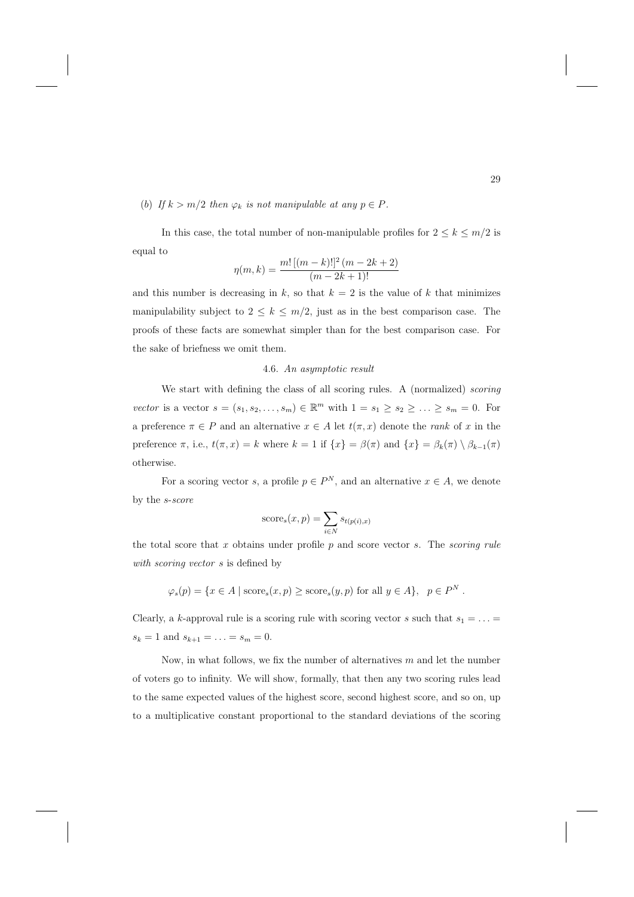(b) If  $k > m/2$  then  $\varphi_k$  is not manipulable at any  $p \in P$ .

In this case, the total number of non-manipulable profiles for  $2 \leq k \leq m/2$  is equal to

$$
\eta(m,k) = \frac{m! \left[ (m-k)! \right]^2 (m - 2k + 2)}{(m - 2k + 1)!}
$$

and this number is decreasing in k, so that  $k = 2$  is the value of k that minimizes manipulability subject to  $2 \leq k \leq m/2$ , just as in the best comparison case. The proofs of these facts are somewhat simpler than for the best comparison case. For the sake of briefness we omit them.

#### 4.6. An asymptotic result

We start with defining the class of all scoring rules. A (normalized) scoring vector is a vector  $s = (s_1, s_2, \ldots, s_m) \in \mathbb{R}^m$  with  $1 = s_1 \geq s_2 \geq \ldots \geq s_m = 0$ . For a preference  $\pi \in P$  and an alternative  $x \in A$  let  $t(\pi, x)$  denote the *rank* of x in the preference  $\pi$ , i.e.,  $t(\pi, x) = k$  where  $k = 1$  if  $\{x\} = \beta(\pi)$  and  $\{x\} = \beta_k(\pi) \setminus \beta_{k-1}(\pi)$ otherwise.

For a scoring vector s, a profile  $p \in P^N$ , and an alternative  $x \in A$ , we denote by the s-score

score<sub>s</sub>
$$
(x, p) = \sum_{i \in N} s_{t(p(i), x)}
$$

the total score that x obtains under profile  $p$  and score vector s. The scoring rule with *scoring vector* s is defined by

$$
\varphi_s(p) = \{ x \in A \mid \text{score}_s(x, p) \ge \text{score}_s(y, p) \text{ for all } y \in A \}, \quad p \in P^N.
$$

Clearly, a k-approval rule is a scoring rule with scoring vector s such that  $s_1 = \ldots =$  $s_k = 1$  and  $s_{k+1} = \ldots = s_m = 0$ .

Now, in what follows, we fix the number of alternatives  $m$  and let the number of voters go to infinity. We will show, formally, that then any two scoring rules lead to the same expected values of the highest score, second highest score, and so on, up to a multiplicative constant proportional to the standard deviations of the scoring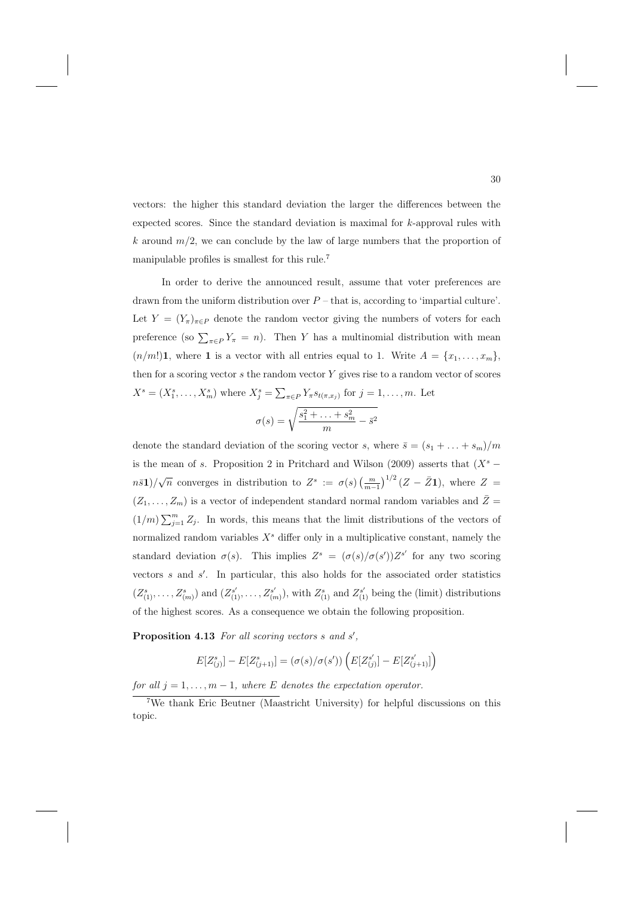vectors: the higher this standard deviation the larger the differences between the expected scores. Since the standard deviation is maximal for k-approval rules with k around  $m/2$ , we can conclude by the law of large numbers that the proportion of manipulable profiles is smallest for this rule.<sup>7</sup>

In order to derive the announced result, assume that voter preferences are drawn from the uniform distribution over  $P$  – that is, according to 'impartial culture'. Let  $Y = (Y_{\pi})_{\pi \in P}$  denote the random vector giving the numbers of voters for each preference (so  $\sum_{\pi \in P} Y_{\pi} = n$ ). Then Y has a multinomial distribution with mean  $(n/m!)$ **1**, where **1** is a vector with all entries equal to 1. Write  $A = \{x_1, \ldots, x_m\}$ , then for a scoring vector  $s$  the random vector  $Y$  gives rise to a random vector of scores  $X^{s} = (X_{1}^{s}, \ldots, X_{m}^{s})$  where  $X_{j}^{s} = \sum_{\pi \in P} Y_{\pi} s_{t(\pi, x_{j})}$  for  $j = 1, \ldots, m$ . Let  $\sigma(s) = \sqrt{\frac{s_1^2 + \ldots + s_m^2}{m} - \bar{s}^2}$ 

denote the standard deviation of the scoring vector s, where  $\bar{s} = (s_1 + \ldots + s_m)/m$ is the mean of s. Proposition 2 in Pritchard and Wilson (2009) asserts that  $(X<sup>s</sup>$  $n\bar{s}$ **1**)/ $\sqrt{n}$  converges in distribution to  $Z^s := \sigma(s) \left(\frac{m}{m-1}\right)^{1/2} (Z - \bar{Z}$ **1**), where  $Z =$  $(Z_1, \ldots, Z_m)$  is a vector of independent standard normal random variables and  $\overline{Z} =$  $(1/m)\sum_{j=1}^m Z_j$ . In words, this means that the limit distributions of the vectors of normalized random variables  $X<sup>s</sup>$  differ only in a multiplicative constant, namely the standard deviation  $\sigma(s)$ . This implies  $Z^s = (\sigma(s)/\sigma(s'))Z^{s'}$  for any two scoring vectors s and s'. In particular, this also holds for the associated order statistics  $(Z_{(1)}^s, \ldots, Z_{(m)}^s)$  and  $(Z_{(1)}^{s'}, \ldots, Z_{(m)}^{s'}),$  with  $Z_{(1)}^s$  and  $Z_{(1)}^{s'}$  being the (limit) distributions of the highest scores. As a consequence we obtain the following proposition.

Proposition 4.13 For all scoring vectors s and s',

$$
E[Z_{(j)}^s] - E[Z_{(j+1)}^s] = (\sigma(s)/\sigma(s')) \left( E[Z_{(j)}^{s'}] - E[Z_{(j+1)}^{s'}]\right)
$$

for all  $j = 1, \ldots, m - 1$ , where E denotes the expectation operator.

<sup>7</sup>We thank Eric Beutner (Maastricht University) for helpful discussions on this topic.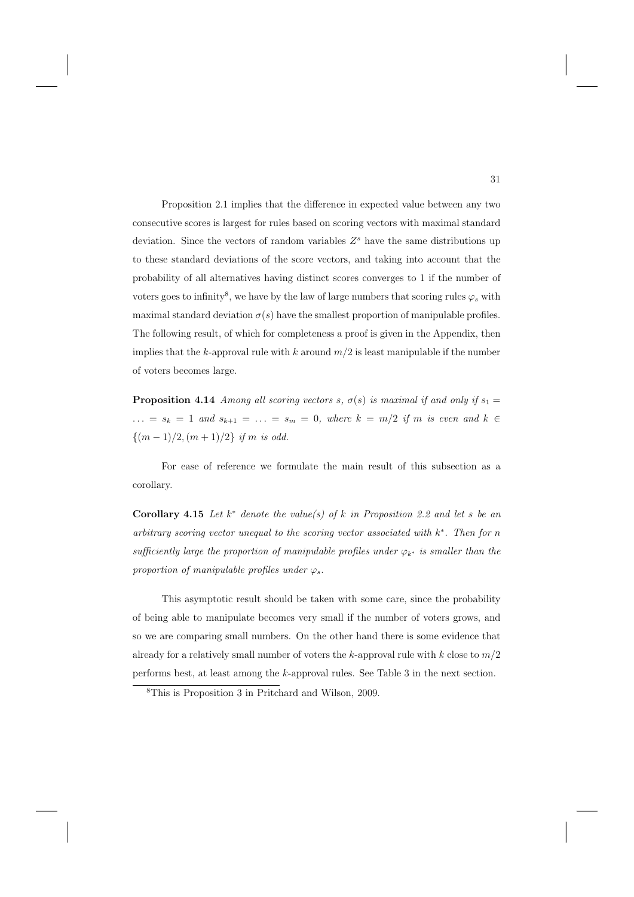Proposition 2.1 implies that the difference in expected value between any two consecutive scores is largest for rules based on scoring vectors with maximal standard deviation. Since the vectors of random variables  $Z^s$  have the same distributions up to these standard deviations of the score vectors, and taking into account that the probability of all alternatives having distinct scores converges to 1 if the number of voters goes to infinity<sup>8</sup>, we have by the law of large numbers that scoring rules  $\varphi_s$  with maximal standard deviation  $\sigma(s)$  have the smallest proportion of manipulable profiles. The following result, of which for completeness a proof is given in the Appendix, then implies that the k-approval rule with k around  $m/2$  is least manipulable if the number of voters becomes large.

**Proposition 4.14** Among all scoring vectors s,  $\sigma(s)$  is maximal if and only if  $s_1 =$  $\ldots = s_k = 1$  and  $s_{k+1} = \ldots = s_m = 0$ , where  $k = m/2$  if m is even and  $k \in$  $\{(m-1)/2,(m+1)/2\}$  if m is odd.

For ease of reference we formulate the main result of this subsection as a corollary.

**Corollary 4.15** Let  $k^*$  denote the value(s) of k in Proposition 2.2 and let s be an arbitrary scoring vector unequal to the scoring vector associated with  $k^*$ . Then for n sufficiently large the proportion of manipulable profiles under  $\varphi_{k^*}$  is smaller than the proportion of manipulable profiles under  $\varphi_s$ .

This asymptotic result should be taken with some care, since the probability of being able to manipulate becomes very small if the number of voters grows, and so we are comparing small numbers. On the other hand there is some evidence that already for a relatively small number of voters the k-approval rule with  $k$  close to  $m/2$ performs best, at least among the k-approval rules. See Table 3 in the next section.

<sup>8</sup>This is Proposition 3 in Pritchard and Wilson, 2009.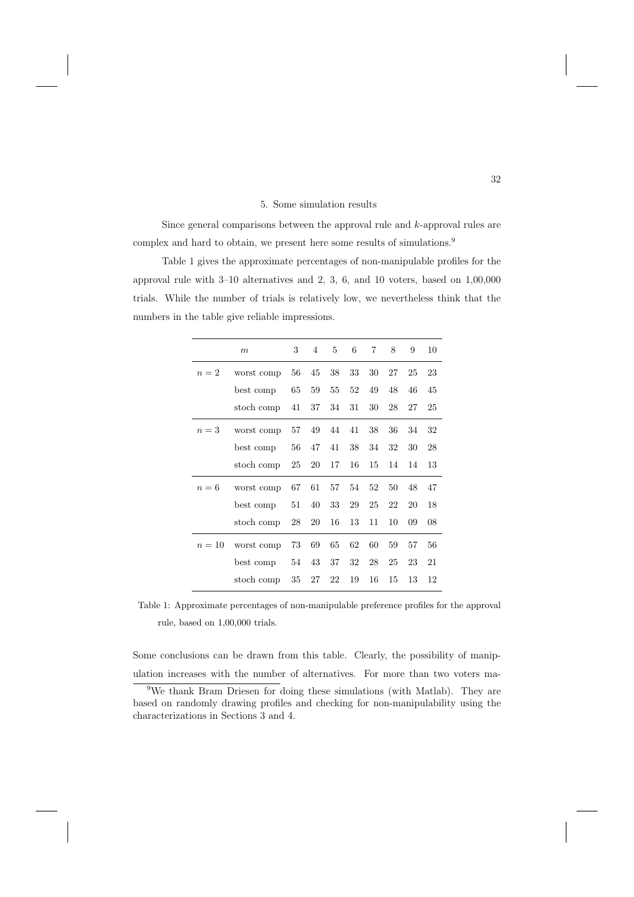#### 5. Some simulation results

Since general comparisons between the approval rule and k-approval rules are complex and hard to obtain, we present here some results of simulations.<sup>9</sup>

Table 1 gives the approximate percentages of non-manipulable profiles for the approval rule with 3–10 alternatives and 2, 3, 6, and 10 voters, based on 1,00,000 trials. While the number of trials is relatively low, we nevertheless think that the numbers in the table give reliable impressions.

|        | $\boldsymbol{m}$ | 3  | $\overline{4}$ | 5  | 6  | 7  | 8  | 9  | 10 |
|--------|------------------|----|----------------|----|----|----|----|----|----|
| $n=2$  | worst comp       | 56 | 45             | 38 | 33 | 30 | 27 | 25 | 23 |
|        | best comp        | 65 | 59             | 55 | 52 | 49 | 48 | 46 | 45 |
|        | stoch comp       | 41 | 37             | 34 | 31 | 30 | 28 | 27 | 25 |
| $n=3$  | worst comp       | 57 | 49             | 44 | 41 | 38 | 36 | 34 | 32 |
|        | best comp        | 56 | 47             | 41 | 38 | 34 | 32 | 30 | 28 |
|        | stoch comp       | 25 | 20             | 17 | 16 | 15 | 14 | 14 | 13 |
| $n=6$  | worst comp       | 67 | 61             | 57 | 54 | 52 | 50 | 48 | 47 |
|        | best comp        | 51 | 40             | 33 | 29 | 25 | 22 | 20 | 18 |
|        | stoch comp       | 28 | 20             | 16 | 13 | 11 | 10 | 09 | 08 |
| $n=10$ | worst comp       | 73 | 69             | 65 | 62 | 60 | 59 | 57 | 56 |
|        | best comp        | 54 | 43             | 37 | 32 | 28 | 25 | 23 | 21 |
|        | stoch comp       | 35 | 27             | 22 | 19 | 16 | 15 | 13 | 12 |

Table 1: Approximate percentages of non-manipulable preference profiles for the approval rule, based on 1,00,000 trials.

Some conclusions can be drawn from this table. Clearly, the possibility of manipulation increases with the number of alternatives. For more than two voters ma-

<sup>9</sup>We thank Bram Driesen for doing these simulations (with Matlab). They are based on randomly drawing profiles and checking for non-manipulability using the characterizations in Sections 3 and 4.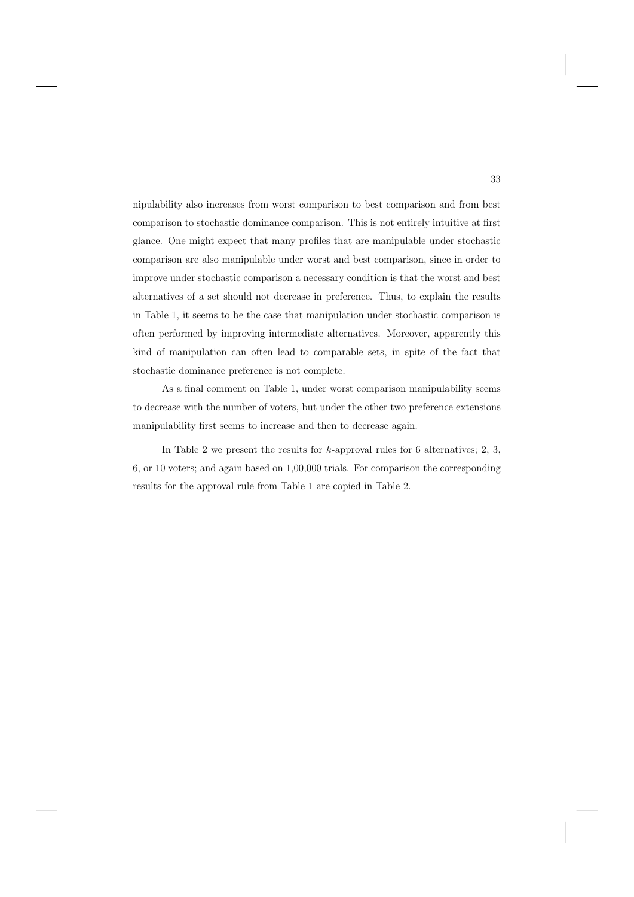nipulability also increases from worst comparison to best comparison and from best comparison to stochastic dominance comparison. This is not entirely intuitive at first glance. One might expect that many profiles that are manipulable under stochastic comparison are also manipulable under worst and best comparison, since in order to improve under stochastic comparison a necessary condition is that the worst and best alternatives of a set should not decrease in preference. Thus, to explain the results in Table 1, it seems to be the case that manipulation under stochastic comparison is often performed by improving intermediate alternatives. Moreover, apparently this kind of manipulation can often lead to comparable sets, in spite of the fact that stochastic dominance preference is not complete.

As a final comment on Table 1, under worst comparison manipulability seems to decrease with the number of voters, but under the other two preference extensions manipulability first seems to increase and then to decrease again.

In Table 2 we present the results for  $k$ -approval rules for 6 alternatives; 2, 3, 6, or 10 voters; and again based on 1,00,000 trials. For comparison the corresponding results for the approval rule from Table 1 are copied in Table 2.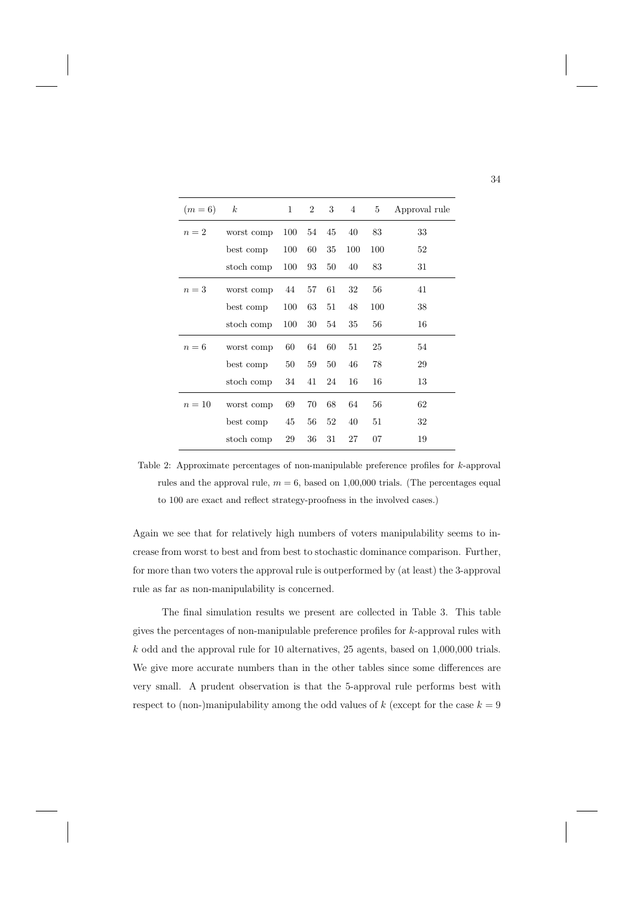| $(m=6)$ | $\boldsymbol{k}$ | $\mathbf{1}$ | $\overline{2}$ | 3  | $\overline{4}$ | 5   | Approval rule |
|---------|------------------|--------------|----------------|----|----------------|-----|---------------|
| $n=2$   | worst comp       | 100          | 54             | 45 | 40             | 83  | 33            |
|         | best comp        | 100          | 60             | 35 | 100            | 100 | 52            |
|         | stoch comp       | 100          | 93             | 50 | 40             | 83  | 31            |
| $n=3$   | worst comp       | 44           | 57             | 61 | 32             | 56  | 41            |
|         | best comp        | 100          | 63             | 51 | 48             | 100 | 38            |
|         | stoch comp       | 100          | 30             | 54 | 35             | 56  | 16            |
| $n=6$   | worst comp       | 60           | 64             | 60 | 51             | 25  | 54            |
|         | best comp        | 50           | 59             | 50 | 46             | 78  | 29            |
|         | stoch comp       | 34           | 41             | 24 | 16             | 16  | 13            |
| $n=10$  | worst comp       | 69           | 70             | 68 | 64             | 56  | 62            |
|         | best comp        | 45           | 56             | 52 | 40             | 51  | 32            |
|         | stoch comp       | 29           | 36             | 31 | 27             | 07  | 19            |

Table 2: Approximate percentages of non-manipulable preference profiles for k-approval rules and the approval rule,  $m = 6$ , based on 1,00,000 trials. (The percentages equal to 100 are exact and reflect strategy-proofness in the involved cases.)

Again we see that for relatively high numbers of voters manipulability seems to increase from worst to best and from best to stochastic dominance comparison. Further, for more than two voters the approval rule is outperformed by (at least) the 3-approval rule as far as non-manipulability is concerned.

The final simulation results we present are collected in Table 3. This table gives the percentages of non-manipulable preference profiles for k-approval rules with  $k$  odd and the approval rule for 10 alternatives, 25 agents, based on 1,000,000 trials. We give more accurate numbers than in the other tables since some differences are very small. A prudent observation is that the 5-approval rule performs best with respect to (non-)manipulability among the odd values of k (except for the case  $k = 9$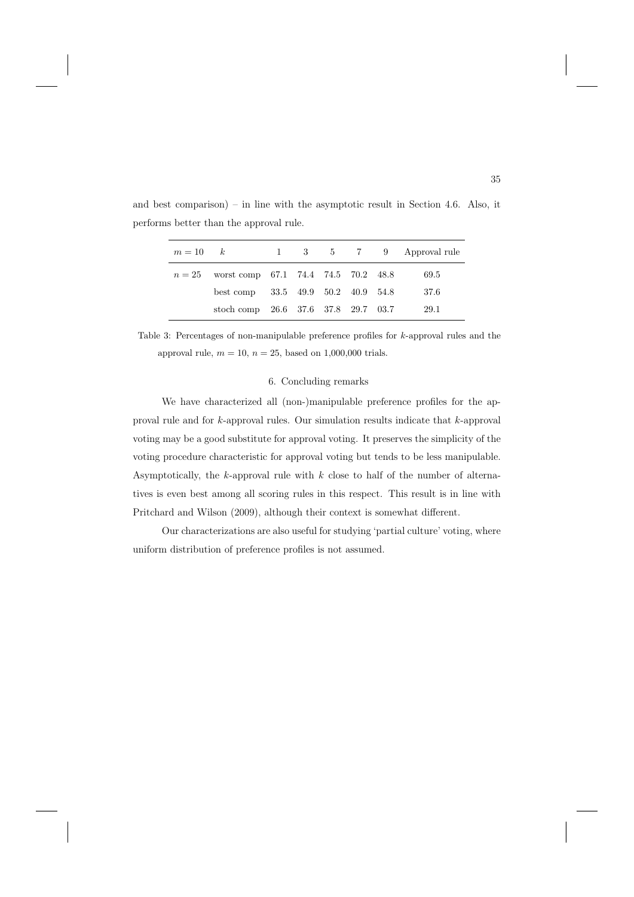| $m=10 \qquad k$ |                                              |  |  | 1 3 5 7 9 Approval rule |
|-----------------|----------------------------------------------|--|--|-------------------------|
|                 | $n = 25$ worst comp 67.1 74.4 74.5 70.2 48.8 |  |  | 69.5                    |
|                 | best comp 33.5 49.9 50.2 40.9 54.8           |  |  | 37.6                    |
|                 | stoch comp 26.6 37.6 37.8 29.7 03.7          |  |  | 29.1                    |

and best comparison) – in line with the asymptotic result in Section 4.6. Also, it performs better than the approval rule.

Table 3: Percentages of non-manipulable preference profiles for k-approval rules and the approval rule,  $m = 10$ ,  $n = 25$ , based on 1,000,000 trials.

#### 6. Concluding remarks

We have characterized all (non-)manipulable preference profiles for the approval rule and for k-approval rules. Our simulation results indicate that k-approval voting may be a good substitute for approval voting. It preserves the simplicity of the voting procedure characteristic for approval voting but tends to be less manipulable. Asymptotically, the  $k$ -approval rule with  $k$  close to half of the number of alternatives is even best among all scoring rules in this respect. This result is in line with Pritchard and Wilson (2009), although their context is somewhat different.

Our characterizations are also useful for studying 'partial culture' voting, where uniform distribution of preference profiles is not assumed.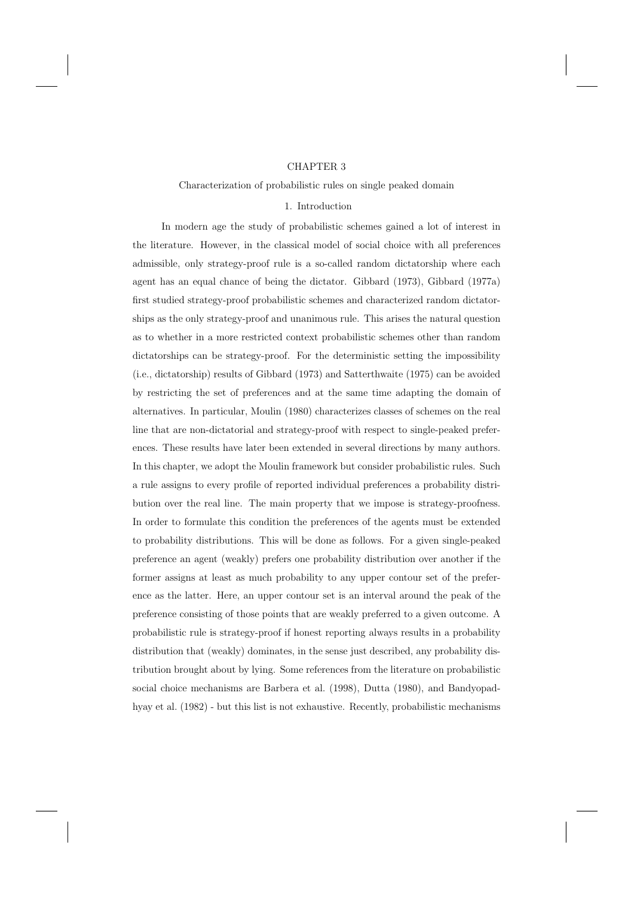## CHAPTER 3

#### Characterization of probabilistic rules on single peaked domain

#### 1. Introduction

In modern age the study of probabilistic schemes gained a lot of interest in the literature. However, in the classical model of social choice with all preferences admissible, only strategy-proof rule is a so-called random dictatorship where each agent has an equal chance of being the dictator. Gibbard (1973), Gibbard (1977a) first studied strategy-proof probabilistic schemes and characterized random dictatorships as the only strategy-proof and unanimous rule. This arises the natural question as to whether in a more restricted context probabilistic schemes other than random dictatorships can be strategy-proof. For the deterministic setting the impossibility (i.e., dictatorship) results of Gibbard (1973) and Satterthwaite (1975) can be avoided by restricting the set of preferences and at the same time adapting the domain of alternatives. In particular, Moulin (1980) characterizes classes of schemes on the real line that are non-dictatorial and strategy-proof with respect to single-peaked preferences. These results have later been extended in several directions by many authors. In this chapter, we adopt the Moulin framework but consider probabilistic rules. Such a rule assigns to every profile of reported individual preferences a probability distribution over the real line. The main property that we impose is strategy-proofness. In order to formulate this condition the preferences of the agents must be extended to probability distributions. This will be done as follows. For a given single-peaked preference an agent (weakly) prefers one probability distribution over another if the former assigns at least as much probability to any upper contour set of the preference as the latter. Here, an upper contour set is an interval around the peak of the preference consisting of those points that are weakly preferred to a given outcome. A probabilistic rule is strategy-proof if honest reporting always results in a probability distribution that (weakly) dominates, in the sense just described, any probability distribution brought about by lying. Some references from the literature on probabilistic social choice mechanisms are Barbera et al. (1998), Dutta (1980), and Bandyopadhyay et al. (1982) - but this list is not exhaustive. Recently, probabilistic mechanisms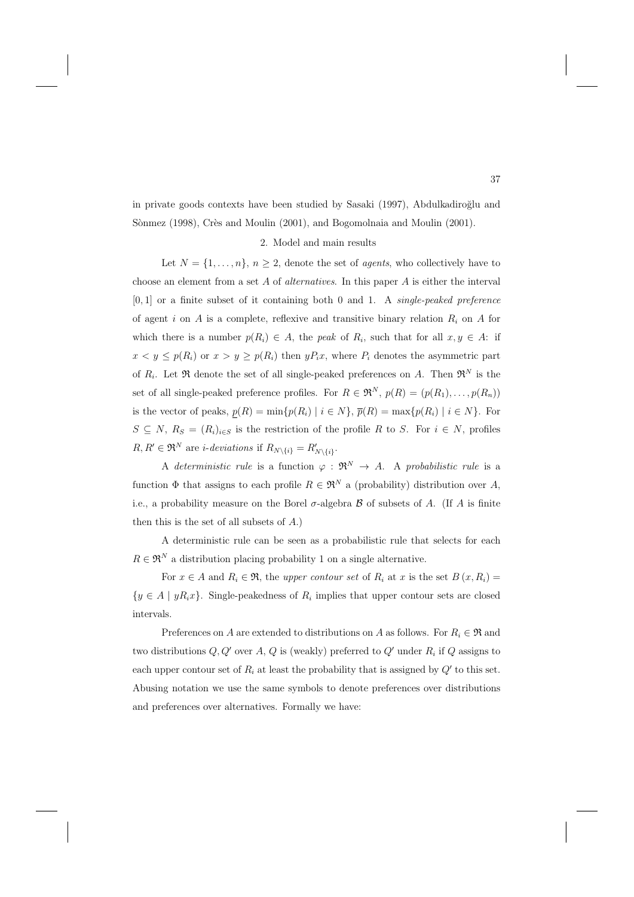in private goods contexts have been studied by Sasaki (1997), Abdulkadiroğlu and Sònmez (1998), Crès and Moulin (2001), and Bogomolnaia and Moulin (2001).

## 2. Model and main results

Let  $N = \{1, \ldots, n\}, n \geq 2$ , denote the set of *agents*, who collectively have to choose an element from a set  $A$  of *alternatives*. In this paper  $A$  is either the interval  $[0, 1]$  or a finite subset of it containing both 0 and 1. A *single-peaked preference* of agent i on  $A$  is a complete, reflexive and transitive binary relation  $R_i$  on  $A$  for which there is a number  $p(R_i) \in A$ , the *peak* of  $R_i$ , such that for all  $x, y \in A$ : if  $x < y \leq p(R_i)$  or  $x > y \geq p(R_i)$  then  $yP_ix$ , where  $P_i$  denotes the asymmetric part of  $R_i$ . Let  $\Re$  denote the set of all single-peaked preferences on A. Then  $\Re^N$  is the set of all single-peaked preference profiles. For  $R \in \mathfrak{R}^N$ ,  $p(R)=(p(R_1),\ldots,p(R_n))$ is the vector of peaks,  $p(R) = \min\{p(R_i) | i \in N\}$ ,  $\overline{p}(R) = \max\{p(R_i) | i \in N\}$ . For  $S \subseteq N$ ,  $R_S = (R_i)_{i \in S}$  is the restriction of the profile R to S. For  $i \in N$ , profiles  $R, R' \in \mathfrak{R}^N$  are *i-deviations* if  $R_{N \setminus \{i\}} = R'_{N \setminus \{i\}}$ .

A deterministic rule is a function  $\varphi : \mathfrak{R}^N \to A$ . A probabilistic rule is a function  $\Phi$  that assigns to each profile  $R \in \mathfrak{R}^N$  a (probability) distribution over A, i.e., a probability measure on the Borel  $\sigma$ -algebra  $\beta$  of subsets of A. (If A is finite then this is the set of all subsets of A.)

A deterministic rule can be seen as a probabilistic rule that selects for each  $R \in \mathfrak{R}^N$  a distribution placing probability 1 on a single alternative.

For  $x \in A$  and  $R_i \in \mathfrak{R}$ , the upper contour set of  $R_i$  at x is the set  $B(x, R_i) =$  ${y \in A \mid yR_ix}$ . Single-peakedness of  $R_i$  implies that upper contour sets are closed intervals.

Preferences on A are extended to distributions on A as follows. For  $R_i \in \mathfrak{R}$  and two distributions  $Q, Q'$  over A, Q is (weakly) preferred to  $Q'$  under  $R_i$  if Q assigns to each upper contour set of  $R_i$  at least the probability that is assigned by  $Q'$  to this set. Abusing notation we use the same symbols to denote preferences over distributions and preferences over alternatives. Formally we have: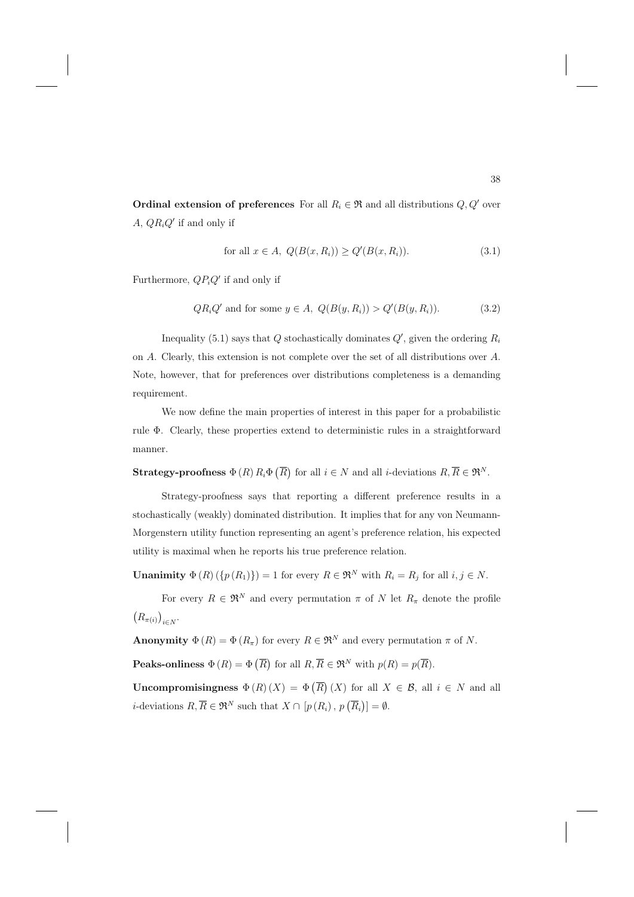**Ordinal extension of preferences** For all  $R_i \in \mathfrak{R}$  and all distributions  $Q, Q'$  over  $A, QR_iQ'$  if and only if

$$
\text{for all } x \in A, \ Q(B(x, R_i)) \ge Q'(B(x, R_i)).\tag{3.1}
$$

Furthermore,  $QP_iQ'$  if and only if

$$
QR_iQ' \text{ and for some } y \in A, \ Q(B(y,R_i)) > Q'(B(y,R_i)). \tag{3.2}
$$

Inequality (5.1) says that  $Q$  stochastically dominates  $Q'$ , given the ordering  $R_i$ on A. Clearly, this extension is not complete over the set of all distributions over A. Note, however, that for preferences over distributions completeness is a demanding requirement.

We now define the main properties of interest in this paper for a probabilistic rule Φ. Clearly, these properties extend to deterministic rules in a straightforward manner.

**Strategy-proofness**  $\Phi(R) R_i \Phi(\overline{R})$  for all  $i \in N$  and all *i*-deviations  $R, \overline{R} \in \mathfrak{R}^N$ .

Strategy-proofness says that reporting a different preference results in a stochastically (weakly) dominated distribution. It implies that for any von Neumann-Morgenstern utility function representing an agent's preference relation, his expected utility is maximal when he reports his true preference relation.

**Unanimity**  $\Phi(R)(\{p(R_1)\}) = 1$  for every  $R \in \mathfrak{R}^N$  with  $R_i = R_j$  for all  $i, j \in N$ .

For every  $R \in \mathfrak{R}^N$  and every permutation  $\pi$  of N let  $R_\pi$  denote the profile  $\left(R_{\pi(i)}\right)_{i\in N}$ .

**Anonymity**  $\Phi(R) = \Phi(R_{\pi})$  for every  $R \in \mathbb{R}^N$  and every permutation  $\pi$  of N.

**Peaks-onliness**  $\Phi(R) = \Phi(\overline{R})$  for all  $R, \overline{R} \in \mathfrak{R}^N$  with  $p(R) = p(\overline{R})$ .

**Uncompromisingness**  $\Phi(R)(X) = \Phi(\overline{R})(X)$  for all  $X \in \mathcal{B}$ , all  $i \in N$  and all *i*-deviations  $R, \overline{R} \in \mathfrak{R}^N$  such that  $X \cap [p(R_i), p(\overline{R_i})] = \emptyset$ .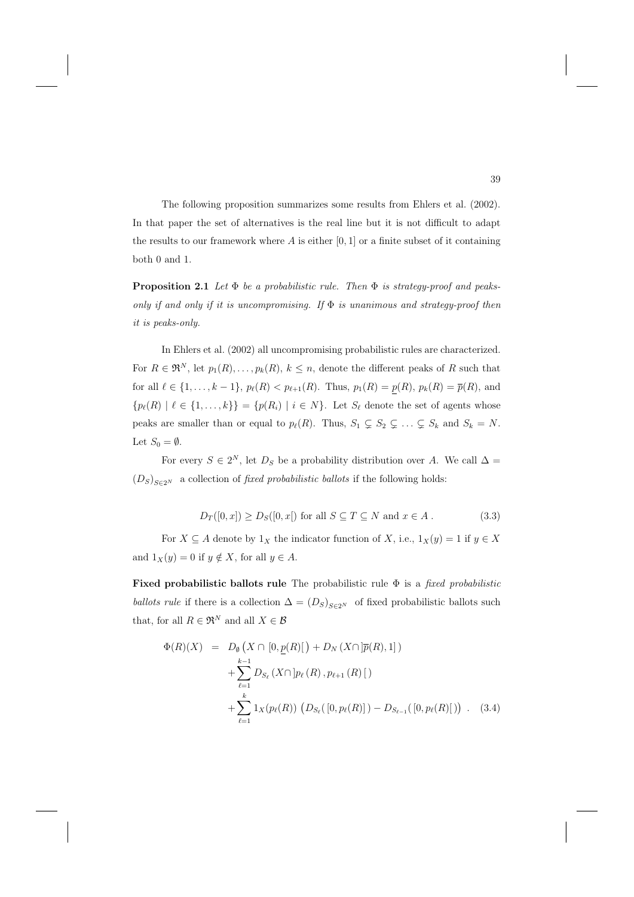The following proposition summarizes some results from Ehlers et al. (2002). In that paper the set of alternatives is the real line but it is not difficult to adapt the results to our framework where  $A$  is either  $[0, 1]$  or a finite subset of it containing both 0 and 1.

**Proposition 2.1** Let  $\Phi$  be a probabilistic rule. Then  $\Phi$  is strategy-proof and peaksonly if and only if it is uncompromising. If  $\Phi$  is unanimous and strategy-proof then it is peaks-only.

In Ehlers et al. (2002) all uncompromising probabilistic rules are characterized. For  $R \in \mathfrak{R}^N$ , let  $p_1(R), \ldots, p_k(R)$ ,  $k \leq n$ , denote the different peaks of R such that for all  $\ell \in \{1, ..., k-1\}$ ,  $p_{\ell}(R) < p_{\ell+1}(R)$ . Thus,  $p_1(R) = p(R)$ ,  $p_k(R) = \overline{p}(R)$ , and  ${p_\ell(R) \mid \ell \in \{1,\ldots,k\}\} = {p(R_i) \mid i \in N}.$  Let  $S_\ell$  denote the set of agents whose peaks are smaller than or equal to  $p_{\ell}(R)$ . Thus,  $S_1 \subsetneq S_2 \subsetneq \ldots \subsetneq S_k$  and  $S_k = N$ . Let  $S_0 = \emptyset$ .

For every  $S \in 2^N$ , let  $D_S$  be a probability distribution over A. We call  $\Delta =$  $(D_S)_{S \in 2^N}$  a collection of *fixed probabilistic ballots* if the following holds:

$$
D_T([0, x]) \ge D_S([0, x])
$$
 for all  $S \subseteq T \subseteq N$  and  $x \in A$ . (3.3)

For  $X \subseteq A$  denote by  $1_X$  the indicator function of X, i.e.,  $1_X(y) = 1$  if  $y \in X$ and  $1_X(y) = 0$  if  $y \notin X$ , for all  $y \in A$ .

**Fixed probabilistic ballots rule** The probabilistic rule Φ is a fixed probabilistic ballots rule if there is a collection  $\Delta = (D_S)_{S \in 2^N}$  of fixed probabilistic ballots such that, for all  $R \in \Re^N$  and all  $X \in \mathcal{B}$ 

$$
\Phi(R)(X) = D_{\emptyset} (X \cap [0, \underline{p}(R)] + D_N (X \cap [\overline{p}(R), 1]) \n+ \sum_{\ell=1}^{k-1} D_{S_{\ell}} (X \cap [p_{\ell}(R), p_{\ell+1}(R)] \n+ \sum_{\ell=1}^{k} 1_X(p_{\ell}(R)) (D_{S_{\ell}}([0, p_{\ell}(R)]) - D_{S_{\ell-1}}([0, p_{\ell}(R)])
$$
 (3.4)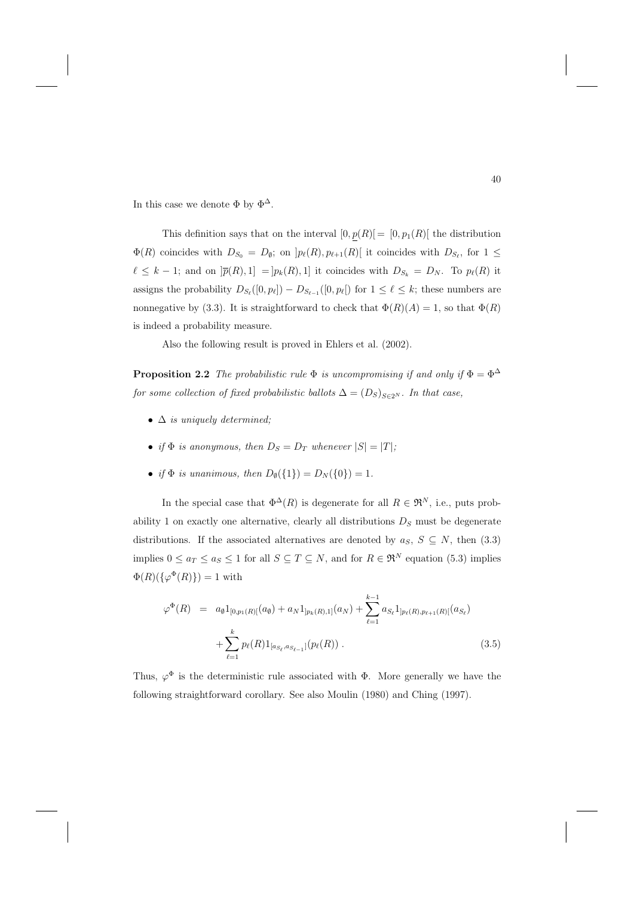In this case we denote  $\Phi$  by  $\Phi^{\Delta}$ .

This definition says that on the interval  $[0, p(R)]=[0, p_1(R)]$  the distribution  $\Phi(R)$  coincides with  $D_{S_0} = D_{\emptyset}$ ; on  $]p_{\ell}(R), p_{\ell+1}(R)$  it coincides with  $D_{S_{\ell}}$ , for  $1 \leq$  $\ell \leq k-1$ ; and on  $|\overline{p}(R),1] = |p_k(R),1|$  it coincides with  $D_{S_k} = D_N$ . To  $p_\ell(R)$  it assigns the probability  $D_{S_{\ell}}([0, p_{\ell}]) - D_{S_{\ell-1}}([0, p_{\ell}])$  for  $1 \leq \ell \leq k$ ; these numbers are nonnegative by (3.3). It is straightforward to check that  $\Phi(R)(A) = 1$ , so that  $\Phi(R)$ is indeed a probability measure.

Also the following result is proved in Ehlers et al. (2002).

**Proposition 2.2** The probabilistic rule  $\Phi$  is uncompromising if and only if  $\Phi = \Phi^{\Delta}$ for some collection of fixed probabilistic ballots  $\Delta=(D_S)_{S\in 2^N}$ . In that case,

- $\Delta$  is uniquely determined;
- if  $\Phi$  is anonymous, then  $D_S = D_T$  whenever  $|S| = |T|$ ;
- if  $\Phi$  is unanimous, then  $D_{\emptyset}(\{1\}) = D_{N}(\{0\}) = 1$ .

In the special case that  $\Phi^{\Delta}(R)$  is degenerate for all  $R \in \mathfrak{R}^{N}$ , i.e., puts probability 1 on exactly one alternative, clearly all distributions  $D<sub>S</sub>$  must be degenerate distributions. If the associated alternatives are denoted by  $a_S$ ,  $S \subseteq N$ , then (3.3) implies  $0 \le a_T \le a_S \le 1$  for all  $S \subseteq T \subseteq N$ , and for  $R \in \mathfrak{R}^N$  equation (5.3) implies  $\Phi(R)(\{\varphi^{\Phi}(R)\}) = 1$  with

$$
\varphi^{\Phi}(R) = a_{\emptyset} 1_{[0,p_1(R)]}(a_{\emptyset}) + a_N 1_{]p_k(R),1]}(a_N) + \sum_{\ell=1}^{k-1} a_{S_{\ell}} 1_{]p_{\ell}(R),p_{\ell+1}(R)]}(a_{S_{\ell}}) + \sum_{\ell=1}^k p_{\ell}(R) 1_{[a_{S_{\ell}},a_{S_{\ell-1}}]}(p_{\ell}(R)) .
$$
\n(3.5)

Thus,  $\varphi^{\Phi}$  is the deterministic rule associated with  $\Phi$ . More generally we have the following straightforward corollary. See also Moulin (1980) and Ching (1997).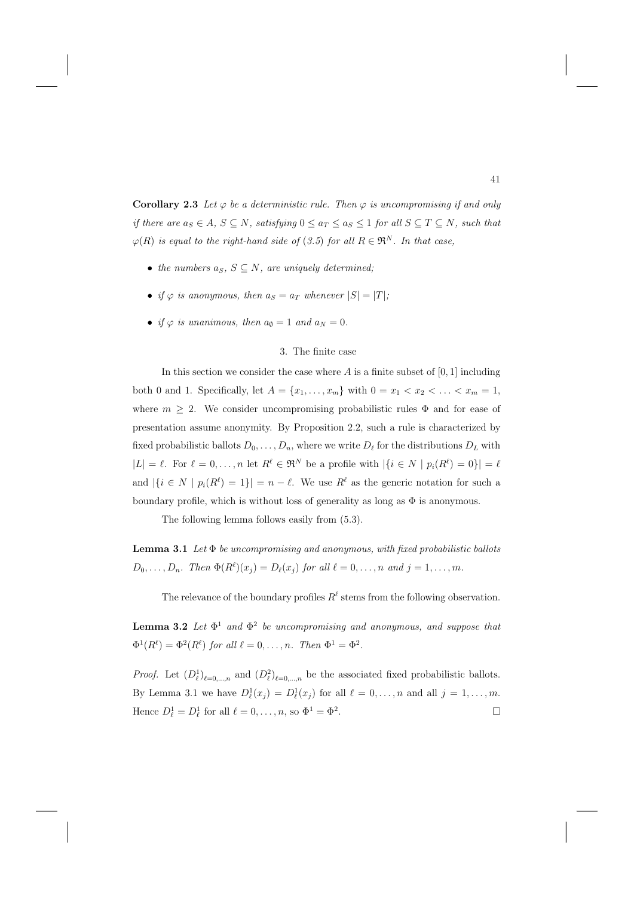**Corollary 2.3** Let  $\varphi$  be a deterministic rule. Then  $\varphi$  is uncompromising if and only if there are  $a_S \in A$ ,  $S \subseteq N$ , satisfying  $0 \le a_T \le a_S \le 1$  for all  $S \subseteq T \subseteq N$ , such that  $\varphi(R)$  is equal to the right-hand side of (3.5) for all  $R \in \mathfrak{R}^N$ . In that case,

- the numbers  $a_S$ ,  $S \subseteq N$ , are uniquely determined;
- if  $\varphi$  is anonymous, then  $a_S = a_T$  whenever  $|S| = |T|$ ;
- if  $\varphi$  is unanimous, then  $a_{\emptyset} = 1$  and  $a_N = 0$ .

#### 3. The finite case

In this section we consider the case where  $A$  is a finite subset of  $[0, 1]$  including both 0 and 1. Specifically, let  $A = \{x_1, ..., x_m\}$  with  $0 = x_1 < x_2 < ... < x_m = 1$ , where  $m \geq 2$ . We consider uncompromising probabilistic rules  $\Phi$  and for ease of presentation assume anonymity. By Proposition 2.2, such a rule is characterized by fixed probabilistic ballots  $D_0, \ldots, D_n$ , where we write  $D_\ell$  for the distributions  $D_L$  with  $|L| = \ell$ . For  $\ell = 0, \ldots, n$  let  $R^{\ell} \in \mathfrak{R}^N$  be a profile with  $|\{i \in N \mid p_i(R^{\ell}) = 0\}| = \ell$ and  $|\{i \in N \mid p_i(R^{\ell}) = 1\}| = n - \ell$ . We use  $R^{\ell}$  as the generic notation for such a boundary profile, which is without loss of generality as long as  $\Phi$  is anonymous.

The following lemma follows easily from (5.3).

**Lemma 3.1** Let  $\Phi$  be uncompromising and anonymous, with fixed probabilistic ballots  $D_0, \ldots, D_n$ . Then  $\Phi(R^{\ell})(x_j) = D_{\ell}(x_j)$  for all  $\ell = 0, \ldots, n$  and  $j = 1, \ldots, m$ .

The relevance of the boundary profiles  $R^{\ell}$  stems from the following observation.

**Lemma 3.2** Let  $\Phi^1$  and  $\Phi^2$  be uncompromising and anonymous, and suppose that  $\Phi^1(R^{\ell}) = \Phi^2(R^{\ell})$  for all  $\ell = 0, \ldots, n$ . Then  $\Phi^1 = \Phi^2$ .

*Proof.* Let  $(D_\ell^1)_{\ell=0,\dots,n}$  and  $(D_\ell^2)_{\ell=0,\dots,n}$  be the associated fixed probabilistic ballots. By Lemma 3.1 we have  $D_{\ell}^1(x_j) = D_{\ell}^1(x_j)$  for all  $\ell = 0, \ldots, n$  and all  $j = 1, \ldots, m$ . Hence  $D_{\ell}^1 = D_{\ell}^1$  for all  $\ell = 0, \ldots, n$ , so  $\Phi^1 = \Phi^2$ .  $\Box$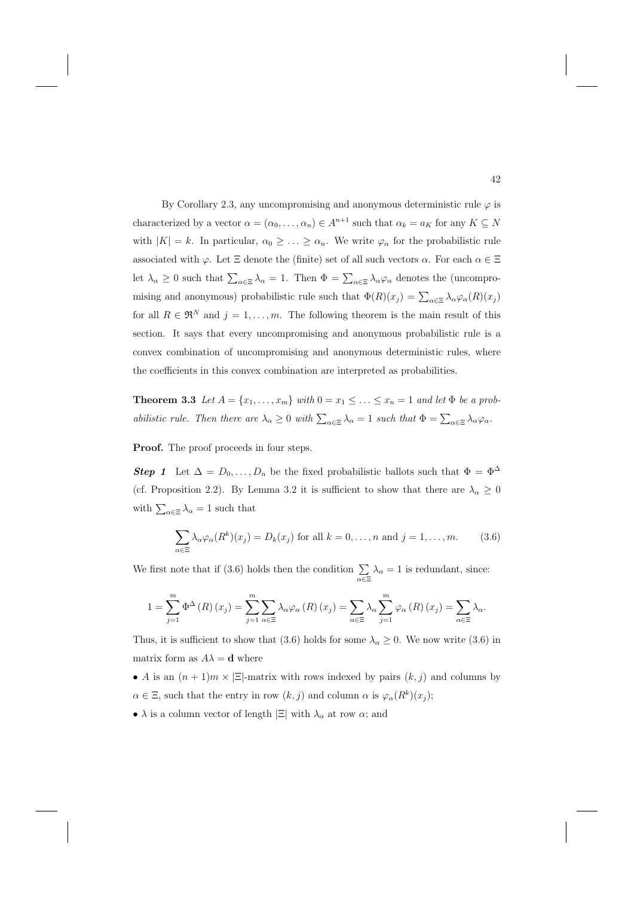By Corollary 2.3, any uncompromising and anonymous deterministic rule  $\varphi$  is characterized by a vector  $\alpha = (\alpha_0, \dots, \alpha_n) \in A^{n+1}$  such that  $\alpha_k = a_K$  for any  $K \subseteq N$ with  $|K| = k$ . In particular,  $\alpha_0 \geq \ldots \geq \alpha_n$ . We write  $\varphi_\alpha$  for the probabilistic rule associated with  $\varphi$ . Let  $\Xi$  denote the (finite) set of all such vectors  $\alpha$ . For each  $\alpha \in \Xi$ let  $\lambda_{\alpha} \geq 0$  such that  $\sum_{\alpha \in \Xi} \lambda_{\alpha} = 1$ . Then  $\Phi = \sum_{\alpha \in \Xi} \lambda_{\alpha} \varphi_{\alpha}$  denotes the (uncompromising and anonymous) probabilistic rule such that  $\Phi(R)(x_j) = \sum_{\alpha \in \Xi} \lambda_\alpha \varphi_\alpha(R)(x_j)$ for all  $R \in \mathfrak{R}^N$  and  $j = 1, \ldots, m$ . The following theorem is the main result of this section. It says that every uncompromising and anonymous probabilistic rule is a convex combination of uncompromising and anonymous deterministic rules, where the coefficients in this convex combination are interpreted as probabilities.

**Theorem 3.3** Let  $A = \{x_1, \ldots, x_m\}$  with  $0 = x_1 \leq \ldots \leq x_n = 1$  and let  $\Phi$  be a probabilistic rule. Then there are  $\lambda_{\alpha} \geq 0$  with  $\sum_{\alpha \in \Xi} \lambda_{\alpha} = 1$  such that  $\Phi = \sum_{\alpha \in \Xi} \lambda_{\alpha} \varphi_{\alpha}$ .

Proof. The proof proceeds in four steps.

**Step 1** Let  $\Delta = D_0, \ldots, D_n$  be the fixed probabilistic ballots such that  $\Phi = \Phi^{\Delta}$ (cf. Proposition 2.2). By Lemma 3.2 it is sufficient to show that there are  $\lambda_{\alpha} \geq 0$ with  $\sum_{\alpha \in \Xi} \lambda_{\alpha} = 1$  such that

$$
\sum_{\alpha \in \Xi} \lambda_{\alpha} \varphi_{\alpha}(R^k)(x_j) = D_k(x_j) \text{ for all } k = 0, \dots, n \text{ and } j = 1, \dots, m.
$$
 (3.6)

We first note that if (3.6) holds then the condition  $\sum_{\alpha \in \Xi} \lambda_{\alpha} = 1$  is redundant, since:

$$
1 = \sum_{j=1}^{m} \Phi^{\Delta} (R) (x_j) = \sum_{j=1}^{m} \sum_{\alpha \in \Xi} \lambda_{\alpha} \varphi_{\alpha} (R) (x_j) = \sum_{\alpha \in \Xi} \lambda_{\alpha} \sum_{j=1}^{m} \varphi_{\alpha} (R) (x_j) = \sum_{\alpha \in \Xi} \lambda_{\alpha}.
$$

Thus, it is sufficient to show that (3.6) holds for some  $\lambda_{\alpha} \geq 0$ . We now write (3.6) in matrix form as  $A\lambda = \mathbf{d}$  where

- A is an  $(n + 1)m \times |\Xi|$ -matrix with rows indexed by pairs  $(k, j)$  and columns by  $\alpha \in \Xi$ , such that the entry in row  $(k, j)$  and column  $\alpha$  is  $\varphi_{\alpha}(R^k)(x_j)$ ;
- $\lambda$  is a column vector of length  $|\Xi|$  with  $\lambda_{\alpha}$  at row  $\alpha$ ; and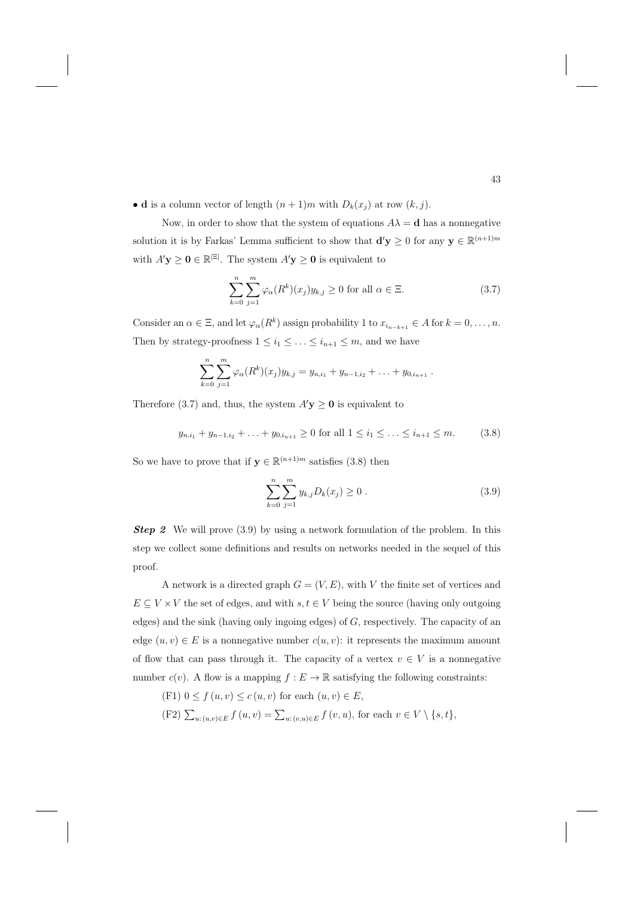• **d** is a column vector of length  $(n + 1)m$  with  $D_k(x_j)$  at row  $(k, j)$ .

Now, in order to show that the system of equations  $A\lambda = \mathbf{d}$  has a nonnegative solution it is by Farkas' Lemma sufficient to show that  $\mathbf{d}'\mathbf{y} \geq 0$  for any  $\mathbf{y} \in \mathbb{R}^{(n+1)m}$ with  $A'_{\mathbf{y}} \geq \mathbf{0} \in \mathbb{R}^{|\Xi|}$ . The system  $A'_{\mathbf{y}} \geq \mathbf{0}$  is equivalent to

$$
\sum_{k=0}^{n} \sum_{j=1}^{m} \varphi_{\alpha}(R^{k})(x_{j})y_{k,j} \ge 0 \text{ for all } \alpha \in \Xi.
$$
 (3.7)

Consider an  $\alpha \in \Xi$ , and let  $\varphi_{\alpha}(R^k)$  assign probability 1 to  $x_{i_{n-k+1}} \in A$  for  $k = 0, \ldots, n$ . Then by strategy-proofness  $1 \leq i_1 \leq \ldots \leq i_{n+1} \leq m$ , and we have

$$
\sum_{k=0}^n \sum_{j=1}^m \varphi_\alpha(R^k)(x_j) y_{k,j} = y_{n,i_1} + y_{n-1,i_2} + \ldots + y_{0,i_{n+1}}.
$$

Therefore (3.7) and, thus, the system  $A'$ **y**  $\geq$  0 is equivalent to

$$
y_{n,i_1} + y_{n-1,i_2} + \ldots + y_{0,i_{n+1}} \ge 0 \text{ for all } 1 \le i_1 \le \ldots \le i_{n+1} \le m. \tag{3.8}
$$

So we have to prove that if  $y \in \mathbb{R}^{(n+1)m}$  satisfies (3.8) then

$$
\sum_{k=0}^{n} \sum_{j=1}^{m} y_{k,j} D_k(x_j) \ge 0.
$$
 (3.9)

**Step 2** We will prove (3.9) by using a network formulation of the problem. In this step we collect some definitions and results on networks needed in the sequel of this proof.

A network is a directed graph  $G = (V, E)$ , with V the finite set of vertices and  $E \subseteq V \times V$  the set of edges, and with  $s, t \in V$  being the source (having only outgoing edges) and the sink (having only ingoing edges) of G, respectively. The capacity of an edge  $(u, v) \in E$  is a nonnegative number  $c(u, v)$ : it represents the maximum amount of flow that can pass through it. The capacity of a vertex  $v \in V$  is a nonnegative number  $c(v)$ . A flow is a mapping  $f: E \to \mathbb{R}$  satisfying the following constraints:

- (F1)  $0 \le f(u, v) \le c(u, v)$  for each  $(u, v) \in E$ ,
- (F2)  $\sum_{u:(u,v)\in E} f(u,v) = \sum_{u:(v,u)\in E} f(v,u)$ , for each  $v \in V \setminus \{s,t\}$ ,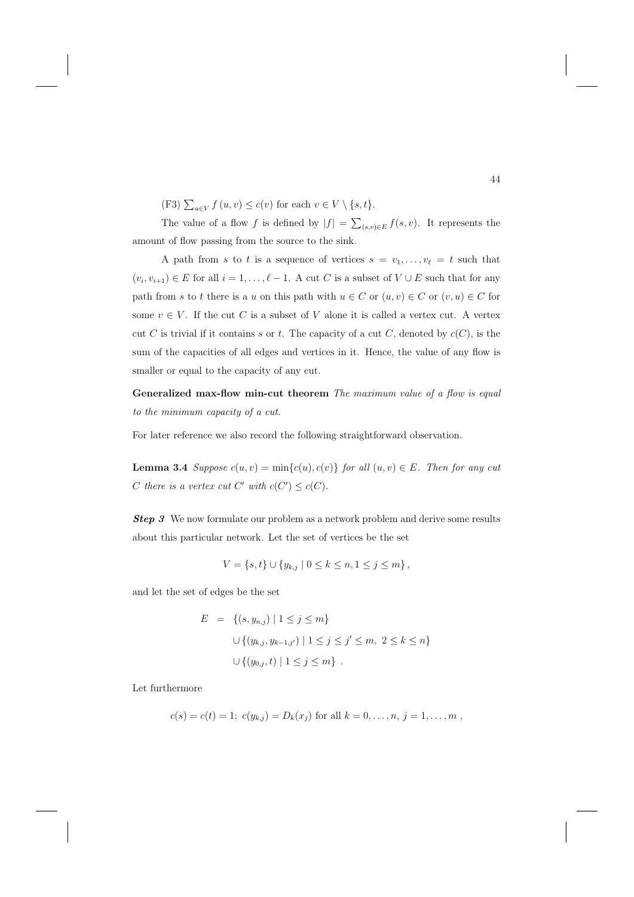(F3)  $\sum_{u \in V} f(u, v) \le c(v)$  for each  $v \in V \setminus \{s, t\}.$ 

The value of a flow f is defined by  $|f| = \sum_{(s,v)\in E} f(s,v)$ . It represents the amount of flow passing from the source to the sink.

A path from s to t is a sequence of vertices  $s = v_1, \ldots, v_\ell = t$  such that  $(v_i, v_{i+1}) \in E$  for all  $i = 1, \ldots, \ell - 1$ . A cut C is a subset of  $V \cup E$  such that for any path from s to t there is a u on this path with  $u \in C$  or  $(u, v) \in C$  or  $(v, u) \in C$  for some  $v \in V$ . If the cut C is a subset of V alone it is called a vertex cut. A vertex cut C is trivial if it contains s or t. The capacity of a cut C, denoted by  $c(C)$ , is the sum of the capacities of all edges and vertices in it. Hence, the value of any flow is smaller or equal to the capacity of any cut.

**Generalized max-flow min-cut theorem** The maximum value of a flow is equal to the minimum capacity of a cut.

For later reference we also record the following straightforward observation.

**Lemma 3.4** Suppose  $c(u, v) = min{c(u), c(v)}$  for all  $(u, v) \in E$ . Then for any cut C there is a vertex cut C' with  $c(C') \leq c(C)$ .

**Step 3** We now formulate our problem as a network problem and derive some results about this particular network. Let the set of vertices be the set

$$
V = \{s, t\} \cup \{y_{k,j} \mid 0 \le k \le n, 1 \le j \le m\},\
$$

and let the set of edges be the set

$$
E = \{(s, y_{n,j}) \mid 1 \le j \le m\}
$$
  

$$
\cup \{(y_{k,j}, y_{k-1,j'}) \mid 1 \le j \le j' \le m, 2 \le k \le n\}
$$
  

$$
\cup \{(y_{0,j}, t) \mid 1 \le j \le m\}.
$$

Let furthermore

$$
c(s) = c(t) = 1
$$
;  $c(y_{k,j}) = D_k(x_j)$  for all  $k = 0, ..., n, j = 1, ..., m$ ,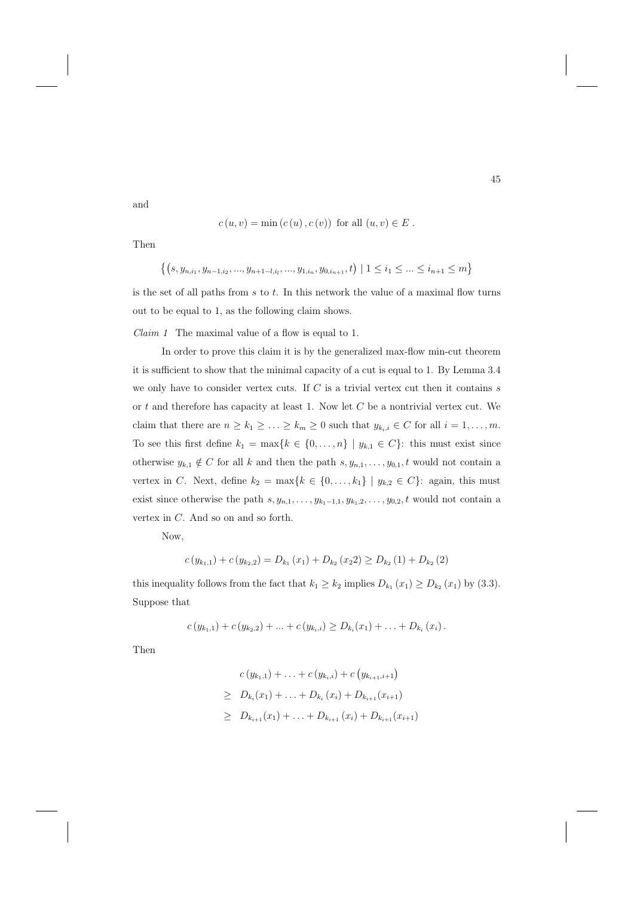$$
c(u, v) = \min(c(u), c(v))
$$
 for all  $(u, v) \in E$ .

Then

and

$$
\{(s, y_{n,i_1}, y_{n-1,i_2},..., y_{n+1-l,i_l},..., y_{1,i_n}, y_{0,i_{n+1}}, t) \mid 1 \le i_1 \le ... \le i_{n+1} \le m\}
$$

is the set of all paths from  $s$  to  $t$ . In this network the value of a maximal flow turns out to be equal to 1, as the following claim shows.

Claim 1 The maximal value of a flow is equal to 1.

In order to prove this claim it is by the generalized max-flow min-cut theorem it is sufficient to show that the minimal capacity of a cut is equal to 1. By Lemma 3.4 we only have to consider vertex cuts. If  $C$  is a trivial vertex cut then it contains s or  $t$  and therefore has capacity at least 1. Now let  $C$  be a nontrivial vertex cut. We claim that there are  $n \geq k_1 \geq \ldots \geq k_m \geq 0$  such that  $y_{k_i,i} \in C$  for all  $i = 1, \ldots, m$ . To see this first define  $k_1 = \max\{k \in \{0, ..., n\} \mid y_{k,1} \in C\}$ : this must exist since otherwise  $y_{k,1} \notin C$  for all k and then the path  $s, y_{n,1},...,y_{0,1}, t$  would not contain a vertex in C. Next, define  $k_2 = \max\{k \in \{0, ..., k_1\} \mid y_{k,2} \in C\}$ : again, this must exist since otherwise the path  $s, y_{n,1}, \ldots, y_{k_1-1,1}, y_{k_1,2}, \ldots, y_{0,2}, t$  would not contain a vertex in C. And so on and so forth.

Now,

$$
c(y_{k_1,1}) + c(y_{k_2,2}) = D_{k_1}(x_1) + D_{k_2}(x_22) \ge D_{k_2}(1) + D_{k_2}(2)
$$

this inequality follows from the fact that  $k_1 \geq k_2$  implies  $D_{k_1}(x_1) \geq D_{k_2}(x_1)$  by (3.3). Suppose that

$$
c(y_{k_1,1})+c(y_{k_2,2})+\ldots+c(y_{k_i,i})\geq D_{k_i}(x_1)+\ldots+D_{k_i}(x_i).
$$

Then

$$
c(y_{k_1,1}) + \ldots + c(y_{k_i,i}) + c(y_{k_{i+1},i+1})
$$
  
\n
$$
\geq D_{k_i}(x_1) + \ldots + D_{k_i}(x_i) + D_{k_{i+1}}(x_{i+1})
$$
  
\n
$$
\geq D_{k_{i+1}}(x_1) + \ldots + D_{k_{i+1}}(x_i) + D_{k_{i+1}}(x_{i+1})
$$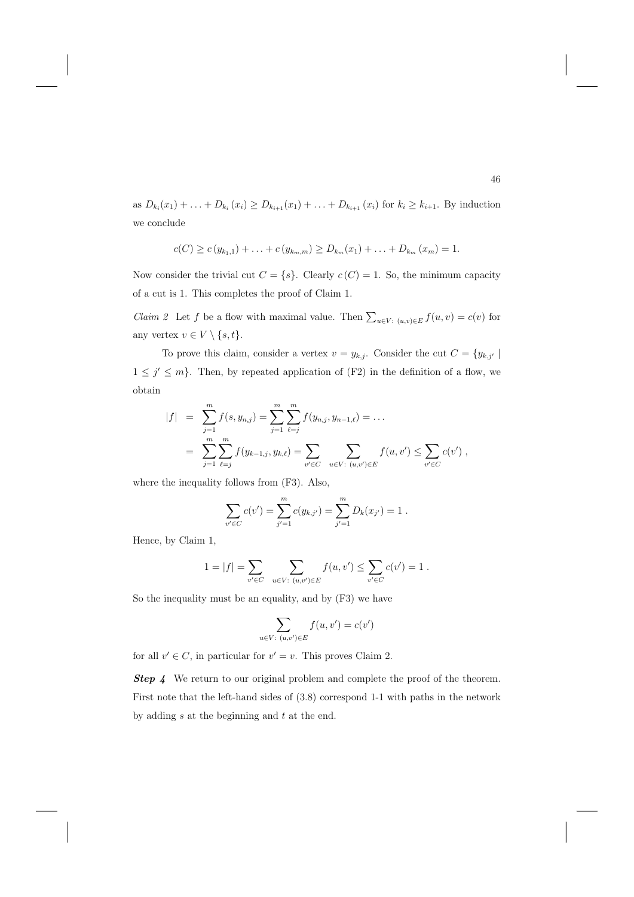as  $D_{k_i}(x_1) + \ldots + D_{k_i}(x_i) \ge D_{k_{i+1}}(x_1) + \ldots + D_{k_{i+1}}(x_i)$  for  $k_i \ge k_{i+1}$ . By induction we conclude

$$
c(C) \geq c(y_{k_1,1}) + \ldots + c(y_{k_m,m}) \geq D_{k_m}(x_1) + \ldots + D_{k_m}(x_m) = 1.
$$

Now consider the trivial cut  $C = \{s\}$ . Clearly  $c(C) = 1$ . So, the minimum capacity of a cut is 1. This completes the proof of Claim 1.

*Claim 2* Let f be a flow with maximal value. Then  $\sum_{u \in V: (u,v) \in E} f(u,v) = c(v)$  for any vertex  $v \in V \setminus \{s, t\}.$ 

To prove this claim, consider a vertex  $v = y_{k,j}$ . Consider the cut  $C = \{y_{k,j'} |$  $1 \leq j' \leq m$ . Then, by repeated application of (F2) in the definition of a flow, we obtain

$$
|f| = \sum_{j=1}^{m} f(s, y_{n,j}) = \sum_{j=1}^{m} \sum_{\ell=j}^{m} f(y_{n,j}, y_{n-1,\ell}) = \dots
$$
  

$$
= \sum_{j=1}^{m} \sum_{\ell=j}^{m} f(y_{k-1,j}, y_{k,\ell}) = \sum_{v' \in C} \sum_{u \in V: (u,v') \in E} f(u, v') \leq \sum_{v' \in C} c(v'),
$$

where the inequality follows from (F3). Also,

$$
\sum_{v' \in C} c(v') = \sum_{j'=1}^{m} c(y_{k,j'}) = \sum_{j'=1}^{m} D_k(x_{j'}) = 1.
$$

Hence, by Claim 1,

$$
1 = |f| = \sum_{v' \in C} \sum_{u \in V: (u,v') \in E} f(u,v') \leq \sum_{v' \in C} c(v') = 1.
$$

So the inequality must be an equality, and by (F3) we have

$$
\sum_{u \in V: (u,v') \in E} f(u,v') = c(v')
$$

for all  $v' \in C$ , in particular for  $v' = v$ . This proves Claim 2.

**Step 4** We return to our original problem and complete the proof of the theorem. First note that the left-hand sides of (3.8) correspond 1-1 with paths in the network by adding  $s$  at the beginning and  $t$  at the end.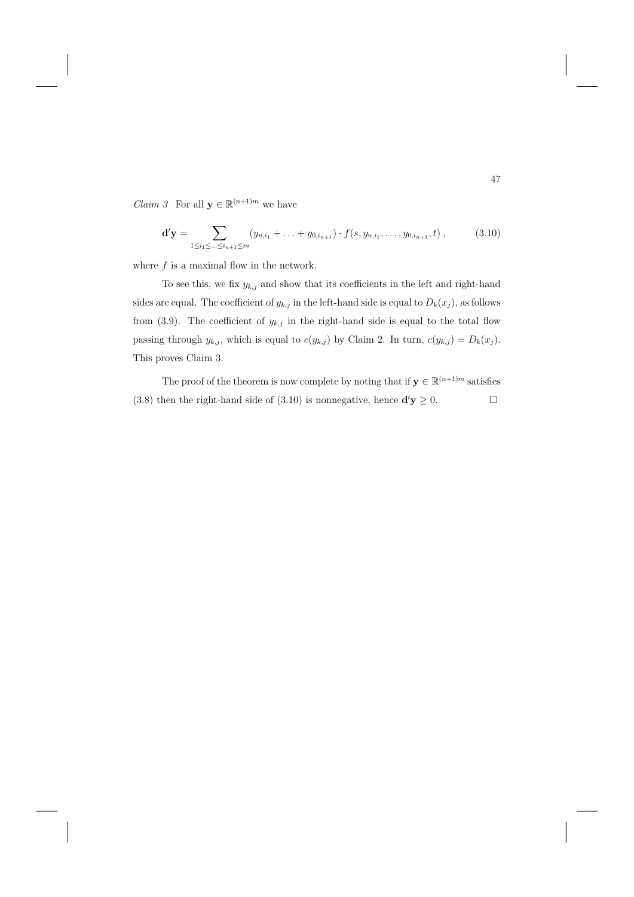*Claim 3* For all  $\mathbf{y} \in \mathbb{R}^{(n+1)m}$  we have

$$
\mathbf{d}'\mathbf{y} = \sum_{1 \le i_1 \le \dots \le i_{n+1} \le m} (y_{n,i_1} + \dots + y_{0,i_{n+1}}) \cdot f(s, y_{n,i_1}, \dots, y_{0,i_{n+1}}, t) ,
$$
(3.10)

where  $f$  is a maximal flow in the network.

To see this, we fix  $y_{k,j}$  and show that its coefficients in the left and right-hand sides are equal. The coefficient of  $y_{k,j}$  in the left-hand side is equal to  $D_k(x_j)$ , as follows from (3.9). The coefficient of  $y_{k,j}$  in the right-hand side is equal to the total flow passing through  $y_{k,j}$ , which is equal to  $c(y_{k,j})$  by Claim 2. In turn,  $c(y_{k,j}) = D_k(x_j)$ . This proves Claim 3.

The proof of the theorem is now complete by noting that if  $\mathbf{y} \in \mathbb{R}^{(n+1)m}$  satisfies (3.8) then the right-hand side of (3.10) is nonnegative, hence  $\mathbf{d}'\mathbf{y} \ge 0$ .  $\Box$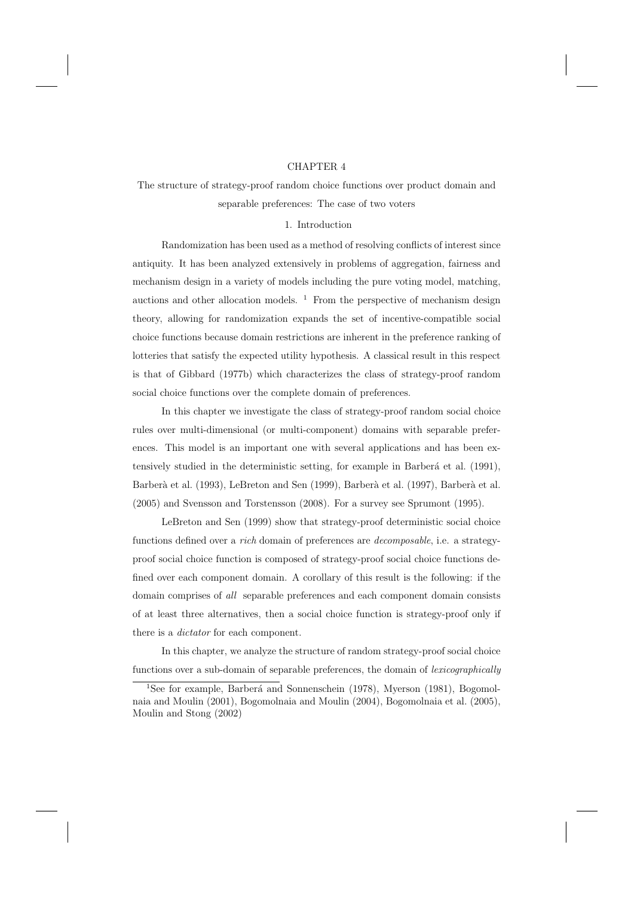#### CHAPTER 4

# The structure of strategy-proof random choice functions over product domain and separable preferences: The case of two voters

#### 1. Introduction

Randomization has been used as a method of resolving conflicts of interest since antiquity. It has been analyzed extensively in problems of aggregation, fairness and mechanism design in a variety of models including the pure voting model, matching, auctions and other allocation models.  $<sup>1</sup>$  From the perspective of mechanism design</sup> theory, allowing for randomization expands the set of incentive-compatible social choice functions because domain restrictions are inherent in the preference ranking of lotteries that satisfy the expected utility hypothesis. A classical result in this respect is that of Gibbard (1977b) which characterizes the class of strategy-proof random social choice functions over the complete domain of preferences.

In this chapter we investigate the class of strategy-proof random social choice rules over multi-dimensional (or multi-component) domains with separable preferences. This model is an important one with several applications and has been extensively studied in the deterministic setting, for example in Barberá et al. (1991), Barberà et al. (1993), LeBreton and Sen (1999), Barberà et al. (1997), Barberà et al. (2005) and Svensson and Torstensson (2008). For a survey see Sprumont (1995).

LeBreton and Sen (1999) show that strategy-proof deterministic social choice functions defined over a *rich* domain of preferences are *decomposable*, i.e. a strategyproof social choice function is composed of strategy-proof social choice functions defined over each component domain. A corollary of this result is the following: if the domain comprises of all separable preferences and each component domain consists of at least three alternatives, then a social choice function is strategy-proof only if there is a dictator for each component.

In this chapter, we analyze the structure of random strategy-proof social choice functions over a sub-domain of separable preferences, the domain of lexicographically

<sup>&</sup>lt;sup>1</sup>See for example, Barberá and Sonnenschein (1978), Myerson (1981), Bogomolnaia and Moulin (2001), Bogomolnaia and Moulin (2004), Bogomolnaia et al. (2005), Moulin and Stong (2002)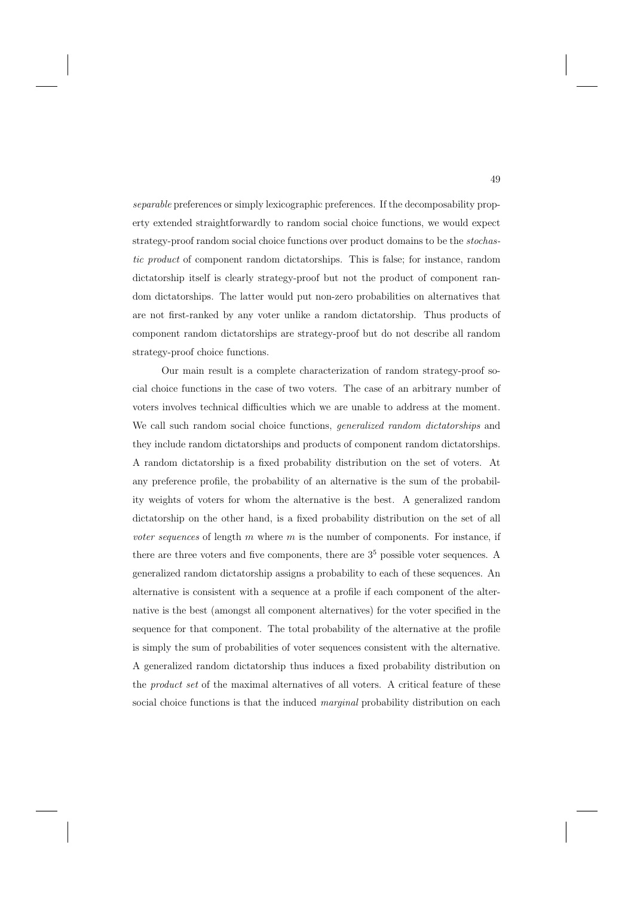separable preferences or simply lexicographic preferences. If the decomposability property extended straightforwardly to random social choice functions, we would expect strategy-proof random social choice functions over product domains to be the stochastic product of component random dictatorships. This is false; for instance, random dictatorship itself is clearly strategy-proof but not the product of component random dictatorships. The latter would put non-zero probabilities on alternatives that are not first-ranked by any voter unlike a random dictatorship. Thus products of component random dictatorships are strategy-proof but do not describe all random strategy-proof choice functions.

Our main result is a complete characterization of random strategy-proof social choice functions in the case of two voters. The case of an arbitrary number of voters involves technical difficulties which we are unable to address at the moment. We call such random social choice functions, *generalized random dictatorships* and they include random dictatorships and products of component random dictatorships. A random dictatorship is a fixed probability distribution on the set of voters. At any preference profile, the probability of an alternative is the sum of the probability weights of voters for whom the alternative is the best. A generalized random dictatorship on the other hand, is a fixed probability distribution on the set of all voter sequences of length  $m$  where  $m$  is the number of components. For instance, if there are three voters and five components, there are  $3<sup>5</sup>$  possible voter sequences. A generalized random dictatorship assigns a probability to each of these sequences. An alternative is consistent with a sequence at a profile if each component of the alternative is the best (amongst all component alternatives) for the voter specified in the sequence for that component. The total probability of the alternative at the profile is simply the sum of probabilities of voter sequences consistent with the alternative. A generalized random dictatorship thus induces a fixed probability distribution on the *product set* of the maximal alternatives of all voters. A critical feature of these social choice functions is that the induced *marginal* probability distribution on each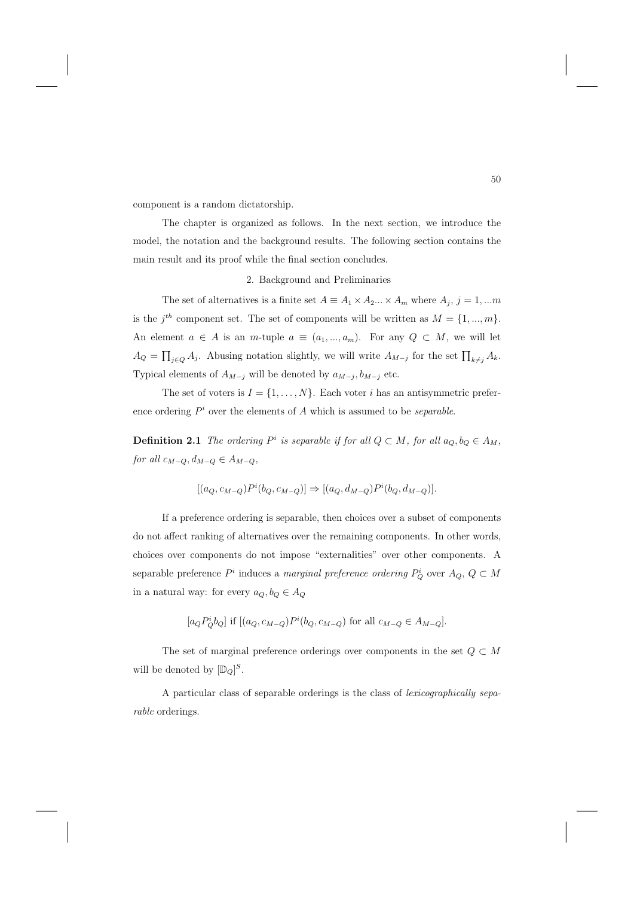component is a random dictatorship.

The chapter is organized as follows. In the next section, we introduce the model, the notation and the background results. The following section contains the main result and its proof while the final section concludes.

2. Background and Preliminaries

The set of alternatives is a finite set  $A \equiv A_1 \times A_2 ... \times A_m$  where  $A_j$ ,  $j = 1,...m$ is the  $j^{th}$  component set. The set of components will be written as  $M = \{1, ..., m\}$ . An element  $a \in A$  is an m-tuple  $a \equiv (a_1, ..., a_m)$ . For any  $Q \subset M$ , we will let  $A_Q = \prod_{j \in Q} A_j$ . Abusing notation slightly, we will write  $A_{M-j}$  for the set  $\prod_{k \neq j} A_k$ . Typical elements of  $A_{M-j}$  will be denoted by  $a_{M-j}$ ,  $b_{M-j}$  etc.

The set of voters is  $I = \{1, ..., N\}$ . Each voter i has an antisymmetric preference ordering  $P^i$  over the elements of A which is assumed to be *separable*.

**Definition 2.1** The ordering  $P^i$  is separable if for all  $Q \subset M$ , for all  $a_Q, b_Q \in A_M$ , for all  $c_{M-Q}, d_{M-Q} \in A_{M-Q}$ 

$$
[(a_Q, c_{M-Q})P^i(b_Q, c_{M-Q})] \Rightarrow [(a_Q, d_{M-Q})P^i(b_Q, d_{M-Q})].
$$

If a preference ordering is separable, then choices over a subset of components do not affect ranking of alternatives over the remaining components. In other words, choices over components do not impose "externalities" over other components. A separable preference  $P^i$  induces a marginal preference ordering  $P^i_Q$  over  $A_Q$ ,  $Q \subset M$ in a natural way: for every  $a_Q, b_Q \in A_Q$ 

$$
[a_Q P_Q^i b_Q]
$$
 if  $[(a_Q, c_{M-Q}) P^i(b_Q, c_{M-Q})$  for all  $c_{M-Q} \in A_{M-Q}$ .

The set of marginal preference orderings over components in the set  $Q \subset M$ will be denoted by  $[\mathbb{D}_Q]^S$ .

A particular class of separable orderings is the class of lexicographically separable orderings.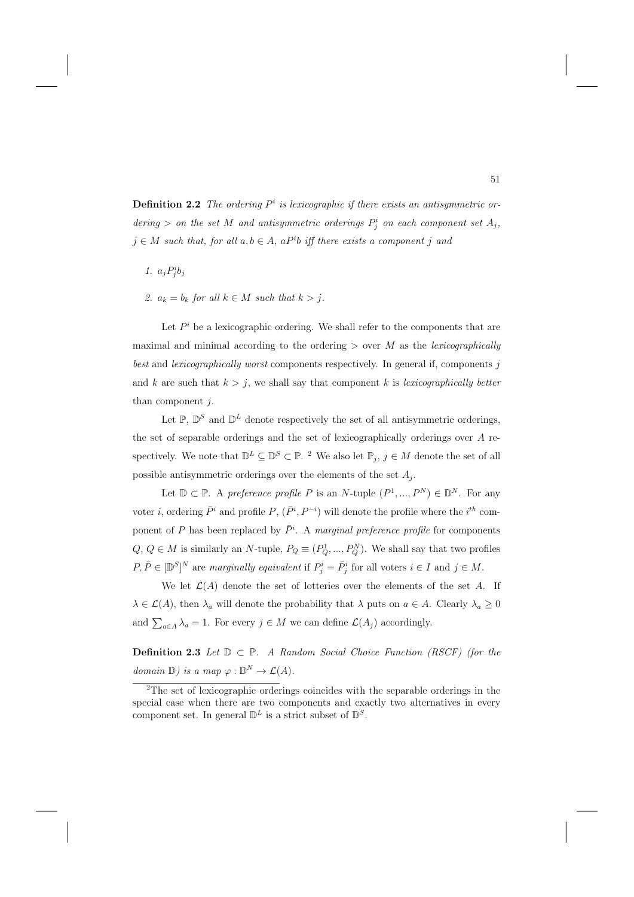**Definition 2.2** The ordering  $P^i$  is lexicographic if there exists an antisymmetric ordering > on the set M and antisymmetric orderings  $P_j^i$  on each component set  $A_j$ ,  $j \in M$  such that, for all  $a, b \in A$ , a P<sup>i</sup>b iff there exists a component j and

- 1.  $a_j P^i_j b_j$
- 2.  $a_k = b_k$  for all  $k \in M$  such that  $k > j$ .

Let  $P^i$  be a lexicographic ordering. We shall refer to the components that are maximal and minimal according to the ordering  $>$  over M as the lexicographically best and *lexicographically worst* components respectively. In general if, components j and k are such that  $k > j$ , we shall say that component k is lexicographically better than component  $j$ .

Let  $\mathbb{P}$ ,  $\mathbb{D}^S$  and  $\mathbb{D}^L$  denote respectively the set of all antisymmetric orderings, the set of separable orderings and the set of lexicographically orderings over A respectively. We note that  $\mathbb{D}^L \subseteq \mathbb{D}^S \subset \mathbb{P}$ . <sup>2</sup> We also let  $\mathbb{P}_j$ ,  $j \in M$  denote the set of all possible antisymmetric orderings over the elements of the set  $A_j$ .

Let  $\mathbb{D} \subset \mathbb{P}$ . A preference profile P is an N-tuple  $(P^1, ..., P^N) \in \mathbb{D}^N$ . For any voter *i*, ordering  $\bar{P}^i$  and profile  $P$ ,  $(\bar{P}^i, P^{-i})$  will denote the profile where the *i*<sup>th</sup> component of P has been replaced by  $\bar{P}^i$ . A marginal preference profile for components  $Q, Q \in M$  is similarly an N-tuple,  $P_Q \equiv (P_Q^1, ..., P_Q^N)$ . We shall say that two profiles  $P, \overline{P} \in [\mathbb{D}^S]^N$  are marginally equivalent if  $P^i_j = \overline{P}^i_j$  for all voters  $i \in I$  and  $j \in M$ .

We let  $\mathcal{L}(A)$  denote the set of lotteries over the elements of the set A. If  $\lambda \in \mathcal{L}(A)$ , then  $\lambda_a$  will denote the probability that  $\lambda$  puts on  $a \in A$ . Clearly  $\lambda_a \geq 0$ and  $\sum_{a \in A} \lambda_a = 1$ . For every  $j \in M$  we can define  $\mathcal{L}(A_j)$  accordingly.

**Definition 2.3** Let  $\mathbb{D} \subset \mathbb{P}$ . A Random Social Choice Function (RSCF) (for the domain  $\mathbb{D}$ ) is a map  $\varphi : \mathbb{D}^N \to \mathcal{L}(A)$ .

<sup>2</sup>The set of lexicographic orderings coincides with the separable orderings in the special case when there are two components and exactly two alternatives in every component set. In general  $\mathbb{D}^{L}$  is a strict subset of  $\mathbb{D}^{S}$ .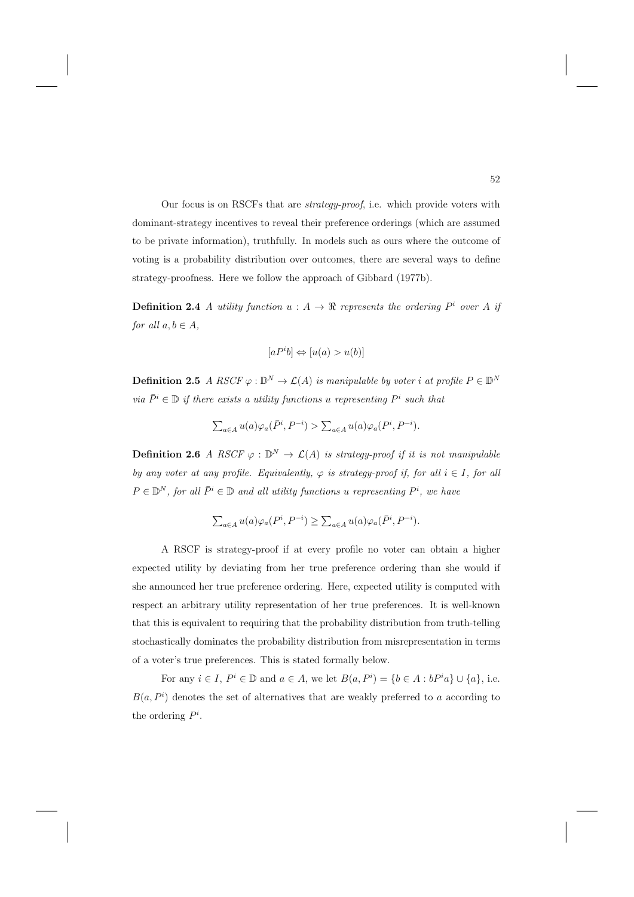Our focus is on RSCFs that are strategy-proof, i.e. which provide voters with dominant-strategy incentives to reveal their preference orderings (which are assumed to be private information), truthfully. In models such as ours where the outcome of voting is a probability distribution over outcomes, there are several ways to define strategy-proofness. Here we follow the approach of Gibbard (1977b).

**Definition 2.4** A utility function  $u : A \rightarrow \mathbb{R}$  represents the ordering  $P^i$  over A if for all  $a, b \in A$ ,

$$
[aP^ib] \Leftrightarrow [u(a) > u(b)]
$$

**Definition 2.5** A RSCF  $\varphi : \mathbb{D}^N \to \mathcal{L}(A)$  is manipulable by voter i at profile  $P \in \mathbb{D}^N$ via  $\bar{P}^i \in \mathbb{D}$  if there exists a utility functions u representing  $P^i$  such that

$$
\sum_{a \in A} u(a) \varphi_a(\bar{P}^i, P^{-i}) > \sum_{a \in A} u(a) \varphi_a(P^i, P^{-i}).
$$

**Definition 2.6** A RSCF  $\varphi : \mathbb{D}^N \to \mathcal{L}(A)$  is strategy-proof if it is not manipulable by any voter at any profile. Equivalently,  $\varphi$  is strategy-proof if, for all  $i \in I$ , for all  $P \in \mathbb{D}^N$ , for all  $\bar{P}^i \in \mathbb{D}$  and all utility functions u representing  $P^i$ , we have

$$
\textstyle \sum_{a\in A} u(a)\varphi_a(P^i,P^{-i})\geq \sum_{a\in A} u(a)\varphi_a(\bar P^i,P^{-i}).
$$

A RSCF is strategy-proof if at every profile no voter can obtain a higher expected utility by deviating from her true preference ordering than she would if she announced her true preference ordering. Here, expected utility is computed with respect an arbitrary utility representation of her true preferences. It is well-known that this is equivalent to requiring that the probability distribution from truth-telling stochastically dominates the probability distribution from misrepresentation in terms of a voter's true preferences. This is stated formally below.

For any  $i \in I$ ,  $P^i \in \mathbb{D}$  and  $a \in A$ , we let  $B(a, P^i) = \{b \in A : bP^i a\} \cup \{a\}$ , i.e.  $B(a, P<sup>i</sup>)$  denotes the set of alternatives that are weakly preferred to a according to the ordering  $P^i$ .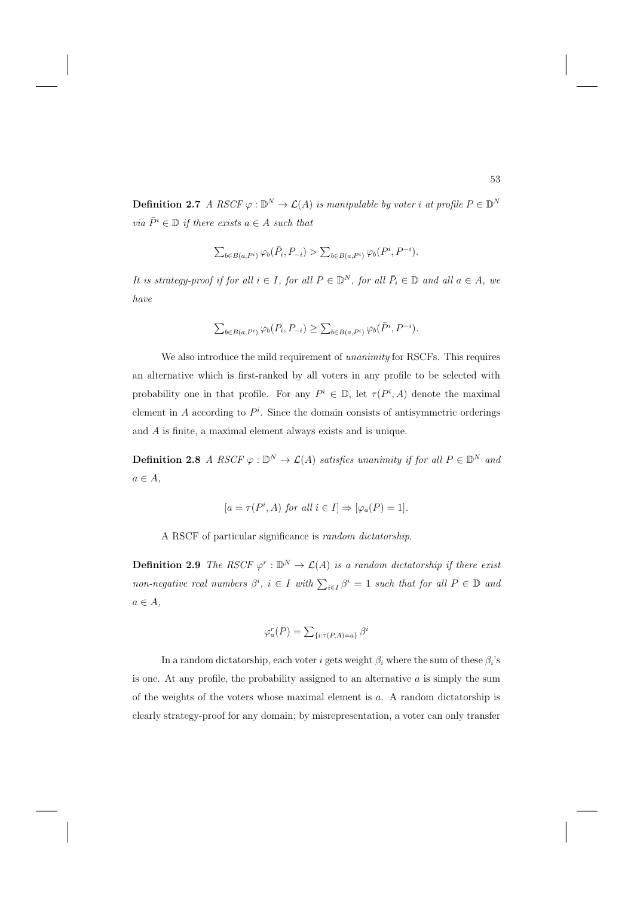**Definition 2.7** A RSCF  $\varphi : \mathbb{D}^N \to \mathcal{L}(A)$  is manipulable by voter i at profile  $P \in \mathbb{D}^N$ via  $\bar{P}^i \in \mathbb{D}$  if there exists  $a \in A$  such that

$$
\textstyle \sum_{b\in B(a,P^i)}\varphi_b(\bar P_i,P_{-i}) > \sum_{b\in B(a,P^i)}\varphi_b(P^i,P^{-i}).
$$

It is strategy-proof if for all  $i \in I$ , for all  $P \in \mathbb{D}^N$ , for all  $\overline{P}_i \in \mathbb{D}$  and all  $a \in A$ , we have

$$
\sum_{b \in B(a, P^i)} \varphi_b(P_i, P_{-i}) \ge \sum_{b \in B(a, P^i)} \varphi_b(\bar{P}^i, P^{-i}).
$$

We also introduce the mild requirement of *unanimity* for RSCFs. This requires an alternative which is first-ranked by all voters in any profile to be selected with probability one in that profile. For any  $P^i \in \mathbb{D}$ , let  $\tau(P^i, A)$  denote the maximal element in  $A$  according to  $P<sup>i</sup>$ . Since the domain consists of antisymmetric orderings and A is finite, a maximal element always exists and is unique.

**Definition 2.8** A RSCF  $\varphi : \mathbb{D}^N \to \mathcal{L}(A)$  satisfies unanimity if for all  $P \in \mathbb{D}^N$  and  $a \in A$ ,

$$
[a = \tau(P^i, A)
$$
 for all  $i \in I] \Rightarrow [\varphi_a(P) = 1].$ 

A RSCF of particular significance is random dictatorship.

**Definition 2.9** The RSCF  $\varphi^r : \mathbb{D}^N \to \mathcal{L}(A)$  is a random dictatorship if there exist non-negative real numbers  $\beta^i$ ,  $i \in I$  with  $\sum_{i \in I} \beta^i = 1$  such that for all  $P \in \mathbb{D}$  and  $a \in A$ ,

$$
\varphi_a^r(P) = \sum_{\{i: \tau(P,A)=a\}} \beta^i
$$

In a random dictatorship, each voter i gets weight  $\beta_i$  where the sum of these  $\beta_i$ 's is one. At any profile, the probability assigned to an alternative  $a$  is simply the sum of the weights of the voters whose maximal element is a. A random dictatorship is clearly strategy-proof for any domain; by misrepresentation, a voter can only transfer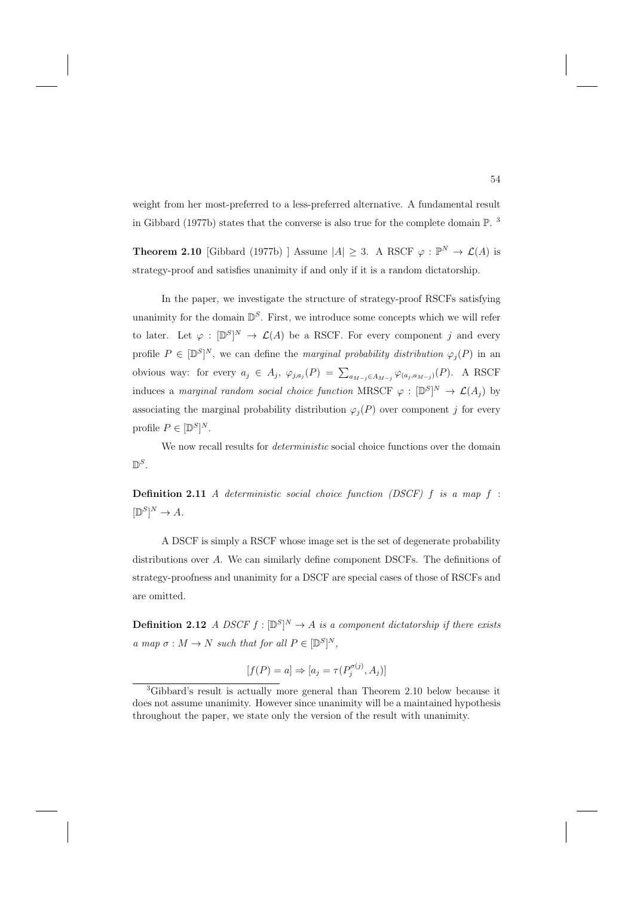weight from her most-preferred to a less-preferred alternative. A fundamental result in Gibbard (1977b) states that the converse is also true for the complete domain P. <sup>3</sup>

**Theorem 2.10** [Gibbard (1977b) ] Assume  $|A| \geq 3$ . A RSCF  $\varphi : \mathbb{P}^N \to \mathcal{L}(A)$  is strategy-proof and satisfies unanimity if and only if it is a random dictatorship.

In the paper, we investigate the structure of strategy-proof RSCFs satisfying unanimity for the domain  $\mathbb{D}^{S}$ . First, we introduce some concepts which we will refer to later. Let  $\varphi : [\mathbb{D}^S]^N \to \mathcal{L}(A)$  be a RSCF. For every component j and every profile  $P \in [\mathbb{D}^S]^N$ , we can define the *marginal probability distribution*  $\varphi_j(P)$  in an obvious way: for every  $a_j \in A_j$ ,  $\varphi_{j,a_j}(P) = \sum_{a_{M-j} \in A_{M-j}} \varphi_{(a_j,a_{M-j})}(P)$ . A RSCF induces a *marginal random social choice function* MRSCF  $\varphi : [\mathbb{D}^S]^N \to \mathcal{L}(A_j)$  by associating the marginal probability distribution  $\varphi_i(P)$  over component j for every profile  $P \in [\mathbb{D}^S]^N$ .

We now recall results for *deterministic* social choice functions over the domain  $\mathbb{D}^S$ 

**Definition 2.11** A deterministic social choice function (DSCF) f is a map f :  $[\mathbb{D}^S]^N \to A.$ 

A DSCF is simply a RSCF whose image set is the set of degenerate probability distributions over A. We can similarly define component DSCFs. The definitions of strategy-proofness and unanimity for a DSCF are special cases of those of RSCFs and are omitted.

**Definition 2.12** A DSCF  $f : [\mathbb{D}^S]^N \to A$  is a component dictatorship if there exists a map  $\sigma : M \to N$  such that for all  $P \in [\mathbb{D}^S]^N$ ,

$$
[f(P) = a] \Rightarrow [a_j = \tau(P_j^{\sigma(j)}, A_j)]
$$

<sup>3</sup>Gibbard's result is actually more general than Theorem 2.10 below because it does not assume unanimity. However since unanimity will be a maintained hypothesis throughout the paper, we state only the version of the result with unanimity.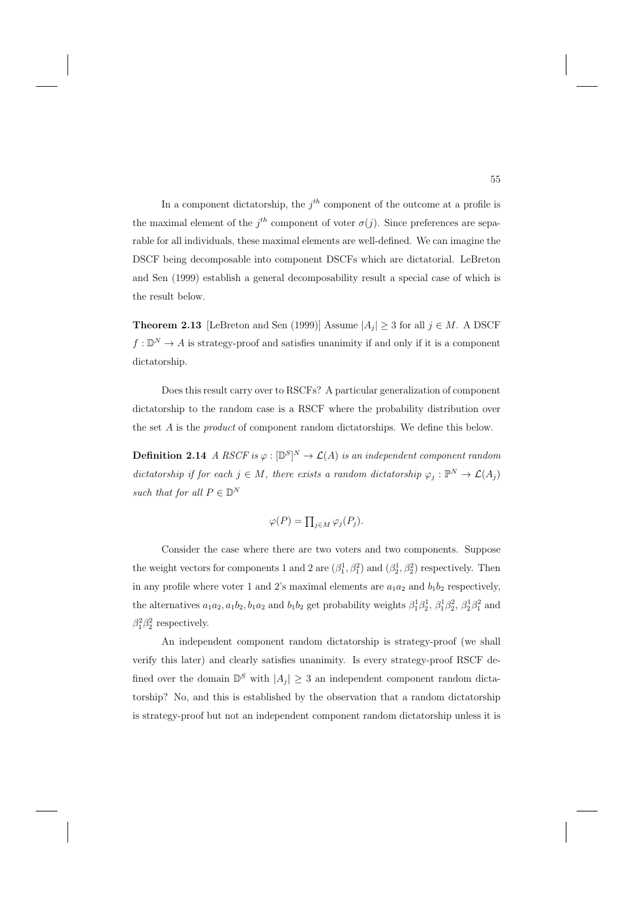In a component dictatorship, the  $j<sup>th</sup>$  component of the outcome at a profile is the maximal element of the  $j<sup>th</sup>$  component of voter  $\sigma(j)$ . Since preferences are separable for all individuals, these maximal elements are well-defined. We can imagine the DSCF being decomposable into component DSCFs which are dictatorial. LeBreton and Sen (1999) establish a general decomposability result a special case of which is the result below.

**Theorem 2.13** [LeBreton and Sen (1999)] Assume  $|A_i| \geq 3$  for all  $j \in M$ . A DSCF  $f: \mathbb{D}^N \to A$  is strategy-proof and satisfies unanimity if and only if it is a component dictatorship.

Does this result carry over to RSCFs? A particular generalization of component dictatorship to the random case is a RSCF where the probability distribution over the set A is the *product* of component random dictatorships. We define this below.

**Definition 2.14** A RSCF is  $\varphi : [\mathbb{D}^S]^N \to \mathcal{L}(A)$  is an independent component random dictatorship if for each  $j \in M$ , there exists a random dictatorship  $\varphi_j : \mathbb{P}^N \to \mathcal{L}(A_j)$ such that for all  $P \in \mathbb{D}^N$ 

$$
\varphi(P) = \prod_{j \in M} \varphi_j(P_j).
$$

Consider the case where there are two voters and two components. Suppose the weight vectors for components 1 and 2 are  $(\beta_1^1, \beta_1^2)$  and  $(\beta_2^1, \beta_2^2)$  respectively. Then in any profile where voter 1 and 2's maximal elements are  $a_1a_2$  and  $b_1b_2$  respectively, the alternatives  $a_1a_2, a_1b_2, b_1a_2$  and  $b_1b_2$  get probability weights  $\beta_1^1\beta_2^1, \beta_1^1\beta_2^2, \beta_2^1\beta_1^2$  and  $\beta_1^2 \beta_2^2$  respectively.

An independent component random dictatorship is strategy-proof (we shall verify this later) and clearly satisfies unanimity. Is every strategy-proof RSCF defined over the domain  $\mathbb{D}^S$  with  $|A_j| \geq 3$  an independent component random dictatorship? No, and this is established by the observation that a random dictatorship is strategy-proof but not an independent component random dictatorship unless it is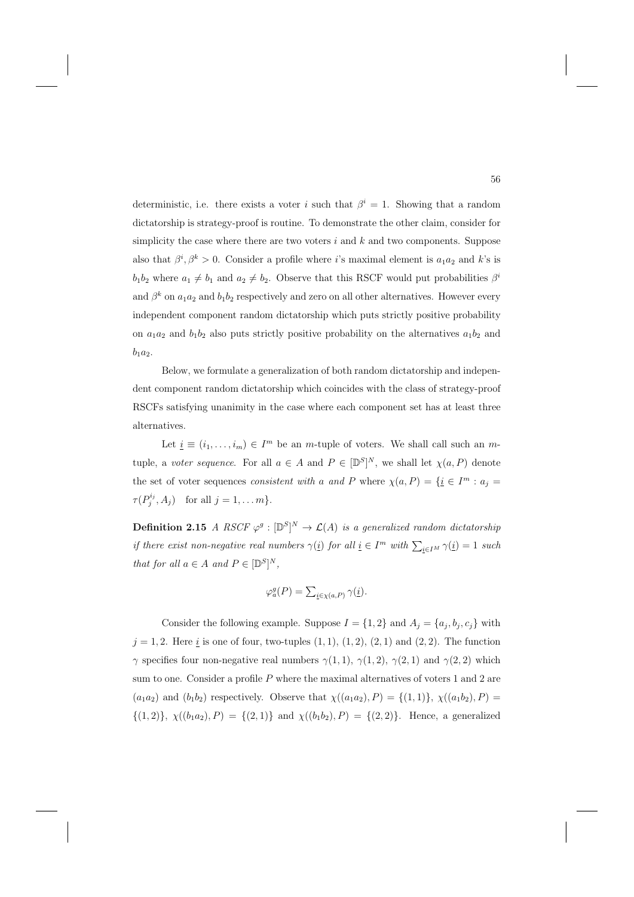deterministic, i.e. there exists a voter i such that  $\beta^{i} = 1$ . Showing that a random dictatorship is strategy-proof is routine. To demonstrate the other claim, consider for simplicity the case where there are two voters  $i$  and  $k$  and two components. Suppose also that  $\beta^i, \beta^k > 0$ . Consider a profile where i's maximal element is  $a_1 a_2$  and k's is  $b_1b_2$  where  $a_1 \neq b_1$  and  $a_2 \neq b_2$ . Observe that this RSCF would put probabilities  $\beta^i$ and  $\beta^k$  on  $a_1a_2$  and  $b_1b_2$  respectively and zero on all other alternatives. However every independent component random dictatorship which puts strictly positive probability on  $a_1a_2$  and  $b_1b_2$  also puts strictly positive probability on the alternatives  $a_1b_2$  and  $b_1a_2.$ 

Below, we formulate a generalization of both random dictatorship and independent component random dictatorship which coincides with the class of strategy-proof RSCFs satisfying unanimity in the case where each component set has at least three alternatives.

Let  $\underline{i} \equiv (i_1, \ldots, i_m) \in I^m$  be an m-tuple of voters. We shall call such an mtuple, a voter sequence. For all  $a \in A$  and  $P \in [\mathbb{D}^S]^N$ , we shall let  $\chi(a, P)$  denote the set of voter sequences *consistent with a and P* where  $\chi(a, P) = {\{\underline{i} \in I^m : a_j = \text{const}\}}$  $\tau(P_j^{i_j}, A_j)$  for all  $j = 1, \ldots m$ .

**Definition 2.15** A RSCF  $\varphi^g : [\mathbb{D}^S]^N \to \mathcal{L}(A)$  is a generalized random dictatorship if there exist non-negative real numbers  $\gamma(i)$  for all  $i \in I^m$  with  $\sum_{i \in I^M} \gamma(i) = 1$  such that for all  $a \in A$  and  $P \in [\mathbb{D}^S]^N$ ,

$$
\varphi_a^g(P) = \sum_{\underline{i} \in \chi(a, P)} \gamma(\underline{i}).
$$

Consider the following example. Suppose  $I = \{1, 2\}$  and  $A_j = \{a_j, b_j, c_j\}$  with  $j = 1, 2$ . Here  $i$  is one of four, two-tuples  $(1, 1), (1, 2), (2, 1)$  and  $(2, 2)$ . The function γ specifies four non-negative real numbers  $γ(1, 1), γ(1, 2), γ(2, 1)$  and  $γ(2, 2)$  which sum to one. Consider a profile  $P$  where the maximal alternatives of voters 1 and 2 are  $(a_1a_2)$  and  $(b_1b_2)$  respectively. Observe that  $\chi((a_1a_2), P) = \{(1, 1)\}, \chi((a_1b_2), P) =$  $\{(1,2)\}, \chi((b_1a_2), P) = \{(2,1)\}\$ and  $\chi((b_1b_2), P) = \{(2,2)\}\.$  Hence, a generalized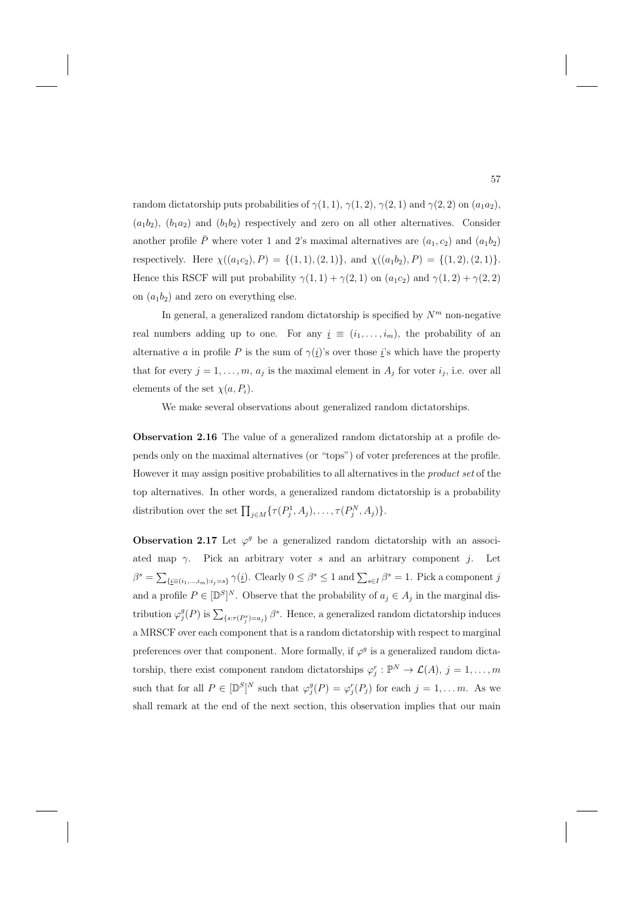random dictatorship puts probabilities of  $\gamma(1,1)$ ,  $\gamma(1,2)$ ,  $\gamma(2,1)$  and  $\gamma(2,2)$  on  $(a_1a_2)$ ,  $(a_1b_2)$ ,  $(b_1a_2)$  and  $(b_1b_2)$  respectively and zero on all other alternatives. Consider another profile  $\bar{P}$  where voter 1 and 2's maximal alternatives are  $(a_1, c_2)$  and  $(a_1b_2)$ respectively. Here  $\chi((a_1c_2), P) = \{(1, 1), (2, 1)\}\text{, and } \chi((a_1b_2), P) = \{(1, 2), (2, 1)\}\text{.}$ Hence this RSCF will put probability  $\gamma(1,1) + \gamma(2,1)$  on  $(a_1c_2)$  and  $\gamma(1,2) + \gamma(2,2)$ on  $(a_1b_2)$  and zero on everything else.

In general, a generalized random dictatorship is specified by  $N<sup>m</sup>$  non-negative real numbers adding up to one. For any  $i \equiv (i_1, \ldots, i_m)$ , the probability of an alternative a in profile P is the sum of  $\gamma(i)$ 's over those i's which have the property that for every  $j = 1, \ldots, m, a_j$  is the maximal element in  $A_j$  for voter  $i_j$ , i.e. over all elements of the set  $\chi(a, P_i)$ .

We make several observations about generalized random dictatorships.

**Observation 2.16** The value of a generalized random dictatorship at a profile depends only on the maximal alternatives (or "tops") of voter preferences at the profile. However it may assign positive probabilities to all alternatives in the product set of the top alternatives. In other words, a generalized random dictatorship is a probability distribution over the set  $\prod_{j\in M} \{\tau(P_j^1, A_j), \ldots, \tau(P_j^N, A_j)\}.$ 

**Observation 2.17** Let  $\varphi^g$  be a generalized random dictatorship with an associated map  $\gamma$ . Pick an arbitrary voter s and an arbitrary component j. Let  $\beta^s = \sum_{\{i \equiv (i_1,\dots,i_m): i_j=s\}} \gamma(i)$ . Clearly  $0 \leq \beta^s \leq 1$  and  $\sum_{s \in I} \beta^s = 1$ . Pick a component j and a profile  $P \in [\mathbb{D}^S]^N$ . Observe that the probability of  $a_j \in A_j$  in the marginal distribution  $\varphi_j^g(P)$  is  $\sum_{\{s:\tau(P_j^s)=a_j\}} \beta^s$ . Hence, a generalized random dictatorship induces a MRSCF over each component that is a random dictatorship with respect to marginal preferences over that component. More formally, if  $\varphi^g$  is a generalized random dictatorship, there exist component random dictatorships  $\varphi_j^r : \mathbb{P}^N \to \mathcal{L}(A), j = 1, \ldots, m$ such that for all  $P \in [\mathbb{D}^S]^N$  such that  $\varphi_j^g(P) = \varphi_j^r(P_j)$  for each  $j = 1, \ldots m$ . As we shall remark at the end of the next section, this observation implies that our main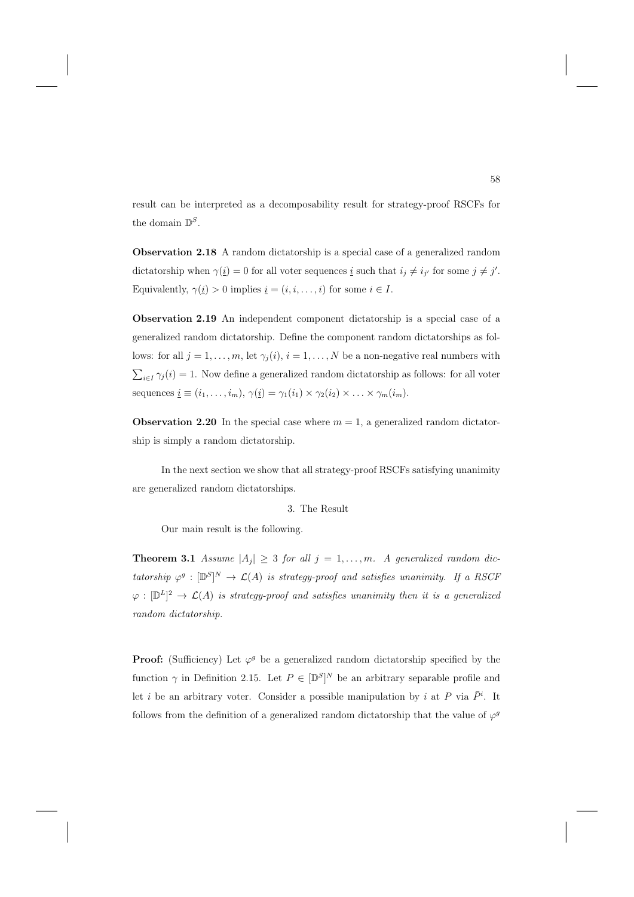result can be interpreted as a decomposability result for strategy-proof RSCFs for the domain  $\mathbb{D}^S$ .

**Observation 2.18** A random dictatorship is a special case of a generalized random dictatorship when  $\gamma(\underline{i}) = 0$  for all voter sequences  $\underline{i}$  such that  $i_j \neq i_{j'}$  for some  $j \neq j'$ . Equivalently,  $\gamma(\underline{i}) > 0$  implies  $\underline{i} = (i, i, \dots, i)$  for some  $i \in I$ .

**Observation 2.19** An independent component dictatorship is a special case of a generalized random dictatorship. Define the component random dictatorships as follows: for all  $j = 1, \ldots, m$ , let  $\gamma_i(i)$ ,  $i = 1, \ldots, N$  be a non-negative real numbers with  $\sum_{i\in I} \gamma_j(i) = 1$ . Now define a generalized random dictatorship as follows: for all voter sequences  $\underline{i} \equiv (i_1,\ldots,i_m), \gamma(\underline{i}) = \gamma_1(i_1) \times \gamma_2(i_2) \times \ldots \times \gamma_m(i_m).$ 

**Observation 2.20** In the special case where  $m = 1$ , a generalized random dictatorship is simply a random dictatorship.

In the next section we show that all strategy-proof RSCFs satisfying unanimity are generalized random dictatorships.

#### 3. The Result

Our main result is the following.

**Theorem 3.1** Assume  $|A_j| \geq 3$  for all  $j = 1, ..., m$ . A generalized random dictatorship  $\varphi^g : [\mathbb{D}^S]^N \to \mathcal{L}(A)$  is strategy-proof and satisfies unanimity. If a RSCF  $\varphi : [\mathbb{D}^L]^2 \to \mathcal{L}(A)$  is strategy-proof and satisfies unanimity then it is a generalized random dictatorship.

**Proof:** (Sufficiency) Let  $\varphi^g$  be a generalized random dictatorship specified by the function  $\gamma$  in Definition 2.15. Let  $P \in [\mathbb{D}^S]^N$  be an arbitrary separable profile and let *i* be an arbitrary voter. Consider a possible manipulation by *i* at P via  $\overline{P}^i$ . It follows from the definition of a generalized random dictatorship that the value of  $\varphi^g$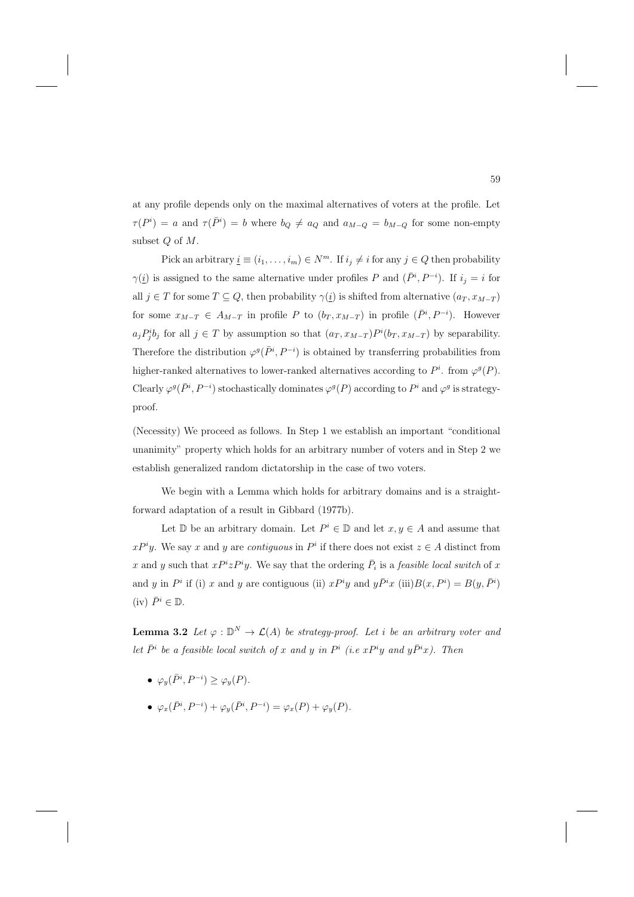at any profile depends only on the maximal alternatives of voters at the profile. Let  $\tau(P^i) = a$  and  $\tau(\bar{P}^i) = b$  where  $b_Q \neq a_Q$  and  $a_{M-Q} = b_{M-Q}$  for some non-empty subset Q of M.

Pick an arbitrary  $\underline{i} \equiv (i_1, \ldots, i_m) \in N^m$ . If  $i_j \neq i$  for any  $j \in Q$  then probability  $\gamma(i)$  is assigned to the same alternative under profiles P and  $(\bar{P}^i, P^{-i})$ . If  $i_j = i$  for all  $j \in T$  for some  $T \subseteq Q$ , then probability  $\gamma(i)$  is shifted from alternative  $(a_T, x_{M-T})$ for some  $x_{M-T} \in A_{M-T}$  in profile P to  $(b_T, x_{M-T})$  in profile  $(\bar{P}^i, P^{-i})$ . However  $a_j P_j^i b_j$  for all  $j \in T$  by assumption so that  $(a_T, x_{M-T}) P^i(b_T, x_{M-T})$  by separability. Therefore the distribution  $\varphi^g(\bar{P}^i, P^{-i})$  is obtained by transferring probabilities from higher-ranked alternatives to lower-ranked alternatives according to  $P^i$ . from  $\varphi^g(P)$ . Clearly  $\varphi^g(\bar{P}^i, P^{-i})$  stochastically dominates  $\varphi^g(P)$  according to  $P^i$  and  $\varphi^g$  is strategyproof.

(Necessity) We proceed as follows. In Step 1 we establish an important "conditional unanimity" property which holds for an arbitrary number of voters and in Step 2 we establish generalized random dictatorship in the case of two voters.

We begin with a Lemma which holds for arbitrary domains and is a straightforward adaptation of a result in Gibbard (1977b).

Let  $\mathbb D$  be an arbitrary domain. Let  $P^i \in \mathbb D$  and let  $x, y \in A$  and assume that  $xP^iy$ . We say x and y are contiguous in  $P^i$  if there does not exist  $z \in A$  distinct from x and y such that  $xP^i zP^i y$ . We say that the ordering  $\overline{P}_i$  is a *feasible local switch* of x and y in  $P^i$  if (i) x and y are contiguous (ii)  $x P^i y$  and  $y \overline{P}{}^i x$  (iii) $B(x, P^i) = B(y, \overline{P}{}^i)$ (iv)  $\bar{P}^i \in \mathbb{D}$ .

**Lemma 3.2** Let  $\varphi : \mathbb{D}^N \to \mathcal{L}(A)$  be strategy-proof. Let i be an arbitrary voter and let  $\bar{P}^i$  be a feasible local switch of x and y in  $P^i$  (i.e x $P^i$ y and  $y\bar{P}^i$ x). Then

- $\varphi_y(\bar{P}^i, P^{-i}) \ge \varphi_y(P)$ .
- $\varphi_x(\bar{P}^i, P^{-i}) + \varphi_y(\bar{P}^i, P^{-i}) = \varphi_x(P) + \varphi_y(P).$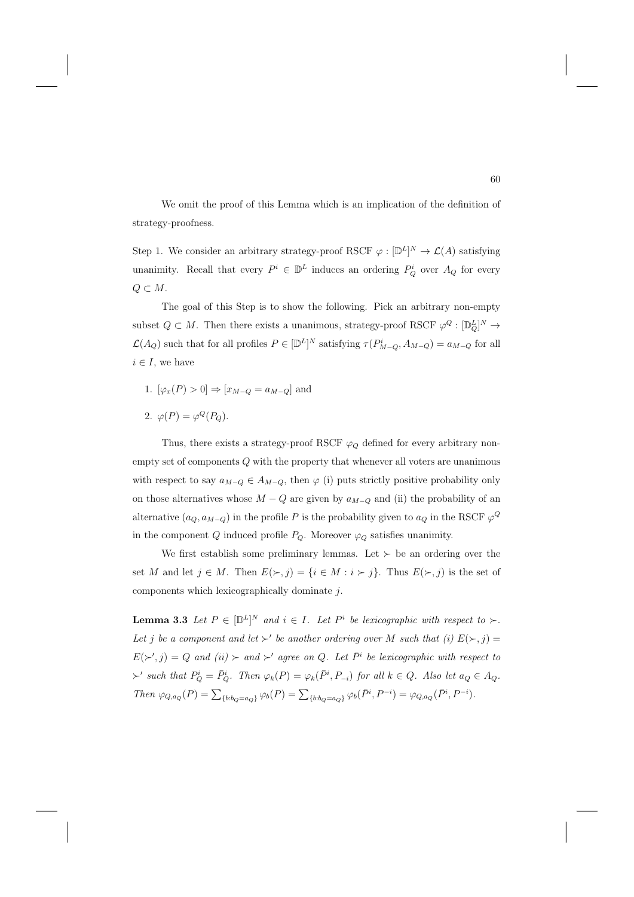We omit the proof of this Lemma which is an implication of the definition of strategy-proofness.

Step 1. We consider an arbitrary strategy-proof RSCF  $\varphi : [\mathbb{D}^L]^N \to \mathcal{L}(A)$  satisfying unanimity. Recall that every  $P^i \in \mathbb{D}^L$  induces an ordering  $P_Q^i$  over  $A_Q$  for every  $Q \subset M$ .

The goal of this Step is to show the following. Pick an arbitrary non-empty subset  $Q \subset M$ . Then there exists a unanimous, strategy-proof RSCF  $\varphi^Q : [\mathbb{D}_Q^L]^N \to$  $\mathcal{L}(A_Q)$  such that for all profiles  $P \in [\mathbb{D}^L]^N$  satisfying  $\tau(P^i_{M-Q}, A_{M-Q}) = a_{M-Q}$  for all  $i \in I$ , we have

- 1.  $[\varphi_x(P) > 0] \Rightarrow [x_{M-Q} = a_{M-Q}]$  and
- 2.  $\varphi(P) = \varphi^Q(P_Q)$ .

Thus, there exists a strategy-proof RSCF  $\varphi_Q$  defined for every arbitrary nonempty set of components  $Q$  with the property that whenever all voters are unanimous with respect to say  $a_{M-Q} \in A_{M-Q}$ , then  $\varphi$  (i) puts strictly positive probability only on those alternatives whose  $M-Q$  are given by  $a_{M-Q}$  and (ii) the probability of an alternative  $(a_Q, a_{M-Q})$  in the profile P is the probability given to  $a_Q$  in the RSCF  $\varphi^Q$ in the component  $Q$  induced profile  $P_Q$ . Moreover  $\varphi_Q$  satisfies unanimity.

We first establish some preliminary lemmas. Let  $\succ$  be an ordering over the set M and let  $j \in M$ . Then  $E(\succ, j) = \{i \in M : i \succ j\}$ . Thus  $E(\succ, j)$  is the set of components which lexicographically dominate j.

**Lemma 3.3** Let  $P \in [\mathbb{D}^L]^N$  and  $i \in I$ . Let  $P^i$  be lexicographic with respect to  $\succ$ . Let j be a component and let  $\succ'$  be another ordering over M such that (i)  $E(\succ, j) =$  $E(\succ', j) = Q$  and  $(ii) \succ and \succ'$  agree on Q. Let  $\overline{P}^i$  be lexicographic with respect to  $\succ'$  such that  $P_Q^i = \overline{P}_Q^i$ . Then  $\varphi_k(P) = \varphi_k(\overline{P}^i, P_{-i})$  for all  $k \in Q$ . Also let  $a_Q \in A_Q$ . Then  $\varphi_{Q,a_Q}(P) = \sum_{\{b:b_Q = a_Q\}} \varphi_b(P) = \sum_{\{b:b_Q = a_Q\}} \varphi_b(\bar{P}^i, P^{-i}) = \varphi_{Q,a_Q}(\bar{P}^i, P^{-i}).$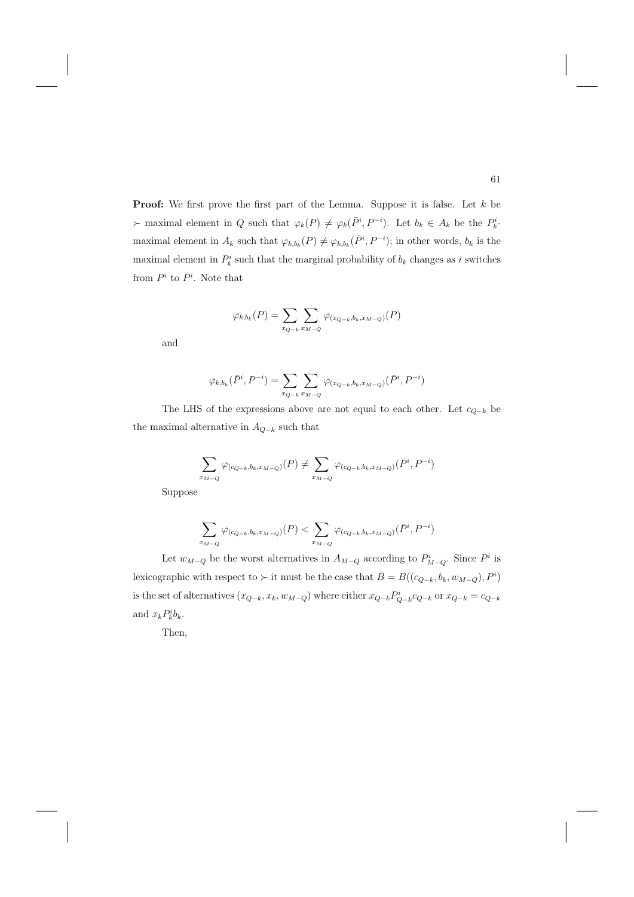**Proof:** We first prove the first part of the Lemma. Suppose it is false. Let k be  $\succ$  maximal element in Q such that  $\varphi_k(P) \neq \varphi_k(\bar{P}^i, P^{-i})$ . Let  $b_k \in A_k$  be the  $P_k^i$ . maximal element in  $A_k$  such that  $\varphi_{k,b_k}(P) \neq \varphi_{k,b_k}(\bar{P}^i, P^{-i})$ ; in other words,  $b_k$  is the maximal element in  $P_k^i$  such that the marginal probability of  $b_k$  changes as i switches from  $P^i$  to  $\bar{P}^i$ . Note that

$$
\varphi_{k,b_k}(P) = \sum_{x_{Q-k}} \sum_{x_{M-Q}} \varphi_{(x_{Q-k},b_k,x_{M-Q})}(P)
$$

and

$$
\varphi_{k,b_k}(\bar{P}^i, P^{-i}) = \sum_{x_{Q-k}} \sum_{x_{M-Q}} \varphi_{(x_{Q-k},b_k,x_{M-Q})}(\bar{P}^i, P^{-i})
$$

The LHS of the expressions above are not equal to each other. Let  $c_{Q-k}$  be the maximal alternative in  $A_{Q-k}$  such that

$$
\sum_{x_{M-Q}} \varphi_{(c_{Q-k},b_k,x_{M-Q})}(P) \neq \sum_{x_{M-Q}} \varphi_{(c_{Q-k},b_k,x_{M-Q})}(\bar{P}^i,P^{-i})
$$

Suppose

$$
\sum_{x_{M-Q}} \varphi_{(c_{Q-k},b_k,x_{M-Q})}(P) < \sum_{x_{M-Q}} \varphi_{(c_{Q-k},b_k,x_{M-Q})}(\bar{P}^i, P^{-i})
$$

Let  $w_{M-Q}$  be the worst alternatives in  $A_{M-Q}$  according to  $P_{M-Q}^i$ . Since  $P^i$  is lexicographic with respect to  $\succ$  it must be the case that  $\bar{B} = B((c_{Q-k}, b_k, w_{M-Q}), P^i)$ is the set of alternatives  $(x_{Q-k}, x_k, w_{M-Q})$  where either  $x_{Q-k}P_{Q-k}^i$  or  $x_{Q-k}=c_{Q-k}$ and  $x_k P_k^i b_k$ .

Then,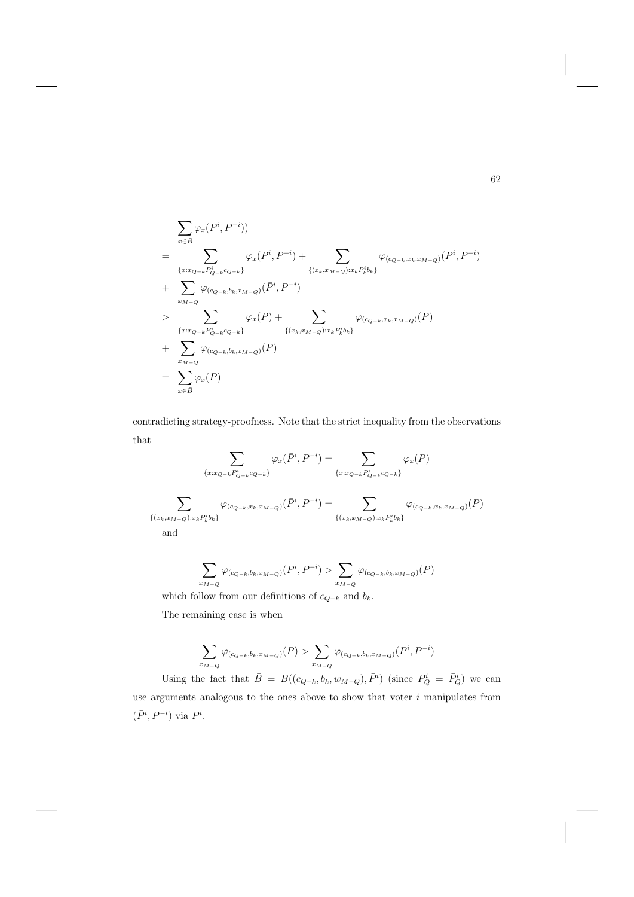$$
\sum_{x \in \bar{B}} \varphi_x(\bar{P}^i, \bar{P}^{-i}))
$$
\n
$$
= \sum_{\{x : x_{Q-k}P_{Q-k}^i\}} \varphi_x(\bar{P}^i, P^{-i}) + \sum_{\{(x_k, x_{M-Q}): x_kP_k^ib_k\}} \varphi_{(c_{Q-k}, x_k, x_{M-Q})}(\bar{P}^i, P^{-i})
$$
\n
$$
+ \sum_{x_{M-Q}} \varphi_{(c_{Q-k}, b_k, x_{M-Q})}(\bar{P}^i, P^{-i})
$$
\n
$$
> \sum_{\{x : x_{Q-k}P_{Q-k}^i c_{Q-k}\}} \varphi_x(P) + \sum_{\{(x_k, x_{M-Q}): x_kP_k^ib_k\}} \varphi_{(c_{Q-k}, x_k, x_{M-Q})}(P)
$$
\n
$$
+ \sum_{x_{M-Q}} \varphi_{(c_{Q-k}, b_k, x_{M-Q})}(P)
$$
\n
$$
= \sum_{x \in \bar{B}} \varphi_x(P)
$$

contradicting strategy-proofness. Note that the strict inequality from the observations that

$$
\sum_{\{x:x_{Q-k}P_{Q-k}^i c_{Q-k}\}} \varphi_x(\bar{P}^i, P^{-i}) = \sum_{\{x:x_{Q-k}P_{Q-k}^i c_{Q-k}\}} \varphi_x(P)
$$
\n
$$
\sum_{\{(x_k,x_{M-Q}):x_kP_k^i b_k\}} \varphi_{(c_{Q-k},x_k,x_{M-Q})}(\bar{P}^i, P^{-i}) = \sum_{\{(x_k,x_{M-Q}):x_kP_k^i b_k\}} \varphi_{(c_{Q-k},x_k,x_{M-Q})}(P)
$$
\nand

$$
\sum_{x_{M-Q}} \varphi_{(c_{Q-k},b_k,x_{M-Q})}(\bar{P}^i,P^{-i}) > \sum_{x_{M-Q}} \varphi_{(c_{Q-k},b_k,x_{M-Q})}(P)
$$

which follow from our definitions of  $c_{Q−k}$  and  $b_k.$ 

The remaining case is when

$$
\sum_{x_{M-Q}} \varphi_{(c_{Q-k},b_k,x_{M-Q})}(P) > \sum_{x_{M-Q}} \varphi_{(c_{Q-k},b_k,x_{M-Q})}(\bar{P}^i,P^{-i})
$$

Using the fact that  $\bar{B} = B((c_{Q-k}, b_k, w_{M-Q}), \bar{P}^i)$  (since  $P_Q^i = \bar{P}_Q^i$ ) we can use arguments analogous to the ones above to show that voter  $i$  manipulates from  $(\bar{P}^i, P^{-i})$  via  $P^i$ .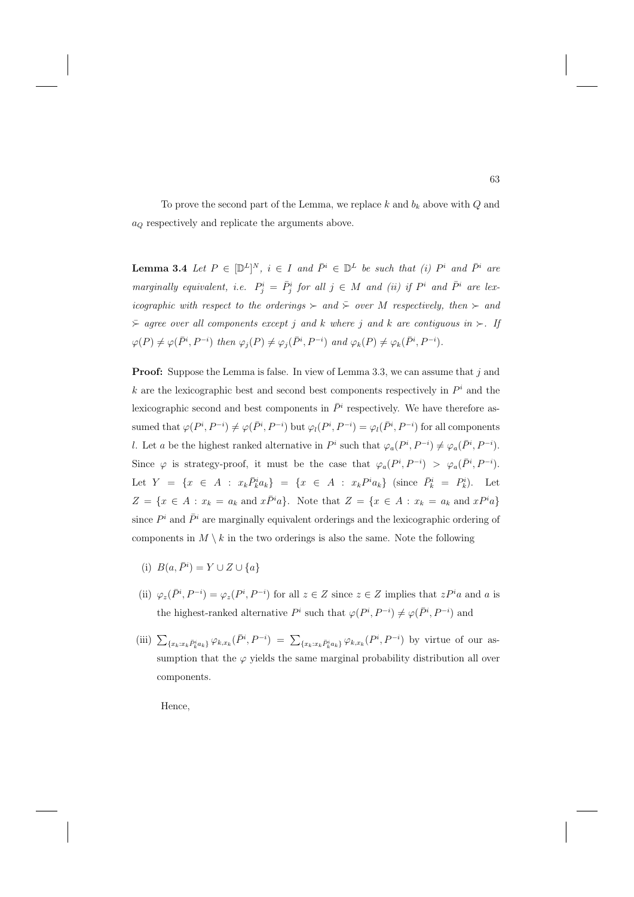To prove the second part of the Lemma, we replace  $k$  and  $b_k$  above with  $Q$  and  $a<sub>O</sub>$  respectively and replicate the arguments above.

**Lemma 3.4** Let  $P \in [\mathbb{D}^L]^N$ ,  $i \in I$  and  $\bar{P}^i \in \mathbb{D}^L$  be such that (i)  $P^i$  and  $\bar{P}^i$  are marginally equivalent, i.e.  $P_j^i = \overline{P}_j^i$  for all  $j \in M$  and (ii) if  $P^i$  and  $\overline{P}_j^i$  are lexicographic with respect to the orderings  $\succ$  and  $\overline{\succ}$  over M respectively, then  $\succ$  and  $\bar{\succ}$  agree over all components except j and k where j and k are contiguous in  $\succ$ . If  $\varphi(P) \neq \varphi(\bar{P}^i, P^{-i})$  then  $\varphi_j(P) \neq \varphi_j(\bar{P}^i, P^{-i})$  and  $\varphi_k(P) \neq \varphi_k(\bar{P}^i, P^{-i})$ .

**Proof:** Suppose the Lemma is false. In view of Lemma 3.3, we can assume that j and k are the lexicographic best and second best components respectively in  $P<sup>i</sup>$  and the lexicographic second and best components in  $\bar{P}^i$  respectively. We have therefore assumed that  $\varphi(P^i, P^{-i}) \neq \varphi(\bar{P}^i, P^{-i})$  but  $\varphi_l(P^i, P^{-i}) = \varphi_l(\bar{P}^i, P^{-i})$  for all components l. Let a be the highest ranked alternative in  $P^i$  such that  $\varphi_a(P^i, P^{-i}) \neq \varphi_a(\bar{P}^i, P^{-i})$ . Since  $\varphi$  is strategy-proof, it must be the case that  $\varphi_a(P^i, P^{-i}) > \varphi_a(\bar{P}^i, P^{-i}).$ Let  $Y = \{x \in A : x_k \overline{P}_k^i a_k\} = \{x \in A : x_k P^i a_k\}$  (since  $\overline{P}_k^i = P_k^i$ ). Let  $Z = \{x \in A : x_k = a_k \text{ and } x\overline{P}^i a\}.$  Note that  $Z = \{x \in A : x_k = a_k \text{ and } xP^i a\}$ since  $P^i$  and  $\bar{P}^i$  are marginally equivalent orderings and the lexicographic ordering of components in  $M \setminus k$  in the two orderings is also the same. Note the following

- (i)  $B(a, \bar{P}^i) = Y \cup Z \cup \{a\}$
- (ii)  $\varphi_z(\bar{P}^i, P^{-i}) = \varphi_z(P^i, P^{-i})$  for all  $z \in Z$  since  $z \in Z$  implies that  $zP^i a$  and a is the highest-ranked alternative  $P^i$  such that  $\varphi(P^i, P^{-i}) \neq \varphi(\bar{P}^i, P^{-i})$  and
- (iii)  $\sum_{\{x_k:x_k\bar{P}_k^ia_k\}}\varphi_{k,x_k}(\bar{P}^i,P^{-i}) = \sum_{\{x_k:x_k\bar{P}_k^ia_k\}}\varphi_{k,x_k}(P^i,P^{-i})$  by virtue of our assumption that the  $\varphi$  yields the same marginal probability distribution all over components.

Hence,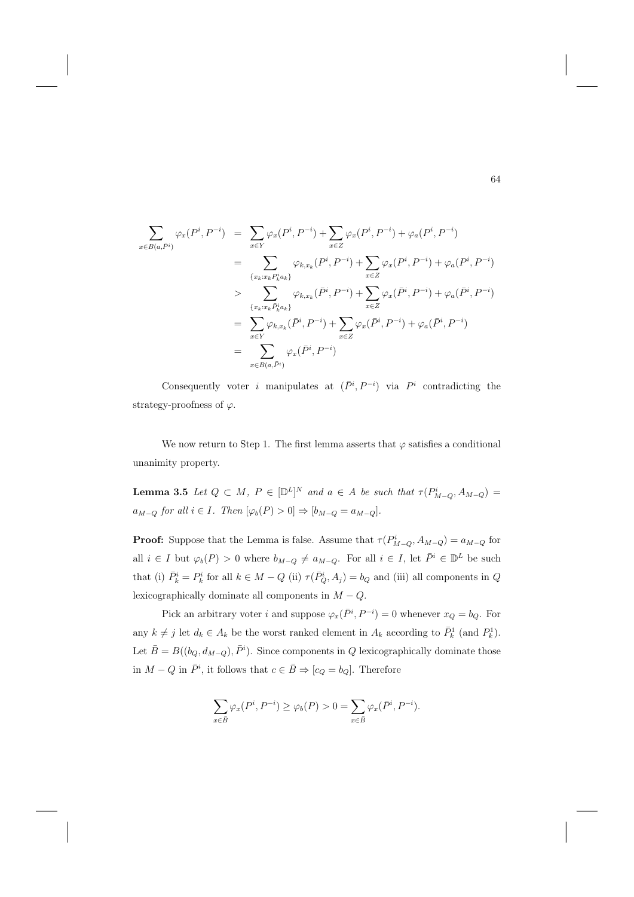$$
\sum_{x \in B(a,\tilde{P}^{i})} \varphi_{x}(P^{i}, P^{-i}) = \sum_{x \in Y} \varphi_{x}(P^{i}, P^{-i}) + \sum_{x \in Z} \varphi_{x}(P^{i}, P^{-i}) + \varphi_{a}(P^{i}, P^{-i})
$$
\n
$$
= \sum_{\{x_k : x_k P_k^i a_k\}} \varphi_{k,x_k}(P^{i}, P^{-i}) + \sum_{x \in Z} \varphi_{x}(P^{i}, P^{-i}) + \varphi_{a}(P^{i}, P^{-i})
$$
\n
$$
> \sum_{\{x_k : x_k \bar{P}_k^i a_k\}} \varphi_{k,x_k}(\bar{P}^{i}, P^{-i}) + \sum_{x \in Z} \varphi_{x}(\bar{P}^{i}, P^{-i}) + \varphi_{a}(\bar{P}^{i}, P^{-i})
$$
\n
$$
= \sum_{x \in Y} \varphi_{k,x_k}(\bar{P}^{i}, P^{-i}) + \sum_{x \in Z} \varphi_{x}(\bar{P}^{i}, P^{-i}) + \varphi_{a}(\bar{P}^{i}, P^{-i})
$$
\n
$$
= \sum_{x \in B(a,\tilde{P}^{i})} \varphi_{x}(\bar{P}^{i}, P^{-i})
$$

Consequently voter i manipulates at  $(\bar{P}^i, P^{-i})$  via  $P^i$  contradicting the strategy-proofness of  $\varphi$ .

We now return to Step 1. The first lemma asserts that  $\varphi$  satisfies a conditional unanimity property.

**Lemma 3.5** Let  $Q \subset M$ ,  $P \in [\mathbb{D}^L]^N$  and  $a \in A$  be such that  $\tau(P^i_{M-Q}, A_{M-Q})$  $a_{M-Q}$  for all  $i \in I$ . Then  $[\varphi_b(P) > 0] \Rightarrow [b_{M-Q} = a_{M-Q}]$ .

**Proof:** Suppose that the Lemma is false. Assume that  $\tau(P_{M-Q}^i, A_{M-Q}) = a_{M-Q}$  for all  $i \in I$  but  $\varphi_b(P) > 0$  where  $b_{M-Q} \neq a_{M-Q}$ . For all  $i \in I$ , let  $\overline{P}^i \in \mathbb{D}^L$  be such that (i)  $\bar{P}_k^i = P_k^i$  for all  $k \in M - Q$  (ii)  $\tau(\bar{P}_Q^i, A_j) = b_Q$  and (iii) all components in Q lexicographically dominate all components in  $M - Q$ .

Pick an arbitrary voter i and suppose  $\varphi_x(\bar{P}^i, P^{-i}) = 0$  whenever  $x_Q = b_Q$ . For any  $k \neq j$  let  $d_k \in A_k$  be the worst ranked element in  $A_k$  according to  $\bar{P}_k^1$  (and  $P_k^1$ ). Let  $\bar{B} = B((b_Q, d_{M-Q}), \bar{P}^i)$ . Since components in Q lexicographically dominate those in  $M - Q$  in  $\bar{P}^i$ , it follows that  $c \in \bar{B} \Rightarrow [c_Q = b_Q]$ . Therefore

$$
\sum_{x\in \bar{B}}\varphi_x(P^i,P^{-i})\geq \varphi_b(P)>0=\sum_{x\in \bar{B}}\varphi_x(\bar{P}^i,P^{-i}).
$$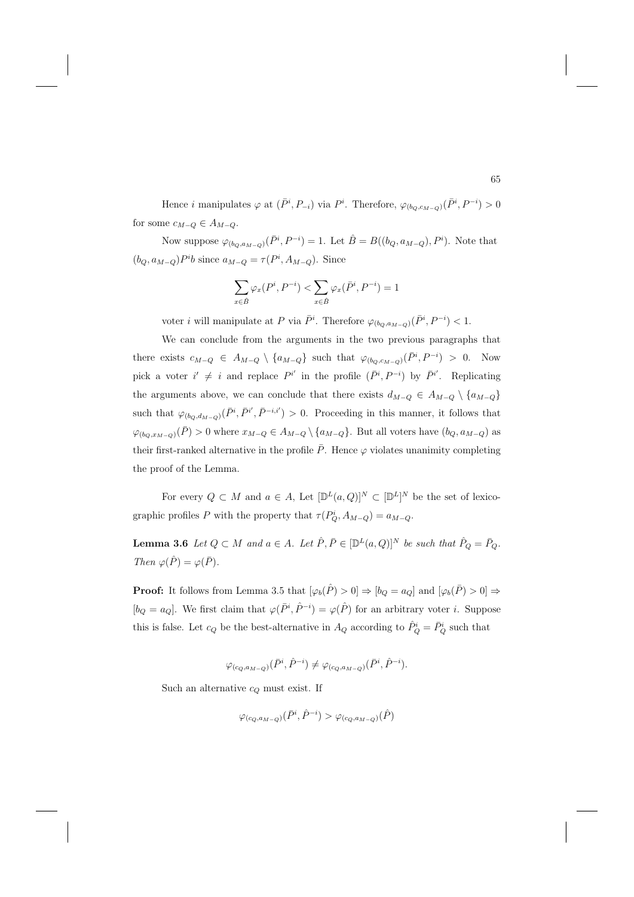Hence *i* manipulates  $\varphi$  at  $(\bar{P}^i, P_{-i})$  via  $P^i$ . Therefore,  $\varphi_{(b_Q, c_{M-Q})}(\bar{P}^i, P^{-i}) > 0$ for some  $c_{M-Q} \in A_{M-Q}$ .

Now suppose  $\varphi_{(b_Q, a_{M-Q})}(\bar{P}^i, P^{-i}) = 1$ . Let  $\hat{B} = B((b_Q, a_{M-Q}), P^i)$ . Note that  $(b_Q, a_{M-Q})P^ib$  since  $a_{M-Q} = \tau(P^i, A_{M-Q})$ . Since

$$
\sum_{x \in \hat{B}} \varphi_x(P^i, P^{-i}) < \sum_{x \in \hat{B}} \varphi_x(\bar{P}^i, P^{-i}) = 1
$$

voter *i* will manipulate at P via  $\bar{P}^i$ . Therefore  $\varphi_{(b_Q, a_{M-Q})}(\bar{P}^i, P^{-i}) < 1$ .

We can conclude from the arguments in the two previous paragraphs that there exists  $c_{M-Q} \in A_{M-Q} \setminus \{a_{M-Q}\}\$  such that  $\varphi_{(b_Q,c_{M-Q})}(\bar{P}^i,P^{-i}) > 0$ . Now pick a voter  $i' \neq i$  and replace  $P^{i'}$  in the profile  $(\bar{P}^i, P^{-i})$  by  $\bar{P}^{i'}$ . Replicating the arguments above, we can conclude that there exists  $d_{M-Q} \in A_{M-Q} \setminus \{a_{M-Q}\}\$ such that  $\varphi_{(b_Q,d_{M-Q})}(\bar{P}^i,\bar{P}^{i'},\bar{P}^{-i,i'})>0$ . Proceeding in this manner, it follows that  $\varphi_{(b_Q,x_{M-Q})}(\bar{P})>0$  where  $x_{M-Q}\in A_{M-Q}\setminus\{a_{M-Q}\}.$  But all voters have  $(b_Q,a_{M-Q})$  as their first-ranked alternative in the profile  $\bar{P}$ . Hence  $\varphi$  violates unanimity completing the proof of the Lemma.

For every  $Q \subset M$  and  $a \in A$ , Let  $[\mathbb{D}^L(a, Q)]^N \subset [\mathbb{D}^L]^N$  be the set of lexicographic profiles P with the property that  $\tau(P_Q^i, A_{M-Q}) = a_{M-Q}$ .

**Lemma 3.6** Let  $Q \subset M$  and  $a \in A$ . Let  $\hat{P}, \bar{P} \in [\mathbb{D}^L(a, Q)]^N$  be such that  $\hat{P}_Q = \bar{P}_Q$ . Then  $\varphi(\hat{P}) = \varphi(\bar{P})$ .

**Proof:** It follows from Lemma 3.5 that  $[\varphi_b(\hat{P}) > 0] \Rightarrow [b_Q = a_Q]$  and  $[\varphi_b(\bar{P}) > 0] \Rightarrow$  $[b_Q = a_Q]$ . We first claim that  $\varphi(\bar{P}^i, \hat{P}^{-i}) = \varphi(\hat{P})$  for an arbitrary voter *i*. Suppose this is false. Let  $c_Q$  be the best-alternative in  $A_Q$  according to  $\hat{P}_Q^i = \bar{P}_Q^i$  such that

$$
\varphi_{(c_Q,a_{M-Q})}(\bar{P}^i,\hat{P}^{-i})\neq \varphi_{(c_Q,a_{M-Q})}(\bar{P}^i,\hat{P}^{-i}).
$$

Such an alternative  $c_Q$  must exist. If

$$
\varphi_{(c_Q, a_{M-Q})}(\bar{P}^i, \hat{P}^{-i}) > \varphi_{(c_Q, a_{M-Q})}(\hat{P})
$$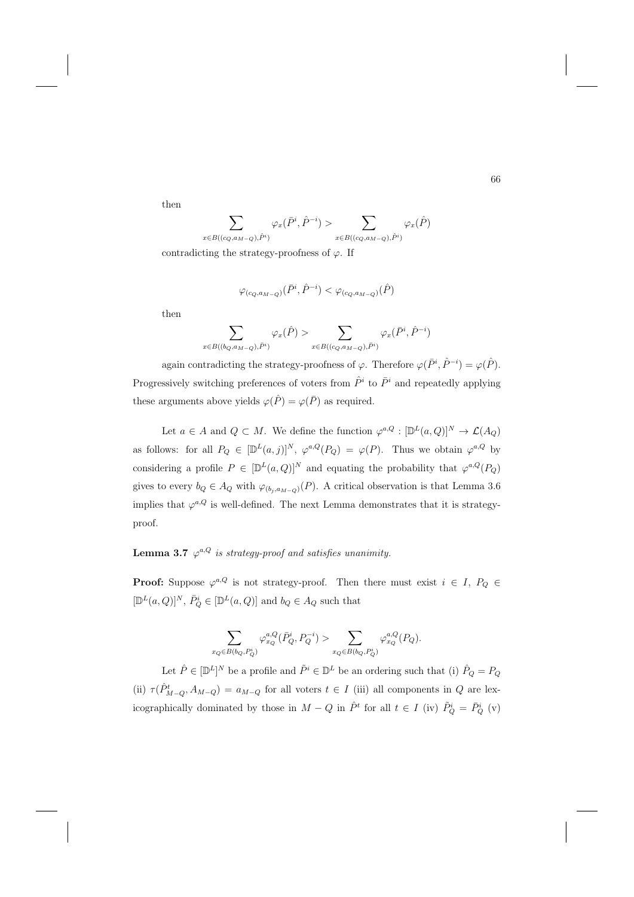then

$$
\sum_{x \in B((c_Q,a_{M-Q}),\hat{P}^i)} \varphi_x(\bar{P}^i,\hat{P}^{-i}) > \sum_{x \in B((c_Q,a_{M-Q}),\hat{P}^i)} \varphi_x(\hat{P})
$$

contradicting the strategy-proofness of  $\varphi$ . If

$$
\varphi_{(c_Q,a_{M-Q})}(\bar{P}^i,\hat{P}^{-i}) < \varphi_{(c_Q,a_{M-Q})}(\hat{P})
$$

then

$$
\sum_{x\in B((b_Q,a_{M-Q}),\bar{P}^i)}\varphi_x(\hat{P})>\sum_{x\in B((c_Q,a_{M-Q}),\bar{P}^i)}\varphi_x(\bar{P}^i,\hat{P}^{-i})
$$

again contradicting the strategy-proofness of  $\varphi$ . Therefore  $\varphi(\bar{P}^i, \hat{P}^{-i}) = \varphi(\hat{P})$ . Progressively switching preferences of voters from  $\hat{P}^i$  to  $\bar{P}^i$  and repeatedly applying these arguments above yields  $\varphi(\hat{P}) = \varphi(\bar{P})$  as required.

Let  $a \in A$  and  $Q \subset M$ . We define the function  $\varphi^{a,Q} : [\mathbb{D}^L(a,Q)]^N \to \mathcal{L}(A_Q)$ as follows: for all  $P_Q \in [\mathbb{D}^L(a,j)]^N$ ,  $\varphi^{a,Q}(P_Q) = \varphi(P)$ . Thus we obtain  $\varphi^{a,Q}$  by considering a profile  $P \in [\mathbb{D}^L(a, Q)]^N$  and equating the probability that  $\varphi^{a,Q}(P_Q)$ gives to every  $b_Q \in A_Q$  with  $\varphi_{(b_j, a_{M-Q})}(P)$ . A critical observation is that Lemma 3.6 implies that  $\varphi^{a,Q}$  is well-defined. The next Lemma demonstrates that it is strategyproof.

## **Lemma 3.7**  $\varphi^{a,Q}$  is strategy-proof and satisfies unanimity.

**Proof:** Suppose  $\varphi^{a,Q}$  is not strategy-proof. Then there must exist  $i \in I$ ,  $P_Q \in$  $[\mathbb{D}^L(a,Q)]^N,$   $\bar{P}^i_Q \in [\mathbb{D}^L(a,Q)]$  and  $b_Q \in A_Q$  such that

$$
\sum_{x_Q \in B(b_Q, P^i_Q)} \varphi_{x_Q}^{a,Q}(\bar{P}^i_Q, P_Q^{-i}) > \sum_{x_Q \in B(b_Q, P^i_Q)} \varphi_{x_Q}^{a,Q}(P_Q).
$$

Let  $\hat{P} \in [\mathbb{D}^L]^N$  be a profile and  $\tilde{P}^i \in \mathbb{D}^L$  be an ordering such that (i)  $\hat{P}_Q = P_Q$ (ii)  $\tau(\hat{P}_{M-Q}^t, A_{M-Q}) = a_{M-Q}$  for all voters  $t \in I$  (iii) all components in Q are lexicographically dominated by those in  $M-Q$  in  $\hat{P}^t$  for all  $t \in I$  (iv)  $\tilde{P}^i_Q = \bar{P}^i_Q$  (v)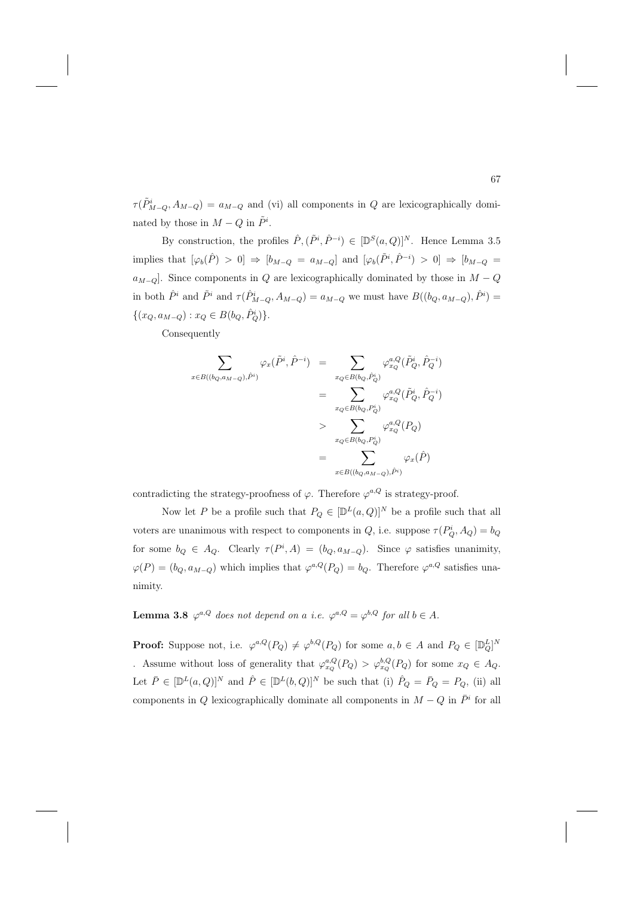$\tau(\tilde{P}_{M-Q}^i, A_{M-Q}) = a_{M-Q}$  and (vi) all components in Q are lexicographically dominated by those in  $M-Q$  in  $\tilde{P}^i$ .

By construction, the profiles  $\hat{P}, (\tilde{P}^i, \hat{P}^{-i}) \in [\mathbb{D}^S(a, Q)]^N$ . Hence Lemma 3.5 implies that  $[\varphi_b(\hat{P}) > 0] \Rightarrow [b_{M-Q} = a_{M-Q}]$  and  $[\varphi_b(\tilde{P}^i, \hat{P}^{-i}) > 0] \Rightarrow [b_{M-Q} = 0]$  $a_{M-O}$ . Since components in Q are lexicographically dominated by those in  $M-Q$ in both  $\hat{P}^i$  and  $\tilde{P}^i$  and  $\tau(\hat{P}_{M-Q}^i, A_{M-Q}) = a_{M-Q}$  we must have  $B((b_Q, a_{M-Q}), \hat{P}^i) =$  $\{(x_Q, a_{M-Q}) : x_Q \in B(b_Q, \hat{P}_Q^i)\}.$ 

Consequently

$$
\sum_{x \in B((b_Q, a_{M-Q}), \hat{P}^i)} \varphi_x(\tilde{P}^i, \hat{P}^{-i}) = \sum_{x_Q \in B(b_Q, \hat{P}^i_Q)} \varphi_{x_Q}^{a,Q}(\tilde{P}^i_Q, \hat{P}^{-i}_Q)
$$
\n
$$
= \sum_{x_Q \in B(b_Q, P^i_Q)} \varphi_{x_Q}^{a,Q}(\tilde{P}^i_Q, \hat{P}^{-i}_Q)
$$
\n
$$
> \sum_{x_Q \in B(b_Q, P^i_Q)} \varphi_{x_Q}^{a,Q}(P_Q)
$$
\n
$$
= \sum_{x \in B((b_Q, a_{M-Q}), \hat{P}^i)} \varphi_x(\hat{P})
$$

contradicting the strategy-proofness of  $\varphi$ . Therefore  $\varphi^{a,Q}$  is strategy-proof.

Now let P be a profile such that  $P_Q \in [\mathbb{D}^L(a,Q)]^N$  be a profile such that all voters are unanimous with respect to components in  $Q$ , i.e. suppose  $\tau(P_Q^i, A_Q) = b_Q$ for some  $b_Q \in A_Q$ . Clearly  $\tau(P^i, A) = (b_Q, a_{M-Q})$ . Since  $\varphi$  satisfies unanimity,  $\varphi(P)=(b_Q, a_{M-Q})$  which implies that  $\varphi^{a,Q}(P_Q) = b_Q$ . Therefore  $\varphi^{a,Q}$  satisfies unanimity.

**Lemma 3.8**  $\varphi^{a,Q}$  does not depend on a i.e.  $\varphi^{a,Q} = \varphi^{b,Q}$  for all  $b \in A$ .

**Proof:** Suppose not, i.e.  $\varphi^{a,Q}(P_Q) \neq \varphi^{b,Q}(P_Q)$  for some  $a, b \in A$  and  $P_Q \in [\mathbb{D}_Q^L]^N$ Assume without loss of generality that  $\varphi_{x_Q}^{a,Q}(P_Q) > \varphi_{x_Q}^{b,Q}(P_Q)$  for some  $x_Q \in A_Q$ . Let  $\overline{P} \in [\mathbb{D}^L(a,Q)]^N$  and  $\hat{P} \in [\mathbb{D}^L(b,Q)]^N$  be such that (i)  $\hat{P}_Q = \overline{P}_Q = P_Q$ , (ii) all components in  $Q$  lexicographically dominate all components in  $M - Q$  in  $\overline{P}^i$  for all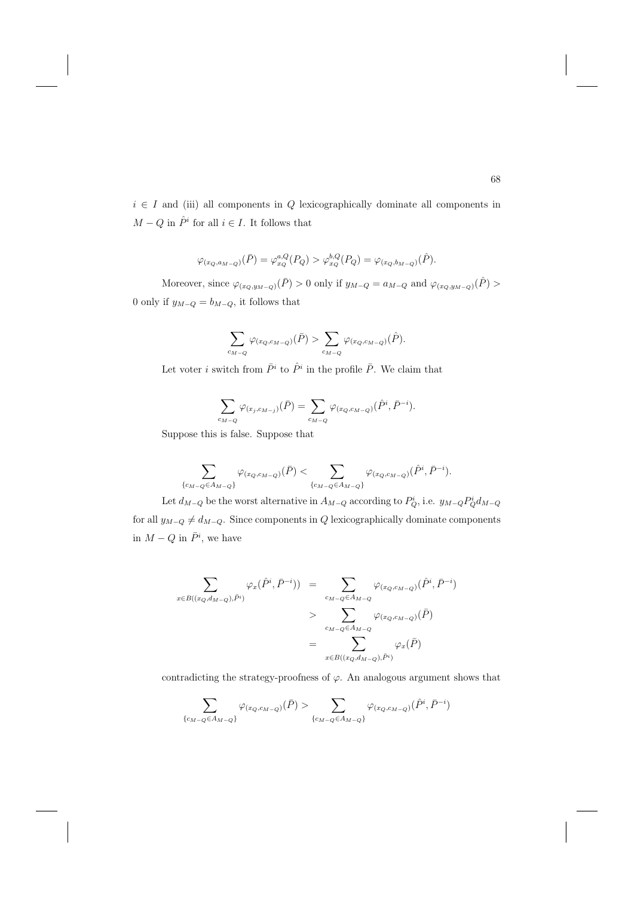$i \in I$  and (iii) all components in Q lexicographically dominate all components in  $M-Q$  in  $\hat{P}^i$  for all  $i\in I.$  It follows that

$$
\varphi_{(x_Q, a_{M-Q})}(\bar{P}) = \varphi_{x_Q}^{a,Q}(P_Q) > \varphi_{x_Q}^{b,Q}(P_Q) = \varphi_{(x_Q, b_{M-Q})}(\hat{P}).
$$

Moreover, since  $\varphi_{(x_Q,y_{M-Q})}(\bar{P}) > 0$  only if  $y_{M-Q} = a_{M-Q}$  and  $\varphi_{(x_Q,y_{M-Q})}(\hat{P}) > 0$ 0 only if  $y_{M-Q} = b_{M-Q}$ , it follows that

$$
\sum_{c_{M-Q}} \varphi_{(x_Q,c_{M-Q})}(\bar{P}) > \sum_{c_{M-Q}} \varphi_{(x_Q,c_{M-Q})}(\hat{P}).
$$

Let voter i switch from  $\bar{P}^i$  to  $\hat{P}^i$  in the profile  $\bar{P}$ . We claim that

$$
\sum_{c_{M-Q}} \varphi_{(x_j, c_{M-j})}(\bar{P}) = \sum_{c_{M-Q}} \varphi_{(x_Q, c_{M-Q})}(\hat{P}^i, \bar{P}^{-i}).
$$

Suppose this is false. Suppose that

$$
\sum_{\{c_{M-Q}\in A_{M-Q}\}}\varphi_{(x_Q,c_{M-Q})}(\bar{P})<\sum_{\{c_{M-Q}\in A_{M-Q}\}}\varphi_{(x_Q,c_{M-Q})}(\hat{P}^i,\bar{P}^{-i}).
$$

Let  $d_{M-Q}$  be the worst alternative in  $A_{M-Q}$  according to  $P_Q^i$ , i.e.  $y_{M-Q} P_Q^i d_{M-Q}$ for all  $y_{M-Q} \neq d_{M-Q}$ . Since components in Q lexicographically dominate components in  $M-Q$  in  $\bar{P}^i$ , we have

$$
\sum_{x \in B((x_Q, d_{M-Q}), \bar{P}^i)} \varphi_x(\hat{P}^i, \bar{P}^{-i})) = \sum_{c_{M-Q} \in A_{M-Q}} \varphi_{(x_Q, c_{M-Q})}(\hat{P}^i, \bar{P}^{-i})
$$
\n
$$
> \sum_{c_{M-Q} \in A_{M-Q}} \varphi_{(x_Q, c_{M-Q})}(\bar{P})
$$
\n
$$
= \sum_{x \in B((x_Q, d_{M-Q}), \bar{P}^i)} \varphi_x(\bar{P})
$$

contradicting the strategy-proofness of  $\varphi$ . An analogous argument shows that

$$
\sum_{\{c_{M-Q}\in A_{M-Q}\}}\varphi_{(x_{Q},c_{M-Q})}(\bar{P})>\sum_{\{c_{M-Q}\in A_{M-Q}\}}\varphi_{(x_{Q},c_{M-Q})}(\hat{P}^{i},\bar{P}^{-i})
$$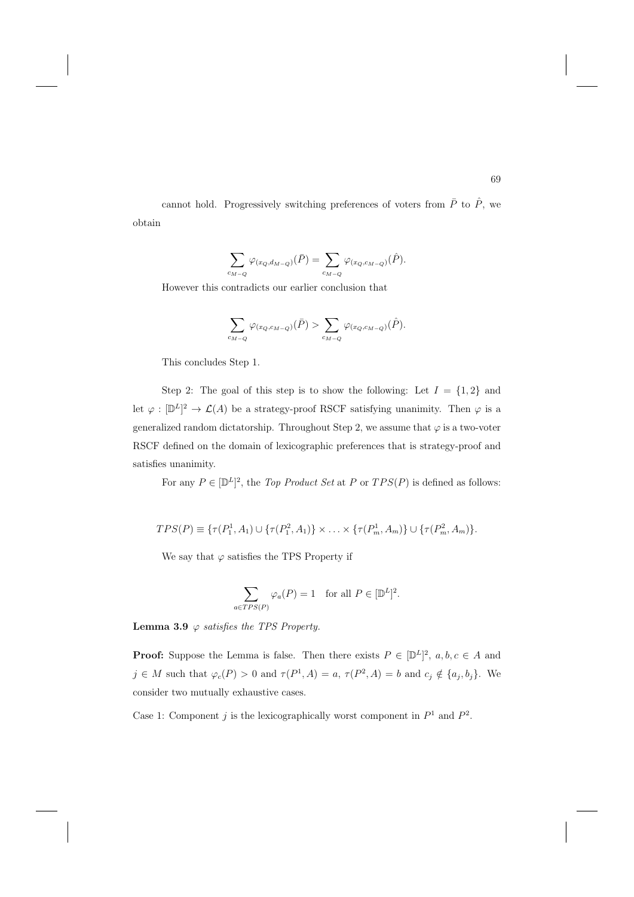cannot hold. Progressively switching preferences of voters from  $\overline{P}$  to  $\hat{P}$ , we obtain

$$
\sum_{c_{M-Q}} \varphi_{(x_Q,d_{M-Q})}(\bar{P}) = \sum_{c_{M-Q}} \varphi_{(x_Q,c_{M-Q})}(\hat{P}).
$$

However this contradicts our earlier conclusion that

$$
\sum_{c_{M-Q}} \varphi_{(x_Q,c_{M-Q})}(\bar{P}) > \sum_{c_{M-Q}} \varphi_{(x_Q,c_{M-Q})}(\hat{P}).
$$

This concludes Step 1.

Step 2: The goal of this step is to show the following: Let  $I = \{1, 2\}$  and let  $\varphi : [\mathbb{D}^L]^2 \to \mathcal{L}(A)$  be a strategy-proof RSCF satisfying unanimity. Then  $\varphi$  is a generalized random dictatorship. Throughout Step 2, we assume that  $\varphi$  is a two-voter RSCF defined on the domain of lexicographic preferences that is strategy-proof and satisfies unanimity.

For any  $P \in [D^L]^2$ , the *Top Product Set* at *P* or  $TPS(P)$  is defined as follows:

$$
TPS(P) \equiv \{ \tau(P_1^1, A_1) \cup \{ \tau(P_1^2, A_1) \} \times \ldots \times \{ \tau(P_m^1, A_m) \} \cup \{ \tau(P_m^2, A_m) \}.
$$

We say that  $\varphi$  satisfies the TPS Property if

$$
\sum_{a \in TPS(P)} \varphi_a(P) = 1 \quad \text{for all } P \in [D^L]^2.
$$

**Lemma 3.9**  $\varphi$  satisfies the TPS Property.

**Proof:** Suppose the Lemma is false. Then there exists  $P \in [\mathbb{D}^L]^2$ ,  $a, b, c \in A$  and  $j \in M$  such that  $\varphi_c(P) > 0$  and  $\tau(P^1, A) = a$ ,  $\tau(P^2, A) = b$  and  $c_j \notin \{a_j, b_j\}$ . We consider two mutually exhaustive cases.

Case 1: Component j is the lexicographically worst component in  $P^1$  and  $P^2$ .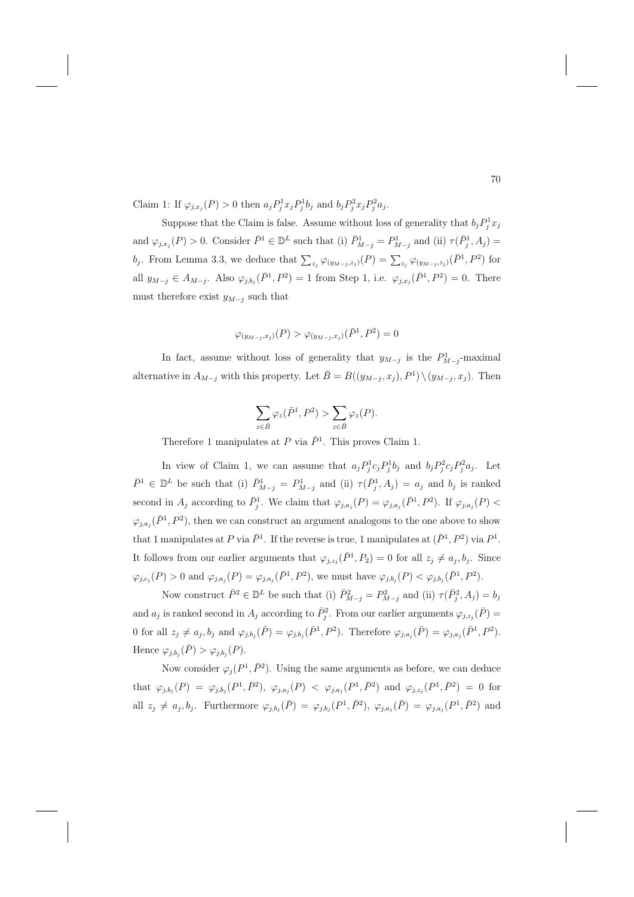Claim 1: If  $\varphi_{j,x_j}(P) > 0$  then  $a_j P_j^1 x_j P_j^1 b_j$  and  $b_j P_j^2 x_j P_j^2 a_j$ .

Suppose that the Claim is false. Assume without loss of generality that  $b_j P_j^1 x_j$ and  $\varphi_{j,x_j}(P) > 0$ . Consider  $\bar{P}^1 \in \mathbb{D}^L$  such that (i)  $\bar{P}_{M-j}^1 = P_{M-j}^1$  and (ii)  $\tau(\bar{P}_j^1, A_j) =$ b<sub>j</sub>. From Lemma 3.3, we deduce that  $\sum_{z_j} \varphi_{(y_{M-j},z_j)}(P) = \sum_{z_j} \varphi_{(y_{M-j},z_j)}(\bar{P}^1,P^2)$  for all  $y_{M-j} \in A_{M-j}$ . Also  $\varphi_{j,b_j}(\bar{P}^1, P^2) = 1$  from Step 1, i.e.  $\varphi_{j,x_j}(\bar{P}^1, P^2) = 0$ . There must therefore exist  $y_{M-j}$  such that

$$
\varphi_{(y_{M-j},x_j)}(P) > \varphi_{(y_{M-j},x_j)}(\bar{P}^1,P^2) = 0
$$

In fact, assume without loss of generality that  $y_{M-j}$  is the  $P^1_{M-j}$ -maximal alternative in  $A_{M-j}$  with this property. Let  $\bar{B}=B((y_{M-j},x_j),P^1)\setminus(y_{M-j},x_j)$ . Then

$$
\sum_{z \in \bar{B}} \varphi_z(\bar{P}^1, P^2) > \sum_{z \in \bar{B}} \varphi_z(P).
$$

Therefore 1 manipulates at P via  $\bar{P}^1$ . This proves Claim 1.

In view of Claim 1, we can assume that  $a_j P_j^1 c_j P_j^1 b_j$  and  $b_j P_j^2 c_j P_j^2 a_j$ . Let  $\bar{P}^1 \in \mathbb{D}^L$  be such that (i)  $\bar{P}_{M-j}^1 = P_{M-j}^1$  and (ii)  $\tau(\bar{P}_j^1, A_j) = a_j$  and  $b_j$  is ranked second in  $A_j$  according to  $\bar{P}_j^1$ . We claim that  $\varphi_{j,a_j}(P) = \varphi_{j,a_j}(\bar{P}^1, P^2)$ . If  $\varphi_{j,a_j}(P)$  $\varphi_{j,a_j}(\bar{P}^1,P^2)$ , then we can construct an argument analogous to the one above to show that 1 manipulates at P via  $\bar{P}^1$ . If the reverse is true, 1 manipulates at  $(\bar{P}^1, P^2)$  via  $P^1$ . It follows from our earlier arguments that  $\varphi_{j,z_j}(\bar{P}^1, P_2) = 0$  for all  $z_j \neq a_j, b_j$ . Since  $\varphi_{j,c_j}(P) > 0$  and  $\varphi_{j,a_j}(P) = \varphi_{j,a_j}(\bar{P}^1, P^2)$ , we must have  $\varphi_{j,b_j}(P) < \varphi_{j,b_j}(\bar{P}^1, P^2)$ .

Now construct  $\bar{P}^2 \in \mathbb{D}^L$  be such that (i)  $\bar{P}_{M-j}^2 = P_{M-j}^2$  and (ii)  $\tau(\bar{P}_j^2, A_j) = b_j$ and  $a_j$  is ranked second in  $A_j$  according to  $\bar{P}_j^2$ . From our earlier arguments  $\varphi_{j,z_j}(\bar{P}) =$ 0 for all  $z_j \neq a_j, b_j$  and  $\varphi_{j,b_j}(\bar{P}) = \varphi_{j,b_j}(\bar{P}^1, P^2)$ . Therefore  $\varphi_{j,a_j}(\bar{P}) = \varphi_{j,a_j}(\bar{P}^1, P^2)$ . Hence  $\varphi_{i,b_i}(\bar{P}) > \varphi_{i,b_i}(P)$ .

Now consider  $\varphi_i(P^1, \bar{P}^2)$ . Using the same arguments as before, we can deduce that  $\varphi_{j,b_j}(P) = \varphi_{j,b_j}(P^1,\bar{P}^2), \varphi_{j,a_j}(P) < \varphi_{j,a_j}(P^1,\bar{P}^2)$  and  $\varphi_{j,z_j}(P^1,\bar{P}^2) = 0$  for all  $z_j \neq a_j, b_j$ . Furthermore  $\varphi_{j,b_j}(\bar{P}) = \varphi_{j,b_j}(P^1, \bar{P}^2)$ ,  $\varphi_{j,a_j}(\bar{P}) = \varphi_{j,a_j}(P^1, \bar{P}^2)$  and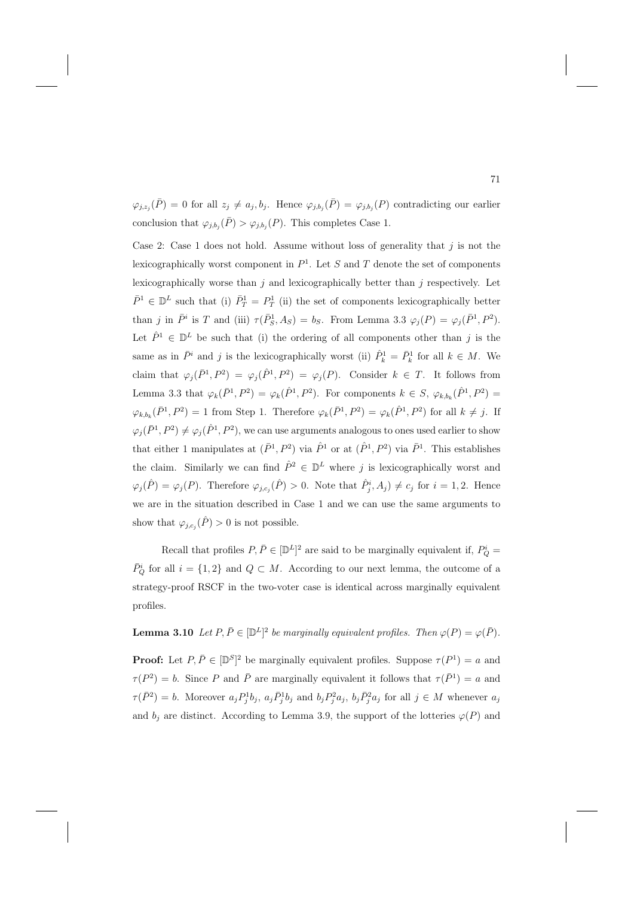$\varphi_{j,z_j}(\bar{P}) = 0$  for all  $z_j \neq a_j, b_j$ . Hence  $\varphi_{j,b_j}(\bar{P}) = \varphi_{j,b_j}(P)$  contradicting our earlier conclusion that  $\varphi_{j,b_j}(\bar{P}) > \varphi_{j,b_j}(P)$ . This completes Case 1.

Case 2: Case 1 does not hold. Assume without loss of generality that  $j$  is not the lexicographically worst component in  $P<sup>1</sup>$ . Let S and T denote the set of components lexicographically worse than  $j$  and lexicographically better than  $j$  respectively. Let  $\bar{P}^1 \in \mathbb{D}^L$  such that (i)  $\bar{P}^1_T = P^1_T$  (ii) the set of components lexicographically better than j in  $\bar{P}^i$  is T and (iii)  $\tau(\bar{P}_S^1, A_S) = b_S$ . From Lemma 3.3  $\varphi_j(P) = \varphi_j(\bar{P}^1, P^2)$ . Let  $\hat{P}^1 \in \mathbb{D}^L$  be such that (i) the ordering of all components other than j is the same as in  $\bar{P}^i$  and j is the lexicographically worst (ii)  $\hat{P}^1_k = \bar{P}^1_k$  for all  $k \in M$ . We claim that  $\varphi_j(\bar{P}^1, P^2) = \varphi_j(\hat{P}^1, P^2) = \varphi_j(P)$ . Consider  $k \in T$ . It follows from Lemma 3.3 that  $\varphi_k(\bar{P}^1, P^2) = \varphi_k(\hat{P}^1, P^2)$ . For components  $k \in S$ ,  $\varphi_{k,b_k}(\hat{P}^1, P^2) =$  $\varphi_{k,b_k}(\bar{P}^1, P^2) = 1$  from Step 1. Therefore  $\varphi_k(\bar{P}^1, P^2) = \varphi_k(\hat{P}^1, P^2)$  for all  $k \neq j$ . If  $\varphi_j(\bar{P}^1, P^2) \neq \varphi_j(\hat{P}^1, P^2)$ , we can use arguments analogous to ones used earlier to show that either 1 manipulates at  $(\bar{P}^1, P^2)$  via  $\hat{P}^1$  or at  $(\hat{P}^1, P^2)$  via  $\bar{P}^1$ . This establishes the claim. Similarly we can find  $\hat{P}^2 \in \mathbb{D}^L$  where j is lexicographically worst and  $\varphi_j(\hat{P}) = \varphi_j(P)$ . Therefore  $\varphi_{j,c_j}(\hat{P}) > 0$ . Note that  $\hat{P}_j^i, A_j \neq c_j$  for  $i = 1, 2$ . Hence we are in the situation described in Case 1 and we can use the same arguments to show that  $\varphi_{j,c_j}(\hat{P}) > 0$  is not possible.

Recall that profiles  $P, \bar{P} \in [\mathbb{D}^L]^2$  are said to be marginally equivalent if,  $P_Q^i$  $\overline{P}_{Q}^{i}$  for all  $i = \{1, 2\}$  and  $Q \subset M$ . According to our next lemma, the outcome of a strategy-proof RSCF in the two-voter case is identical across marginally equivalent profiles.

**Lemma 3.10** Let  $P, \overline{P} \in [\mathbb{D}^L]^2$  be marginally equivalent profiles. Then  $\varphi(P) = \varphi(\overline{P})$ .

**Proof:** Let  $P, \overline{P} \in [\mathbb{D}^S]^2$  be marginally equivalent profiles. Suppose  $\tau(P^1) = a$  and  $\tau(P^2) = b$ . Since P and  $\overline{P}$  are marginally equivalent it follows that  $\tau(\overline{P}^1) = a$  and  $\tau(\bar{P}^2) = b$ . Moreover  $a_j P_j^1 b_j$ ,  $a_j \bar{P}_j^1 b_j$  and  $b_j P_j^2 a_j$ ,  $b_j \bar{P}_j^2 a_j$  for all  $j \in M$  whenever  $a_j$ and  $b_i$  are distinct. According to Lemma 3.9, the support of the lotteries  $\varphi(P)$  and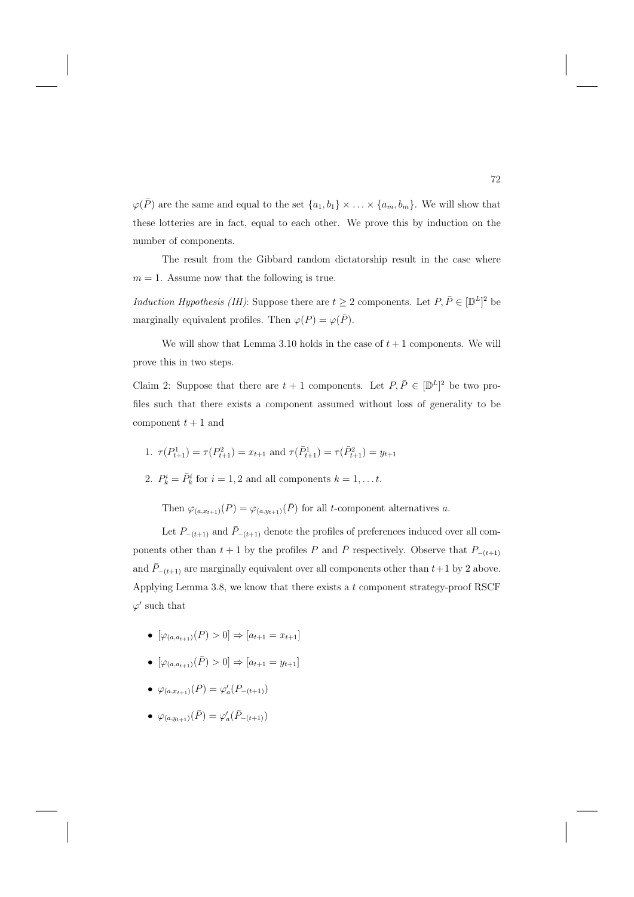$\varphi(\bar{P})$  are the same and equal to the set  $\{a_1, b_1\} \times \ldots \times \{a_m, b_m\}$ . We will show that these lotteries are in fact, equal to each other. We prove this by induction on the number of components.

The result from the Gibbard random dictatorship result in the case where  $m = 1$ . Assume now that the following is true.

Induction Hypothesis (IH): Suppose there are  $t \geq 2$  components. Let  $P, \overline{P} \in [\mathbb{D}^L]^2$  be marginally equivalent profiles. Then  $\varphi(P) = \varphi(\bar{P})$ .

We will show that Lemma 3.10 holds in the case of  $t + 1$  components. We will prove this in two steps.

Claim 2: Suppose that there are  $t + 1$  components. Let  $P, \overline{P} \in [\mathbb{D}^L]^2$  be two profiles such that there exists a component assumed without loss of generality to be component  $t + 1$  and

1. 
$$
\tau(P_{t+1}^1) = \tau(P_{t+1}^2) = x_{t+1}
$$
 and  $\tau(\bar{P}_{t+1}^1) = \tau(\bar{P}_{t+1}^2) = y_{t+1}$ 

2.  $P_k^i = \overline{P}_k^i$  for  $i = 1, 2$  and all components  $k = 1, \ldots t$ .

Then  $\varphi_{(a,x_{t+1})}(P) = \varphi_{(a,y_{t+1})}(\overline{P})$  for all t-component alternatives a.

Let  $P_{-(t+1)}$  and  $\bar{P}_{-(t+1)}$  denote the profiles of preferences induced over all components other than  $t + 1$  by the profiles P and  $\overline{P}$  respectively. Observe that  $P_{-(t+1)}$ and  $\bar{P}_{-(t+1)}$  are marginally equivalent over all components other than  $t+1$  by 2 above. Applying Lemma 3.8, we know that there exists a  $t$  component strategy-proof RSCF  $\varphi'$  such that

- $[\varphi_{(a,a_{t+1})}(P) > 0] \Rightarrow [a_{t+1} = x_{t+1}]$
- $[\varphi_{(a,a_{t+1})}(\bar{P}) > 0] \Rightarrow [a_{t+1} = y_{t+1}]$
- $\varphi_{(a,x_{t+1})}(P) = \varphi'_a(P_{-(t+1)})$
- $\varphi_{(a,y_{t+1})}(\bar{P}) = \varphi'_{a}(\bar{P}_{-(t+1)})$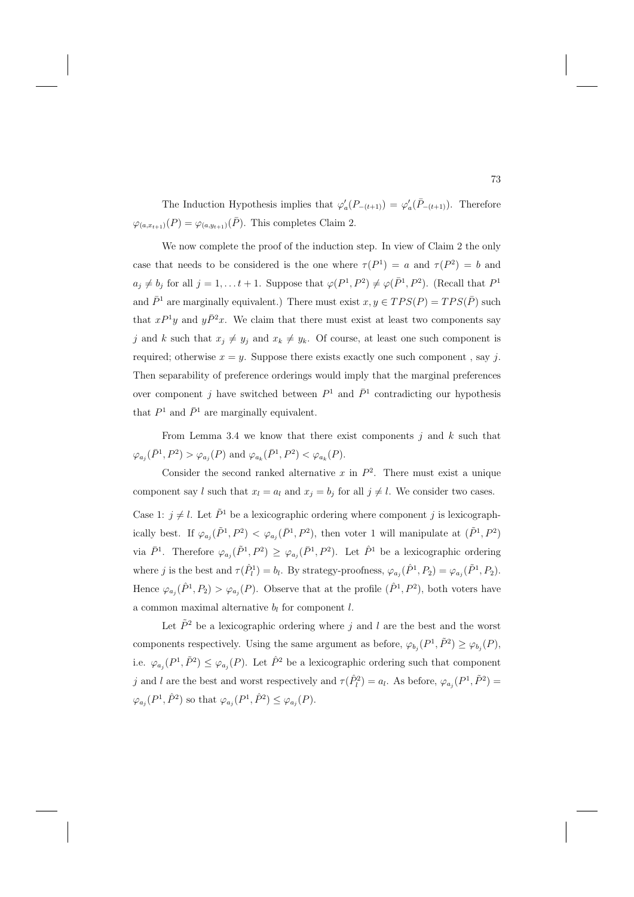The Induction Hypothesis implies that  $\varphi_a'(P_{-(t+1)}) = \varphi_a'(\overline{P}_{-(t+1)})$ . Therefore  $\varphi_{(a,x_{t+1})}(P) = \varphi_{(a,y_{t+1})}(\bar{P})$ . This completes Claim 2.

We now complete the proof of the induction step. In view of Claim 2 the only case that needs to be considered is the one where  $\tau(P^1) = a$  and  $\tau(P^2) = b$  and  $a_j \neq b_j$  for all  $j = 1, \ldots t + 1$ . Suppose that  $\varphi(P^1, P^2) \neq \varphi(\bar{P}^1, P^2)$ . (Recall that  $P^1$ and  $\bar{P}$ <sup>1</sup> are marginally equivalent.) There must exist  $x, y \in TPS(P) = TPS(\bar{P})$  such that  $xP^{1}y$  and  $y\bar{P}^{2}x$ . We claim that there must exist at least two components say j and k such that  $x_j \neq y_j$  and  $x_k \neq y_k$ . Of course, at least one such component is required; otherwise  $x = y$ . Suppose there exists exactly one such component, say j. Then separability of preference orderings would imply that the marginal preferences over component j have switched between  $P^1$  and  $\bar{P}^1$  contradicting our hypothesis that  $P^1$  and  $\bar{P}^1$  are marginally equivalent.

From Lemma 3.4 we know that there exist components  $j$  and  $k$  such that  $\varphi_{a_j}(\bar{P}^1, P^2) > \varphi_{a_j}(P)$  and  $\varphi_{a_k}(\bar{P}^1, P^2) < \varphi_{a_k}(P)$ .

Consider the second ranked alternative x in  $P^2$ . There must exist a unique component say l such that  $x_l = a_l$  and  $x_j = b_j$  for all  $j \neq l$ . We consider two cases.

Case 1:  $j \neq l$ . Let  $\tilde{P}^1$  be a lexicographic ordering where component j is lexicographically best. If  $\varphi_{a_i}(\tilde{P}^1, P^2) < \varphi_{a_i}(\bar{P}^1, P^2)$ , then voter 1 will manipulate at  $(\tilde{P}^1, P^2)$ via  $\bar{P}^1$ . Therefore  $\varphi_{a_i}(\tilde{P}^1, P^2) \geq \varphi_{a_i}(\bar{P}^1, P^2)$ . Let  $\hat{P}^1$  be a lexicographic ordering where j is the best and  $\tau(\hat{P}_l^1) = b_l$ . By strategy-proofness,  $\varphi_{a_j}(\hat{P}^1, P_2) = \varphi_{a_j}(\tilde{P}^1, P_2)$ . Hence  $\varphi_{a_i}(\hat{P}^1, P_2) > \varphi_{a_i}(P)$ . Observe that at the profile  $(\hat{P}^1, P^2)$ , both voters have a common maximal alternative  $b_l$  for component  $l$ .

Let  $\tilde{P}^2$  be a lexicographic ordering where j and l are the best and the worst components respectively. Using the same argument as before,  $\varphi_{b_j}(P^1, \tilde{P}^2) \geq \varphi_{b_j}(P)$ , i.e.  $\varphi_{a_i}(P^1, \tilde{P}^2) \leq \varphi_{a_i}(P)$ . Let  $\hat{P}^2$  be a lexicographic ordering such that component j and l are the best and worst respectively and  $\tau(\hat{P}_l^2) = a_l$ . As before,  $\varphi_{a_j}(P^1, \tilde{P}^2) =$  $\varphi_{a_i}(P^1, \hat{P}^2)$  so that  $\varphi_{a_i}(P^1, \hat{P}^2) \leq \varphi_{a_i}(P)$ .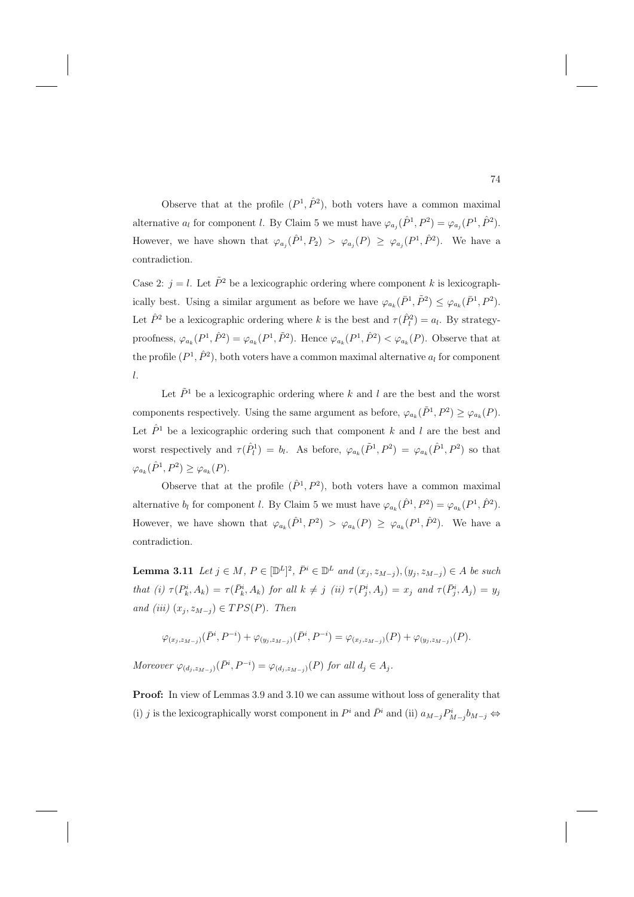Observe that at the profile  $(P^1, \hat{P}^2)$ , both voters have a common maximal alternative  $a_l$  for component l. By Claim 5 we must have  $\varphi_{a_i}(\hat{P}^1, P^2) = \varphi_{a_i}(P^1, \hat{P}^2)$ . However, we have shown that  $\varphi_{a_j}(\hat{P}^1, P_2) > \varphi_{a_j}(P) \geq \varphi_{a_j}(P^1, \hat{P}^2)$ . We have a contradiction.

Case 2:  $j = l$ . Let  $\tilde{P}^2$  be a lexicographic ordering where component k is lexicographically best. Using a similar argument as before we have  $\varphi_{a_k}(\bar{P}^1, \tilde{P}^2) \leq \varphi_{a_k}(\bar{P}^1, P^2)$ . Let  $\hat{P}^2$  be a lexicographic ordering where k is the best and  $\tau(\hat{P}_l^2) = a_l$ . By strategyproofness,  $\varphi_{a_k}(P^1, \hat{P}^2) = \varphi_{a_k}(P^1, \tilde{P}^2)$ . Hence  $\varphi_{a_k}(P^1, \hat{P}^2) < \varphi_{a_k}(P)$ . Observe that at the profile  $(P^1, \hat{P}^2)$ , both voters have a common maximal alternative  $a_l$  for component l.

Let  $\tilde{P}$ <sup>1</sup> be a lexicographic ordering where k and l are the best and the worst components respectively. Using the same argument as before,  $\varphi_{a_k}(\tilde{P}^1, P^2) \geq \varphi_{a_k}(P)$ . Let  $\hat{P}$ <sup>1</sup> be a lexicographic ordering such that component k and l are the best and worst respectively and  $\tau(\hat{P}_l^1) = b_l$ . As before,  $\varphi_{a_k}(\tilde{P}^1, P^2) = \varphi_{a_k}(\hat{P}^1, P^2)$  so that  $\varphi_{a_k}(\hat{P}^1, P^2) \geq \varphi_{a_k}(P).$ 

Observe that at the profile  $(\hat{P}^1, P^2)$ , both voters have a common maximal alternative  $b_l$  for component l. By Claim 5 we must have  $\varphi_{a_k}(\hat{P}^1, P^2) = \varphi_{a_k}(P^1, \hat{P}^2)$ . However, we have shown that  $\varphi_{a_k}(\hat{P}^1, P^2) > \varphi_{a_k}(P) \geq \varphi_{a_k}(P^1, \hat{P}^2)$ . We have a contradiction.

**Lemma 3.11** Let  $j \in M$ ,  $P \in [\mathbb{D}^L]^2$ ,  $\bar{P}^i \in \mathbb{D}^L$  and  $(x_j, z_{M-j}), (y_j, z_{M-j}) \in A$  be such that (i)  $\tau(P_k^i, A_k) = \tau(\bar{P}_k^i, A_k)$  for all  $k \neq j$  (ii)  $\tau(P_j^i, A_j) = x_j$  and  $\tau(\bar{P}_j^i, A_j) = y_j$ and (iii)  $(x_j, z_{M-j}) \in TPS(P)$ . Then

$$
\varphi_{(x_j,z_{M-j})}(\bar P^i, P^{-i})+\varphi_{(y_j,z_{M-j})}(\bar P^i, P^{-i})=\varphi_{(x_j,z_{M-j})}(P)+\varphi_{(y_j,z_{M-j})}(P).
$$

Moreover  $\varphi_{(d_j, z_{M-j})}(\bar{P}^i, P^{-i}) = \varphi_{(d_j, z_{M-j})}(P)$  for all  $d_j \in A_j$ .

**Proof:** In view of Lemmas 3.9 and 3.10 we can assume without loss of generality that (i) j is the lexicographically worst component in  $P^i$  and  $\bar{P}^i$  and (ii)  $a_{M-j}P^i_{M-j}b_{M-j} \Leftrightarrow$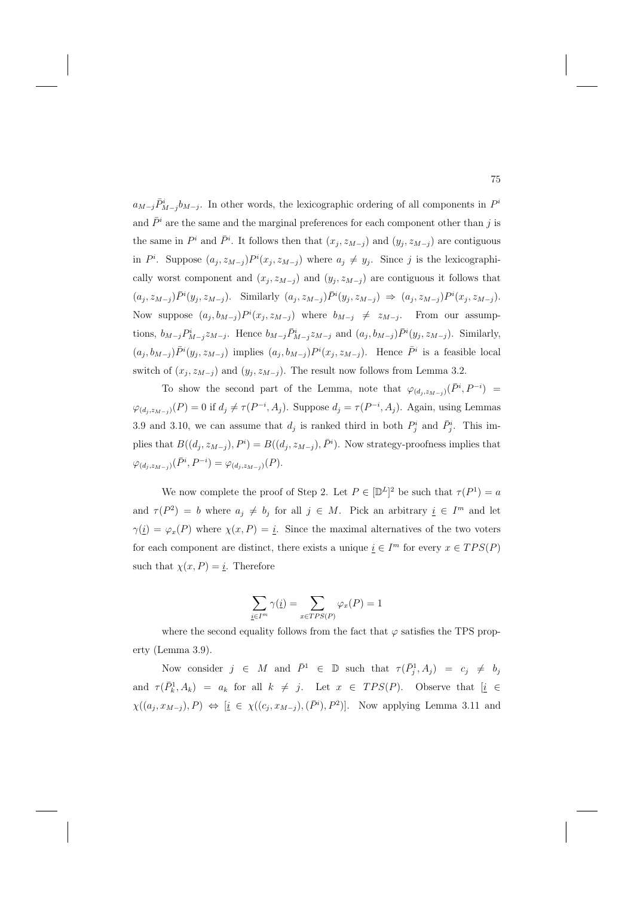$a_{M-j}\bar{P}^i_{M-j}b_{M-j}$ . In other words, the lexicographic ordering of all components in  $P^i$ and  $\bar{P}^i$  are the same and the marginal preferences for each component other than j is the same in  $P^i$  and  $\bar{P}^i$ . It follows then that  $(x_j, z_{M-j})$  and  $(y_j, z_{M-j})$  are contiguous in  $P^i$ . Suppose  $(a_j, z_{M-j}) P^i(x_j, z_{M-j})$  where  $a_j \neq y_j$ . Since j is the lexicographically worst component and  $(x_j, z_{M-j})$  and  $(y_j, z_{M-j})$  are contiguous it follows that  $(a_j, z_{M-j}) \bar{P}^i(y_j, z_{M-j})$ . Similarly  $(a_j, z_{M-j}) \bar{P}^i(y_j, z_{M-j}) \Rightarrow (a_j, z_{M-j}) P^i(x_j, z_{M-j})$ . Now suppose  $(a_j, b_{M-j}) P^i(x_j, z_{M-j})$  where  $b_{M-j} \neq z_{M-j}$ . From our assumptions,  $b_{M-j}P^i_{M-j}z_{M-j}$ . Hence  $b_{M-j}\bar{P}^i_{M-j}z_{M-j}$  and  $(a_j, b_{M-j})\bar{P}^i(y_j, z_{M-j})$ . Similarly,  $(a_j, b_{M-j}) \bar{P}^i(y_j, z_{M-j})$  implies  $(a_j, b_{M-j}) P^i(x_j, z_{M-j})$ . Hence  $\bar{P}^i$  is a feasible local switch of  $(x_j, z_{M-j})$  and  $(y_j, z_{M-j})$ . The result now follows from Lemma 3.2.

To show the second part of the Lemma, note that  $\varphi_{(d_j, z_{M-j})}(\bar{P}^i, P^{-i}) =$  $\varphi_{(d_j, z_{M-j})}(P) = 0$  if  $d_j \neq \tau(P^{-i}, A_j)$ . Suppose  $d_j = \tau(P^{-i}, A_j)$ . Again, using Lemmas 3.9 and 3.10, we can assume that  $d_j$  is ranked third in both  $P_j^i$  and  $\bar{P}_j^i$ . This implies that  $B((d_j, z_{M-j}), P^i) = B((d_j, z_{M-j}), \bar{P}^i)$ . Now strategy-proofness implies that  $\varphi_{(d_j, z_{M-j})}(\bar{P}^i, P^{-i}) = \varphi_{(d_j, z_{M-j})}(P).$ 

We now complete the proof of Step 2. Let  $P \in [\mathbb{D}^L]^2$  be such that  $\tau(P^1) = a$ and  $\tau(P^2) = b$  where  $a_j \neq b_j$  for all  $j \in M$ . Pick an arbitrary  $i \in I^m$  and let  $\gamma(\underline{i}) = \varphi_x(P)$  where  $\chi(x, P) = \underline{i}$ . Since the maximal alternatives of the two voters for each component are distinct, there exists a unique  $i \in I^m$  for every  $x \in TPS(P)$ such that  $\chi(x, P) = \underline{i}$ . Therefore

$$
\sum_{\underline{i}\in I^m} \gamma(\underline{i}) = \sum_{x \in TPS(P)} \varphi_x(P) = 1
$$

where the second equality follows from the fact that  $\varphi$  satisfies the TPS property (Lemma 3.9).

Now consider  $j \in M$  and  $\bar{P}^1 \in \mathbb{D}$  such that  $\tau(\bar{P}_j^1, A_j) = c_j \neq b_j$ and  $\tau(\bar{P}_k^1, A_k) = a_k$  for all  $k \neq j$ . Let  $x \in TPS(P)$ . Observe that  $[\underline{i} \in$  $\chi((a_j, x_{M-j}), P) \Leftrightarrow [\underline{i} \in \chi((c_j, x_{M-j}), (\overline{P}^i), P^2)].$  Now applying Lemma 3.11 and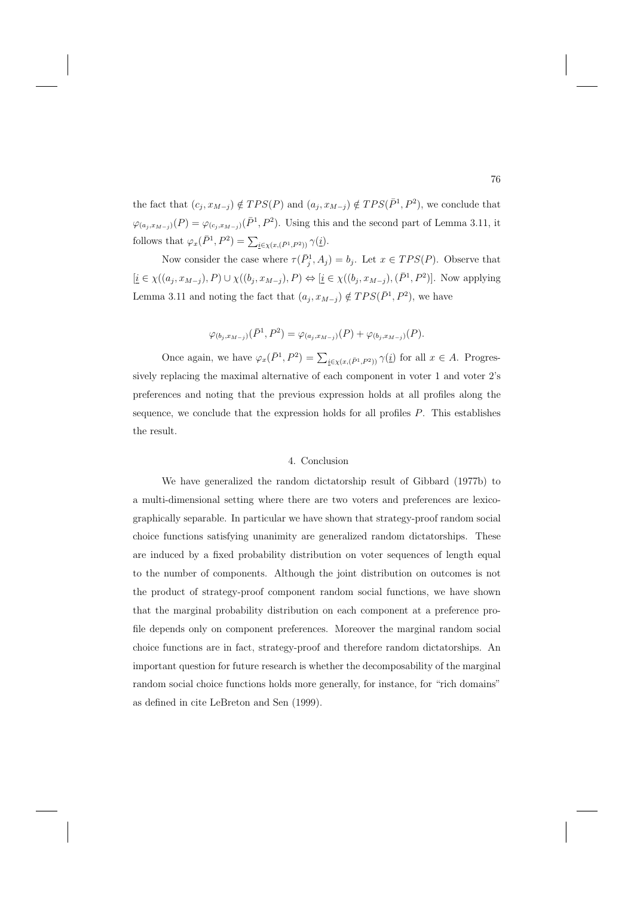the fact that  $(c_j, x_{M-j}) \notin TPS(P)$  and  $(a_j, x_{M-j}) \notin TPS(\bar{P}^1, P^2)$ , we conclude that  $\varphi_{(a_j,x_{M-j})}(P) = \varphi_{(c_j,x_{M-j})}(\bar{P}^1,P^2)$ . Using this and the second part of Lemma 3.11, it follows that  $\varphi_x(\bar{P}^1, P^2) = \sum_{\underline{i} \in \chi(x, (\bar{P}^1, P^2))} \gamma(\underline{i}).$ 

Now consider the case where  $\tau(\bar{P}_j^1, A_j) = b_j$ . Let  $x \in TPS(P)$ . Observe that  $[\underline{i} \in \chi((a_j,x_{M-j}),P) \cup \chi((b_j,x_{M-j}),P) \Leftrightarrow [\underline{i} \in \chi((b_j,x_{M-j}),(\bar{P}^1,P^2)].$  Now applying Lemma 3.11 and noting the fact that  $(a_j, x_{M-j}) \notin TPS(\bar{P}^1, P^2)$ , we have

$$
\varphi_{(b_j,x_{M-j})}(\bar{P}^1,P^2) = \varphi_{(a_j,x_{M-j})}(P) + \varphi_{(b_j,x_{M-j})}(P).
$$

Once again, we have  $\varphi_x(\bar{P}^1, P^2) = \sum_{\underline{i} \in \chi(x, (\bar{P}^1, P^2))} \gamma(\underline{i})$  for all  $x \in A$ . Progressively replacing the maximal alternative of each component in voter 1 and voter 2's preferences and noting that the previous expression holds at all profiles along the sequence, we conclude that the expression holds for all profiles  $P$ . This establishes the result.

# 4. Conclusion

We have generalized the random dictatorship result of Gibbard (1977b) to a multi-dimensional setting where there are two voters and preferences are lexicographically separable. In particular we have shown that strategy-proof random social choice functions satisfying unanimity are generalized random dictatorships. These are induced by a fixed probability distribution on voter sequences of length equal to the number of components. Although the joint distribution on outcomes is not the product of strategy-proof component random social functions, we have shown that the marginal probability distribution on each component at a preference profile depends only on component preferences. Moreover the marginal random social choice functions are in fact, strategy-proof and therefore random dictatorships. An important question for future research is whether the decomposability of the marginal random social choice functions holds more generally, for instance, for "rich domains" as defined in cite LeBreton and Sen (1999).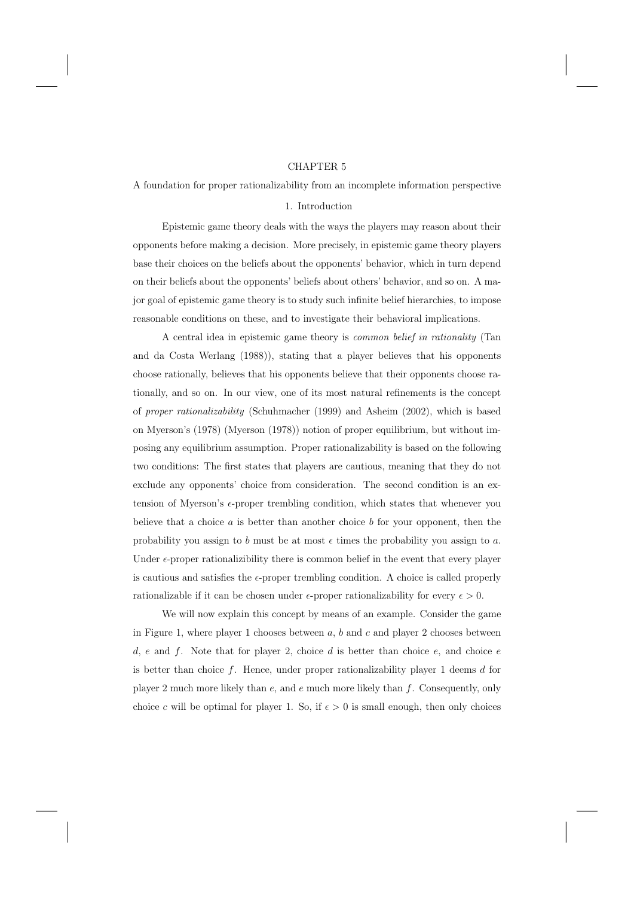#### CHAPTER 5

A foundation for proper rationalizability from an incomplete information perspective

## 1. Introduction

Epistemic game theory deals with the ways the players may reason about their opponents before making a decision. More precisely, in epistemic game theory players base their choices on the beliefs about the opponents' behavior, which in turn depend on their beliefs about the opponents' beliefs about others' behavior, and so on. A major goal of epistemic game theory is to study such infinite belief hierarchies, to impose reasonable conditions on these, and to investigate their behavioral implications.

A central idea in epistemic game theory is common belief in rationality (Tan and da Costa Werlang (1988)), stating that a player believes that his opponents choose rationally, believes that his opponents believe that their opponents choose rationally, and so on. In our view, one of its most natural refinements is the concept of proper rationalizability (Schuhmacher (1999) and Asheim (2002), which is based on Myerson's (1978) (Myerson (1978)) notion of proper equilibrium, but without imposing any equilibrium assumption. Proper rationalizability is based on the following two conditions: The first states that players are cautious, meaning that they do not exclude any opponents' choice from consideration. The second condition is an extension of Myerson's  $\epsilon$ -proper trembling condition, which states that whenever you believe that a choice  $a$  is better than another choice  $b$  for your opponent, then the probability you assign to b must be at most  $\epsilon$  times the probability you assign to a. Under  $\epsilon$ -proper rationalizibility there is common belief in the event that every player is cautious and satisfies the  $\epsilon$ -proper trembling condition. A choice is called properly rationalizable if it can be chosen under  $\epsilon$ -proper rationalizability for every  $\epsilon > 0$ .

We will now explain this concept by means of an example. Consider the game in Figure 1, where player 1 chooses between  $a, b$  and  $c$  and player 2 chooses between d, e and f. Note that for player 2, choice d is better than choice  $e$ , and choice  $e$ is better than choice  $f$ . Hence, under proper rationalizability player 1 deems  $d$  for player 2 much more likely than  $e$ , and  $e$  much more likely than  $f$ . Consequently, only choice c will be optimal for player 1. So, if  $\epsilon > 0$  is small enough, then only choices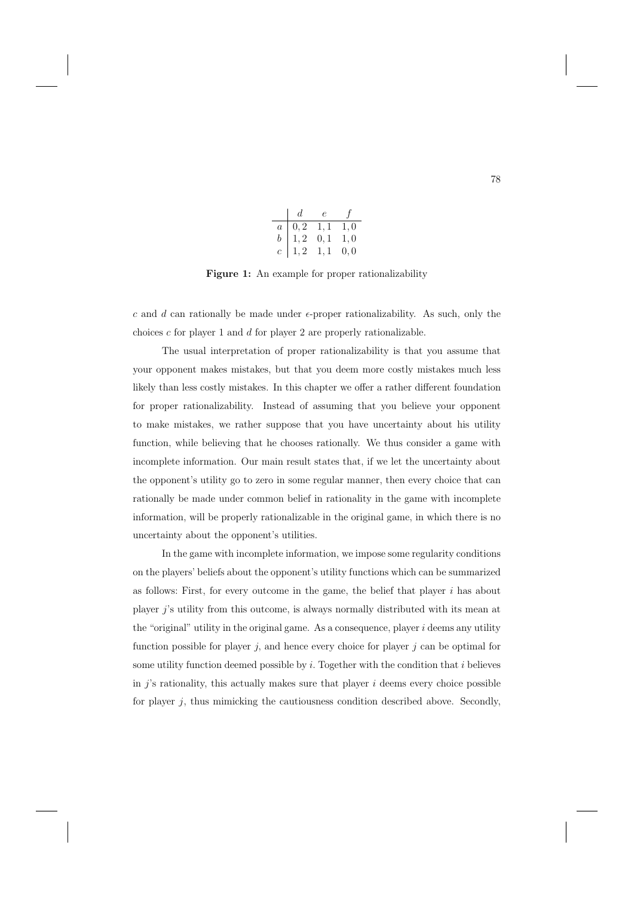|                | d.                                          | e    | $\int$ |
|----------------|---------------------------------------------|------|--------|
| $a \mid$       | $\begin{array}{cc} 0, 2 & 1, 1 \end{array}$ |      | 1,0    |
| $\bar{b}$      | 1, 2                                        | 0, 1 | 1,0    |
| $\overline{c}$ | 1, 2                                        | 1,1  | 0,0    |

**Figure 1:** An example for proper rationalizability

c and d can rationally be made under  $\epsilon$ -proper rationalizability. As such, only the choices  $c$  for player 1 and  $d$  for player 2 are properly rationalizable.

The usual interpretation of proper rationalizability is that you assume that your opponent makes mistakes, but that you deem more costly mistakes much less likely than less costly mistakes. In this chapter we offer a rather different foundation for proper rationalizability. Instead of assuming that you believe your opponent to make mistakes, we rather suppose that you have uncertainty about his utility function, while believing that he chooses rationally. We thus consider a game with incomplete information. Our main result states that, if we let the uncertainty about the opponent's utility go to zero in some regular manner, then every choice that can rationally be made under common belief in rationality in the game with incomplete information, will be properly rationalizable in the original game, in which there is no uncertainty about the opponent's utilities.

In the game with incomplete information, we impose some regularity conditions on the players' beliefs about the opponent's utility functions which can be summarized as follows: First, for every outcome in the game, the belief that player  $i$  has about player j's utility from this outcome, is always normally distributed with its mean at the "original" utility in the original game. As a consequence, player  $i$  deems any utility function possible for player  $j$ , and hence every choice for player  $j$  can be optimal for some utility function deemed possible by  $i$ . Together with the condition that  $i$  believes in  $i$ 's rationality, this actually makes sure that player  $i$  deems every choice possible for player j, thus mimicking the cautiousness condition described above. Secondly,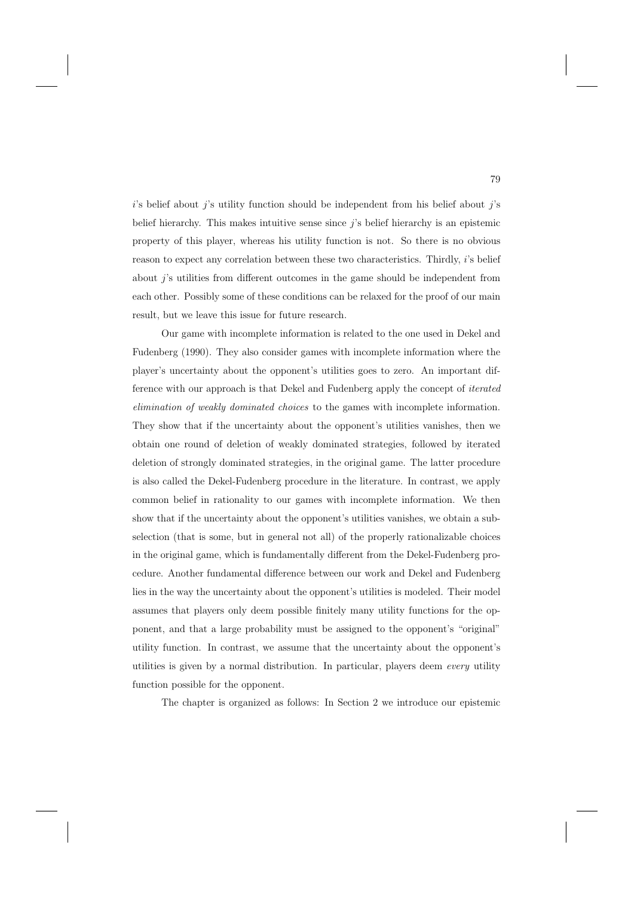$i$ 's belief about j's utility function should be independent from his belief about j's belief hierarchy. This makes intuitive sense since j's belief hierarchy is an epistemic property of this player, whereas his utility function is not. So there is no obvious reason to expect any correlation between these two characteristics. Thirdly, i's belief about j's utilities from different outcomes in the game should be independent from each other. Possibly some of these conditions can be relaxed for the proof of our main result, but we leave this issue for future research.

Our game with incomplete information is related to the one used in Dekel and Fudenberg (1990). They also consider games with incomplete information where the player's uncertainty about the opponent's utilities goes to zero. An important difference with our approach is that Dekel and Fudenberg apply the concept of iterated elimination of weakly dominated choices to the games with incomplete information. They show that if the uncertainty about the opponent's utilities vanishes, then we obtain one round of deletion of weakly dominated strategies, followed by iterated deletion of strongly dominated strategies, in the original game. The latter procedure is also called the Dekel-Fudenberg procedure in the literature. In contrast, we apply common belief in rationality to our games with incomplete information. We then show that if the uncertainty about the opponent's utilities vanishes, we obtain a subselection (that is some, but in general not all) of the properly rationalizable choices in the original game, which is fundamentally different from the Dekel-Fudenberg procedure. Another fundamental difference between our work and Dekel and Fudenberg lies in the way the uncertainty about the opponent's utilities is modeled. Their model assumes that players only deem possible finitely many utility functions for the opponent, and that a large probability must be assigned to the opponent's "original" utility function. In contrast, we assume that the uncertainty about the opponent's utilities is given by a normal distribution. In particular, players deem every utility function possible for the opponent.

The chapter is organized as follows: In Section 2 we introduce our epistemic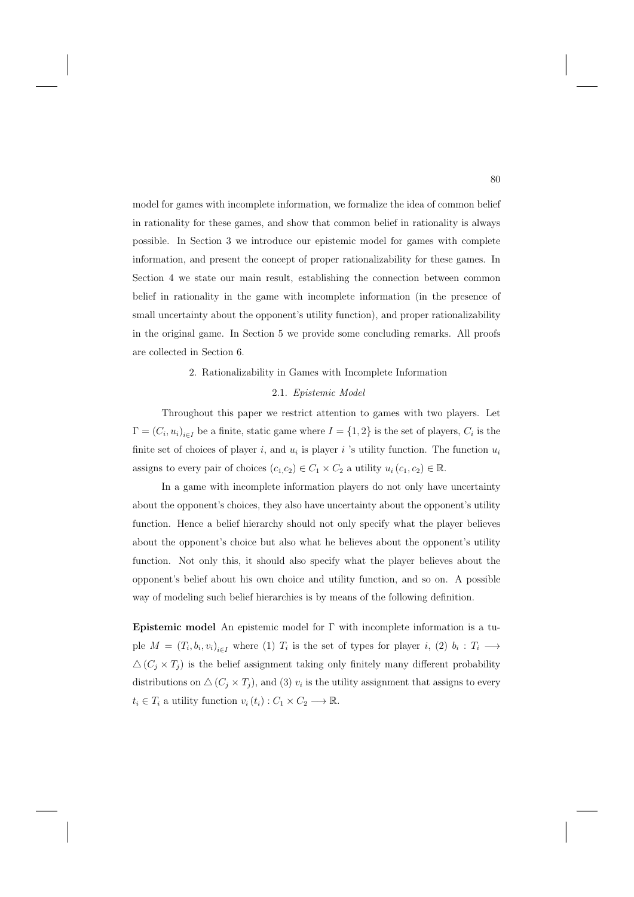model for games with incomplete information, we formalize the idea of common belief in rationality for these games, and show that common belief in rationality is always possible. In Section 3 we introduce our epistemic model for games with complete information, and present the concept of proper rationalizability for these games. In Section 4 we state our main result, establishing the connection between common belief in rationality in the game with incomplete information (in the presence of small uncertainty about the opponent's utility function), and proper rationalizability in the original game. In Section 5 we provide some concluding remarks. All proofs are collected in Section 6.

# 2. Rationalizability in Games with Incomplete Information

## 2.1. Epistemic Model

Throughout this paper we restrict attention to games with two players. Let  $\Gamma=(C_i, u_i)_{i\in I}$  be a finite, static game where  $I = \{1, 2\}$  is the set of players,  $C_i$  is the finite set of choices of player i, and  $u_i$  is player i 's utility function. The function  $u_i$ assigns to every pair of choices  $(c_1, c_2) \in C_1 \times C_2$  a utility  $u_i(c_1, c_2) \in \mathbb{R}$ .

In a game with incomplete information players do not only have uncertainty about the opponent's choices, they also have uncertainty about the opponent's utility function. Hence a belief hierarchy should not only specify what the player believes about the opponent's choice but also what he believes about the opponent's utility function. Not only this, it should also specify what the player believes about the opponent's belief about his own choice and utility function, and so on. A possible way of modeling such belief hierarchies is by means of the following definition.

**Epistemic model** An epistemic model for Γ with incomplete information is a tuple  $M = (T_i, b_i, v_i)_{i \in I}$  where (1)  $T_i$  is the set of types for player i, (2)  $b_i : T_i \longrightarrow$  $\Delta(C_i \times T_j)$  is the belief assignment taking only finitely many different probability distributions on  $\Delta(C_j \times T_j)$ , and (3)  $v_i$  is the utility assignment that assigns to every  $t_i \in T_i$  a utility function  $v_i(t_i) : C_1 \times C_2 \longrightarrow \mathbb{R}$ .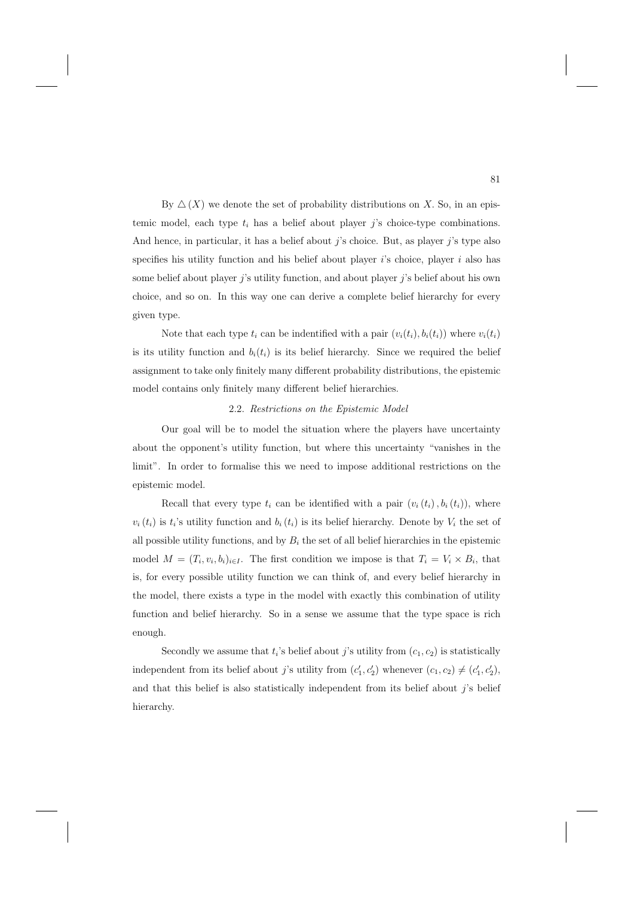By  $\Delta(X)$  we denote the set of probability distributions on X. So, in an epistemic model, each type  $t_i$  has a belief about player j's choice-type combinations. And hence, in particular, it has a belief about  $j$ 's choice. But, as player  $j$ 's type also specifies his utility function and his belief about player  $i$ 's choice, player  $i$  also has some belief about player  $j$ 's utility function, and about player  $j$ 's belief about his own choice, and so on. In this way one can derive a complete belief hierarchy for every given type.

Note that each type  $t_i$  can be indentified with a pair  $(v_i(t_i), b_i(t_i))$  where  $v_i(t_i)$ is its utility function and  $b_i(t_i)$  is its belief hierarchy. Since we required the belief assignment to take only finitely many different probability distributions, the epistemic model contains only finitely many different belief hierarchies.

#### 2.2. Restrictions on the Epistemic Model

Our goal will be to model the situation where the players have uncertainty about the opponent's utility function, but where this uncertainty "vanishes in the limit". In order to formalise this we need to impose additional restrictions on the epistemic model.

Recall that every type  $t_i$  can be identified with a pair  $(v_i(t_i), b_i(t_i))$ , where  $v_i(t_i)$  is  $t_i$ 's utility function and  $b_i(t_i)$  is its belief hierarchy. Denote by  $V_i$  the set of all possible utility functions, and by  $B_i$  the set of all belief hierarchies in the epistemic model  $M = (T_i, v_i, b_i)_{i \in I}$ . The first condition we impose is that  $T_i = V_i \times B_i$ , that is, for every possible utility function we can think of, and every belief hierarchy in the model, there exists a type in the model with exactly this combination of utility function and belief hierarchy. So in a sense we assume that the type space is rich enough.

Secondly we assume that  $t_i$ 's belief about j's utility from  $(c_1, c_2)$  is statistically independent from its belief about j's utility from  $(c'_1, c'_2)$  whenever  $(c_1, c_2) \neq (c'_1, c'_2)$ , and that this belief is also statistically independent from its belief about  $j$ 's belief hierarchy.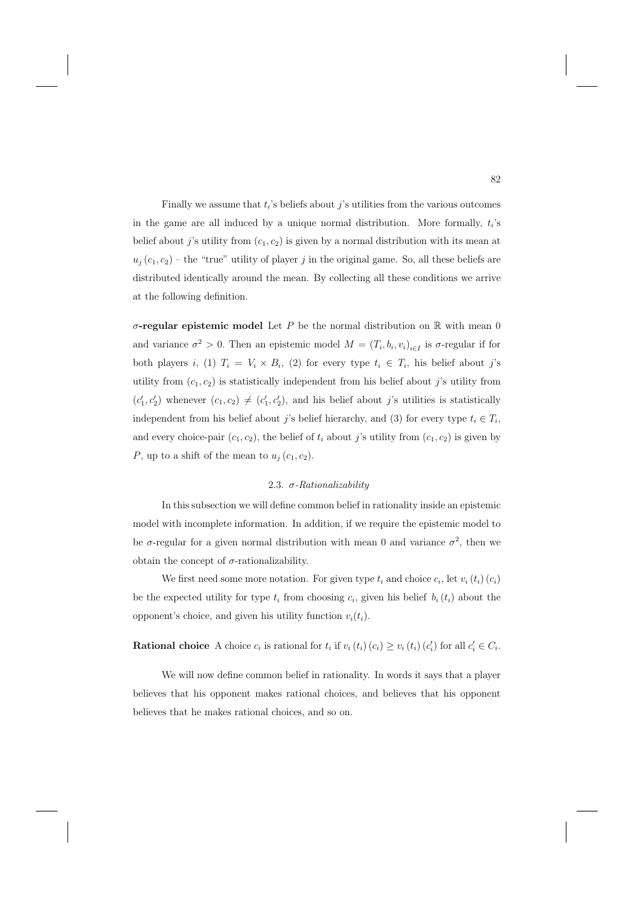Finally we assume that  $t_i$ 's beliefs about j's utilities from the various outcomes in the game are all induced by a unique normal distribution. More formally,  $t_i$ 's belief about j's utility from  $(c_1, c_2)$  is given by a normal distribution with its mean at  $u_j(c_1, c_2)$  – the "true" utility of player j in the original game. So, all these beliefs are distributed identically around the mean. By collecting all these conditions we arrive at the following definition.

 $\sigma$ **-regular epistemic model** Let P be the normal distribution on R with mean 0 and variance  $\sigma^2 > 0$ . Then an epistemic model  $M = (T_i, b_i, v_i)_{i \in I}$  is  $\sigma$ -regular if for both players i, (1)  $T_i = V_i \times B_i$ , (2) for every type  $t_i \in T_i$ , his belief about j's utility from  $(c_1, c_2)$  is statistically independent from his belief about j's utility from  $(c'_1, c'_2)$  whenever  $(c_1, c_2) \neq (c'_1, c'_2)$ , and his belief about j's utilities is statistically independent from his belief about j's belief hierarchy, and (3) for every type  $t_i \in T_i$ , and every choice-pair  $(c_1, c_2)$ , the belief of  $t_i$  about j's utility from  $(c_1, c_2)$  is given by P, up to a shift of the mean to  $u_i(c_1, c_2)$ .

# 2.3.  $\sigma$ -Rationalizability

In this subsection we will define common belief in rationality inside an epistemic model with incomplete information. In addition, if we require the epistemic model to be  $\sigma$ -regular for a given normal distribution with mean 0 and variance  $\sigma^2$ , then we obtain the concept of  $\sigma$ -rationalizability.

We first need some more notation. For given type  $t_i$  and choice  $c_i$ , let  $v_i(t_i)(c_i)$ be the expected utility for type  $t_i$  from choosing  $c_i$ , given his belief  $b_i(t_i)$  about the opponent's choice, and given his utility function  $v_i(t_i)$ .

**Rational choice** A choice  $c_i$  is rational for  $t_i$  if  $v_i(t_i)(c_i) \ge v_i(t_i)(c'_i)$  for all  $c'_i \in C_i$ .

We will now define common belief in rationality. In words it says that a player believes that his opponent makes rational choices, and believes that his opponent believes that he makes rational choices, and so on.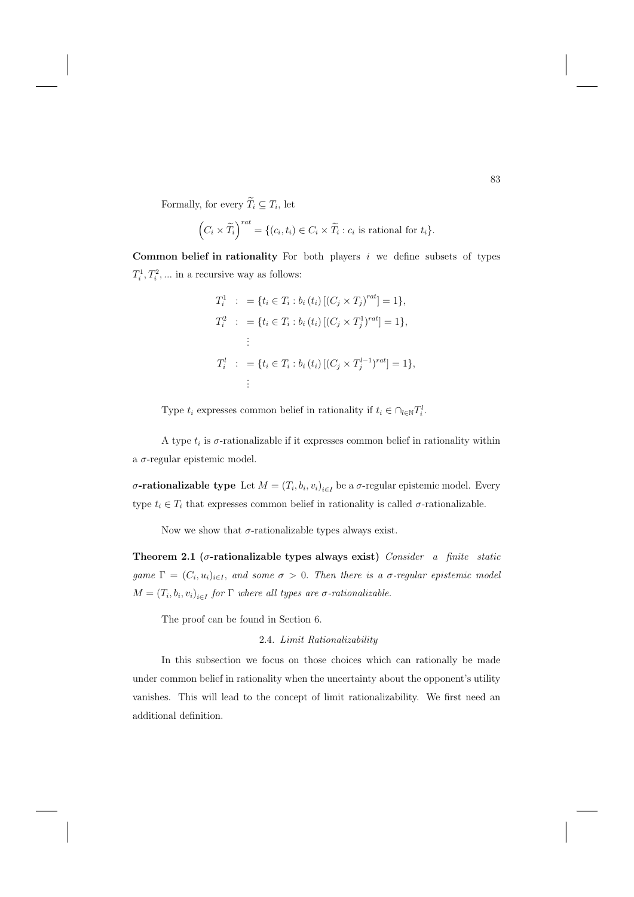Formally, for every  $\widetilde{T}_i \subseteq T_i$ , let

$$
\left(C_i \times \widetilde{T}_i\right)^{rat} = \{ (c_i, t_i) \in C_i \times \widetilde{T}_i : c_i \text{ is rational for } t_i \}.
$$

**Common belief in rationality** For both players i we define subsets of types  $T_i^1, T_i^2, \dots$  in a recursive way as follows:

$$
T_i^1 : = \{ t_i \in T_i : b_i(t_i) \left[ (C_j \times T_j)^{rat} \right] = 1 \},
$$
  
\n
$$
T_i^2 : = \{ t_i \in T_i : b_i(t_i) \left[ (C_j \times T_j^1)^{rat} \right] = 1 \},
$$
  
\n
$$
\vdots
$$
  
\n
$$
T_i^l : = \{ t_i \in T_i : b_i(t_i) \left[ (C_j \times T_j^{l-1})^{rat} \right] = 1 \},
$$
  
\n
$$
\vdots
$$

Type  $t_i$  expresses common belief in rationality if  $t_i \in \bigcap_{l \in \mathbb{N}} T_i^l$ .

A type  $t_i$  is  $\sigma$ -rationalizable if it expresses common belief in rationality within a σ-regular epistemic model.

σ**-rationalizable type** Let  $M = (T_i, b_i, v_i)_{i \in I}$  be a σ-regular epistemic model. Every type  $t_i \in T_i$  that expresses common belief in rationality is called  $\sigma$ -rationalizable.

Now we show that  $\sigma$ -rationalizable types always exist.

**Theorem 2.1 (**σ**-rationalizable types always exist)** Consider a finite static game  $\Gamma=(C_i, u_i)_{i\in I}$ , and some  $\sigma>0$ . Then there is a  $\sigma$ -regular epistemic model  $M = (T_i, b_i, v_i)_{i \in I}$  for  $\Gamma$  where all types are  $\sigma$ -rationalizable.

The proof can be found in Section 6.

## 2.4. Limit Rationalizability

In this subsection we focus on those choices which can rationally be made under common belief in rationality when the uncertainty about the opponent's utility vanishes. This will lead to the concept of limit rationalizability. We first need an additional definition.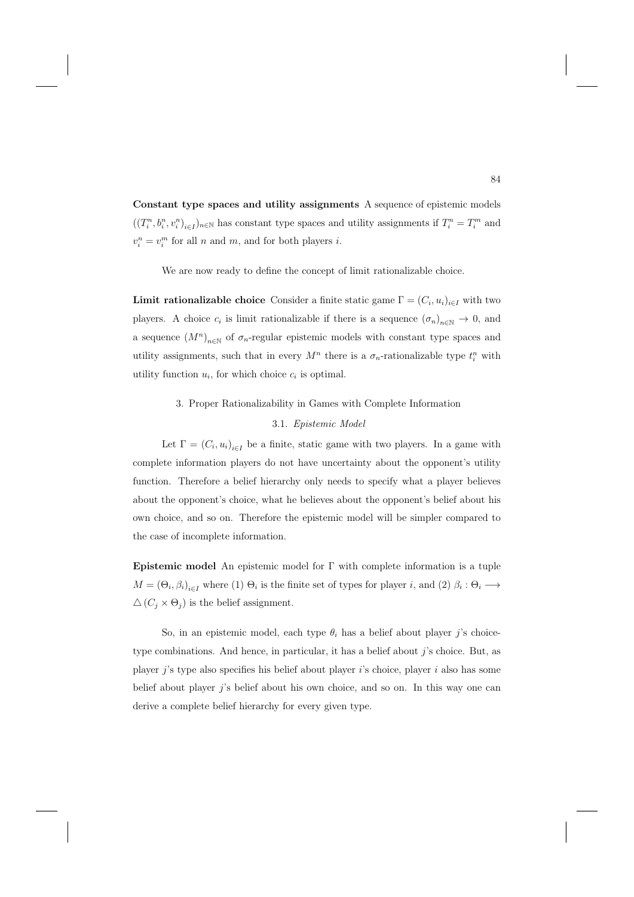**Constant type spaces and utility assignments** A sequence of epistemic models  $((T_i^n, b_i^n, v_i^n)_{i \in I})_{n \in \mathbb{N}}$  has constant type spaces and utility assignments if  $T_i^n = T_i^m$  and  $v_i^n = v_i^m$  for all n and m, and for both players i.

We are now ready to define the concept of limit rationalizable choice.

**Limit rationalizable choice** Consider a finite static game  $\Gamma = (C_i, u_i)_{i \in I}$  with two players. A choice  $c_i$  is limit rationalizable if there is a sequence  $(\sigma_n)_{n\in\mathbb{N}}\to 0$ , and a sequence  $(M^n)_{n\in\mathbb{N}}$  of  $\sigma_n$ -regular epistemic models with constant type spaces and utility assignments, such that in every  $M^n$  there is a  $\sigma_n$ -rationalizable type  $t_i^n$  with utility function  $u_i$ , for which choice  $c_i$  is optimal.

### 3. Proper Rationalizability in Games with Complete Information

## 3.1. Epistemic Model

Let  $\Gamma = (C_i, u_i)_{i \in I}$  be a finite, static game with two players. In a game with complete information players do not have uncertainty about the opponent's utility function. Therefore a belief hierarchy only needs to specify what a player believes about the opponent's choice, what he believes about the opponent's belief about his own choice, and so on. Therefore the epistemic model will be simpler compared to the case of incomplete information.

**Epistemic model** An epistemic model for Γ with complete information is a tuple  $M = (\Theta_i, \beta_i)_{i \in I}$  where (1)  $\Theta_i$  is the finite set of types for player i, and (2)  $\beta_i : \Theta_i \longrightarrow$  $\Delta(C_i \times \Theta_i)$  is the belief assignment.

So, in an epistemic model, each type  $\theta_i$  has a belief about player j's choicetype combinations. And hence, in particular, it has a belief about j's choice. But, as player j's type also specifies his belief about player i's choice, player i also has some belief about player  $i$ 's belief about his own choice, and so on. In this way one can derive a complete belief hierarchy for every given type.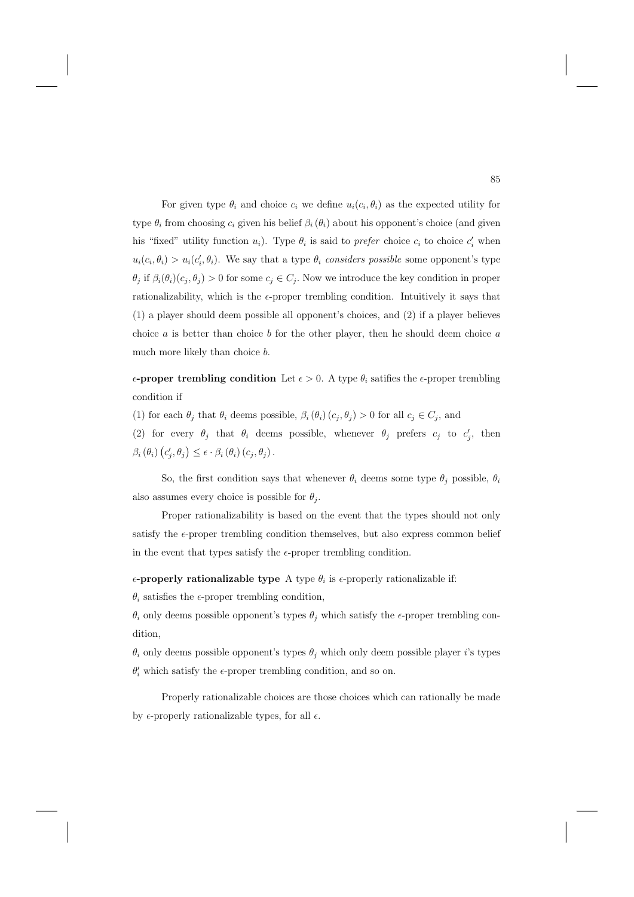For given type  $\theta_i$  and choice  $c_i$  we define  $u_i(c_i, \theta_i)$  as the expected utility for type  $\theta_i$  from choosing  $c_i$  given his belief  $\beta_i(\theta_i)$  about his opponent's choice (and given his "fixed" utility function  $u_i$ ). Type  $\theta_i$  is said to prefer choice  $c_i$  to choice  $c'_i$  when  $u_i(c_i, \theta_i) > u_i(c'_i, \theta_i)$ . We say that a type  $\theta_i$  considers possible some opponent's type  $\theta_j$  if  $\beta_i(\theta_i)(c_j, \theta_j) > 0$  for some  $c_j \in C_j$ . Now we introduce the key condition in proper rationalizability, which is the  $\epsilon$ -proper trembling condition. Intuitively it says that (1) a player should deem possible all opponent's choices, and (2) if a player believes choice  $a$  is better than choice  $b$  for the other player, then he should deem choice  $a$ much more likely than choice  $b$ .

 $\epsilon$ -proper trembling condition Let  $\epsilon > 0$ . A type  $\theta_i$  satifies the  $\epsilon$ -proper trembling condition if

(1) for each  $\theta_j$  that  $\theta_i$  deems possible,  $\beta_i(\theta_i)(c_j, \theta_j) > 0$  for all  $c_j \in C_j$ , and

(2) for every  $\theta_j$  that  $\theta_i$  deems possible, whenever  $\theta_j$  prefers  $c_j$  to  $c'_j$ , then  $\beta_i (\theta_i) (c'_j, \theta_j) \leq \epsilon \cdot \beta_i (\theta_i) (c_j, \theta_j).$ 

So, the first condition says that whenever  $\theta_i$  deems some type  $\theta_i$  possible,  $\theta_i$ also assumes every choice is possible for  $\theta_i$ .

Proper rationalizability is based on the event that the types should not only satisfy the  $\epsilon$ -proper trembling condition themselves, but also express common belief in the event that types satisfy the  $\epsilon$ -proper trembling condition.

 $\epsilon$ -**properly rationalizable type** A type  $\theta_i$  is  $\epsilon$ -properly rationalizable if:

 $\theta_i$  satisfies the  $\epsilon$ -proper trembling condition,

 $\theta_i$  only deems possible opponent's types  $\theta_i$  which satisfy the  $\epsilon$ -proper trembling condition,

 $\theta_i$  only deems possible opponent's types  $\theta_j$  which only deem possible player i's types  $\theta_i'$  which satisfy the  $\epsilon\text{-proper}$  trembling condition, and so on.

Properly rationalizable choices are those choices which can rationally be made by  $\epsilon$ -properly rationalizable types, for all  $\epsilon$ .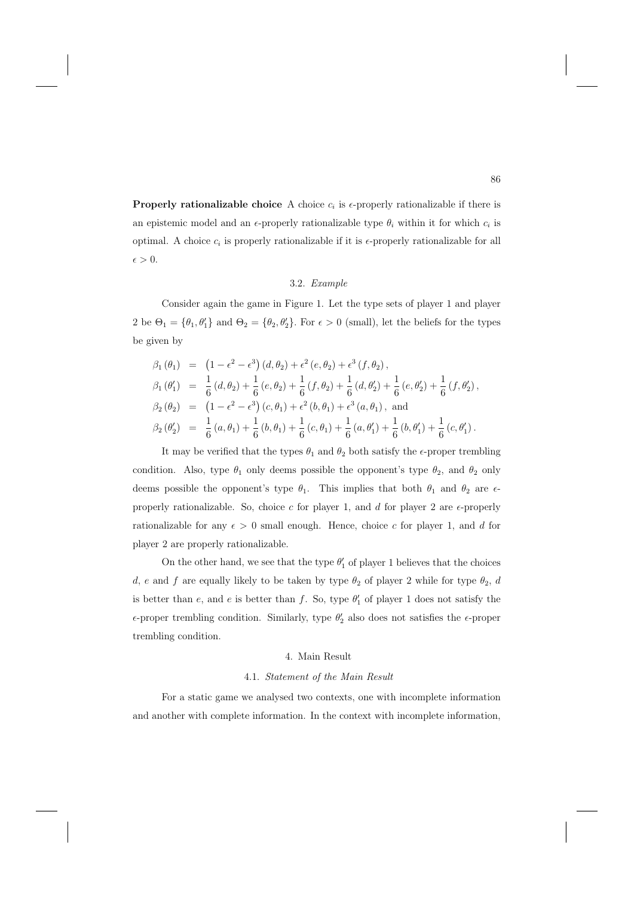**Properly rationalizable choice** A choice  $c_i$  is  $\epsilon$ -properly rationalizable if there is an epistemic model and an  $\epsilon$ -properly rationalizable type  $\theta_i$  within it for which  $c_i$  is optimal. A choice  $c_i$  is properly rationalizable if it is  $\epsilon$ -properly rationalizable for all  $\epsilon > 0$ .

#### 3.2. Example

Consider again the game in Figure 1. Let the type sets of player 1 and player 2 be  $\Theta_1 = \{\theta_1, \theta'_1\}$  and  $\Theta_2 = \{\theta_2, \theta'_2\}$ . For  $\epsilon > 0$  (small), let the beliefs for the types be given by

$$
\beta_1 (\theta_1) = (1 - \epsilon^2 - \epsilon^3) (d, \theta_2) + \epsilon^2 (e, \theta_2) + \epsilon^3 (f, \theta_2),
$$
  
\n
$$
\beta_1 (\theta'_1) = \frac{1}{6} (d, \theta_2) + \frac{1}{6} (e, \theta_2) + \frac{1}{6} (f, \theta_2) + \frac{1}{6} (d, \theta'_2) + \frac{1}{6} (e, \theta'_2) + \frac{1}{6} (f, \theta'_2),
$$
  
\n
$$
\beta_2 (\theta_2) = (1 - \epsilon^2 - \epsilon^3) (c, \theta_1) + \epsilon^2 (b, \theta_1) + \epsilon^3 (a, \theta_1),
$$
and  
\n
$$
\beta_2 (\theta'_2) = \frac{1}{6} (a, \theta_1) + \frac{1}{6} (b, \theta_1) + \frac{1}{6} (c, \theta_1) + \frac{1}{6} (a, \theta'_1) + \frac{1}{6} (b, \theta'_1) + \frac{1}{6} (c, \theta'_1).
$$

It may be verified that the types  $\theta_1$  and  $\theta_2$  both satisfy the  $\epsilon$ -proper trembling condition. Also, type  $\theta_1$  only deems possible the opponent's type  $\theta_2$ , and  $\theta_2$  only deems possible the opponent's type  $\theta_1$ . This implies that both  $\theta_1$  and  $\theta_2$  are  $\epsilon$ properly rationalizable. So, choice c for player 1, and d for player 2 are  $\epsilon$ -properly rationalizable for any  $\epsilon > 0$  small enough. Hence, choice c for player 1, and d for player 2 are properly rationalizable.

On the other hand, we see that the type  $\theta_1'$  of player 1 believes that the choices d, e and f are equally likely to be taken by type  $\theta_2$  of player 2 while for type  $\theta_2$ , d is better than e, and e is better than f. So, type  $\theta_1'$  of player 1 does not satisfy the  $\epsilon$ -proper trembling condition. Similarly, type  $\theta_2'$  also does not satisfies the  $\epsilon$ -proper trembling condition.

### 4. Main Result

#### 4.1. Statement of the Main Result

For a static game we analysed two contexts, one with incomplete information and another with complete information. In the context with incomplete information,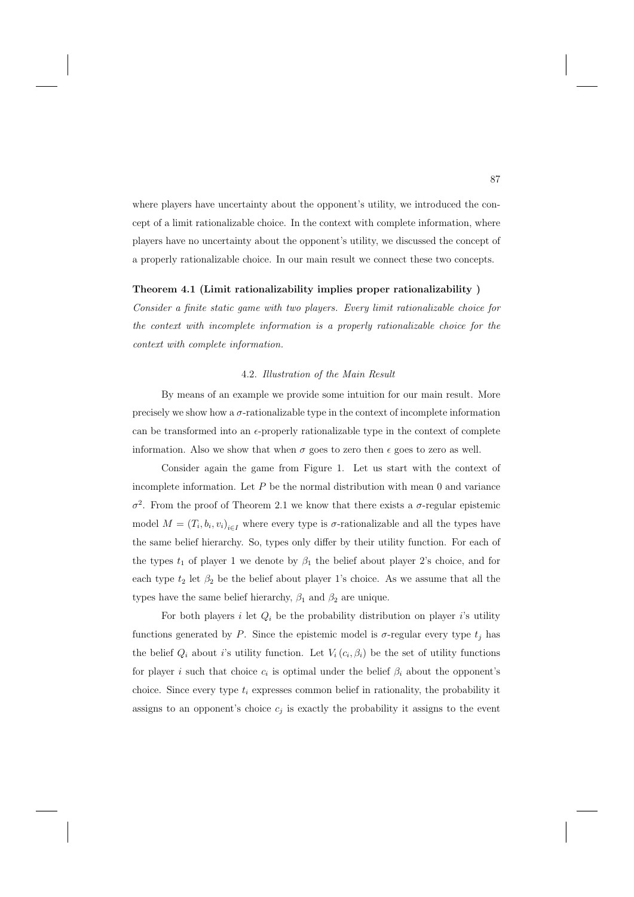where players have uncertainty about the opponent's utility, we introduced the concept of a limit rationalizable choice. In the context with complete information, where players have no uncertainty about the opponent's utility, we discussed the concept of a properly rationalizable choice. In our main result we connect these two concepts.

#### **Theorem 4.1 (Limit rationalizability implies proper rationalizability )**

Consider a finite static game with two players. Every limit rationalizable choice for the context with incomplete information is a properly rationalizable choice for the context with complete information.

## 4.2. Illustration of the Main Result

By means of an example we provide some intuition for our main result. More precisely we show how a  $\sigma$ -rationalizable type in the context of incomplete information can be transformed into an  $\epsilon$ -properly rationalizable type in the context of complete information. Also we show that when  $\sigma$  goes to zero then  $\epsilon$  goes to zero as well.

Consider again the game from Figure 1. Let us start with the context of incomplete information. Let  $P$  be the normal distribution with mean 0 and variance σ<sup>2</sup>. From the proof of Theorem 2.1 we know that there exists a σ-regular epistemic model  $M = (T_i, b_i, v_i)_{i \in I}$  where every type is  $\sigma$ -rationalizable and all the types have the same belief hierarchy. So, types only differ by their utility function. For each of the types  $t_1$  of player 1 we denote by  $\beta_1$  the belief about player 2's choice, and for each type  $t_2$  let  $\beta_2$  be the belief about player 1's choice. As we assume that all the types have the same belief hierarchy,  $\beta_1$  and  $\beta_2$  are unique.

For both players i let  $Q_i$  be the probability distribution on player i's utility functions generated by P. Since the epistemic model is  $\sigma$ -regular every type  $t_j$  has the belief  $Q_i$  about i's utility function. Let  $V_i(c_i, \beta_i)$  be the set of utility functions for player i such that choice  $c_i$  is optimal under the belief  $\beta_i$  about the opponent's choice. Since every type  $t_i$  expresses common belief in rationality, the probability it assigns to an opponent's choice  $c_i$  is exactly the probability it assigns to the event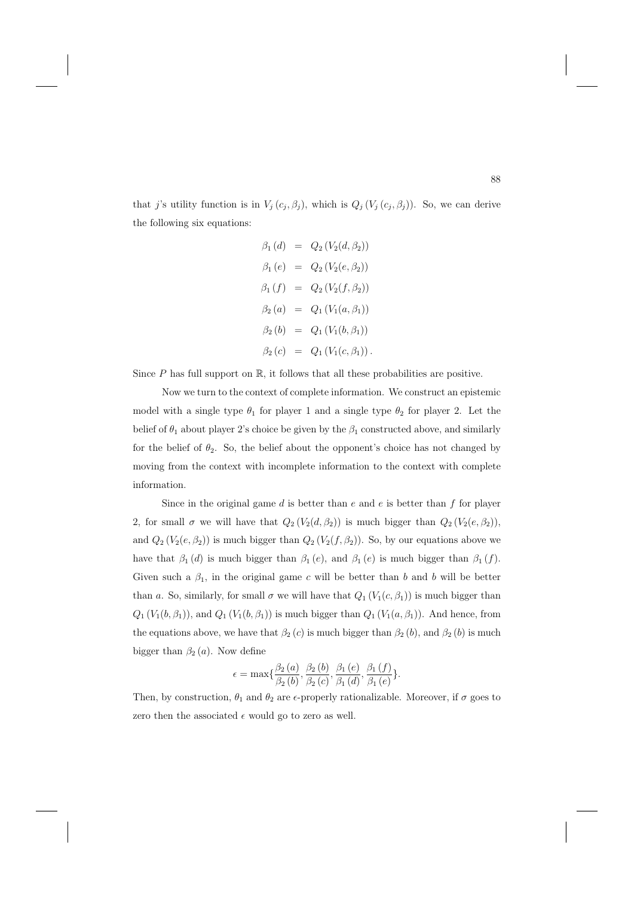that j's utility function is in  $V_j(c_j, \beta_j)$ , which is  $Q_j(V_j(c_j, \beta_j))$ . So, we can derive the following six equations:

$$
\beta_1(d) = Q_2(V_2(d, \beta_2))
$$
  
\n
$$
\beta_1(e) = Q_2(V_2(e, \beta_2))
$$
  
\n
$$
\beta_1(f) = Q_2(V_2(f, \beta_2))
$$
  
\n
$$
\beta_2(a) = Q_1(V_1(a, \beta_1))
$$
  
\n
$$
\beta_2(b) = Q_1(V_1(b, \beta_1))
$$
  
\n
$$
\beta_2(c) = Q_1(V_1(c, \beta_1)).
$$

Since  $P$  has full support on  $\mathbb{R}$ , it follows that all these probabilities are positive.

Now we turn to the context of complete information. We construct an epistemic model with a single type  $\theta_1$  for player 1 and a single type  $\theta_2$  for player 2. Let the belief of  $\theta_1$  about player 2's choice be given by the  $\beta_1$  constructed above, and similarly for the belief of  $\theta_2$ . So, the belief about the opponent's choice has not changed by moving from the context with incomplete information to the context with complete information.

Since in the original game  $d$  is better than  $e$  and  $e$  is better than  $f$  for player 2, for small  $\sigma$  we will have that  $Q_2(V_2(d, \beta_2))$  is much bigger than  $Q_2(V_2(e, \beta_2))$ , and  $Q_2(V_2(e, \beta_2))$  is much bigger than  $Q_2(V_2(f, \beta_2))$ . So, by our equations above we have that  $\beta_1(d)$  is much bigger than  $\beta_1(e)$ , and  $\beta_1(e)$  is much bigger than  $\beta_1(f)$ . Given such a  $\beta_1$ , in the original game c will be better than b and b will be better than a. So, similarly, for small  $\sigma$  we will have that  $Q_1(V_1(c, \beta_1))$  is much bigger than  $Q_1(V_1(b, \beta_1))$ , and  $Q_1(V_1(b, \beta_1))$  is much bigger than  $Q_1(V_1(a, \beta_1))$ . And hence, from the equations above, we have that  $\beta_2(c)$  is much bigger than  $\beta_2(b)$ , and  $\beta_2(b)$  is much bigger than  $\beta_2(a)$ . Now define

$$
\epsilon = \max\{\frac{\beta_2(a)}{\beta_2(b)}, \frac{\beta_2(b)}{\beta_2(c)}, \frac{\beta_1(e)}{\beta_1(d)}, \frac{\beta_1(f)}{\beta_1(e)}\}.
$$

Then, by construction,  $\theta_1$  and  $\theta_2$  are  $\epsilon$ -properly rationalizable. Moreover, if  $\sigma$  goes to zero then the associated  $\epsilon$  would go to zero as well.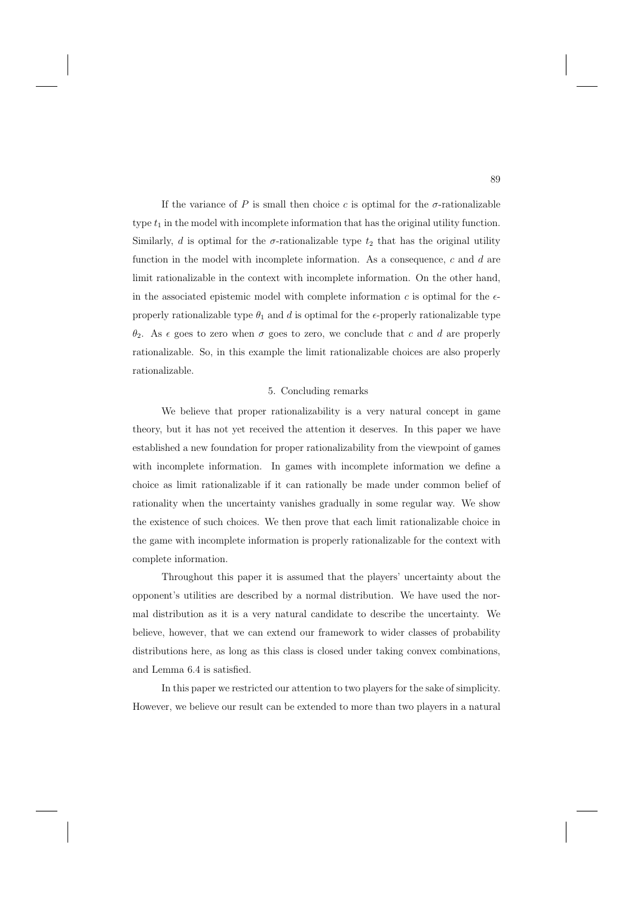If the variance of P is small then choice c is optimal for the  $\sigma$ -rationalizable type  $t_1$  in the model with incomplete information that has the original utility function. Similarly, d is optimal for the  $\sigma$ -rationalizable type  $t_2$  that has the original utility function in the model with incomplete information. As a consequence,  $c$  and  $d$  are limit rationalizable in the context with incomplete information. On the other hand, in the associated epistemic model with complete information  $c$  is optimal for the  $\epsilon$ properly rationalizable type  $\theta_1$  and d is optimal for the  $\epsilon$ -properly rationalizable type  $θ_2$ . As  $\epsilon$  goes to zero when  $σ$  goes to zero, we conclude that c and d are properly rationalizable. So, in this example the limit rationalizable choices are also properly rationalizable.

### 5. Concluding remarks

We believe that proper rationalizability is a very natural concept in game theory, but it has not yet received the attention it deserves. In this paper we have established a new foundation for proper rationalizability from the viewpoint of games with incomplete information. In games with incomplete information we define a choice as limit rationalizable if it can rationally be made under common belief of rationality when the uncertainty vanishes gradually in some regular way. We show the existence of such choices. We then prove that each limit rationalizable choice in the game with incomplete information is properly rationalizable for the context with complete information.

Throughout this paper it is assumed that the players' uncertainty about the opponent's utilities are described by a normal distribution. We have used the normal distribution as it is a very natural candidate to describe the uncertainty. We believe, however, that we can extend our framework to wider classes of probability distributions here, as long as this class is closed under taking convex combinations, and Lemma 6.4 is satisfied.

In this paper we restricted our attention to two players for the sake of simplicity. However, we believe our result can be extended to more than two players in a natural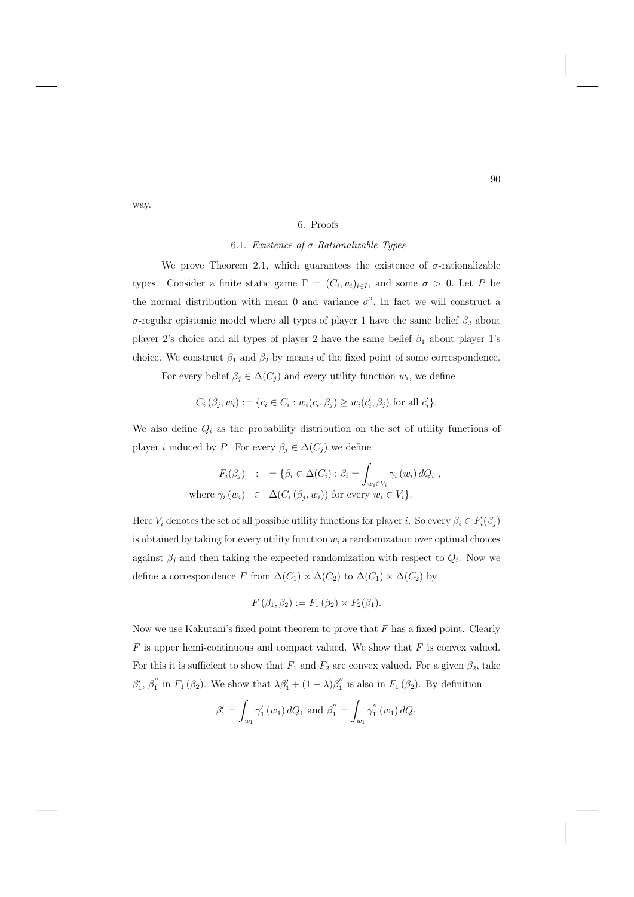#### 6. Proofs

## 6.1. Existence of  $\sigma$ -Rationalizable Types

We prove Theorem 2.1, which guarantees the existence of  $\sigma$ -rationalizable types. Consider a finite static game  $\Gamma = (C_i, u_i)_{i \in I}$ , and some  $\sigma > 0$ . Let P be the normal distribution with mean 0 and variance  $\sigma^2$ . In fact we will construct a σ-regular epistemic model where all types of player 1 have the same belief  $β_2$  about player 2's choice and all types of player 2 have the same belief  $\beta_1$  about player 1's choice. We construct  $\beta_1$  and  $\beta_2$  by means of the fixed point of some correspondence.

For every belief  $\beta_j \in \Delta(C_j)$  and every utility function  $w_i$ , we define

$$
C_i(\beta_j, w_i) := \{c_i \in C_i : w_i(c_i, \beta_j) \ge w_i(c'_i, \beta_j) \text{ for all } c'_i\}.
$$

We also define  $Q_i$  as the probability distribution on the set of utility functions of player *i* induced by P. For every  $\beta_j \in \Delta(C_j)$  we define

$$
F_i(\beta_j) : = \{ \beta_i \in \Delta(C_i) : \beta_i = \int_{w_i \in V_i} \gamma_i(w_i) dQ_i ,
$$
  
where  $\gamma_i(w_i) \in \Delta(C_i(\beta_j, w_i))$  for every  $w_i \in V_i \}.$ 

Here  $V_i$  denotes the set of all possible utility functions for player i. So every  $\beta_i \in F_i(\beta_i)$ is obtained by taking for every utility function  $w_i$  a randomization over optimal choices against  $\beta_j$  and then taking the expected randomization with respect to  $Q_i$ . Now we define a correspondence F from  $\Delta(C_1) \times \Delta(C_2)$  to  $\Delta(C_1) \times \Delta(C_2)$  by

$$
F(\beta_1, \beta_2) := F_1(\beta_2) \times F_2(\beta_1).
$$

Now we use Kakutani's fixed point theorem to prove that  $F$  has a fixed point. Clearly  $F$  is upper hemi-continuous and compact valued. We show that  $F$  is convex valued. For this it is sufficient to show that  $F_1$  and  $F_2$  are convex valued. For a given  $\beta_2$ , take  $\beta'_1$ ,  $\beta''_1$  in  $F_1(\beta_2)$ . We show that  $\lambda \beta'_1 + (1 - \lambda)\beta''_1$  is also in  $F_1(\beta_2)$ . By definition

$$
\beta'_1 = \int_{w_1} \gamma'_1(w_1) dQ_1
$$
 and  $\beta''_1 = \int_{w_1} \gamma''_1(w_1) dQ_1$ 

way.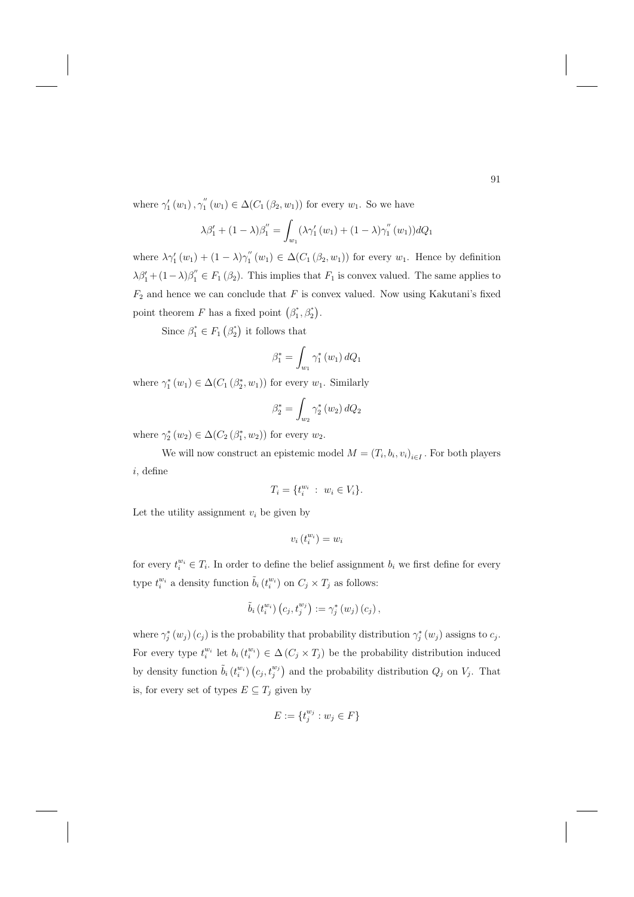where  $\gamma'_1(w_1), \gamma''_1(w_1) \in \Delta(C_1(\beta_2, w_1))$  for every  $w_1$ . So we have

$$
\lambda \beta_1' + (1 - \lambda) \beta_1'' = \int_{w_1} (\lambda \gamma_1' (w_1) + (1 - \lambda) \gamma_1'' (w_1)) dQ_1
$$

where  $\lambda \gamma'_1(w_1) + (1 - \lambda) \gamma''_1(w_1) \in \Delta(C_1(\beta_2, w_1))$  for every  $w_1$ . Hence by definition  $\lambda \beta'_1 + (1 - \lambda) \beta''_1 \in F_1(\beta_2)$ . This implies that  $F_1$  is convex valued. The same applies to  $F_2$  and hence we can conclude that  $F$  is convex valued. Now using Kakutani's fixed point theorem F has a fixed point  $(\beta_1^*, \beta_2^*)$ .

Since  $\beta_1^* \in F_1(\beta_2^*)$  it follows that

$$
\beta_1^* = \int_{w_1} \gamma_1^* (w_1) dQ_1
$$

where  $\gamma_1^*(w_1) \in \Delta(C_1(\beta_2^*, w_1))$  for every  $w_1$ . Similarly

$$
\beta_2^* = \int_{w_2} \gamma_2^* (w_2) dQ_2
$$

where  $\gamma_2^*(w_2) \in \Delta(C_2(\beta_1^*, w_2))$  for every  $w_2$ .

We will now construct an epistemic model  $M = (T_i, b_i, v_i)_{i \in I}$ . For both players i, define

$$
T_i = \{ t_i^{w_i} \; : \; w_i \in V_i \}.
$$

Let the utility assignment  $v_i$  be given by

$$
v_i\left(t_i^{w_i}\right) = w_i
$$

for every  $t_i^{w_i} \in T_i$ . In order to define the belief assignment  $b_i$  we first define for every type  $t_i^{w_i}$  a density function  $\tilde{b}_i(t_i^{w_i})$  on  $C_j \times T_j$  as follows:

$$
\tilde{b}_{i}\left(t_{i}^{w_{i}}\right)\left(c_{j}, t_{j}^{w_{j}}\right):=\gamma_{j}^{*}\left(w_{j}\right)\left(c_{j}\right),
$$

where  $\gamma_j^*(w_j)(c_j)$  is the probability that probability distribution  $\gamma_j^*(w_j)$  assigns to  $c_j$ . For every type  $t_i^{w_i}$  let  $b_i(t_i^{w_i}) \in \Delta(C_j \times T_j)$  be the probability distribution induced by density function  $\tilde{b}_i(t_i^{w_i}) (c_j, t_j^{w_j})$  and the probability distribution  $Q_j$  on  $V_j$ . That is, for every set of types  $E \subseteq T_j$  given by

$$
E := \{t_j^{w_j} : w_j \in F\}
$$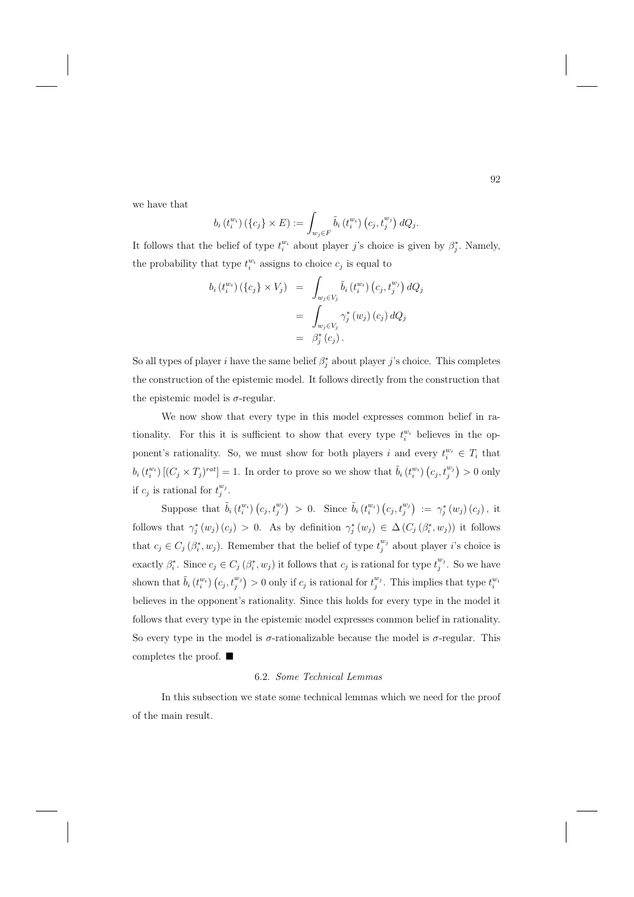we have that

$$
b_i(t_i^{w_i})\left(\lbrace c_j \rbrace \times E\right) := \int_{w_j \in F} \tilde{b}_i\left(t_i^{w_i}\right)\left(c_j, t_j^{w_j}\right) dQ_j.
$$

It follows that the belief of type  $t_i^{w_i}$  about player j's choice is given by  $\beta_j^*$ . Namely, the probability that type  $t_i^{w_i}$  assigns to choice  $c_j$  is equal to

$$
b_i(t_i^{w_i}) (\{c_j\} \times V_j) = \int_{w_j \in V_j} \tilde{b}_i(t_i^{w_i}) (c_j, t_j^{w_j}) dQ_j
$$
  
= 
$$
\int_{w_j \in V_j} \gamma_j^* (w_j) (c_j) dQ_j
$$
  
= 
$$
\beta_j^* (c_j).
$$

So all types of player i have the same belief  $\beta_j^*$  about player j's choice. This completes the construction of the epistemic model. It follows directly from the construction that the epistemic model is  $\sigma$ -regular.

We now show that every type in this model expresses common belief in rationality. For this it is sufficient to show that every type  $t_i^{w_i}$  believes in the opponent's rationality. So, we must show for both players i and every  $t_i^{w_i} \in T_i$  that  $b_i(t_i^{w_i})\left[(C_j \times T_j)^{rat}\right] = 1.$  In order to prove so we show that  $\tilde{b}_i(t_i^{w_i})\left(c_j, t_j^{w_j}\right) > 0$  only if  $c_j$  is rational for  $t_j^{w_j}$ .

Suppose that  $\tilde{b}_i(t_i^{w_i})(c_j, t_j^{w_j}) > 0$ . Since  $\tilde{b}_i(t_i^{w_i})(c_j, t_j^{w_j}) := \gamma_j^*(w_j)(c_j)$ , it follows that  $\gamma_j^*(w_j)(c_j) > 0$ . As by definition  $\gamma_j^*(w_j) \in \Delta(C_j(\beta_i^*, w_j))$  it follows that  $c_j \in C_j(\beta_i^*, w_j)$ . Remember that the belief of type  $t_j^{w_j}$  about player i's choice is exactly  $\beta_i^*$ . Since  $c_j \in C_j(\beta_i^*, w_j)$  it follows that  $c_j$  is rational for type  $t_j^{w_j}$ . So we have shown that  $\tilde{b}_i (t_i^{w_i}) (c_j, t_j^{w_j}) > 0$  only if  $c_j$  is rational for  $t_j^{w_j}$ . This implies that type  $t_i^{w_i}$ believes in the opponent's rationality. Since this holds for every type in the model it follows that every type in the epistemic model expresses common belief in rationality. So every type in the model is  $\sigma$ -rationalizable because the model is  $\sigma$ -regular. This completes the proof. ■

## 6.2. Some Technical Lemmas

In this subsection we state some technical lemmas which we need for the proof of the main result.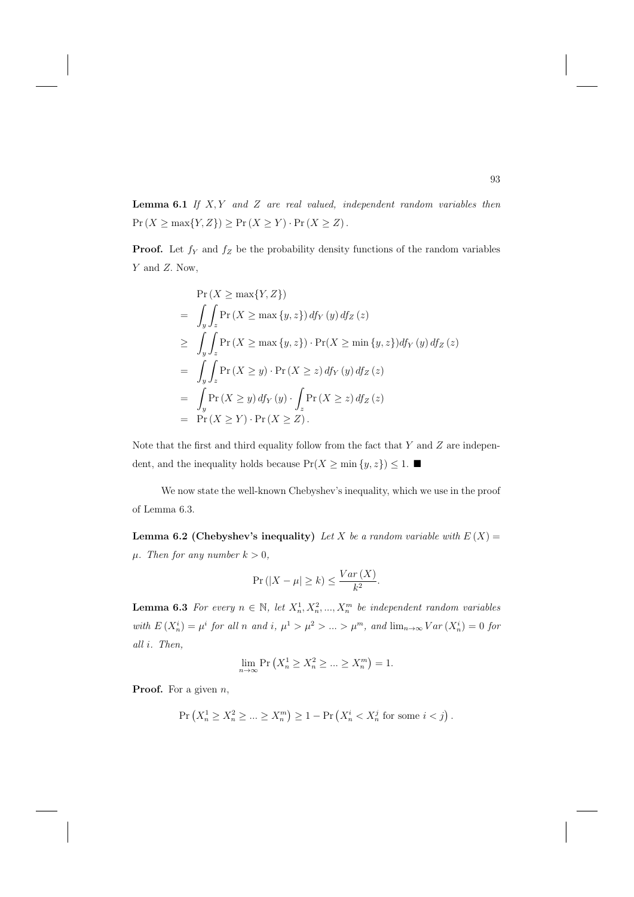**Lemma 6.1** If  $X, Y$  and  $Z$  are real valued, independent random variables then  $\Pr\left(X\geq \max\{Y,Z\}\right)\geq \Pr\left(X\geq Y\right)\cdot \Pr\left(X\geq Z\right).$ 

**Proof.** Let  $f_Y$  and  $f_Z$  be the probability density functions of the random variables Y and Z. Now,

$$
\Pr(X \ge \max\{Y, Z\})
$$
\n
$$
= \int_{y} \int_{z} \Pr(X \ge \max\{y, z\}) df_{Y}(y) df_{Z}(z)
$$
\n
$$
\ge \int_{y} \int_{z} \Pr(X \ge \max\{y, z\}) \cdot \Pr(X \ge \min\{y, z\}) df_{Y}(y) df_{Z}(z)
$$
\n
$$
= \int_{y} \int_{z} \Pr(X \ge y) \cdot \Pr(X \ge z) df_{Y}(y) df_{Z}(z)
$$
\n
$$
= \int_{y} \Pr(X \ge y) df_{Y}(y) \cdot \int_{z} \Pr(X \ge z) df_{Z}(z)
$$
\n
$$
= \Pr(X \ge Y) \cdot \Pr(X \ge Z).
$$

Note that the first and third equality follow from the fact that  $Y$  and  $Z$  are independent, and the inequality holds because  $Pr(X \ge min\{y, z\}) \le 1$ .

We now state the well-known Chebyshev's inequality, which we use in the proof of Lemma 6.3.

**Lemma 6.2 (Chebyshev's inequality)** Let X be a random variable with  $E(X) =$  $\mu$ . Then for any number  $k > 0$ ,

$$
\Pr(|X - \mu| \ge k) \le \frac{Var(X)}{k^2}.
$$

**Lemma 6.3** For every  $n \in \mathbb{N}$ , let  $X_n^1, X_n^2, ..., X_n^m$  be independent random variables with  $E(X_n^i) = \mu^i$  for all n and i,  $\mu^1 > \mu^2 > ... > \mu^m$ , and  $\lim_{n \to \infty} Var(X_n^i) = 0$  for all i. Then,

$$
\lim_{n \to \infty} \Pr\left(X_n^1 \ge X_n^2 \ge \dots \ge X_n^m\right) = 1.
$$

**Proof.** For a given *n*,

$$
\Pr\left(X_n^1 \ge X_n^2 \ge \dots \ge X_n^m\right) \ge 1 - \Pr\left(X_n^i < X_n^j \text{ for some } i < j\right).
$$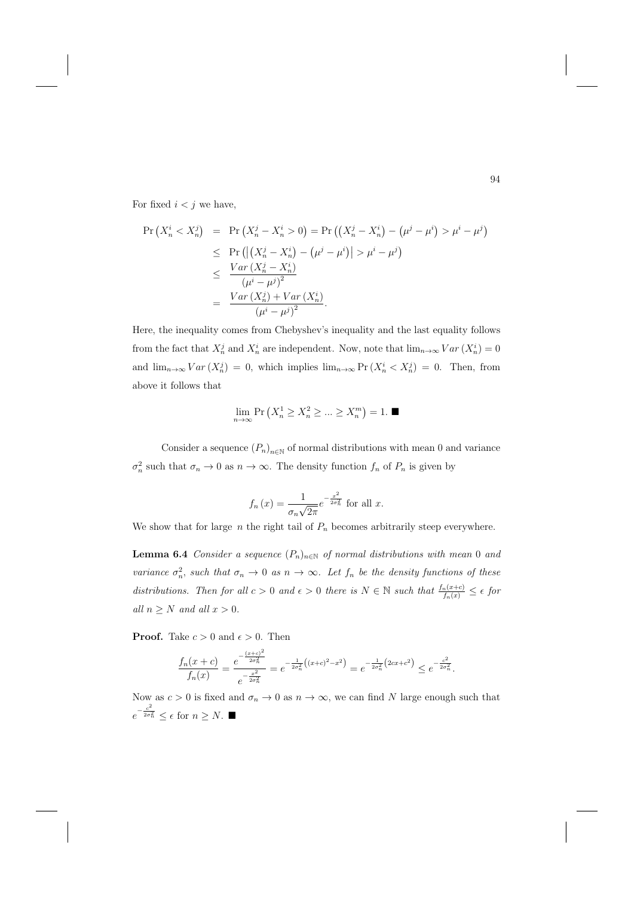For fixed  $i < j$  we have,

$$
\Pr\left(X_n^i < X_n^j\right) = \Pr\left(X_n^j - X_n^i > 0\right) = \Pr\left(\left(X_n^j - X_n^i\right) - \left(\mu^j - \mu^i\right) > \mu^i - \mu^j\right) \\
\leq \Pr\left(\left|\left(X_n^j - X_n^i\right) - \left(\mu^j - \mu^i\right)\right| > \mu^i - \mu^j\right) \\
\leq \frac{Var\left(X_n^j - X_n^i\right)}{\left(\mu^i - \mu^j\right)^2} \\
= \frac{Var\left(X_n^j\right) + Var\left(X_n^i\right)}{\left(\mu^i - \mu^j\right)^2}.
$$

Here, the inequality comes from Chebyshev's inequality and the last equality follows from the fact that  $X_n^j$  and  $X_n^i$  are independent. Now, note that  $\lim_{n\to\infty} Var(X_n^i) = 0$ and  $\lim_{n\to\infty} Var(X_n^j) = 0$ , which implies  $\lim_{n\to\infty} Pr(X_n^i < X_n^j) = 0$ . Then, from above it follows that

$$
\lim_{n \to \infty} \Pr\left(X_n^1 \ge X_n^2 \ge \dots \ge X_n^m\right) = 1. \blacksquare
$$

Consider a sequence  $(P_n)_{n\in\mathbb{N}}$  of normal distributions with mean 0 and variance  $\sigma_n^2$  such that  $\sigma_n \to 0$  as  $n \to \infty$ . The density function  $f_n$  of  $P_n$  is given by

$$
f_n(x) = \frac{1}{\sigma_n \sqrt{2\pi}} e^{-\frac{x^2}{2\sigma_n^2}}
$$
 for all  $x$ .

We show that for large  $n$  the right tail of  $P_n$  becomes arbitrarily steep everywhere.

**Lemma 6.4** Consider a sequence  $(P_n)_{n \in \mathbb{N}}$  of normal distributions with mean 0 and variance  $\sigma_n^2$ , such that  $\sigma_n \to 0$  as  $n \to \infty$ . Let  $f_n$  be the density functions of these distributions. Then for all  $c > 0$  and  $\epsilon > 0$  there is  $N \in \mathbb{N}$  such that  $\frac{f_n(x+c)}{f_n(x)} \leq \epsilon$  for all  $n \geq N$  and all  $x > 0$ .

**Proof.** Take  $c > 0$  and  $\epsilon > 0$ . Then

$$
\frac{f_n(x+c)}{f_n(x)} = \frac{e^{-\frac{(x+c)^2}{2\sigma_n^2}}}{e^{-\frac{x^2}{2\sigma_n^2}}} = e^{-\frac{1}{2\sigma_n^2}((x+c)^2 - x^2)} = e^{-\frac{1}{2\sigma_n^2}(2cx+c^2)} \le e^{-\frac{c^2}{2\sigma_n^2}}.
$$

Now as  $c > 0$  is fixed and  $\sigma_n \to 0$  as  $n \to \infty$ , we can find N large enough such that  $e^{-\frac{c^2}{2\sigma_n^2}} \leq \epsilon$  for  $n \geq N$ . ■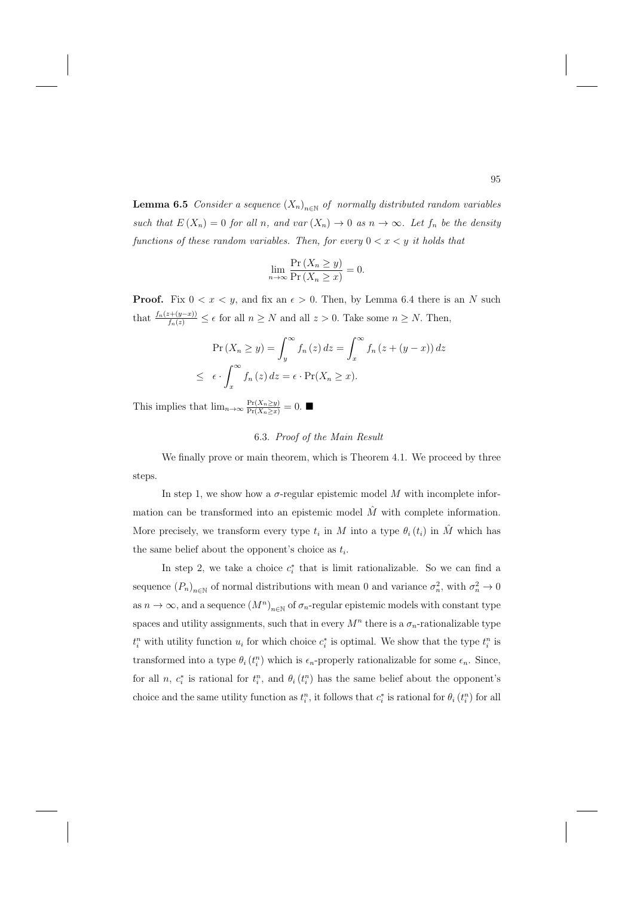**Lemma 6.5** Consider a sequence  $(X_n)_{n\in\mathbb{N}}$  of normally distributed random variables such that  $E(X_n)=0$  for all n, and var  $(X_n)\to 0$  as  $n\to\infty$ . Let  $f_n$  be the density functions of these random variables. Then, for every  $0 < x < y$  it holds that

$$
\lim_{n \to \infty} \frac{\Pr\left(X_n \ge y\right)}{\Pr\left(X_n \ge x\right)} = 0.
$$

**Proof.** Fix  $0 < x < y$ , and fix an  $\epsilon > 0$ . Then, by Lemma 6.4 there is an N such that  $\frac{f_n(z+(y-x))}{f_n(z)} \leq \epsilon$  for all  $n \geq N$  and all  $z > 0$ . Take some  $n \geq N$ . Then,

$$
\Pr(X_n \ge y) = \int_y^\infty f_n(z) dz = \int_x^\infty f_n(z + (y - x)) dz
$$
  

$$
\le \epsilon \cdot \int_x^\infty f_n(z) dz = \epsilon \cdot \Pr(X_n \ge x).
$$

This implies that  $\lim_{n\to\infty} \frac{\Pr(X_n \ge y)}{\Pr(X_n \ge x)} = 0$ .

# 6.3. Proof of the Main Result

We finally prove or main theorem, which is Theorem 4.1. We proceed by three steps.

In step 1, we show how a  $\sigma$ -regular epistemic model  $M$  with incomplete information can be transformed into an epistemic model  $\hat{M}$  with complete information. More precisely, we transform every type  $t_i$  in M into a type  $\theta_i(t_i)$  in  $\hat{M}$  which has the same belief about the opponent's choice as  $t_i$ .

In step 2, we take a choice  $c_i^*$  that is limit rationalizable. So we can find a sequence  $(P_n)_{n\in\mathbb{N}}$  of normal distributions with mean 0 and variance  $\sigma_n^2$ , with  $\sigma_n^2 \to 0$ as  $n \to \infty$ , and a sequence  $(M^n)_{n \in \mathbb{N}}$  of  $\sigma_n$ -regular epistemic models with constant type spaces and utility assignments, such that in every  $M^n$  there is a  $\sigma_n$ -rationalizable type  $t_i^n$  with utility function  $u_i$  for which choice  $c_i^*$  is optimal. We show that the type  $t_i^n$  is transformed into a type  $\theta_i(t_i^n)$  which is  $\epsilon_n$ -properly rationalizable for some  $\epsilon_n$ . Since, for all n,  $c_i^*$  is rational for  $t_i^n$ , and  $\theta_i(t_i^n)$  has the same belief about the opponent's choice and the same utility function as  $t_i^n$ , it follows that  $c_i^*$  is rational for  $\theta_i(t_i^n)$  for all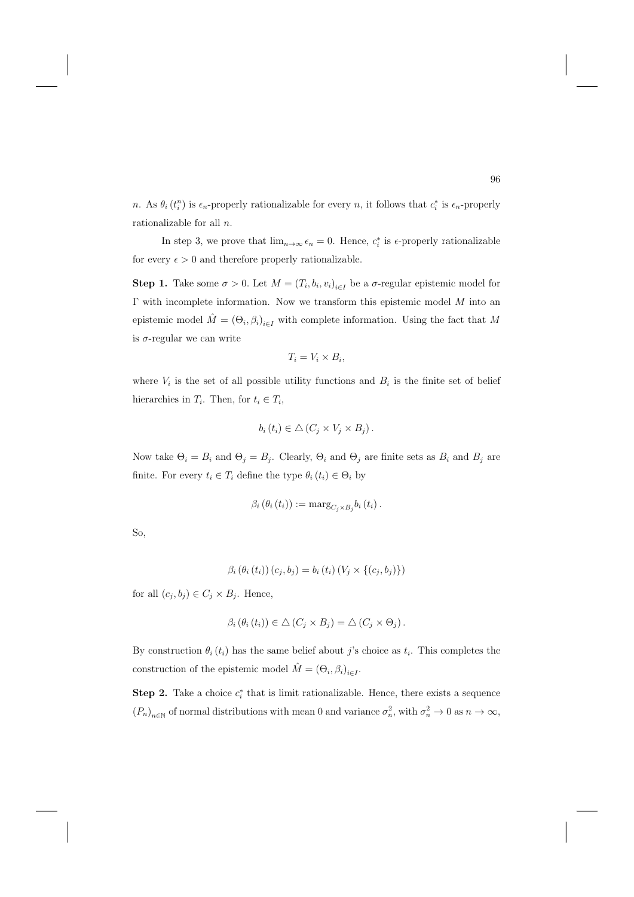n. As  $\theta_i(t_i^n)$  is  $\epsilon_n$ -properly rationalizable for every n, it follows that  $c_i^*$  is  $\epsilon_n$ -properly rationalizable for all n.

In step 3, we prove that  $\lim_{n\to\infty} \epsilon_n = 0$ . Hence,  $c_i^*$  is  $\epsilon$ -properly rationalizable for every  $\epsilon > 0$  and therefore properly rationalizable.

**Step 1.** Take some  $\sigma > 0$ . Let  $M = (T_i, b_i, v_i)_{i \in I}$  be a  $\sigma$ -regular epistemic model for Γ with incomplete information. Now we transform this epistemic model M into an epistemic model  $\hat{M} = (\Theta_i, \beta_i)_{i \in I}$  with complete information. Using the fact that M is  $\sigma$ -regular we can write

$$
T_i = V_i \times B_i,
$$

where  $V_i$  is the set of all possible utility functions and  $B_i$  is the finite set of belief hierarchies in  $T_i$ . Then, for  $t_i \in T_i$ ,

$$
b_i(t_i) \in \triangle (C_j \times V_j \times B_j).
$$

Now take  $\Theta_i = B_i$  and  $\Theta_j = B_j$ . Clearly,  $\Theta_i$  and  $\Theta_j$  are finite sets as  $B_i$  and  $B_j$  are finite. For every  $t_i \in T_i$  define the type  $\theta_i(t_i) \in \Theta_i$  by

$$
\beta_i(\theta_i(t_i)) := \mathrm{marg}_{C_j \times B_j} b_i(t_i).
$$

So,

$$
\beta_{i}(\theta_{i}(t_{i}))(c_{j},b_{j}) = b_{i}(t_{i})(V_{j} \times \{(c_{j},b_{j})\})
$$

for all  $(c_j, b_j) \in C_j \times B_j$ . Hence,

$$
\beta_i(\theta_i(t_i)) \in \triangle (C_j \times B_j) = \triangle (C_j \times \Theta_j).
$$

By construction  $\theta_i(t_i)$  has the same belief about j's choice as  $t_i$ . This completes the construction of the epistemic model  $\hat{M} = (\Theta_i, \beta_i)_{i \in I}$ .

**Step 2.** Take a choice  $c_i^*$  that is limit rationalizable. Hence, there exists a sequence  $(P_n)_{n\in\mathbb{N}}$  of normal distributions with mean 0 and variance  $\sigma_n^2$ , with  $\sigma_n^2 \to 0$  as  $n \to \infty$ ,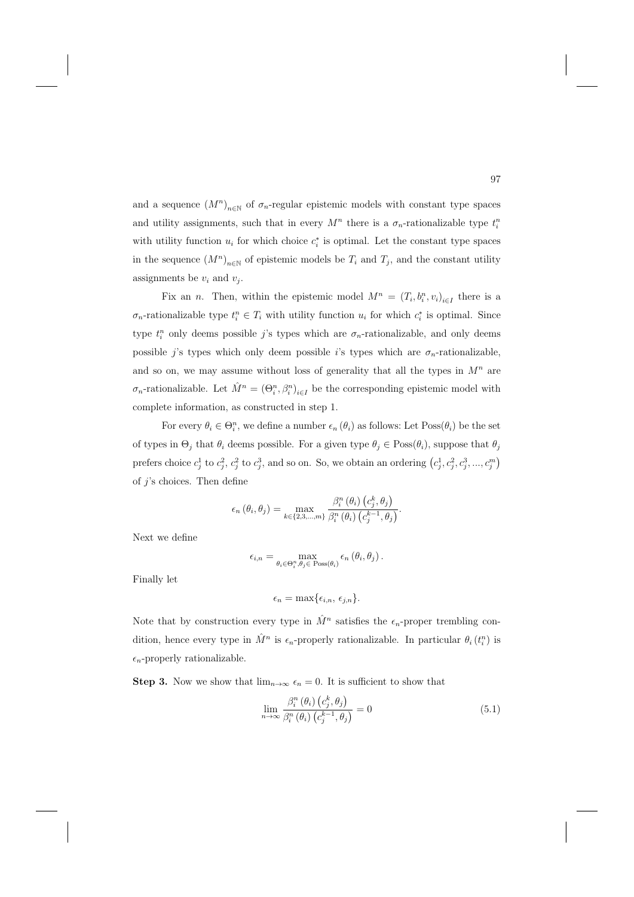and a sequence  $(M^n)_{n\in\mathbb{N}}$  of  $\sigma_n$ -regular epistemic models with constant type spaces and utility assignments, such that in every  $M^n$  there is a  $\sigma_n$ -rationalizable type  $t_i^n$ with utility function  $u_i$  for which choice  $c_i^*$  is optimal. Let the constant type spaces in the sequence  $(M^n)_{n\in\mathbb{N}}$  of epistemic models be  $T_i$  and  $T_j$ , and the constant utility assignments be  $v_i$  and  $v_j$ .

Fix an *n*. Then, within the epistemic model  $M^n = (T_i, b_i^n, v_i)_{i \in I}$  there is a  $\sigma_n$ -rationalizable type  $t_i^n \in T_i$  with utility function  $u_i$  for which  $c_i^*$  is optimal. Since type  $t_i^n$  only deems possible j's types which are  $\sigma_n$ -rationalizable, and only deems possible j's types which only deem possible i's types which are  $\sigma_n$ -rationalizable, and so on, we may assume without loss of generality that all the types in  $M<sup>n</sup>$  are  $\sigma_n$ -rationalizable. Let  $\hat{M}^n = (\Theta_i^n, \beta_i^n)_{i \in I}$  be the corresponding epistemic model with complete information, as constructed in step 1.

For every  $\theta_i \in \Theta_i^n$ , we define a number  $\epsilon_n(\theta_i)$  as follows: Let  $Poss(\theta_i)$  be the set of types in  $\Theta_j$  that  $\theta_i$  deems possible. For a given type  $\theta_j \in \text{Poss}(\theta_i)$ , suppose that  $\theta_j$ prefers choice  $c_j^1$  to  $c_j^2$ ,  $c_j^2$  to  $c_j^3$ , and so on. So, we obtain an ordering  $(c_j^1, c_j^2, c_j^3, ..., c_j^m)$ of  $j$ 's choices. Then define

$$
\epsilon_n(\theta_i, \theta_j) = \max_{k \in \{2, 3, \dots, m\}} \frac{\beta_i^n(\theta_i) (c_j^k, \theta_j)}{\beta_i^n(\theta_i) (c_j^{k-1}, \theta_j)}.
$$

Next we define

$$
\epsilon_{i,n} = \max_{\theta_i \in \Theta_i^n, \theta_j \in \text{Poss}(\theta_i)} \epsilon_n (\theta_i, \theta_j).
$$

Finally let

$$
\epsilon_n = \max\{\epsilon_{i,n}, \epsilon_{j,n}\}.
$$

Note that by construction every type in  $\hat{M}^n$  satisfies the  $\epsilon_n$ -proper trembling condition, hence every type in  $\hat{M}^n$  is  $\epsilon_n$ -properly rationalizable. In particular  $\theta_i(t_i^n)$  is  $\epsilon_n$ -properly rationalizable.

**Step 3.** Now we show that  $\lim_{n\to\infty} \epsilon_n = 0$ . It is sufficient to show that

$$
\lim_{n \to \infty} \frac{\beta_i^n(\theta_i) (c_j^k, \theta_j)}{\beta_i^n(\theta_i) (c_j^{k-1}, \theta_j)} = 0
$$
\n(5.1)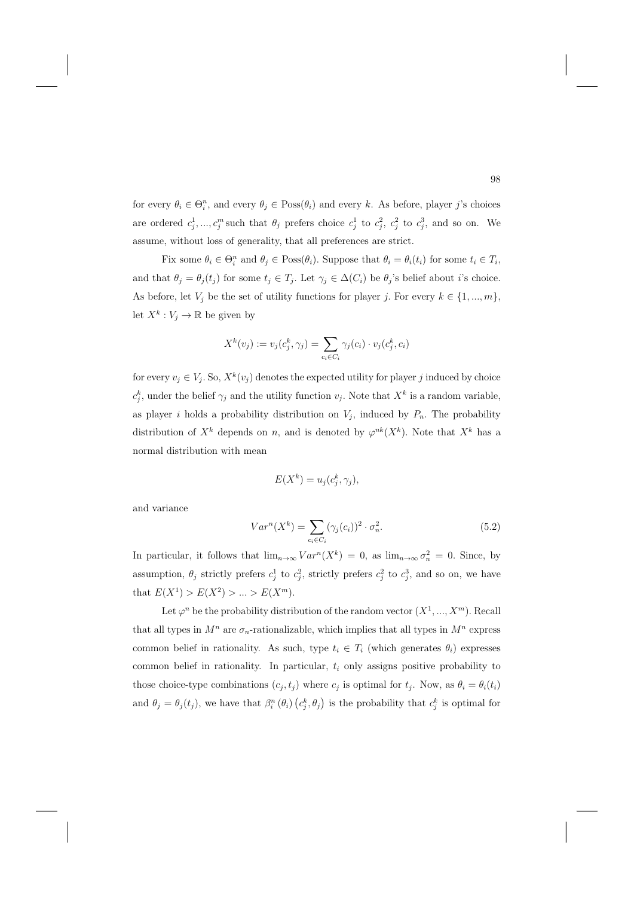for every  $\theta_i \in \Theta_i^n$ , and every  $\theta_j \in \text{Poss}(\theta_i)$  and every k. As before, player j's choices are ordered  $c_j^1, ..., c_j^m$  such that  $\theta_j$  prefers choice  $c_j^1$  to  $c_j^2$ ,  $c_j^2$  to  $c_j^3$ , and so on. We assume, without loss of generality, that all preferences are strict.

Fix some  $\theta_i \in \Theta_i^n$  and  $\theta_j \in \text{Poss}(\theta_i)$ . Suppose that  $\theta_i = \theta_i(t_i)$  for some  $t_i \in T_i$ , and that  $\theta_j = \theta_j(t_j)$  for some  $t_j \in T_j$ . Let  $\gamma_j \in \Delta(C_i)$  be  $\theta_j$ 's belief about *i*'s choice. As before, let  $V_j$  be the set of utility functions for player j. For every  $k \in \{1, ..., m\}$ , let  $X^k: V_j \to \mathbb{R}$  be given by

$$
X^k(v_j) := v_j(c_j^k, \gamma_j) = \sum_{c_i \in C_i} \gamma_j(c_i) \cdot v_j(c_j^k, c_i)
$$

for every  $v_j \in V_j$ . So,  $X^k(v_j)$  denotes the expected utility for player j induced by choice  $c_j^k$ , under the belief  $\gamma_j$  and the utility function  $v_j$ . Note that  $X^k$  is a random variable, as player i holds a probability distribution on  $V_j$ , induced by  $P_n$ . The probability distribution of  $X^k$  depends on n, and is denoted by  $\varphi^{nk}(X^k)$ . Note that  $X^k$  has a normal distribution with mean

$$
E(X^k) = u_j(c_j^k, \gamma_j),
$$

and variance

$$
Var^{n}(X^{k}) = \sum_{c_i \in C_i} (\gamma_j(c_i))^{2} \cdot \sigma_n^{2}.
$$
\n(5.2)

In particular, it follows that  $\lim_{n\to\infty} Var^n(X^k)=0$ , as  $\lim_{n\to\infty} \sigma_n^2=0$ . Since, by assumption,  $\theta_j$  strictly prefers  $c_j^1$  to  $c_j^2$ , strictly prefers  $c_j^2$  to  $c_j^3$ , and so on, we have that  $E(X^1) > E(X^2) > ... > E(X^m)$ .

Let  $\varphi^n$  be the probability distribution of the random vector  $(X^1, ..., X^m)$ . Recall that all types in  $M^n$  are  $\sigma_n$ -rationalizable, which implies that all types in  $M^n$  express common belief in rationality. As such, type  $t_i \in T_i$  (which generates  $\theta_i$ ) expresses common belief in rationality. In particular,  $t_i$  only assigns positive probability to those choice-type combinations  $(c_j, t_j)$  where  $c_j$  is optimal for  $t_j$ . Now, as  $\theta_i = \theta_i(t_i)$ and  $\theta_j = \theta_j(t_j)$ , we have that  $\beta_i^n(\theta_i)$   $(c_j^k, \theta_j)$  is the probability that  $c_j^k$  is optimal for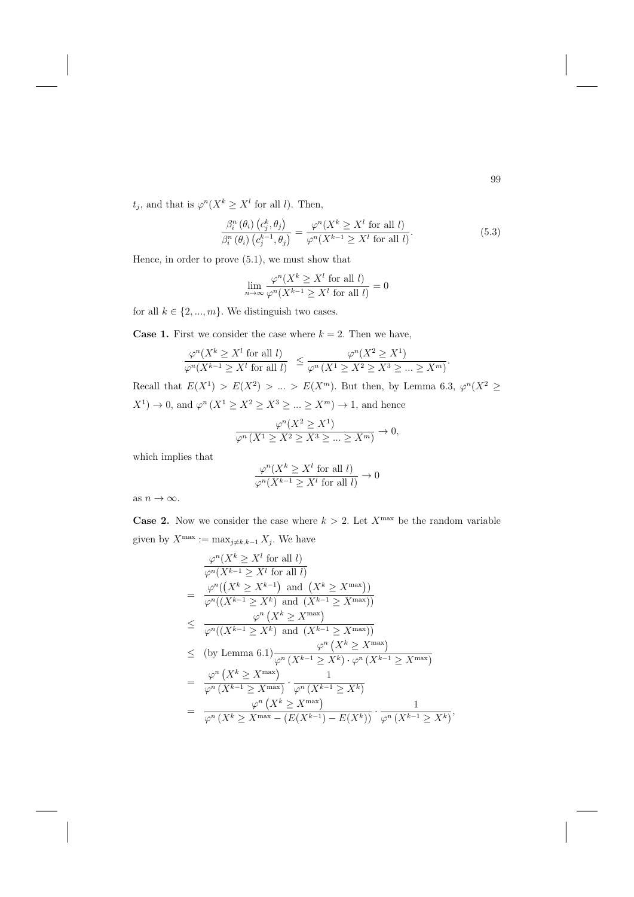$t_j$ , and that is  $\varphi^n(X^k \geq X^l$  for all l). Then,

$$
\frac{\beta_i^n(\theta_i) (c_j^k, \theta_j)}{\beta_i^n(\theta_i) (c_j^{k-1}, \theta_j)} = \frac{\varphi^n(X^k \ge X^l \text{ for all } l)}{\varphi^n(X^{k-1} \ge X^l \text{ for all } l)}.
$$
\n(5.3)

Hence, in order to prove (5.1), we must show that

$$
\lim_{n \to \infty} \frac{\varphi^n(X^k \ge X^l \text{ for all } l)}{\varphi^n(X^{k-1} \ge X^l \text{ for all } l)} = 0
$$

for all  $k \in \{2, ..., m\}$ . We distinguish two cases.

**Case 1.** First we consider the case where  $k = 2$ . Then we have,

$$
\frac{\varphi^n(X^k \ge X^l \text{ for all } l)}{\varphi^n(X^{k-1} \ge X^l \text{ for all } l)} \le \frac{\varphi^n(X^2 \ge X^1)}{\varphi^n(X^1 \ge X^2 \ge X^3 \ge \dots \ge X^m)}.
$$

Recall that  $E(X^1) > E(X^2) > ... > E(X^m)$ . But then, by Lemma 6.3,  $\varphi^n(X^2 \geq$  $X^1$   $\to$  0, and  $\varphi^n(X^1 \ge X^2 \ge X^3 \ge ... \ge X^m) \to 1$ , and hence

$$
\frac{\varphi^n(X^2 \ge X^1)}{\varphi^n(X^1 \ge X^2 \ge X^3 \ge \dots \ge X^m)} \to 0,
$$

which implies that

$$
\frac{\varphi^n(X^k\geq X^l \text{ for all } l)}{\varphi^n(X^{k-1}\geq X^l \text{ for all } l)}\to 0
$$

as  $n \to \infty$ .

**Case 2.** Now we consider the case where  $k > 2$ . Let  $X^{\max}$  be the random variable given by  $X^{\max} := \max_{j \neq k, k-1} X_j$ . We have

$$
\frac{\varphi^n(X^k \ge X^l \text{ for all } l)}{\varphi^n(X^{k-1} \ge X^l \text{ for all } l)}
$$
\n
$$
= \frac{\varphi^n((X^k \ge X^{k-1}) \text{ and } (X^k \ge X^{\max}))}{\varphi^n((X^{k-1} \ge X^k) \text{ and } (X^{k-1} \ge X^{\max}))}
$$
\n
$$
\le \frac{\varphi^n(X^k \ge X^{\max})}{\varphi^n((X^{k-1} \ge X^k) \text{ and } (X^{k-1} \ge X^{\max}))}
$$
\n
$$
\le \text{(by Lemma 6.1)} \frac{\varphi^n(X^k \ge X^{\max})}{\varphi^n(X^{k-1} \ge X^k) \cdot \varphi^n(X^{k-1} \ge X^{\max})}
$$
\n
$$
= \frac{\varphi^n(X^k \ge X^{\max})}{\varphi^n(X^{k-1} \ge X^{\max})} \cdot \frac{1}{\varphi^n(X^{k-1} \ge X^k)}
$$
\n
$$
= \frac{\varphi^n(X^k \ge X^{\max})}{\varphi^n(X^k \ge X^{\max}) \cdot (E(X^{k-1}) - E(X^k))} \cdot \frac{1}{\varphi^n(X^{k-1} \ge X^k)},
$$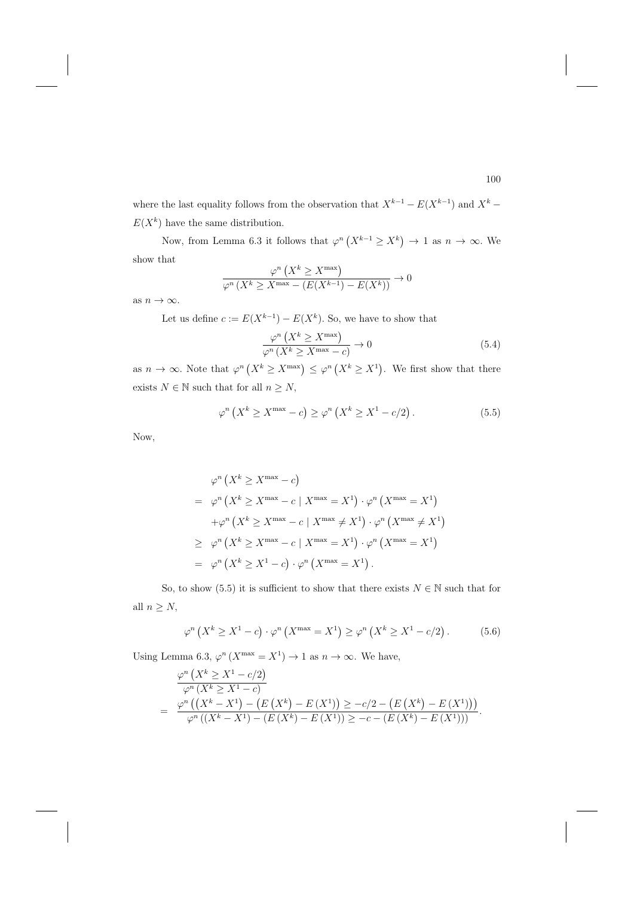where the last equality follows from the observation that  $X^{k-1} - E(X^{k-1})$  and  $X^k$  $E(X^k)$  have the same distribution.

Now, from Lemma 6.3 it follows that  $\varphi^n(X^{k-1} \ge X^k) \to 1$  as  $n \to \infty$ . We show that

$$
\frac{\varphi^n\left(X^k \ge X^{\max}\right)}{\varphi^n\left(X^k \ge X^{\max} - \left(E(X^{k-1}) - E(X^k)\right)\right)} \to 0
$$

as  $n \to \infty$ .

Let us define  $c := E(X^{k-1}) - E(X^k)$ . So, we have to show that

$$
\frac{\varphi^n\left(X^k \ge X^{\max}\right)}{\varphi^n\left(X^k \ge X^{\max} - c\right)} \to 0
$$
\n
$$
(5.4)
$$

as  $n \to \infty$ . Note that  $\varphi^n(X^k \geq X^{\max}) \leq \varphi^n(X^k \geq X^1)$ . We first show that there exists  $N\in\mathbb{N}$  such that for all  $n\geq N,$ 

$$
\varphi^n\left(X^k \ge X^{\max} - c\right) \ge \varphi^n\left(X^k \ge X^1 - c/2\right). \tag{5.5}
$$

Now,

$$
\varphi^n (X^k \ge X^{\max} - c)
$$
  
= 
$$
\varphi^n (X^k \ge X^{\max} - c | X^{\max} = X^1) \cdot \varphi^n (X^{\max} = X^1)
$$
  
+
$$
\varphi^n (X^k \ge X^{\max} - c | X^{\max} \ne X^1) \cdot \varphi^n (X^{\max} \ne X^1)
$$
  

$$
\ge \varphi^n (X^k \ge X^{\max} - c | X^{\max} = X^1) \cdot \varphi^n (X^{\max} = X^1)
$$
  
= 
$$
\varphi^n (X^k \ge X^1 - c) \cdot \varphi^n (X^{\max} = X^1).
$$

So, to show (5.5) it is sufficient to show that there exists  $N \in \mathbb{N}$  such that for all  $n \geq N$ ,

$$
\varphi^n\left(X^k \ge X^1 - c\right) \cdot \varphi^n\left(X^{\max} = X^1\right) \ge \varphi^n\left(X^k \ge X^1 - c/2\right). \tag{5.6}
$$

Using Lemma 6.3,  $\varphi^n(X^{\max} = X^1) \to 1$  as  $n \to \infty$ . We have,

$$
\frac{\varphi^n(X^k \ge X^1 - c/2)}{\varphi^n(X^k \ge X^1 - c)}
$$
\n
$$
= \frac{\varphi^n((X^k - X^1) - (E(X^k) - E(X^1))) \ge -c/2 - (E(X^k) - E(X^1)))}{\varphi^n((X^k - X^1) - (E(X^k) - E(X^1))) \ge -c - (E(X^k) - E(X^1)))}.
$$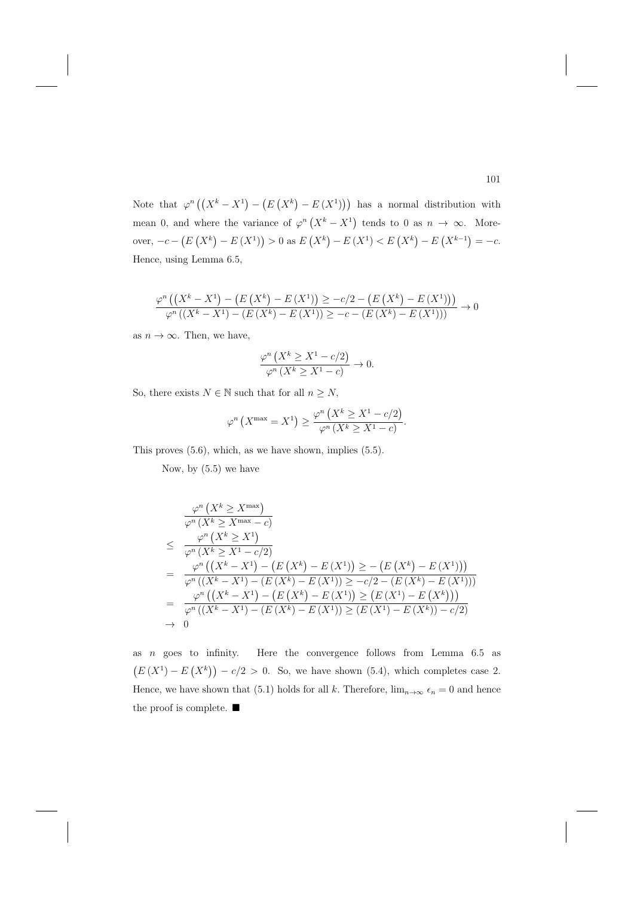Note that  $\varphi^n((X^k - X^1) - (E(X^k) - E(X^1)))$  has a normal distribution with mean 0, and where the variance of  $\varphi^n(X^k - X^1)$  tends to 0 as  $n \to \infty$ . Moreover,  $-c - (E(X^k) - E(X^1)) > 0$  as  $E(X^k) - E(X^1) < E(X^k) - E(X^{k-1}) = -c$ . Hence, using Lemma 6.5,

$$
\frac{\varphi^n ((X^k - X^1) - (E (X^k) - E (X^1)) \ge -c/2 - (E (X^k) - E (X^1)))}{\varphi^n ((X^k - X^1) - (E (X^k) - E (X^1))) \ge -c - (E (X^k) - E (X^1)))} \to 0
$$

as  $n \to \infty$ . Then, we have,

$$
\frac{\varphi^n\left(X^k \ge X^1 - c/2\right)}{\varphi^n\left(X^k \ge X^1 - c\right)} \to 0.
$$

So, there exists  $N \in \mathbb{N}$  such that for all  $n \geq N$ ,

$$
\varphi^n\left(X^{\max} = X^1\right) \ge \frac{\varphi^n\left(X^k \ge X^1 - c/2\right)}{\varphi^n\left(X^k \ge X^1 - c\right)}.
$$

This proves (5.6), which, as we have shown, implies (5.5).

Now, by (5.5) we have

$$
\frac{\varphi^n(X^k \ge X^{\max})}{\varphi^n(X^k \ge X^{\max} - c)}
$$
\n
$$
\le \frac{\varphi^n(X^k \ge X^1)}{\varphi^n(X^k \ge X^1 - c/2)}
$$
\n
$$
= \frac{\varphi^n((X^k - X^1) - (E(X^k) - E(X^1)) \ge -(E(X^k) - E(X^1)))}{\varphi^n((X^k - X^1) - (E(X^k) - E(X^1)) \ge -c/2 - (E(X^k) - E(X^1)))}
$$
\n
$$
= \frac{\varphi^n((X^k - X^1) - (E(X^k) - E(X^1)) \ge (E(X^1) - E(X^k)))}{\varphi^n((X^k - X^1) - (E(X^k) - E(X^1)) \ge (E(X^1) - E(X^k)) - c/2)}
$$
\n
$$
\to 0
$$

as  $n$  goes to infinity. Here the convergence follows from Lemma  $6.5$  as  $(E(X^1) - E(X^k)) - c/2 > 0$ . So, we have shown (5.4), which completes case 2. Hence, we have shown that (5.1) holds for all k. Therefore,  $\lim_{n\to\infty} \epsilon_n = 0$  and hence the proof is complete.  $\blacksquare$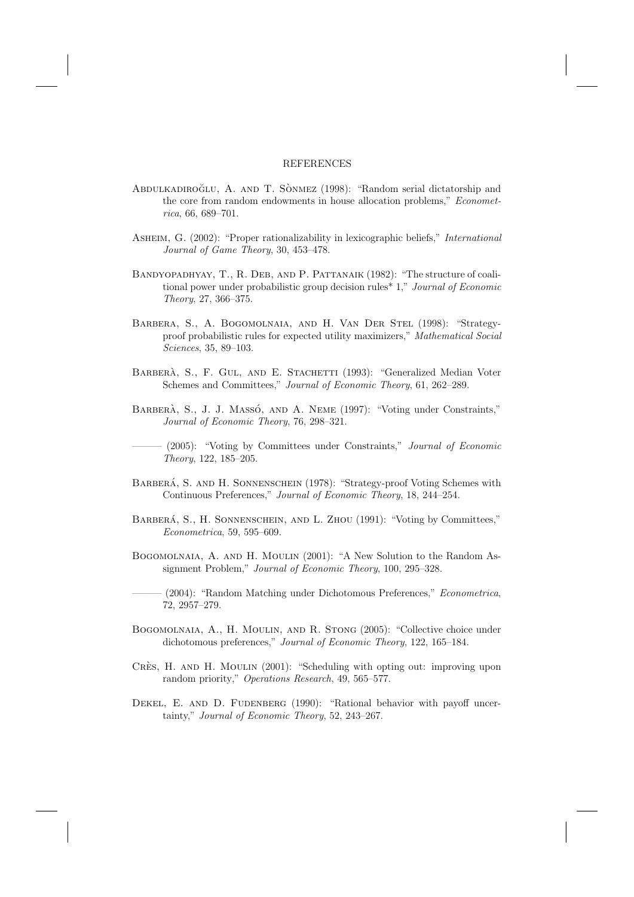#### REFERENCES

- ABDULKADIROĞLU, A. AND T. SÒNMEZ (1998): "Random serial dictatorship and the core from random endowments in house allocation problems," Econometrica, 66, 689–701.
- ASHEIM, G. (2002): "Proper rationalizability in lexicographic beliefs," *International* Journal of Game Theory, 30, 453–478.
- Bandyopadhyay, T., R. Deb, and P. Pattanaik (1982): "The structure of coalitional power under probabilistic group decision rules\* 1," Journal of Economic Theory, 27, 366–375.
- Barbera, S., A. Bogomolnaia, and H. Van Der Stel (1998): "Strategyproof probabilistic rules for expected utility maximizers," Mathematical Social Sciences, 35, 89–103.
- BARBERÀ, S., F. GUL, AND E. STACHETTI (1993): "Generalized Median Voter Schemes and Committees," Journal of Economic Theory, 61, 262–289.
- BARBERÀ, S., J. J. MASSÓ, AND A. NEME (1997): "Voting under Constraints," Journal of Economic Theory, 76, 298–321.

(2005): "Voting by Committees under Constraints," Journal of Economic Theory, 122, 185–205.

- BARBERÁ, S. AND H. SONNENSCHEIN (1978): "Strategy-proof Voting Schemes with Continuous Preferences," Journal of Economic Theory, 18, 244–254.
- BARBERÁ, S., H. SONNENSCHEIN, AND L. ZHOU (1991): "Voting by Committees," Econometrica, 59, 595–609.
- Bogomolnaia, A. and H. Moulin (2001): "A New Solution to the Random Assignment Problem," Journal of Economic Theory, 100, 295–328.
- (2004): "Random Matching under Dichotomous Preferences," Econometrica, 72, 2957–279.
- Bogomolnaia, A., H. Moulin, and R. Stong (2005): "Collective choice under dichotomous preferences," Journal of Economic Theory, 122, 165–184.
- CRES, H. AND H. MOULIN (2001): "Scheduling with opting out: improving upon random priority," Operations Research, 49, 565–577.
- DEKEL, E. AND D. FUDENBERG (1990): "Rational behavior with payoff uncertainty," Journal of Economic Theory, 52, 243–267.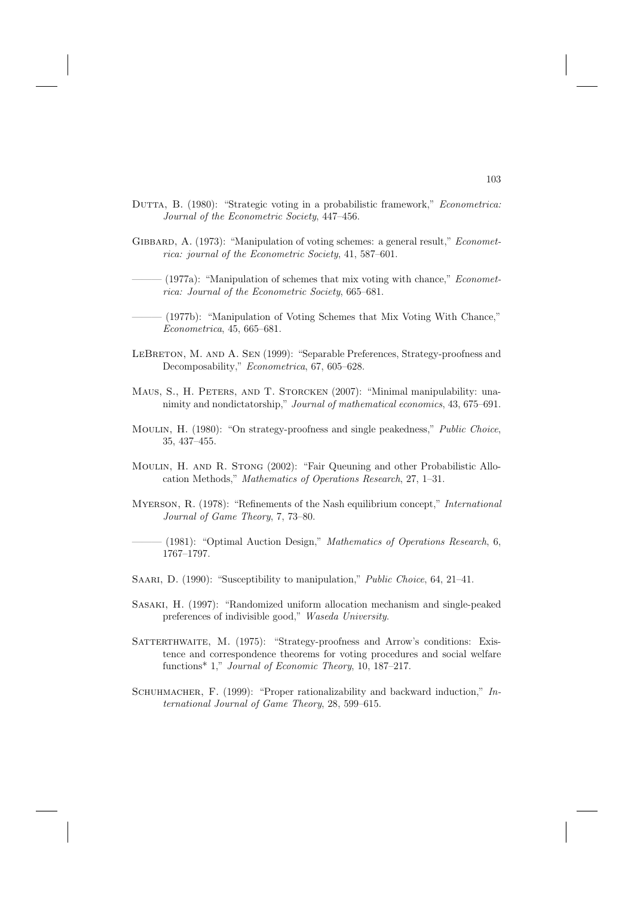- DUTTA, B. (1980): "Strategic voting in a probabilistic framework," Econometrica: Journal of the Econometric Society, 447–456.
- GIBBARD, A. (1973): "Manipulation of voting schemes: a general result," *Economet*rica: journal of the Econometric Society, 41, 587–601.
	- $(1977a)$ : "Manipulation of schemes that mix voting with chance," *Economet*rica: Journal of the Econometric Society, 665–681.
	- (1977b): "Manipulation of Voting Schemes that Mix Voting With Chance," Econometrica, 45, 665–681.
- LEBRETON, M. AND A. SEN (1999): "Separable Preferences, Strategy-proofness and Decomposability," Econometrica, 67, 605–628.
- MAUS, S., H. PETERS, AND T. STORCKEN (2007): "Minimal manipulability: unanimity and nondictatorship," Journal of mathematical economics, 43, 675–691.
- MOULIN, H. (1980): "On strategy-proofness and single peakedness," Public Choice, 35, 437–455.
- Moulin, H. and R. Stong (2002): "Fair Queuning and other Probabilistic Allocation Methods," Mathematics of Operations Research, 27, 1–31.
- Myerson, R. (1978): "Refinements of the Nash equilibrium concept," International Journal of Game Theory, 7, 73–80.
	- (1981): "Optimal Auction Design," Mathematics of Operations Research,  $6$ , 1767–1797.
- SAARI, D. (1990): "Susceptibility to manipulation," Public Choice, 64, 21–41.
- Sasaki, H. (1997): "Randomized uniform allocation mechanism and single-peaked preferences of indivisible good," Waseda University.
- SATTERTHWAITE, M. (1975): "Strategy-proofness and Arrow's conditions: Existence and correspondence theorems for voting procedures and social welfare functions<sup>\*</sup> 1," *Journal of Economic Theory*, 10, 187–217.
- SCHUHMACHER, F. (1999): "Proper rationalizability and backward induction," International Journal of Game Theory, 28, 599–615.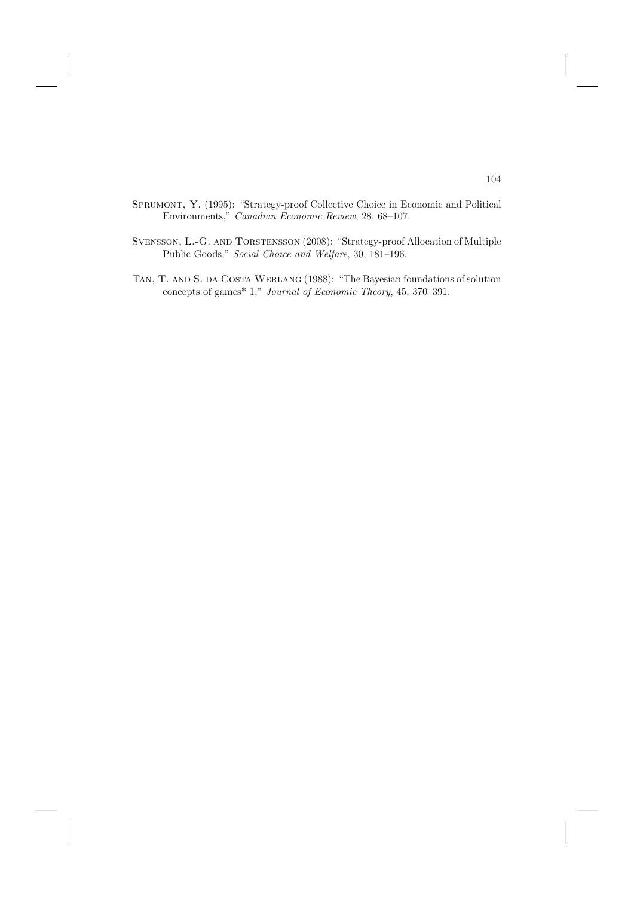- Sprumont, Y. (1995): "Strategy-proof Collective Choice in Economic and Political Environments," Canadian Economic Review, 28, 68–107.
- Svensson, L.-G. and Torstensson (2008): "Strategy-proof Allocation of Multiple Public Goods," Social Choice and Welfare, 30, 181–196.
- TAN, T. AND S. DA COSTA WERLANG (1988): "The Bayesian foundations of solution concepts of games\* 1," Journal of Economic Theory, 45, 370–391.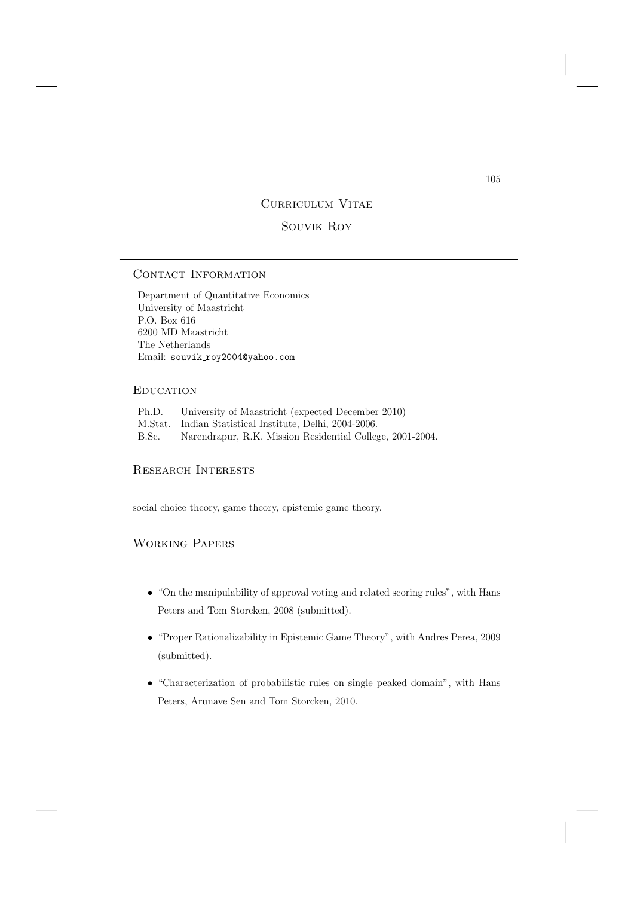# CURRICULUM VITAE

## Souvik Roy

# CONTACT INFORMATION

Department of Quantitative Economics University of Maastricht P.O. Box 616 6200 MD Maastricht The Netherlands Email: souvik\_roy2004@yahoo.com

## **EDUCATION**

| Ph.D. | University of Maastricht (expected December 2010)         |
|-------|-----------------------------------------------------------|
|       | M.Stat. Indian Statistical Institute, Delhi, 2004-2006.   |
| B.Sc. | Narendrapur, R.K. Mission Residential College, 2001-2004. |

#### Research Interests

social choice theory, game theory, epistemic game theory.

## Working Papers

- "On the manipulability of approval voting and related scoring rules", with Hans Peters and Tom Storcken, 2008 (submitted).
- "Proper Rationalizability in Epistemic Game Theory", with Andres Perea, 2009 (submitted).
- "Characterization of probabilistic rules on single peaked domain", with Hans Peters, Arunave Sen and Tom Storcken, 2010.